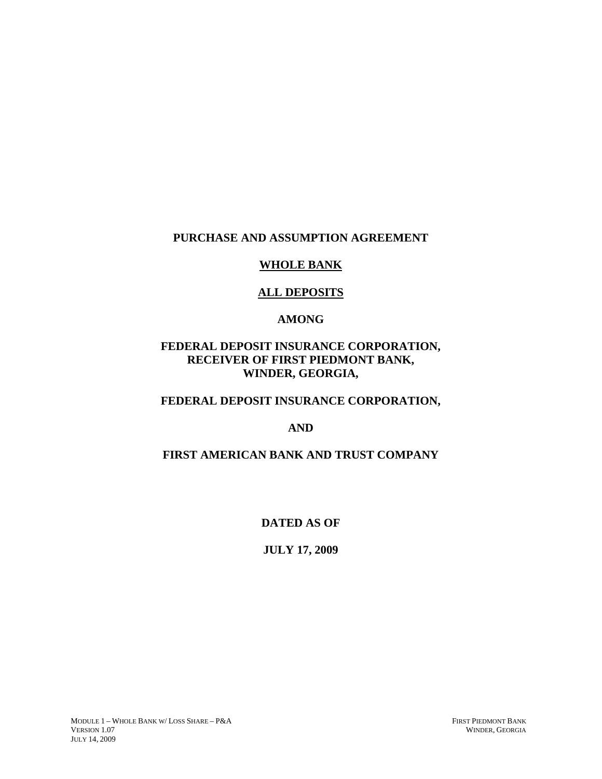### **PURCHASE AND ASSUMPTION AGREEMENT**

### **WHOLE BANK**

### **ALL DEPOSITS**

### **AMONG**

### **FEDERAL DEPOSIT INSURANCE CORPORATION, RECEIVER OF FIRST PIEDMONT BANK, WINDER, GEORGIA,**

### **FEDERAL DEPOSIT INSURANCE CORPORATION,**

**AND** 

# **FIRST AMERICAN BANK AND TRUST COMPANY**

**DATED AS OF**

**JULY 17, 2009**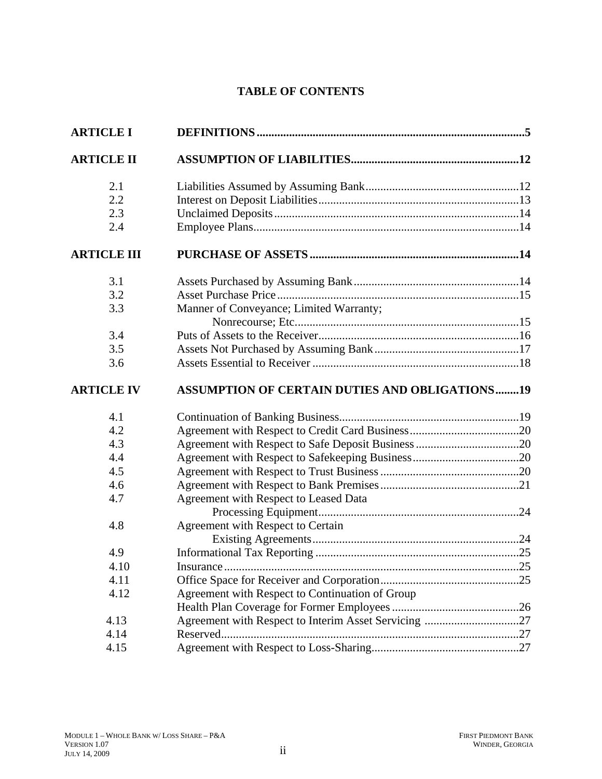# **TABLE OF CONTENTS**

| <b>ARTICLE I</b>   |                                                       |  |
|--------------------|-------------------------------------------------------|--|
| <b>ARTICLE II</b>  |                                                       |  |
| 2.1                |                                                       |  |
| 2.2                |                                                       |  |
| 2.3                |                                                       |  |
| 2.4                |                                                       |  |
| <b>ARTICLE III</b> |                                                       |  |
| 3.1                |                                                       |  |
| 3.2                |                                                       |  |
| 3.3                | Manner of Conveyance; Limited Warranty;               |  |
|                    |                                                       |  |
| 3.4                |                                                       |  |
| 3.5                |                                                       |  |
| 3.6                |                                                       |  |
| <b>ARTICLE IV</b>  | <b>ASSUMPTION OF CERTAIN DUTIES AND OBLIGATIONS19</b> |  |
| 4.1                |                                                       |  |
| 4.2                |                                                       |  |
| 4.3                |                                                       |  |
| 4.4                |                                                       |  |
| 4.5                |                                                       |  |
| 4.6                |                                                       |  |
| 4.7                | Agreement with Respect to Leased Data                 |  |
|                    |                                                       |  |
| 4.8                | Agreement with Respect to Certain                     |  |
|                    |                                                       |  |
| 4.9                |                                                       |  |
| 4.10               |                                                       |  |
| 4.11               |                                                       |  |
| 4.12               | Agreement with Respect to Continuation of Group       |  |
|                    |                                                       |  |
| 4.13               | Agreement with Respect to Interim Asset Servicing 27  |  |
| 4.14               |                                                       |  |
| 4.15               |                                                       |  |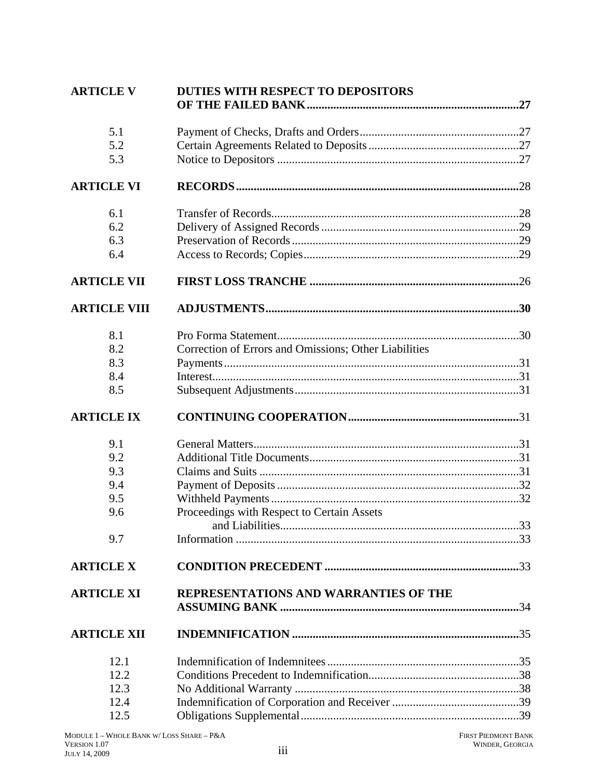| <b>ARTICLE V</b>    | <b>DUTIES WITH RESPECT TO DEPOSITORS</b>              |  |
|---------------------|-------------------------------------------------------|--|
|                     |                                                       |  |
| 5.1                 |                                                       |  |
| 5.2                 |                                                       |  |
| 5.3                 |                                                       |  |
| <b>ARTICLE VI</b>   |                                                       |  |
| 6.1                 |                                                       |  |
| 6.2                 |                                                       |  |
| 6.3                 |                                                       |  |
| 6.4                 |                                                       |  |
| <b>ARTICLE VII</b>  |                                                       |  |
| <b>ARTICLE VIII</b> |                                                       |  |
| 8.1                 |                                                       |  |
| 8.2                 | Correction of Errors and Omissions; Other Liabilities |  |
| 8.3                 |                                                       |  |
| 8.4                 |                                                       |  |
| 8.5                 |                                                       |  |
| <b>ARTICLE IX</b>   |                                                       |  |
| 9.1                 |                                                       |  |
| 9.2                 |                                                       |  |
| 9.3                 |                                                       |  |
| 9.4                 |                                                       |  |
| 9.5                 |                                                       |  |
| 9.6                 | Proceedings with Respect to Certain Assets            |  |
|                     |                                                       |  |
| 9.7                 |                                                       |  |
| <b>ARTICLE X</b>    |                                                       |  |
| <b>ARTICLE XI</b>   | REPRESENTATIONS AND WARRANTIES OF THE                 |  |
| <b>ARTICLE XII</b>  |                                                       |  |
| 12.1                |                                                       |  |
| 12.2                |                                                       |  |
| 12.3                |                                                       |  |
| 12.4                |                                                       |  |
| 12.5                |                                                       |  |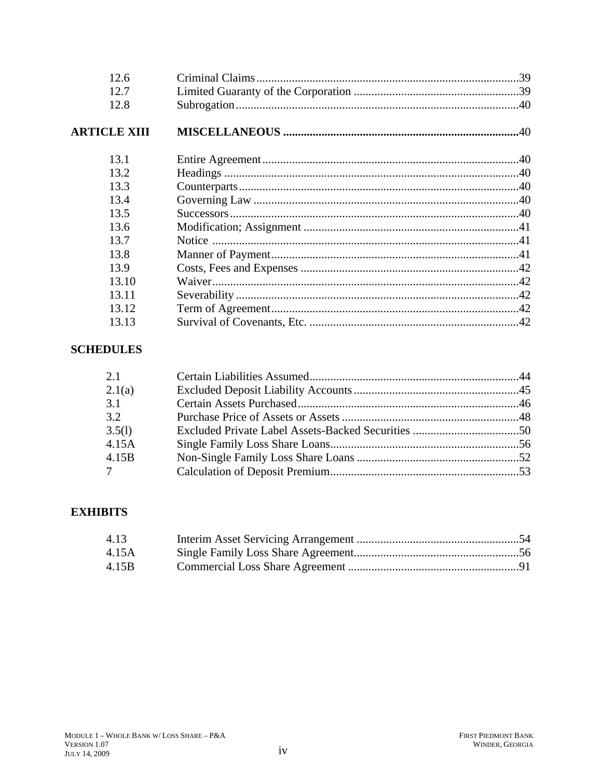| 12.6                |  |
|---------------------|--|
| 12.7                |  |
| 12.8                |  |
| <b>ARTICLE XIII</b> |  |
| 13.1                |  |
| 13.2                |  |
| 13.3                |  |
| 13.4                |  |
| 13.5                |  |
| 13.6                |  |
| 13.7                |  |
| 13.8                |  |
| 13.9                |  |
| 13.10               |  |
| 13.11               |  |
| 13.12               |  |
| 13.13               |  |

## **SCHEDULES**

| 2.1    |  |
|--------|--|
| 2.1(a) |  |
| 3.1    |  |
| 3.2    |  |
| 3.5(l) |  |
| 4.15A  |  |
| 4.15B  |  |
| 7      |  |
|        |  |

# **EXHIBITS**

| 4.13  |  |
|-------|--|
| 4.15A |  |
| 4.15B |  |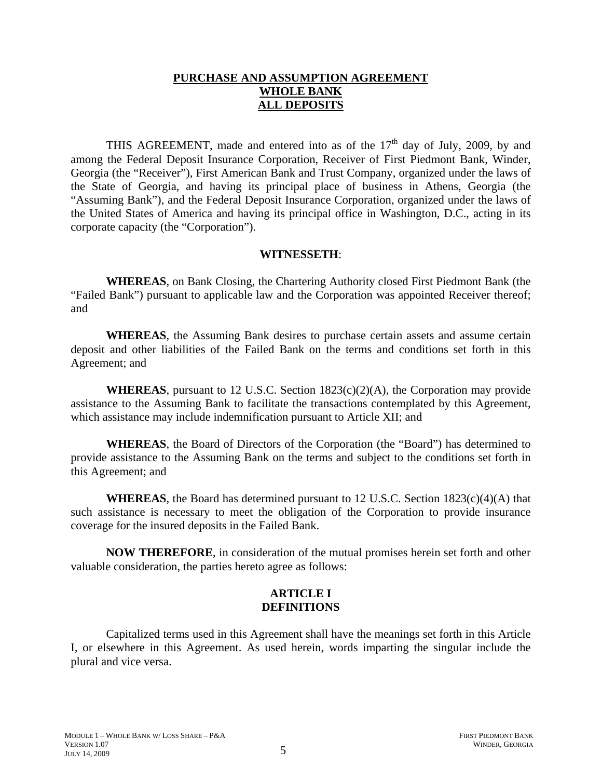#### **PURCHASE AND ASSUMPTION AGREEMENT WHOLE BANK ALL DEPOSITS**

THIS AGREEMENT, made and entered into as of the  $17<sup>th</sup>$  day of July, 2009, by and among the Federal Deposit Insurance Corporation, Receiver of First Piedmont Bank, Winder, Georgia (the "Receiver"), First American Bank and Trust Company, organized under the laws of the State of Georgia, and having its principal place of business in Athens, Georgia (the "Assuming Bank"), and the Federal Deposit Insurance Corporation, organized under the laws of the United States of America and having its principal office in Washington, D.C., acting in its corporate capacity (the "Corporation").

#### **WITNESSETH**:

 **WHEREAS**, on Bank Closing, the Chartering Authority closed First Piedmont Bank (the "Failed Bank") pursuant to applicable law and the Corporation was appointed Receiver thereof; and

 **WHEREAS**, the Assuming Bank desires to purchase certain assets and assume certain deposit and other liabilities of the Failed Bank on the terms and conditions set forth in this Agreement; and

**WHEREAS**, pursuant to 12 U.S.C. Section  $1823(c)(2)(A)$ , the Corporation may provide assistance to the Assuming Bank to facilitate the transactions contemplated by this Agreement, which assistance may include indemnification pursuant to Article XII; and

 **WHEREAS**, the Board of Directors of the Corporation (the "Board") has determined to provide assistance to the Assuming Bank on the terms and subject to the conditions set forth in this Agreement; and

 **WHEREAS**, the Board has determined pursuant to 12 U.S.C. Section 1823(c)(4)(A) that such assistance is necessary to meet the obligation of the Corporation to provide insurance coverage for the insured deposits in the Failed Bank.

 **NOW THEREFORE**, in consideration of the mutual promises herein set forth and other valuable consideration, the parties hereto agree as follows:

#### **ARTICLE I DEFINITIONS**

<span id="page-4-0"></span> Capitalized terms used in this Agreement shall have the meanings set forth in this Article I, or elsewhere in this Agreement. As used herein, words imparting the singular include the plural and vice versa.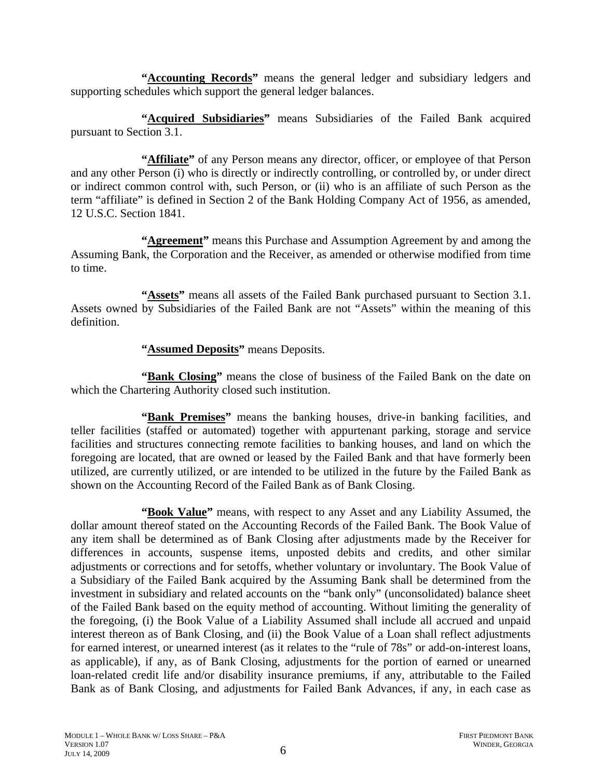"**Accounting Records**" means the general ledger and subsidiary ledgers and supporting schedules which support the general ledger balances.

 **"Acquired Subsidiaries"** means Subsidiaries of the Failed Bank acquired pursuant to Section 3.1.

"**Affiliate**" of any Person means any director, officer, or employee of that Person and any other Person (i) who is directly or indirectly controlling, or controlled by, or under direct or indirect common control with, such Person, or (ii) who is an affiliate of such Person as the term "affiliate" is defined in Section 2 of the Bank Holding Company Act of 1956, as amended, 12 U.S.C. Section 1841.

 **"Agreement"** means this Purchase and Assumption Agreement by and among the Assuming Bank, the Corporation and the Receiver, as amended or otherwise modified from time to time.

 **"Assets"** means all assets of the Failed Bank purchased pursuant to Section 3.1. Assets owned by Subsidiaries of the Failed Bank are not "Assets" within the meaning of this definition.

 **"Assumed Deposits"** means Deposits.

 **"Bank Closing"** means the close of business of the Failed Bank on the date on which the Chartering Authority closed such institution.

 **"Bank Premises"** means the banking houses, drive-in banking facilities, and teller facilities (staffed or automated) together with appurtenant parking, storage and service facilities and structures connecting remote facilities to banking houses, and land on which the foregoing are located, that are owned or leased by the Failed Bank and that have formerly been utilized, are currently utilized, or are intended to be utilized in the future by the Failed Bank as shown on the Accounting Record of the Failed Bank as of Bank Closing.

 **"Book Value"** means, with respect to any Asset and any Liability Assumed, the dollar amount thereof stated on the Accounting Records of the Failed Bank. The Book Value of any item shall be determined as of Bank Closing after adjustments made by the Receiver for differences in accounts, suspense items, unposted debits and credits, and other similar adjustments or corrections and for setoffs, whether voluntary or involuntary. The Book Value of a Subsidiary of the Failed Bank acquired by the Assuming Bank shall be determined from the investment in subsidiary and related accounts on the "bank only" (unconsolidated) balance sheet of the Failed Bank based on the equity method of accounting. Without limiting the generality of the foregoing, (i) the Book Value of a Liability Assumed shall include all accrued and unpaid interest thereon as of Bank Closing, and (ii) the Book Value of a Loan shall reflect adjustments for earned interest, or unearned interest (as it relates to the "rule of 78s" or add-on-interest loans, as applicable), if any, as of Bank Closing, adjustments for the portion of earned or unearned loan-related credit life and/or disability insurance premiums, if any, attributable to the Failed Bank as of Bank Closing, and adjustments for Failed Bank Advances, if any, in each case as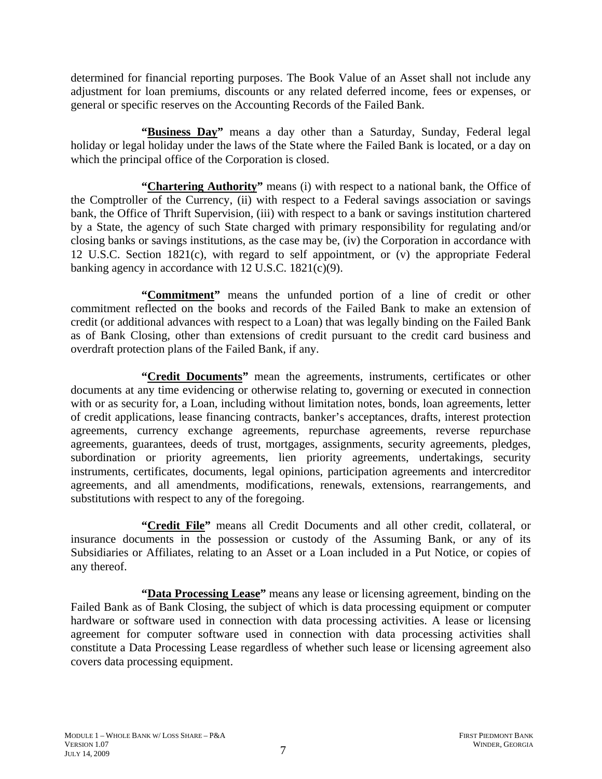determined for financial reporting purposes. The Book Value of an Asset shall not include any adjustment for loan premiums, discounts or any related deferred income, fees or expenses, or general or specific reserves on the Accounting Records of the Failed Bank.

 **"Business Day"** means a day other than a Saturday, Sunday, Federal legal holiday or legal holiday under the laws of the State where the Failed Bank is located, or a day on which the principal office of the Corporation is closed.

 **"Chartering Authority"** means (i) with respect to a national bank, the Office of the Comptroller of the Currency, (ii) with respect to a Federal savings association or savings bank, the Office of Thrift Supervision, (iii) with respect to a bank or savings institution chartered by a State, the agency of such State charged with primary responsibility for regulating and/or closing banks or savings institutions, as the case may be, (iv) the Corporation in accordance with 12 U.S.C. Section 1821(c), with regard to self appointment, or (v) the appropriate Federal banking agency in accordance with 12 U.S.C. 1821(c)(9).

 **"Commitment"** means the unfunded portion of a line of credit or other commitment reflected on the books and records of the Failed Bank to make an extension of credit (or additional advances with respect to a Loan) that was legally binding on the Failed Bank as of Bank Closing, other than extensions of credit pursuant to the credit card business and overdraft protection plans of the Failed Bank, if any.

 **"Credit Documents"** mean the agreements, instruments, certificates or other documents at any time evidencing or otherwise relating to, governing or executed in connection with or as security for, a Loan, including without limitation notes, bonds, loan agreements, letter of credit applications, lease financing contracts, banker's acceptances, drafts, interest protection agreements, currency exchange agreements, repurchase agreements, reverse repurchase agreements, guarantees, deeds of trust, mortgages, assignments, security agreements, pledges, subordination or priority agreements, lien priority agreements, undertakings, security instruments, certificates, documents, legal opinions, participation agreements and intercreditor agreements, and all amendments, modifications, renewals, extensions, rearrangements, and substitutions with respect to any of the foregoing.

 **"Credit File"** means all Credit Documents and all other credit, collateral, or insurance documents in the possession or custody of the Assuming Bank, or any of its Subsidiaries or Affiliates, relating to an Asset or a Loan included in a Put Notice, or copies of any thereof.

 **"Data Processing Lease"** means any lease or licensing agreement, binding on the Failed Bank as of Bank Closing, the subject of which is data processing equipment or computer hardware or software used in connection with data processing activities. A lease or licensing agreement for computer software used in connection with data processing activities shall constitute a Data Processing Lease regardless of whether such lease or licensing agreement also covers data processing equipment.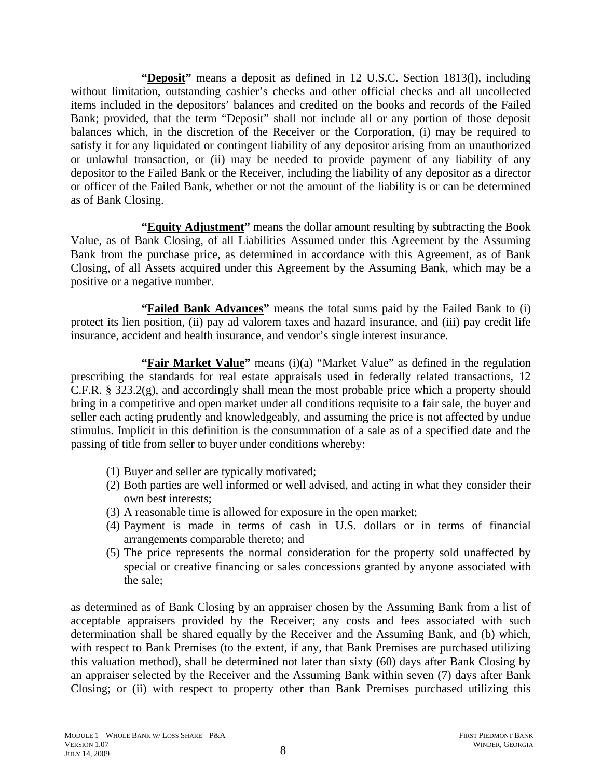**"Deposit"** means a deposit as defined in 12 U.S.C. Section 1813(l), including without limitation, outstanding cashier's checks and other official checks and all uncollected items included in the depositors' balances and credited on the books and records of the Failed Bank; provided, that the term "Deposit" shall not include all or any portion of those deposit balances which, in the discretion of the Receiver or the Corporation, (i) may be required to satisfy it for any liquidated or contingent liability of any depositor arising from an unauthorized or unlawful transaction, or (ii) may be needed to provide payment of any liability of any depositor to the Failed Bank or the Receiver, including the liability of any depositor as a director or officer of the Failed Bank, whether or not the amount of the liability is or can be determined as of Bank Closing.

 **"Equity Adjustment"** means the dollar amount resulting by subtracting the Book Value, as of Bank Closing, of all Liabilities Assumed under this Agreement by the Assuming Bank from the purchase price, as determined in accordance with this Agreement, as of Bank Closing, of all Assets acquired under this Agreement by the Assuming Bank, which may be a positive or a negative number.

 **"Failed Bank Advances"** means the total sums paid by the Failed Bank to (i) protect its lien position, (ii) pay ad valorem taxes and hazard insurance, and (iii) pay credit life insurance, accident and health insurance, and vendor's single interest insurance.

**"Fair Market Value"** means (i)(a) "Market Value" as defined in the regulation prescribing the standards for real estate appraisals used in federally related transactions, 12 C.F.R. § 323.2(g), and accordingly shall mean the most probable price which a property should bring in a competitive and open market under all conditions requisite to a fair sale, the buyer and seller each acting prudently and knowledgeably, and assuming the price is not affected by undue stimulus. Implicit in this definition is the consummation of a sale as of a specified date and the passing of title from seller to buyer under conditions whereby:

- (1) Buyer and seller are typically motivated;
- (2) Both parties are well informed or well advised, and acting in what they consider their own best interests;
- (3) A reasonable time is allowed for exposure in the open market;
- (4) Payment is made in terms of cash in U.S. dollars or in terms of financial arrangements comparable thereto; and
- (5) The price represents the normal consideration for the property sold unaffected by special or creative financing or sales concessions granted by anyone associated with the sale;

as determined as of Bank Closing by an appraiser chosen by the Assuming Bank from a list of acceptable appraisers provided by the Receiver; any costs and fees associated with such determination shall be shared equally by the Receiver and the Assuming Bank, and (b) which, with respect to Bank Premises (to the extent, if any, that Bank Premises are purchased utilizing this valuation method), shall be determined not later than sixty (60) days after Bank Closing by an appraiser selected by the Receiver and the Assuming Bank within seven (7) days after Bank Closing; or (ii) with respect to property other than Bank Premises purchased utilizing this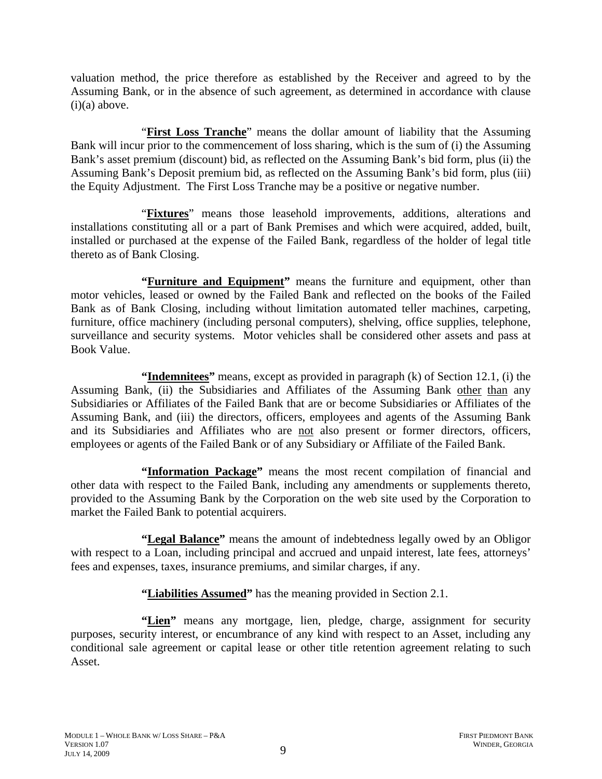valuation method, the price therefore as established by the Receiver and agreed to by the Assuming Bank, or in the absence of such agreement, as determined in accordance with clause  $(i)(a)$  above.

 "**First Loss Tranche**" means the dollar amount of liability that the Assuming Bank will incur prior to the commencement of loss sharing, which is the sum of (i) the Assuming Bank's asset premium (discount) bid, as reflected on the Assuming Bank's bid form, plus (ii) the Assuming Bank's Deposit premium bid, as reflected on the Assuming Bank's bid form, plus (iii) the Equity Adjustment. The First Loss Tranche may be a positive or negative number.

 "**Fixtures**" means those leasehold improvements, additions, alterations and installations constituting all or a part of Bank Premises and which were acquired, added, built, installed or purchased at the expense of the Failed Bank, regardless of the holder of legal title thereto as of Bank Closing.

 **"Furniture and Equipment"** means the furniture and equipment, other than motor vehicles, leased or owned by the Failed Bank and reflected on the books of the Failed Bank as of Bank Closing, including without limitation automated teller machines, carpeting, furniture, office machinery (including personal computers), shelving, office supplies, telephone, surveillance and security systems. Motor vehicles shall be considered other assets and pass at Book Value.

 **"Indemnitees"** means, except as provided in paragraph (k) of Section 12.1, (i) the Assuming Bank, (ii) the Subsidiaries and Affiliates of the Assuming Bank other than any Subsidiaries or Affiliates of the Failed Bank that are or become Subsidiaries or Affiliates of the Assuming Bank, and (iii) the directors, officers, employees and agents of the Assuming Bank and its Subsidiaries and Affiliates who are not also present or former directors, officers, employees or agents of the Failed Bank or of any Subsidiary or Affiliate of the Failed Bank.

 **"Information Package"** means the most recent compilation of financial and other data with respect to the Failed Bank, including any amendments or supplements thereto, provided to the Assuming Bank by the Corporation on the web site used by the Corporation to market the Failed Bank to potential acquirers.

 **"Legal Balance"** means the amount of indebtedness legally owed by an Obligor with respect to a Loan, including principal and accrued and unpaid interest, late fees, attorneys' fees and expenses, taxes, insurance premiums, and similar charges, if any.

 **"Liabilities Assumed"** has the meaning provided in Section 2.1.

"Lien" means any mortgage, lien, pledge, charge, assignment for security purposes, security interest, or encumbrance of any kind with respect to an Asset, including any conditional sale agreement or capital lease or other title retention agreement relating to such Asset.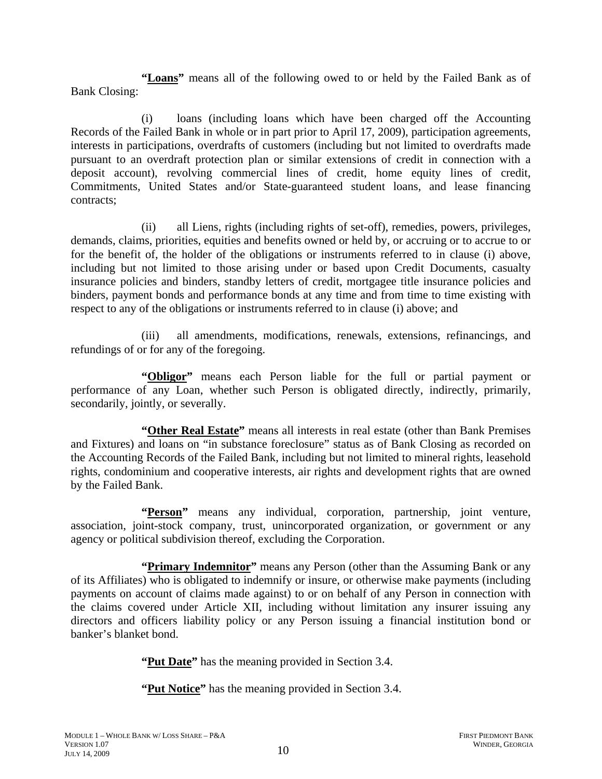**"Loans"** means all of the following owed to or held by the Failed Bank as of Bank Closing:

 (i) loans (including loans which have been charged off the Accounting Records of the Failed Bank in whole or in part prior to April 17, 2009), participation agreements, interests in participations, overdrafts of customers (including but not limited to overdrafts made pursuant to an overdraft protection plan or similar extensions of credit in connection with a deposit account), revolving commercial lines of credit, home equity lines of credit, Commitments, United States and/or State-guaranteed student loans, and lease financing contracts;

 (ii) all Liens, rights (including rights of set-off), remedies, powers, privileges, demands, claims, priorities, equities and benefits owned or held by, or accruing or to accrue to or for the benefit of, the holder of the obligations or instruments referred to in clause (i) above, including but not limited to those arising under or based upon Credit Documents, casualty insurance policies and binders, standby letters of credit, mortgagee title insurance policies and binders, payment bonds and performance bonds at any time and from time to time existing with respect to any of the obligations or instruments referred to in clause (i) above; and

 (iii) all amendments, modifications, renewals, extensions, refinancings, and refundings of or for any of the foregoing.

 **"Obligor"** means each Person liable for the full or partial payment or performance of any Loan, whether such Person is obligated directly, indirectly, primarily, secondarily, jointly, or severally.

 **"Other Real Estate"** means all interests in real estate (other than Bank Premises and Fixtures) and loans on "in substance foreclosure" status as of Bank Closing as recorded on the Accounting Records of the Failed Bank, including but not limited to mineral rights, leasehold rights, condominium and cooperative interests, air rights and development rights that are owned by the Failed Bank.

 **"Person"** means any individual, corporation, partnership, joint venture, association, joint-stock company, trust, unincorporated organization, or government or any agency or political subdivision thereof, excluding the Corporation.

**"Primary Indemnitor"** means any Person (other than the Assuming Bank or any of its Affiliates) who is obligated to indemnify or insure, or otherwise make payments (including payments on account of claims made against) to or on behalf of any Person in connection with the claims covered under Article XII, including without limitation any insurer issuing any directors and officers liability policy or any Person issuing a financial institution bond or banker's blanket bond.

 **"Put Date"** has the meaning provided in Section 3.4.

 **"Put Notice"** has the meaning provided in Section 3.4.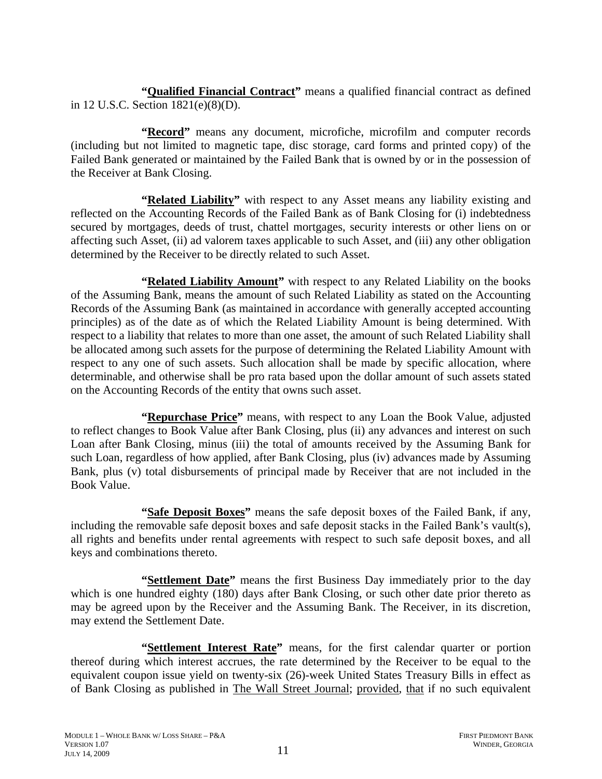"**Qualified Financial Contract**" means a qualified financial contract as defined in 12 U.S.C. Section 1821(e)(8)(D).

 **"Record"** means any document, microfiche, microfilm and computer records (including but not limited to magnetic tape, disc storage, card forms and printed copy) of the Failed Bank generated or maintained by the Failed Bank that is owned by or in the possession of the Receiver at Bank Closing.

 **"Related Liability"** with respect to any Asset means any liability existing and reflected on the Accounting Records of the Failed Bank as of Bank Closing for (i) indebtedness secured by mortgages, deeds of trust, chattel mortgages, security interests or other liens on or affecting such Asset, (ii) ad valorem taxes applicable to such Asset, and (iii) any other obligation determined by the Receiver to be directly related to such Asset.

 **"Related Liability Amount"** with respect to any Related Liability on the books of the Assuming Bank, means the amount of such Related Liability as stated on the Accounting Records of the Assuming Bank (as maintained in accordance with generally accepted accounting principles) as of the date as of which the Related Liability Amount is being determined. With respect to a liability that relates to more than one asset, the amount of such Related Liability shall be allocated among such assets for the purpose of determining the Related Liability Amount with respect to any one of such assets. Such allocation shall be made by specific allocation, where determinable, and otherwise shall be pro rata based upon the dollar amount of such assets stated on the Accounting Records of the entity that owns such asset.

 **"Repurchase Price"** means, with respect to any Loan the Book Value, adjusted to reflect changes to Book Value after Bank Closing, plus (ii) any advances and interest on such Loan after Bank Closing, minus (iii) the total of amounts received by the Assuming Bank for such Loan, regardless of how applied, after Bank Closing, plus (iv) advances made by Assuming Bank, plus (v) total disbursements of principal made by Receiver that are not included in the Book Value.

 **"Safe Deposit Boxes"** means the safe deposit boxes of the Failed Bank, if any, including the removable safe deposit boxes and safe deposit stacks in the Failed Bank's vault(s), all rights and benefits under rental agreements with respect to such safe deposit boxes, and all keys and combinations thereto.

 **"Settlement Date"** means the first Business Day immediately prior to the day which is one hundred eighty (180) days after Bank Closing, or such other date prior thereto as may be agreed upon by the Receiver and the Assuming Bank. The Receiver, in its discretion, may extend the Settlement Date.

**"Settlement Interest Rate"** means, for the first calendar quarter or portion thereof during which interest accrues, the rate determined by the Receiver to be equal to the equivalent coupon issue yield on twenty-six (26)-week United States Treasury Bills in effect as of Bank Closing as published in The Wall Street Journal; provided, that if no such equivalent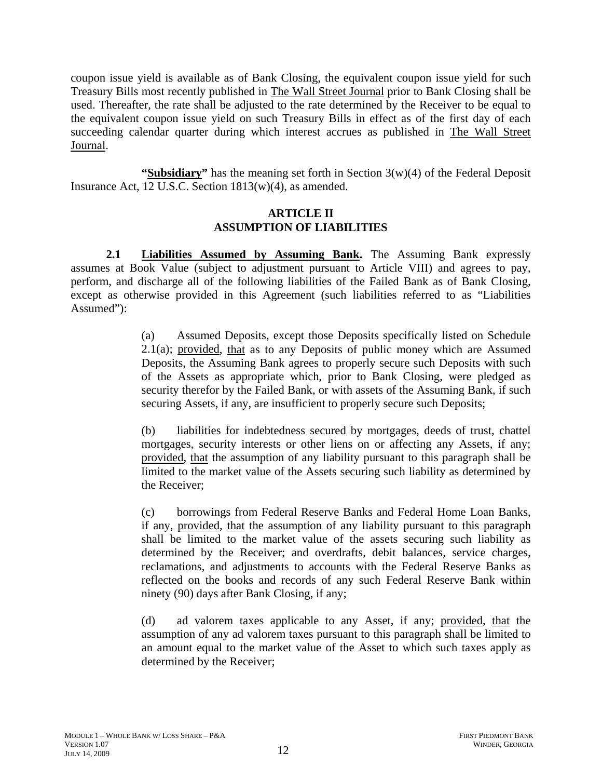coupon issue yield is available as of Bank Closing, the equivalent coupon issue yield for such Treasury Bills most recently published in The Wall Street Journal prior to Bank Closing shall be used. Thereafter, the rate shall be adjusted to the rate determined by the Receiver to be equal to the equivalent coupon issue yield on such Treasury Bills in effect as of the first day of each succeeding calendar quarter during which interest accrues as published in The Wall Street Journal.

**"Subsidiary"** has the meaning set forth in Section 3(w)(4) of the Federal Deposit Insurance Act, 12 U.S.C. Section 1813(w)(4), as amended.

### **ARTICLE II ASSUMPTION OF LIABILITIES**

<span id="page-11-1"></span><span id="page-11-0"></span> **2.1 Liabilities Assumed by Assuming Bank.** The Assuming Bank expressly assumes at Book Value (subject to adjustment pursuant to Article VIII) and agrees to pay, perform, and discharge all of the following liabilities of the Failed Bank as of Bank Closing, except as otherwise provided in this Agreement (such liabilities referred to as "Liabilities Assumed"):

> (a) Assumed Deposits, except those Deposits specifically listed on Schedule 2.1(a); provided, that as to any Deposits of public money which are Assumed Deposits, the Assuming Bank agrees to properly secure such Deposits with such of the Assets as appropriate which, prior to Bank Closing, were pledged as security therefor by the Failed Bank, or with assets of the Assuming Bank, if such securing Assets, if any, are insufficient to properly secure such Deposits;

> (b) liabilities for indebtedness secured by mortgages, deeds of trust, chattel mortgages, security interests or other liens on or affecting any Assets, if any; provided, that the assumption of any liability pursuant to this paragraph shall be limited to the market value of the Assets securing such liability as determined by the Receiver;

> (c) borrowings from Federal Reserve Banks and Federal Home Loan Banks, if any, provided, that the assumption of any liability pursuant to this paragraph shall be limited to the market value of the assets securing such liability as determined by the Receiver; and overdrafts, debit balances, service charges, reclamations, and adjustments to accounts with the Federal Reserve Banks as reflected on the books and records of any such Federal Reserve Bank within ninety (90) days after Bank Closing, if any;

> (d) ad valorem taxes applicable to any Asset, if any; provided, that the assumption of any ad valorem taxes pursuant to this paragraph shall be limited to an amount equal to the market value of the Asset to which such taxes apply as determined by the Receiver;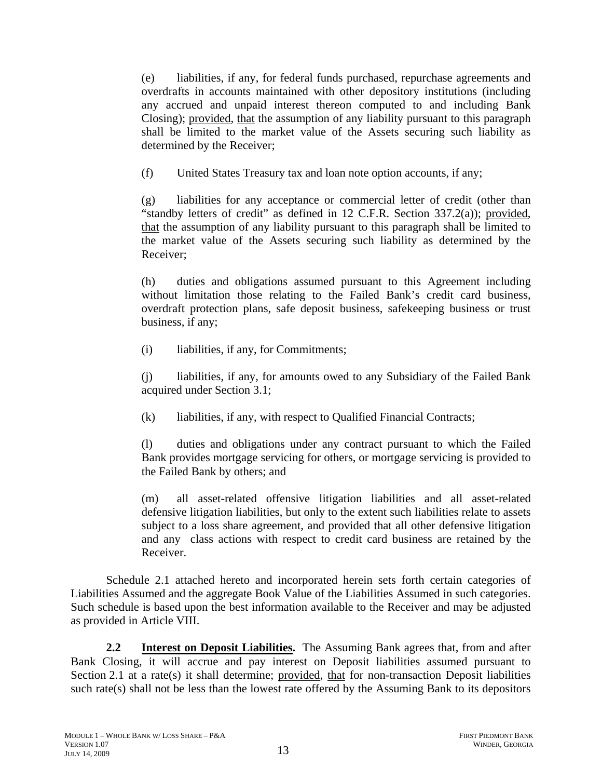(e) liabilities, if any, for federal funds purchased, repurchase agreements and overdrafts in accounts maintained with other depository institutions (including any accrued and unpaid interest thereon computed to and including Bank Closing); provided, that the assumption of any liability pursuant to this paragraph shall be limited to the market value of the Assets securing such liability as determined by the Receiver;

(f) United States Treasury tax and loan note option accounts, if any;

(g) liabilities for any acceptance or commercial letter of credit (other than "standby letters of credit" as defined in 12 C.F.R. Section 337.2(a)); provided, that the assumption of any liability pursuant to this paragraph shall be limited to the market value of the Assets securing such liability as determined by the Receiver;

(h) duties and obligations assumed pursuant to this Agreement including without limitation those relating to the Failed Bank's credit card business, overdraft protection plans, safe deposit business, safekeeping business or trust business, if any;

(i) liabilities, if any, for Commitments;

(j) liabilities, if any, for amounts owed to any Subsidiary of the Failed Bank acquired under Section 3.1;

(k) liabilities, if any, with respect to Qualified Financial Contracts;

(l) duties and obligations under any contract pursuant to which the Failed Bank provides mortgage servicing for others, or mortgage servicing is provided to the Failed Bank by others; and

(m) all asset-related offensive litigation liabilities and all asset-related defensive litigation liabilities, but only to the extent such liabilities relate to assets subject to a loss share agreement, and provided that all other defensive litigation and any class actions with respect to credit card business are retained by the Receiver.

 Schedule 2.1 attached hereto and incorporated herein sets forth certain categories of Liabilities Assumed and the aggregate Book Value of the Liabilities Assumed in such categories. Such schedule is based upon the best information available to the Receiver and may be adjusted as provided in Article VIII.

<span id="page-12-0"></span>**2.2 Interest on Deposit Liabilities.** The Assuming Bank agrees that, from and after Bank Closing, it will accrue and pay interest on Deposit liabilities assumed pursuant to Section 2.1 at a rate(s) it shall determine; provided, that for non-transaction Deposit liabilities such rate(s) shall not be less than the lowest rate offered by the Assuming Bank to its depositors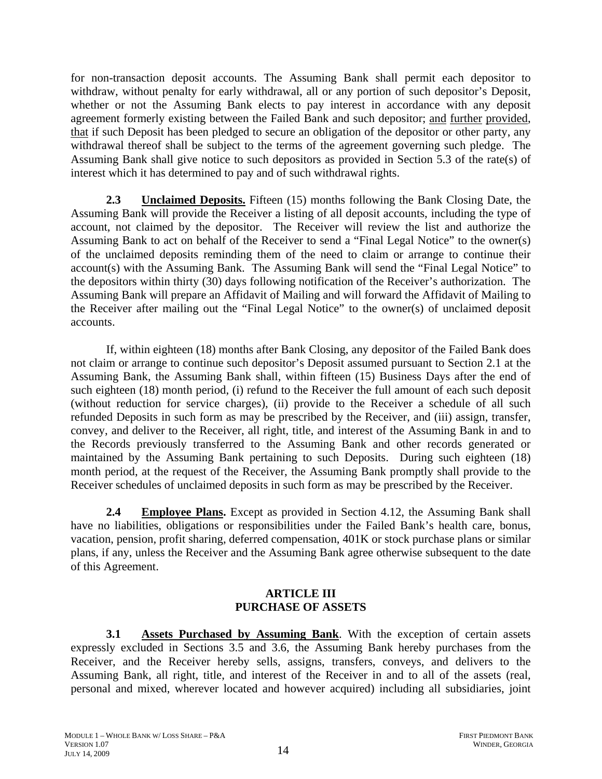for non-transaction deposit accounts. The Assuming Bank shall permit each depositor to withdraw, without penalty for early withdrawal, all or any portion of such depositor's Deposit, whether or not the Assuming Bank elects to pay interest in accordance with any deposit agreement formerly existing between the Failed Bank and such depositor; and further provided, that if such Deposit has been pledged to secure an obligation of the depositor or other party, any withdrawal thereof shall be subject to the terms of the agreement governing such pledge. The Assuming Bank shall give notice to such depositors as provided in Section 5.3 of the rate(s) of interest which it has determined to pay and of such withdrawal rights.

<span id="page-13-0"></span> **2.3 Unclaimed Deposits.** Fifteen (15) months following the Bank Closing Date, the Assuming Bank will provide the Receiver a listing of all deposit accounts, including the type of account, not claimed by the depositor. The Receiver will review the list and authorize the Assuming Bank to act on behalf of the Receiver to send a "Final Legal Notice" to the owner(s) of the unclaimed deposits reminding them of the need to claim or arrange to continue their account(s) with the Assuming Bank. The Assuming Bank will send the "Final Legal Notice" to the depositors within thirty (30) days following notification of the Receiver's authorization. The Assuming Bank will prepare an Affidavit of Mailing and will forward the Affidavit of Mailing to the Receiver after mailing out the "Final Legal Notice" to the owner(s) of unclaimed deposit accounts.

If, within eighteen (18) months after Bank Closing, any depositor of the Failed Bank does not claim or arrange to continue such depositor's Deposit assumed pursuant to Section 2.1 at the Assuming Bank, the Assuming Bank shall, within fifteen (15) Business Days after the end of such eighteen (18) month period, (i) refund to the Receiver the full amount of each such deposit (without reduction for service charges), (ii) provide to the Receiver a schedule of all such refunded Deposits in such form as may be prescribed by the Receiver, and (iii) assign, transfer, convey, and deliver to the Receiver, all right, title, and interest of the Assuming Bank in and to the Records previously transferred to the Assuming Bank and other records generated or maintained by the Assuming Bank pertaining to such Deposits. During such eighteen (18) month period, at the request of the Receiver, the Assuming Bank promptly shall provide to the Receiver schedules of unclaimed deposits in such form as may be prescribed by the Receiver.

<span id="page-13-1"></span> **2.4 Employee Plans.** Except as provided in Section 4.12, the Assuming Bank shall have no liabilities, obligations or responsibilities under the Failed Bank's health care, bonus, vacation, pension, profit sharing, deferred compensation, 401K or stock purchase plans or similar plans, if any, unless the Receiver and the Assuming Bank agree otherwise subsequent to the date of this Agreement.

### **ARTICLE III PURCHASE OF ASSETS**

<span id="page-13-3"></span><span id="page-13-2"></span> **3.1 Assets Purchased by Assuming Bank**. With the exception of certain assets expressly excluded in Sections 3.5 and 3.6, the Assuming Bank hereby purchases from the Receiver, and the Receiver hereby sells, assigns, transfers, conveys, and delivers to the Assuming Bank, all right, title, and interest of the Receiver in and to all of the assets (real, personal and mixed, wherever located and however acquired) including all subsidiaries, joint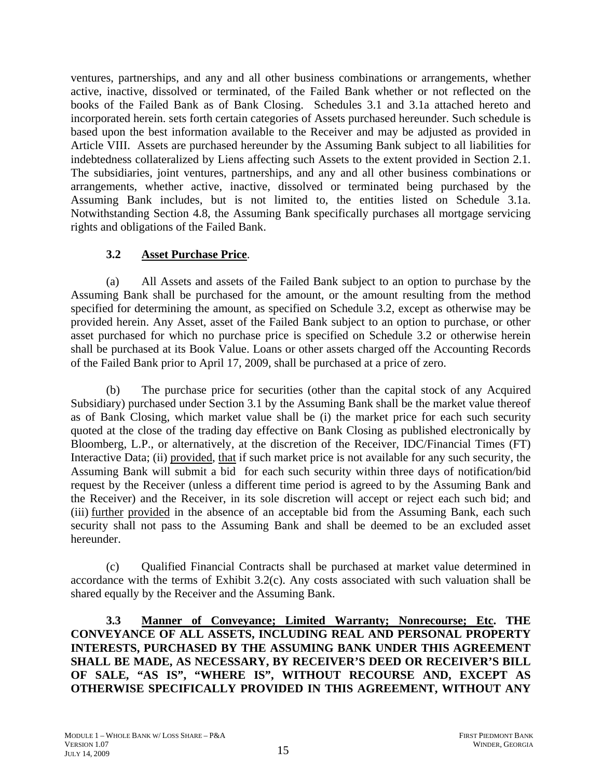ventures, partnerships, and any and all other business combinations or arrangements, whether active, inactive, dissolved or terminated, of the Failed Bank whether or not reflected on the books of the Failed Bank as of Bank Closing. Schedules 3.1 and 3.1a attached hereto and incorporated herein. sets forth certain categories of Assets purchased hereunder. Such schedule is based upon the best information available to the Receiver and may be adjusted as provided in Article VIII. Assets are purchased hereunder by the Assuming Bank subject to all liabilities for indebtedness collateralized by Liens affecting such Assets to the extent provided in Section 2.1. The subsidiaries, joint ventures, partnerships, and any and all other business combinations or arrangements, whether active, inactive, dissolved or terminated being purchased by the Assuming Bank includes, but is not limited to, the entities listed on Schedule 3.1a. Notwithstanding Section 4.8, the Assuming Bank specifically purchases all mortgage servicing rights and obligations of the Failed Bank.

# **3.2 Asset Purchase Price**.

<span id="page-14-0"></span> (a) All Assets and assets of the Failed Bank subject to an option to purchase by the Assuming Bank shall be purchased for the amount, or the amount resulting from the method specified for determining the amount, as specified on Schedule 3.2, except as otherwise may be provided herein. Any Asset, asset of the Failed Bank subject to an option to purchase, or other asset purchased for which no purchase price is specified on Schedule 3.2 or otherwise herein shall be purchased at its Book Value. Loans or other assets charged off the Accounting Records of the Failed Bank prior to April 17, 2009, shall be purchased at a price of zero.

 (b) The purchase price for securities (other than the capital stock of any Acquired Subsidiary) purchased under Section 3.1 by the Assuming Bank shall be the market value thereof as of Bank Closing, which market value shall be (i) the market price for each such security quoted at the close of the trading day effective on Bank Closing as published electronically by Bloomberg, L.P., or alternatively, at the discretion of the Receiver, IDC/Financial Times (FT) Interactive Data; (ii) provided, that if such market price is not available for any such security, the Assuming Bank will submit a bid for each such security within three days of notification/bid request by the Receiver (unless a different time period is agreed to by the Assuming Bank and the Receiver) and the Receiver, in its sole discretion will accept or reject each such bid; and (iii) further provided in the absence of an acceptable bid from the Assuming Bank, each such security shall not pass to the Assuming Bank and shall be deemed to be an excluded asset hereunder.

 (c) Qualified Financial Contracts shall be purchased at market value determined in accordance with the terms of Exhibit 3.2(c). Any costs associated with such valuation shall be shared equally by the Receiver and the Assuming Bank.

<span id="page-14-1"></span> **3.3 Manner of Conveyance; Limited Warranty; Nonrecourse; Etc. THE CONVEYANCE OF ALL ASSETS, INCLUDING REAL AND PERSONAL PROPERTY INTERESTS, PURCHASED BY THE ASSUMING BANK UNDER THIS AGREEMENT SHALL BE MADE, AS NECESSARY, BY RECEIVER'S DEED OR RECEIVER'S BILL OF SALE, "AS IS", "WHERE IS", WITHOUT RECOURSE AND, EXCEPT AS OTHERWISE SPECIFICALLY PROVIDED IN THIS AGREEMENT, WITHOUT ANY**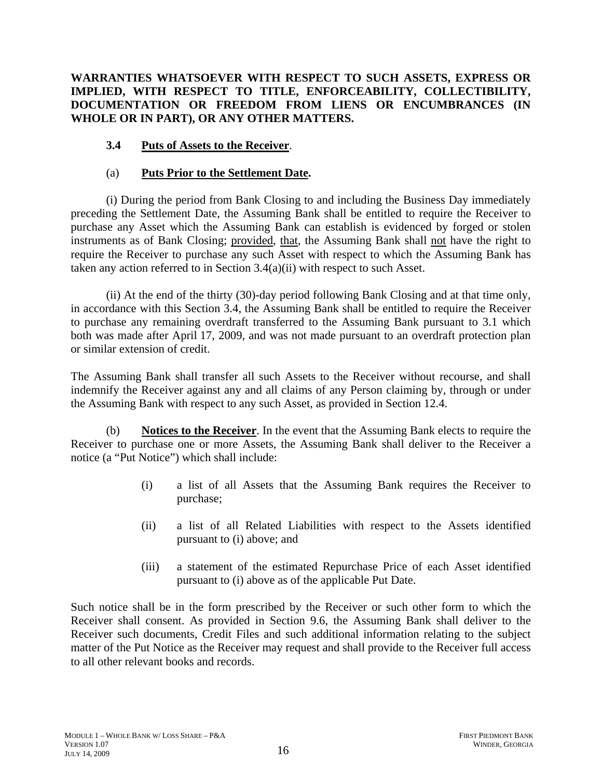### **WARRANTIES WHATSOEVER WITH RESPECT TO SUCH ASSETS, EXPRESS OR IMPLIED, WITH RESPECT TO TITLE, ENFORCEABILITY, COLLECTIBILITY, DOCUMENTATION OR FREEDOM FROM LIENS OR ENCUMBRANCES (IN WHOLE OR IN PART), OR ANY OTHER MATTERS.**

# **3.4 Puts of Assets to the Receiver**.

### (a) **Puts Prior to the Settlement Date.**

<span id="page-15-0"></span> (i) During the period from Bank Closing to and including the Business Day immediately preceding the Settlement Date, the Assuming Bank shall be entitled to require the Receiver to purchase any Asset which the Assuming Bank can establish is evidenced by forged or stolen instruments as of Bank Closing; provided, that, the Assuming Bank shall not have the right to require the Receiver to purchase any such Asset with respect to which the Assuming Bank has taken any action referred to in Section 3.4(a)(ii) with respect to such Asset.

 (ii) At the end of the thirty (30)-day period following Bank Closing and at that time only, in accordance with this Section 3.4, the Assuming Bank shall be entitled to require the Receiver to purchase any remaining overdraft transferred to the Assuming Bank pursuant to 3.1 which both was made after April 17, 2009, and was not made pursuant to an overdraft protection plan or similar extension of credit.

The Assuming Bank shall transfer all such Assets to the Receiver without recourse, and shall indemnify the Receiver against any and all claims of any Person claiming by, through or under the Assuming Bank with respect to any such Asset, as provided in Section 12.4.

 (b) **Notices to the Receiver**. In the event that the Assuming Bank elects to require the Receiver to purchase one or more Assets, the Assuming Bank shall deliver to the Receiver a notice (a "Put Notice") which shall include:

- (i) a list of all Assets that the Assuming Bank requires the Receiver to purchase;
- (ii) a list of all Related Liabilities with respect to the Assets identified pursuant to (i) above; and
- (iii) a statement of the estimated Repurchase Price of each Asset identified pursuant to (i) above as of the applicable Put Date.

Such notice shall be in the form prescribed by the Receiver or such other form to which the Receiver shall consent. As provided in Section 9.6, the Assuming Bank shall deliver to the Receiver such documents, Credit Files and such additional information relating to the subject matter of the Put Notice as the Receiver may request and shall provide to the Receiver full access to all other relevant books and records.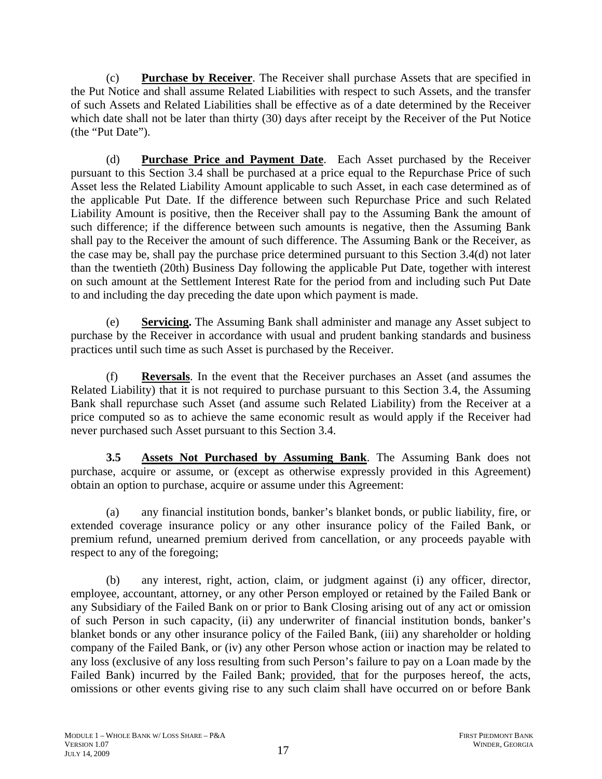(c) **Purchase by Receiver**. The Receiver shall purchase Assets that are specified in the Put Notice and shall assume Related Liabilities with respect to such Assets, and the transfer of such Assets and Related Liabilities shall be effective as of a date determined by the Receiver which date shall not be later than thirty (30) days after receipt by the Receiver of the Put Notice (the "Put Date").

 (d) **Purchase Price and Payment Date**. Each Asset purchased by the Receiver pursuant to this Section 3.4 shall be purchased at a price equal to the Repurchase Price of such Asset less the Related Liability Amount applicable to such Asset, in each case determined as of the applicable Put Date. If the difference between such Repurchase Price and such Related Liability Amount is positive, then the Receiver shall pay to the Assuming Bank the amount of such difference; if the difference between such amounts is negative, then the Assuming Bank shall pay to the Receiver the amount of such difference. The Assuming Bank or the Receiver, as the case may be, shall pay the purchase price determined pursuant to this Section 3.4(d) not later than the twentieth (20th) Business Day following the applicable Put Date, together with interest on such amount at the Settlement Interest Rate for the period from and including such Put Date to and including the day preceding the date upon which payment is made.

 (e) **Servicing.** The Assuming Bank shall administer and manage any Asset subject to purchase by the Receiver in accordance with usual and prudent banking standards and business practices until such time as such Asset is purchased by the Receiver.

 (f) **Reversals**. In the event that the Receiver purchases an Asset (and assumes the Related Liability) that it is not required to purchase pursuant to this Section 3.4, the Assuming Bank shall repurchase such Asset (and assume such Related Liability) from the Receiver at a price computed so as to achieve the same economic result as would apply if the Receiver had never purchased such Asset pursuant to this Section 3.4.

<span id="page-16-0"></span> **3.5 Assets Not Purchased by Assuming Bank**. The Assuming Bank does not purchase, acquire or assume, or (except as otherwise expressly provided in this Agreement) obtain an option to purchase, acquire or assume under this Agreement:

 (a) any financial institution bonds, banker's blanket bonds, or public liability, fire, or extended coverage insurance policy or any other insurance policy of the Failed Bank, or premium refund, unearned premium derived from cancellation, or any proceeds payable with respect to any of the foregoing;

 (b) any interest, right, action, claim, or judgment against (i) any officer, director, employee, accountant, attorney, or any other Person employed or retained by the Failed Bank or any Subsidiary of the Failed Bank on or prior to Bank Closing arising out of any act or omission of such Person in such capacity, (ii) any underwriter of financial institution bonds, banker's blanket bonds or any other insurance policy of the Failed Bank, (iii) any shareholder or holding company of the Failed Bank, or (iv) any other Person whose action or inaction may be related to any loss (exclusive of any loss resulting from such Person's failure to pay on a Loan made by the Failed Bank) incurred by the Failed Bank; provided, that for the purposes hereof, the acts, omissions or other events giving rise to any such claim shall have occurred on or before Bank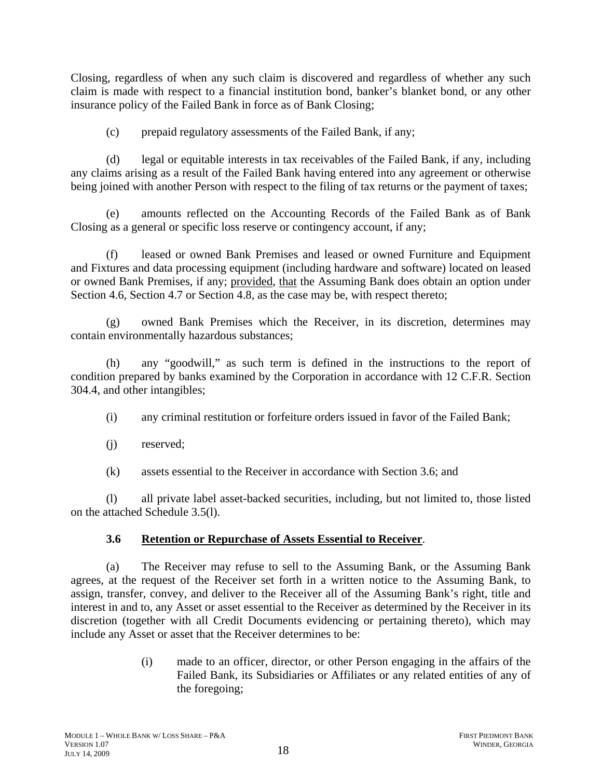Closing, regardless of when any such claim is discovered and regardless of whether any such claim is made with respect to a financial institution bond, banker's blanket bond, or any other insurance policy of the Failed Bank in force as of Bank Closing;

(c) prepaid regulatory assessments of the Failed Bank, if any;

(d) legal or equitable interests in tax receivables of the Failed Bank, if any, including any claims arising as a result of the Failed Bank having entered into any agreement or otherwise being joined with another Person with respect to the filing of tax returns or the payment of taxes;

 (e) amounts reflected on the Accounting Records of the Failed Bank as of Bank Closing as a general or specific loss reserve or contingency account, if any;

 (f) leased or owned Bank Premises and leased or owned Furniture and Equipment and Fixtures and data processing equipment (including hardware and software) located on leased or owned Bank Premises, if any; provided, that the Assuming Bank does obtain an option under Section 4.6, Section 4.7 or Section 4.8, as the case may be, with respect thereto;

 (g) owned Bank Premises which the Receiver, in its discretion, determines may contain environmentally hazardous substances;

 (h) any "goodwill," as such term is defined in the instructions to the report of condition prepared by banks examined by the Corporation in accordance with 12 C.F.R. Section 304.4, and other intangibles;

- (i) any criminal restitution or forfeiture orders issued in favor of the Failed Bank;
- (j) reserved;
- (k) assets essential to the Receiver in accordance with Section 3.6; and

 (l) all private label asset-backed securities, including, but not limited to, those listed on the attached Schedule 3.5(l).

### **3.6 Retention or Repurchase of Assets Essential to Receiver**.

<span id="page-17-0"></span> (a) The Receiver may refuse to sell to the Assuming Bank, or the Assuming Bank agrees, at the request of the Receiver set forth in a written notice to the Assuming Bank, to assign, transfer, convey, and deliver to the Receiver all of the Assuming Bank's right, title and interest in and to, any Asset or asset essential to the Receiver as determined by the Receiver in its discretion (together with all Credit Documents evidencing or pertaining thereto), which may include any Asset or asset that the Receiver determines to be:

> (i) made to an officer, director, or other Person engaging in the affairs of the Failed Bank, its Subsidiaries or Affiliates or any related entities of any of the foregoing;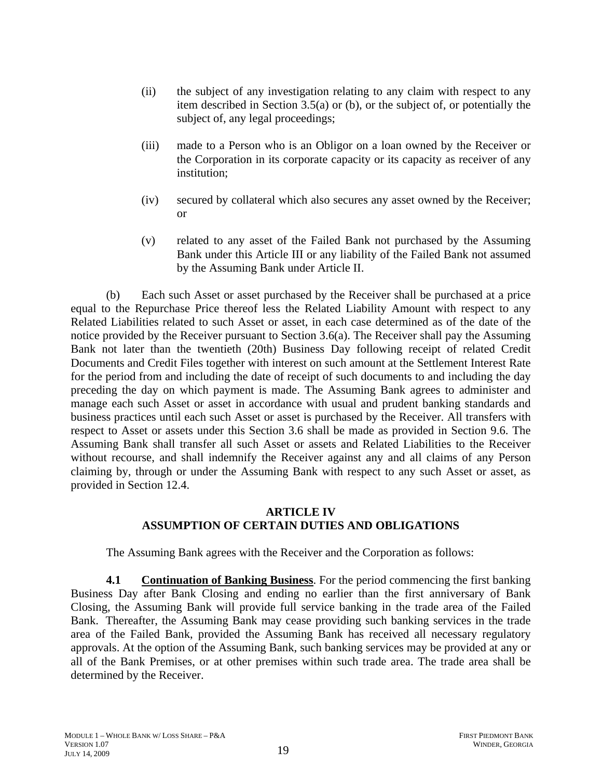- (ii) the subject of any investigation relating to any claim with respect to any item described in Section 3.5(a) or (b), or the subject of, or potentially the subject of, any legal proceedings;
- (iii) made to a Person who is an Obligor on a loan owned by the Receiver or the Corporation in its corporate capacity or its capacity as receiver of any institution;
- (iv) secured by collateral which also secures any asset owned by the Receiver; or
- (v) related to any asset of the Failed Bank not purchased by the Assuming Bank under this Article III or any liability of the Failed Bank not assumed by the Assuming Bank under Article II.

 (b) Each such Asset or asset purchased by the Receiver shall be purchased at a price equal to the Repurchase Price thereof less the Related Liability Amount with respect to any Related Liabilities related to such Asset or asset, in each case determined as of the date of the notice provided by the Receiver pursuant to Section 3.6(a). The Receiver shall pay the Assuming Bank not later than the twentieth (20th) Business Day following receipt of related Credit Documents and Credit Files together with interest on such amount at the Settlement Interest Rate for the period from and including the date of receipt of such documents to and including the day preceding the day on which payment is made. The Assuming Bank agrees to administer and manage each such Asset or asset in accordance with usual and prudent banking standards and business practices until each such Asset or asset is purchased by the Receiver. All transfers with respect to Asset or assets under this Section 3.6 shall be made as provided in Section 9.6. The Assuming Bank shall transfer all such Asset or assets and Related Liabilities to the Receiver without recourse, and shall indemnify the Receiver against any and all claims of any Person claiming by, through or under the Assuming Bank with respect to any such Asset or asset, as provided in Section 12.4.

### **ARTICLE IV ASSUMPTION OF CERTAIN DUTIES AND OBLIGATIONS**

The Assuming Bank agrees with the Receiver and the Corporation as follows:

<span id="page-18-1"></span><span id="page-18-0"></span> **4.1 Continuation of Banking Business**. For the period commencing the first banking Business Day after Bank Closing and ending no earlier than the first anniversary of Bank Closing, the Assuming Bank will provide full service banking in the trade area of the Failed Bank. Thereafter, the Assuming Bank may cease providing such banking services in the trade area of the Failed Bank, provided the Assuming Bank has received all necessary regulatory approvals. At the option of the Assuming Bank, such banking services may be provided at any or all of the Bank Premises, or at other premises within such trade area. The trade area shall be determined by the Receiver.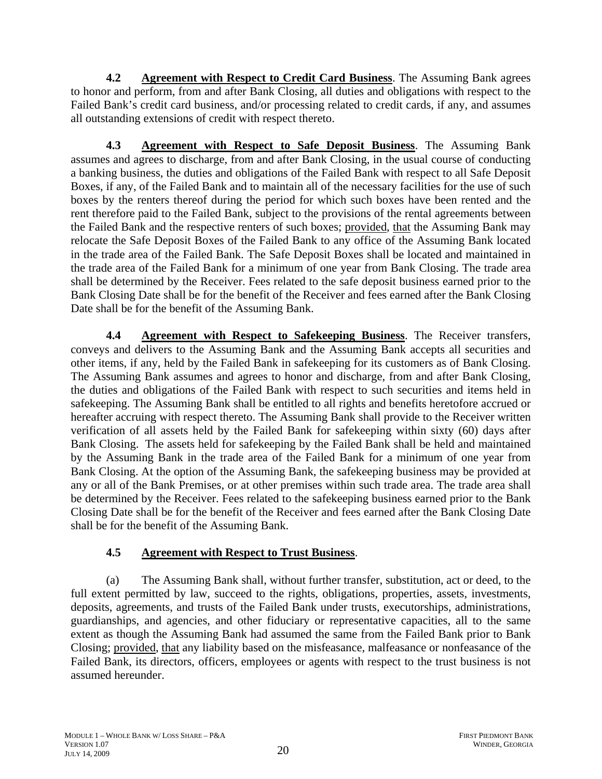**4.2 Agreement with Respect to Credit Card Business**. The Assuming Bank agrees to honor and perform, from and after Bank Closing, all duties and obligations with respect to the Failed Bank's credit card business, and/or processing related to credit cards, if any, and assumes all outstanding extensions of credit with respect thereto.

**4.3 Agreement with Respect to Safe Deposit Business**. The Assuming Bank assumes and agrees to discharge, from and after Bank Closing, in the usual course of conducting a banking business, the duties and obligations of the Failed Bank with respect to all Safe Deposit Boxes, if any, of the Failed Bank and to maintain all of the necessary facilities for the use of such boxes by the renters thereof during the period for which such boxes have been rented and the rent therefore paid to the Failed Bank, subject to the provisions of the rental agreements between the Failed Bank and the respective renters of such boxes; provided, that the Assuming Bank may relocate the Safe Deposit Boxes of the Failed Bank to any office of the Assuming Bank located in the trade area of the Failed Bank. The Safe Deposit Boxes shall be located and maintained in the trade area of the Failed Bank for a minimum of one year from Bank Closing. The trade area shall be determined by the Receiver. Fees related to the safe deposit business earned prior to the Bank Closing Date shall be for the benefit of the Receiver and fees earned after the Bank Closing Date shall be for the benefit of the Assuming Bank.

**4.4 Agreement with Respect to Safekeeping Business**. The Receiver transfers, conveys and delivers to the Assuming Bank and the Assuming Bank accepts all securities and other items, if any, held by the Failed Bank in safekeeping for its customers as of Bank Closing. The Assuming Bank assumes and agrees to honor and discharge, from and after Bank Closing, the duties and obligations of the Failed Bank with respect to such securities and items held in safekeeping. The Assuming Bank shall be entitled to all rights and benefits heretofore accrued or hereafter accruing with respect thereto. The Assuming Bank shall provide to the Receiver written verification of all assets held by the Failed Bank for safekeeping within sixty (60) days after Bank Closing. The assets held for safekeeping by the Failed Bank shall be held and maintained by the Assuming Bank in the trade area of the Failed Bank for a minimum of one year from Bank Closing. At the option of the Assuming Bank, the safekeeping business may be provided at any or all of the Bank Premises, or at other premises within such trade area. The trade area shall be determined by the Receiver. Fees related to the safekeeping business earned prior to the Bank Closing Date shall be for the benefit of the Receiver and fees earned after the Bank Closing Date shall be for the benefit of the Assuming Bank.

# **4.5 Agreement with Respect to Trust Business**.

<span id="page-19-0"></span> (a) The Assuming Bank shall, without further transfer, substitution, act or deed, to the full extent permitted by law, succeed to the rights, obligations, properties, assets, investments, deposits, agreements, and trusts of the Failed Bank under trusts, executorships, administrations, guardianships, and agencies, and other fiduciary or representative capacities, all to the same extent as though the Assuming Bank had assumed the same from the Failed Bank prior to Bank Closing; provided, that any liability based on the misfeasance, malfeasance or nonfeasance of the Failed Bank, its directors, officers, employees or agents with respect to the trust business is not assumed hereunder.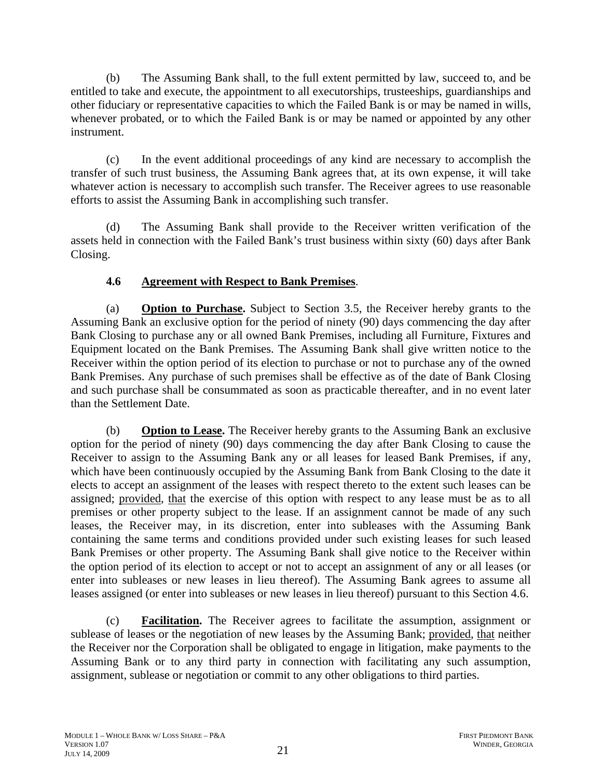(b) The Assuming Bank shall, to the full extent permitted by law, succeed to, and be entitled to take and execute, the appointment to all executorships, trusteeships, guardianships and other fiduciary or representative capacities to which the Failed Bank is or may be named in wills, whenever probated, or to which the Failed Bank is or may be named or appointed by any other instrument.

 (c) In the event additional proceedings of any kind are necessary to accomplish the transfer of such trust business, the Assuming Bank agrees that, at its own expense, it will take whatever action is necessary to accomplish such transfer. The Receiver agrees to use reasonable efforts to assist the Assuming Bank in accomplishing such transfer.

 (d) The Assuming Bank shall provide to the Receiver written verification of the assets held in connection with the Failed Bank's trust business within sixty (60) days after Bank Closing.

# **4.6 Agreement with Respect to Bank Premises**.

<span id="page-20-0"></span> (a) **Option to Purchase.** Subject to Section 3.5, the Receiver hereby grants to the Assuming Bank an exclusive option for the period of ninety (90) days commencing the day after Bank Closing to purchase any or all owned Bank Premises, including all Furniture, Fixtures and Equipment located on the Bank Premises. The Assuming Bank shall give written notice to the Receiver within the option period of its election to purchase or not to purchase any of the owned Bank Premises. Any purchase of such premises shall be effective as of the date of Bank Closing and such purchase shall be consummated as soon as practicable thereafter, and in no event later than the Settlement Date.

 (b) **Option to Lease.** The Receiver hereby grants to the Assuming Bank an exclusive option for the period of ninety (90) days commencing the day after Bank Closing to cause the Receiver to assign to the Assuming Bank any or all leases for leased Bank Premises, if any, which have been continuously occupied by the Assuming Bank from Bank Closing to the date it elects to accept an assignment of the leases with respect thereto to the extent such leases can be assigned; provided, that the exercise of this option with respect to any lease must be as to all premises or other property subject to the lease. If an assignment cannot be made of any such leases, the Receiver may, in its discretion, enter into subleases with the Assuming Bank containing the same terms and conditions provided under such existing leases for such leased Bank Premises or other property. The Assuming Bank shall give notice to the Receiver within the option period of its election to accept or not to accept an assignment of any or all leases (or enter into subleases or new leases in lieu thereof). The Assuming Bank agrees to assume all leases assigned (or enter into subleases or new leases in lieu thereof) pursuant to this Section 4.6.

 (c) **Facilitation.** The Receiver agrees to facilitate the assumption, assignment or sublease of leases or the negotiation of new leases by the Assuming Bank; provided, that neither the Receiver nor the Corporation shall be obligated to engage in litigation, make payments to the Assuming Bank or to any third party in connection with facilitating any such assumption, assignment, sublease or negotiation or commit to any other obligations to third parties.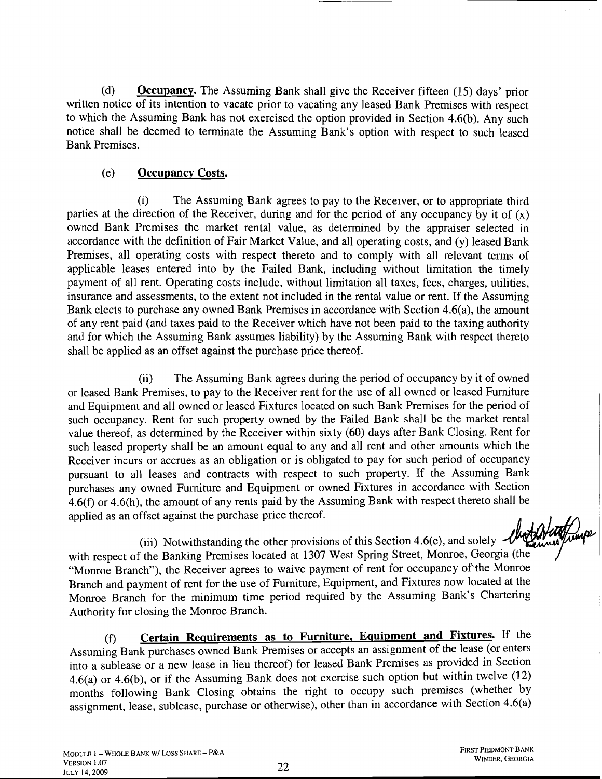(d) **Occupancy.** The Assuming Bank shall give the Receiver fifteen (15) days' prior written notice of its intention to vacate prior to vacating any leased Bank Premises with respect to which the Assuming Bank has not exercised the option provided in Section 4.6(b). Any such notice shall be deemed to terminate the Assuming Bank's option with respect to such leased Bank Premises.

### (e) **Occupancy Costs.**

(i) The Assuming Bank agrees to pay to the Receiver, or to appropriate third parties at the direction of the Receiver, during and for the period of any occupancy by it of  $(x)$ owned Bank Premises the market rental value, as determined by the appraiser selected in accordance with the definition of Fair Market Value, and all operating costs, and (y) leased Bank Premises, all operating costs with respect thereto and to comply with all relevant terms of applicable leases entered into by the Failed Bank, including without limitation the timely payment of all rent. Operating costs include, without limitation all taxes, fees, charges, utilities, insurance and assessments, to the extent not included in the rental value or rent. If the Assuming Bank elects to purchase any owned Bank Premises in accordance with Section 4.6(a), the amount of any rent paid (and taxes paid to the Receiver which have not been paid to the taxing authority and for which the Assuming Bank assumes liability) by the Assuming Bank with respect thereto shall be applied as an offset against the purchase price thereof.

(ii) The Assuming Bank agrees during the period of occupancy by it of owned or leased Bank Premises, to pay to the Receiver rent for the use of all owned or leased Furniture and Equipment and all owned or leased Fixtures located on such Bank Premises for the period of such occupancy. Rent for such property owned by the Failed Bank shall be the market rental value thereof, as determined by the Receiver within sixty (60) days after Bank Closing. Rent for such leased property shall be an amount equal to any and all rent and other amounts which the Receiver incurs or accrues as an obligation or is obligated to pay for such period of occupancy pursuant to all leases and contracts with respect to such property. If the Assuming Bank purchases any owned Furniture and Equipment or owned Fixtures in accordance with Section 4.6(f) or 4.6(h), the amount of any rents paid by the Assuming Bank with respect thereto shall be applied as an offset against the purchase price thereof.

(iii) Notwithstanding the other provisions of this Section 4.6(e), and solely  $\mathcal{M}_{\mathcal{M}_{\mathcal{M}_{\mathcal{M}_{\mathcal{M}_{\mathcal{M}_{\mathcal{M}_{\mathcal{M}_{\mathcal{M}_{\mathcal{M}_{\mathcal{M}_{\mathcal{M}_{\mathcal{M}_{\mathcal{M}_{\mathcal{M}_{\mathcal{M}_{\mathcal{M}_{\mathcal{M}_{\mathcal{M}_{\mathcal{M}_{\mathcal{M}_{\mathcal{M}_{\mathcal{M}_{\mathcal{$ with respect of the Banking Premises located at 1307 West Spring Street, Monroe, Georgia (the "Monroe Branch"), the Receiver agrees to waive payment of rent for occupancy of the Monroe Branch and payment of rent for the use of Furniture, Equipment, and Fixtures now located at the Monroe Branch for the minimum time period required by the Assuming Bank's Chartering Authority for closing the Monroe Branch.

**(f) Certain Requirements as to Furniture. Equipment and Fixtures.** If the Assuming Bank purchases owned Bank Premises or accepts an assignment of the lease (or enters into a sublease or a new lease in lieu thereof) for leased Bank Premises as provided in Section 4.6(a) or 4.6(b), or if the Assuming Bank does not exercise such option but within twelve (12) months following Bank Closing obtains the right to occupy such premises (whether by assignment, lease, sublease, purchase or otherwise), other than in accordance with Section 4.6(a)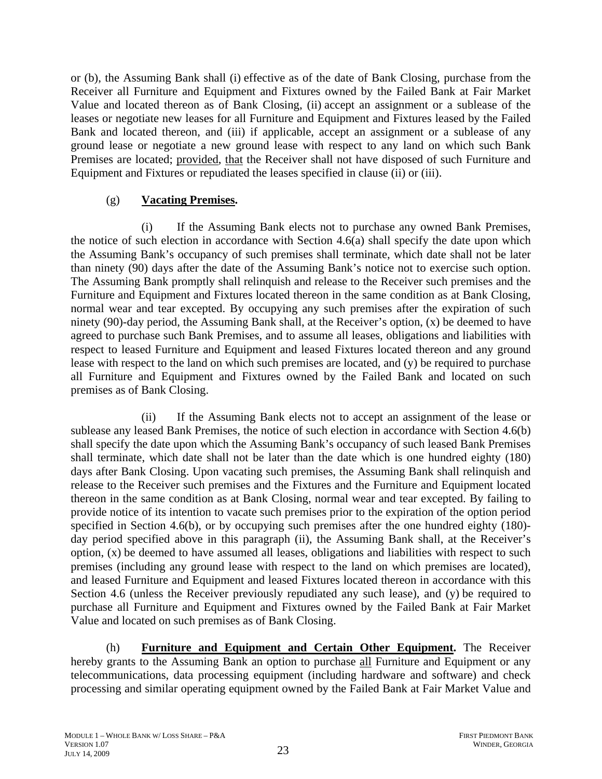or (b), the Assuming Bank shall (i) effective as of the date of Bank Closing, purchase from the Receiver all Furniture and Equipment and Fixtures owned by the Failed Bank at Fair Market Value and located thereon as of Bank Closing, (ii) accept an assignment or a sublease of the leases or negotiate new leases for all Furniture and Equipment and Fixtures leased by the Failed Bank and located thereon, and (iii) if applicable, accept an assignment or a sublease of any ground lease or negotiate a new ground lease with respect to any land on which such Bank Premises are located; provided, that the Receiver shall not have disposed of such Furniture and Equipment and Fixtures or repudiated the leases specified in clause (ii) or (iii).

# (g) **Vacating Premises.**

 (i) If the Assuming Bank elects not to purchase any owned Bank Premises, the notice of such election in accordance with Section 4.6(a) shall specify the date upon which the Assuming Bank's occupancy of such premises shall terminate, which date shall not be later than ninety (90) days after the date of the Assuming Bank's notice not to exercise such option. The Assuming Bank promptly shall relinquish and release to the Receiver such premises and the Furniture and Equipment and Fixtures located thereon in the same condition as at Bank Closing, normal wear and tear excepted. By occupying any such premises after the expiration of such ninety (90)-day period, the Assuming Bank shall, at the Receiver's option, (x) be deemed to have agreed to purchase such Bank Premises, and to assume all leases, obligations and liabilities with respect to leased Furniture and Equipment and leased Fixtures located thereon and any ground lease with respect to the land on which such premises are located, and (y) be required to purchase all Furniture and Equipment and Fixtures owned by the Failed Bank and located on such premises as of Bank Closing.

 (ii) If the Assuming Bank elects not to accept an assignment of the lease or sublease any leased Bank Premises, the notice of such election in accordance with Section 4.6(b) shall specify the date upon which the Assuming Bank's occupancy of such leased Bank Premises shall terminate, which date shall not be later than the date which is one hundred eighty (180) days after Bank Closing. Upon vacating such premises, the Assuming Bank shall relinquish and release to the Receiver such premises and the Fixtures and the Furniture and Equipment located thereon in the same condition as at Bank Closing, normal wear and tear excepted. By failing to provide notice of its intention to vacate such premises prior to the expiration of the option period specified in Section 4.6(b), or by occupying such premises after the one hundred eighty (180) day period specified above in this paragraph (ii), the Assuming Bank shall, at the Receiver's option, (x) be deemed to have assumed all leases, obligations and liabilities with respect to such premises (including any ground lease with respect to the land on which premises are located), and leased Furniture and Equipment and leased Fixtures located thereon in accordance with this Section 4.6 (unless the Receiver previously repudiated any such lease), and (y) be required to purchase all Furniture and Equipment and Fixtures owned by the Failed Bank at Fair Market Value and located on such premises as of Bank Closing.

 (h) **Furniture and Equipment and Certain Other Equipment.** The Receiver hereby grants to the Assuming Bank an option to purchase all Furniture and Equipment or any telecommunications, data processing equipment (including hardware and software) and check processing and similar operating equipment owned by the Failed Bank at Fair Market Value and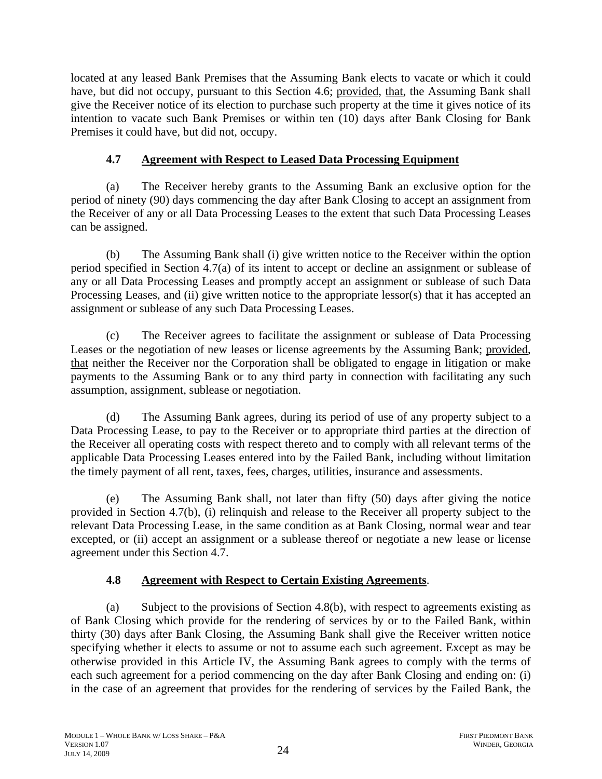located at any leased Bank Premises that the Assuming Bank elects to vacate or which it could have, but did not occupy, pursuant to this Section 4.6; provided, that, the Assuming Bank shall give the Receiver notice of its election to purchase such property at the time it gives notice of its intention to vacate such Bank Premises or within ten (10) days after Bank Closing for Bank Premises it could have, but did not, occupy.

# **4.7 Agreement with Respect to Leased Data Processing Equipment**

<span id="page-23-0"></span> (a) The Receiver hereby grants to the Assuming Bank an exclusive option for the period of ninety (90) days commencing the day after Bank Closing to accept an assignment from the Receiver of any or all Data Processing Leases to the extent that such Data Processing Leases can be assigned.

 (b) The Assuming Bank shall (i) give written notice to the Receiver within the option period specified in Section 4.7(a) of its intent to accept or decline an assignment or sublease of any or all Data Processing Leases and promptly accept an assignment or sublease of such Data Processing Leases, and (ii) give written notice to the appropriate lessor(s) that it has accepted an assignment or sublease of any such Data Processing Leases.

 (c) The Receiver agrees to facilitate the assignment or sublease of Data Processing Leases or the negotiation of new leases or license agreements by the Assuming Bank; provided, that neither the Receiver nor the Corporation shall be obligated to engage in litigation or make payments to the Assuming Bank or to any third party in connection with facilitating any such assumption, assignment, sublease or negotiation.

 (d) The Assuming Bank agrees, during its period of use of any property subject to a Data Processing Lease, to pay to the Receiver or to appropriate third parties at the direction of the Receiver all operating costs with respect thereto and to comply with all relevant terms of the applicable Data Processing Leases entered into by the Failed Bank, including without limitation the timely payment of all rent, taxes, fees, charges, utilities, insurance and assessments.

 (e) The Assuming Bank shall, not later than fifty (50) days after giving the notice provided in Section 4.7(b), (i) relinquish and release to the Receiver all property subject to the relevant Data Processing Lease, in the same condition as at Bank Closing, normal wear and tear excepted, or (ii) accept an assignment or a sublease thereof or negotiate a new lease or license agreement under this Section 4.7.

# **4.8 Agreement with Respect to Certain Existing Agreements**.

<span id="page-23-1"></span> (a) Subject to the provisions of Section 4.8(b), with respect to agreements existing as of Bank Closing which provide for the rendering of services by or to the Failed Bank, within thirty (30) days after Bank Closing, the Assuming Bank shall give the Receiver written notice specifying whether it elects to assume or not to assume each such agreement. Except as may be otherwise provided in this Article IV, the Assuming Bank agrees to comply with the terms of each such agreement for a period commencing on the day after Bank Closing and ending on: (i) in the case of an agreement that provides for the rendering of services by the Failed Bank, the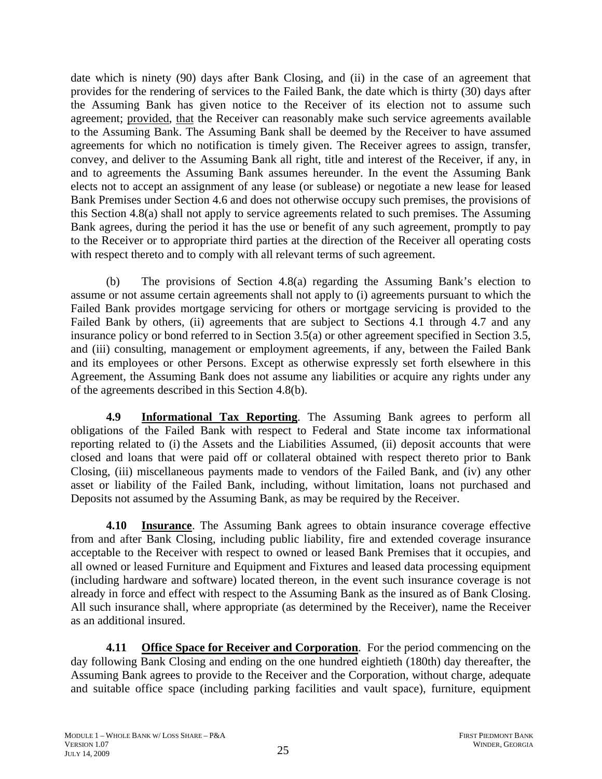date which is ninety (90) days after Bank Closing, and (ii) in the case of an agreement that provides for the rendering of services to the Failed Bank, the date which is thirty (30) days after the Assuming Bank has given notice to the Receiver of its election not to assume such agreement; provided, that the Receiver can reasonably make such service agreements available to the Assuming Bank. The Assuming Bank shall be deemed by the Receiver to have assumed agreements for which no notification is timely given. The Receiver agrees to assign, transfer, convey, and deliver to the Assuming Bank all right, title and interest of the Receiver, if any, in and to agreements the Assuming Bank assumes hereunder. In the event the Assuming Bank elects not to accept an assignment of any lease (or sublease) or negotiate a new lease for leased Bank Premises under Section 4.6 and does not otherwise occupy such premises, the provisions of this Section 4.8(a) shall not apply to service agreements related to such premises. The Assuming Bank agrees, during the period it has the use or benefit of any such agreement, promptly to pay to the Receiver or to appropriate third parties at the direction of the Receiver all operating costs with respect thereto and to comply with all relevant terms of such agreement.

 (b) The provisions of Section 4.8(a) regarding the Assuming Bank's election to assume or not assume certain agreements shall not apply to (i) agreements pursuant to which the Failed Bank provides mortgage servicing for others or mortgage servicing is provided to the Failed Bank by others, (ii) agreements that are subject to Sections 4.1 through 4.7 and any insurance policy or bond referred to in Section 3.5(a) or other agreement specified in Section 3.5, and (iii) consulting, management or employment agreements, if any, between the Failed Bank and its employees or other Persons. Except as otherwise expressly set forth elsewhere in this Agreement, the Assuming Bank does not assume any liabilities or acquire any rights under any of the agreements described in this Section 4.8(b).

<span id="page-24-0"></span> **4.9 Informational Tax Reporting**. The Assuming Bank agrees to perform all obligations of the Failed Bank with respect to Federal and State income tax informational reporting related to (i) the Assets and the Liabilities Assumed, (ii) deposit accounts that were closed and loans that were paid off or collateral obtained with respect thereto prior to Bank Closing, (iii) miscellaneous payments made to vendors of the Failed Bank, and (iv) any other asset or liability of the Failed Bank, including, without limitation, loans not purchased and Deposits not assumed by the Assuming Bank, as may be required by the Receiver.

<span id="page-24-1"></span> **4.10 Insurance**. The Assuming Bank agrees to obtain insurance coverage effective from and after Bank Closing, including public liability, fire and extended coverage insurance acceptable to the Receiver with respect to owned or leased Bank Premises that it occupies, and all owned or leased Furniture and Equipment and Fixtures and leased data processing equipment (including hardware and software) located thereon, in the event such insurance coverage is not already in force and effect with respect to the Assuming Bank as the insured as of Bank Closing. All such insurance shall, where appropriate (as determined by the Receiver), name the Receiver as an additional insured.

<span id="page-24-2"></span> **4.11 Office Space for Receiver and Corporation**. For the period commencing on the day following Bank Closing and ending on the one hundred eightieth (180th) day thereafter, the Assuming Bank agrees to provide to the Receiver and the Corporation, without charge, adequate and suitable office space (including parking facilities and vault space), furniture, equipment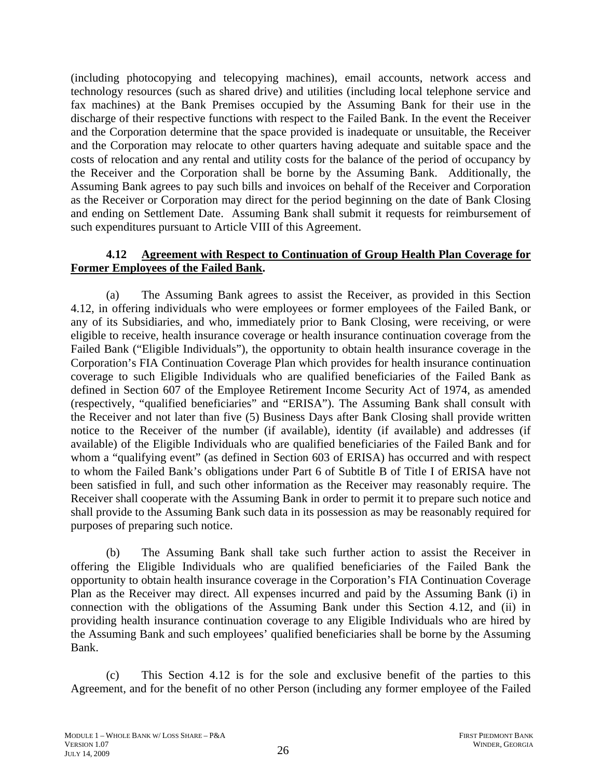(including photocopying and telecopying machines), email accounts, network access and technology resources (such as shared drive) and utilities (including local telephone service and fax machines) at the Bank Premises occupied by the Assuming Bank for their use in the discharge of their respective functions with respect to the Failed Bank. In the event the Receiver and the Corporation determine that the space provided is inadequate or unsuitable, the Receiver and the Corporation may relocate to other quarters having adequate and suitable space and the costs of relocation and any rental and utility costs for the balance of the period of occupancy by the Receiver and the Corporation shall be borne by the Assuming Bank. Additionally, the Assuming Bank agrees to pay such bills and invoices on behalf of the Receiver and Corporation as the Receiver or Corporation may direct for the period beginning on the date of Bank Closing and ending on Settlement Date. Assuming Bank shall submit it requests for reimbursement of such expenditures pursuant to Article VIII of this Agreement.

### <span id="page-25-0"></span> **4.12 Agreement with Respect to Continuation of Group Health Plan Coverage for Former Employees of the Failed Bank.**

 (a) The Assuming Bank agrees to assist the Receiver, as provided in this Section 4.12, in offering individuals who were employees or former employees of the Failed Bank, or any of its Subsidiaries, and who, immediately prior to Bank Closing, were receiving, or were eligible to receive, health insurance coverage or health insurance continuation coverage from the Failed Bank ("Eligible Individuals"), the opportunity to obtain health insurance coverage in the Corporation's FIA Continuation Coverage Plan which provides for health insurance continuation coverage to such Eligible Individuals who are qualified beneficiaries of the Failed Bank as defined in Section 607 of the Employee Retirement Income Security Act of 1974, as amended (respectively, "qualified beneficiaries" and "ERISA"). The Assuming Bank shall consult with the Receiver and not later than five (5) Business Days after Bank Closing shall provide written notice to the Receiver of the number (if available), identity (if available) and addresses (if available) of the Eligible Individuals who are qualified beneficiaries of the Failed Bank and for whom a "qualifying event" (as defined in Section 603 of ERISA) has occurred and with respect to whom the Failed Bank's obligations under Part 6 of Subtitle B of Title I of ERISA have not been satisfied in full, and such other information as the Receiver may reasonably require. The Receiver shall cooperate with the Assuming Bank in order to permit it to prepare such notice and shall provide to the Assuming Bank such data in its possession as may be reasonably required for purposes of preparing such notice.

 (b) The Assuming Bank shall take such further action to assist the Receiver in offering the Eligible Individuals who are qualified beneficiaries of the Failed Bank the opportunity to obtain health insurance coverage in the Corporation's FIA Continuation Coverage Plan as the Receiver may direct. All expenses incurred and paid by the Assuming Bank (i) in connection with the obligations of the Assuming Bank under this Section 4.12, and (ii) in providing health insurance continuation coverage to any Eligible Individuals who are hired by the Assuming Bank and such employees' qualified beneficiaries shall be borne by the Assuming Bank.

 (c) This Section 4.12 is for the sole and exclusive benefit of the parties to this Agreement, and for the benefit of no other Person (including any former employee of the Failed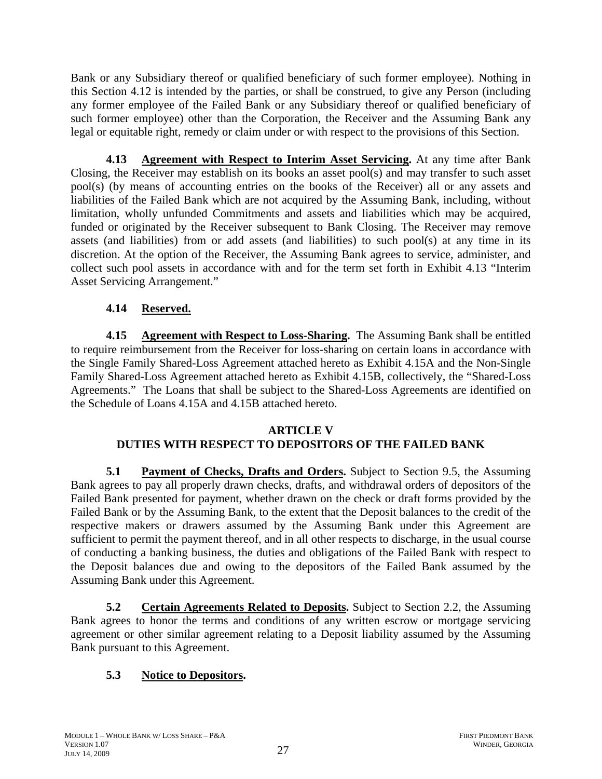Bank or any Subsidiary thereof or qualified beneficiary of such former employee). Nothing in this Section 4.12 is intended by the parties, or shall be construed, to give any Person (including any former employee of the Failed Bank or any Subsidiary thereof or qualified beneficiary of such former employee) other than the Corporation, the Receiver and the Assuming Bank any legal or equitable right, remedy or claim under or with respect to the provisions of this Section.

<span id="page-26-0"></span>**4.13 Agreement with Respect to Interim Asset Servicing.** At any time after Bank Closing, the Receiver may establish on its books an asset pool(s) and may transfer to such asset pool(s) (by means of accounting entries on the books of the Receiver) all or any assets and liabilities of the Failed Bank which are not acquired by the Assuming Bank, including, without limitation, wholly unfunded Commitments and assets and liabilities which may be acquired, funded or originated by the Receiver subsequent to Bank Closing. The Receiver may remove assets (and liabilities) from or add assets (and liabilities) to such pool(s) at any time in its discretion. At the option of the Receiver, the Assuming Bank agrees to service, administer, and collect such pool assets in accordance with and for the term set forth in Exhibit 4.13 "Interim Asset Servicing Arrangement."

# **4.14 Reserved.**

**4.15 Agreement with Respect to Loss-Sharing.** The Assuming Bank shall be entitled to require reimbursement from the Receiver for loss-sharing on certain loans in accordance with the Single Family Shared-Loss Agreement attached hereto as Exhibit 4.15A and the Non-Single Family Shared-Loss Agreement attached hereto as Exhibit 4.15B, collectively, the "Shared-Loss Agreements." The Loans that shall be subject to the Shared-Loss Agreements are identified on the Schedule of Loans 4.15A and 4.15B attached hereto.

# **ARTICLE V**

# **DUTIES WITH RESPECT TO DEPOSITORS OF THE FAILED BANK**

<span id="page-26-2"></span><span id="page-26-1"></span> **5.1 Payment of Checks, Drafts and Orders.** Subject to Section 9.5, the Assuming Bank agrees to pay all properly drawn checks, drafts, and withdrawal orders of depositors of the Failed Bank presented for payment, whether drawn on the check or draft forms provided by the Failed Bank or by the Assuming Bank, to the extent that the Deposit balances to the credit of the respective makers or drawers assumed by the Assuming Bank under this Agreement are sufficient to permit the payment thereof, and in all other respects to discharge, in the usual course of conducting a banking business, the duties and obligations of the Failed Bank with respect to the Deposit balances due and owing to the depositors of the Failed Bank assumed by the Assuming Bank under this Agreement.

<span id="page-26-4"></span><span id="page-26-3"></span> **5.2 Certain Agreements Related to Deposits.** Subject to Section 2.2, the Assuming Bank agrees to honor the terms and conditions of any written escrow or mortgage servicing agreement or other similar agreement relating to a Deposit liability assumed by the Assuming Bank pursuant to this Agreement.

# **5.3 Notice to Depositors.**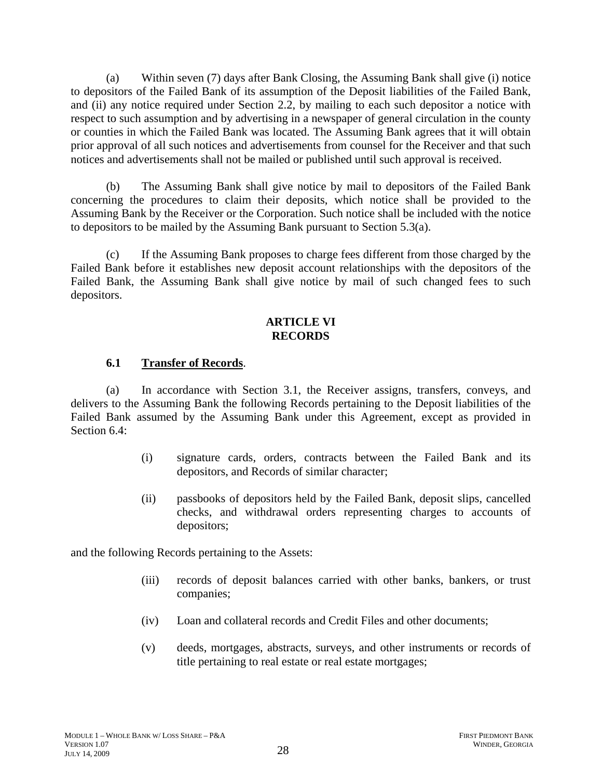(a) Within seven (7) days after Bank Closing, the Assuming Bank shall give (i) notice to depositors of the Failed Bank of its assumption of the Deposit liabilities of the Failed Bank, and (ii) any notice required under Section 2.2, by mailing to each such depositor a notice with respect to such assumption and by advertising in a newspaper of general circulation in the county or counties in which the Failed Bank was located. The Assuming Bank agrees that it will obtain prior approval of all such notices and advertisements from counsel for the Receiver and that such notices and advertisements shall not be mailed or published until such approval is received.

 (b) The Assuming Bank shall give notice by mail to depositors of the Failed Bank concerning the procedures to claim their deposits, which notice shall be provided to the Assuming Bank by the Receiver or the Corporation. Such notice shall be included with the notice to depositors to be mailed by the Assuming Bank pursuant to Section 5.3(a).

 (c) If the Assuming Bank proposes to charge fees different from those charged by the Failed Bank before it establishes new deposit account relationships with the depositors of the Failed Bank, the Assuming Bank shall give notice by mail of such changed fees to such depositors.

#### **ARTICLE VI RECORDS**

### **6.1 Transfer of Records**.

<span id="page-27-1"></span><span id="page-27-0"></span> (a) In accordance with Section 3.1, the Receiver assigns, transfers, conveys, and delivers to the Assuming Bank the following Records pertaining to the Deposit liabilities of the Failed Bank assumed by the Assuming Bank under this Agreement, except as provided in Section 6.4:

- (i) signature cards, orders, contracts between the Failed Bank and its depositors, and Records of similar character;
- (ii) passbooks of depositors held by the Failed Bank, deposit slips, cancelled checks, and withdrawal orders representing charges to accounts of depositors;

and the following Records pertaining to the Assets:

- (iii) records of deposit balances carried with other banks, bankers, or trust companies;
- (iv) Loan and collateral records and Credit Files and other documents;
- (v) deeds, mortgages, abstracts, surveys, and other instruments or records of title pertaining to real estate or real estate mortgages;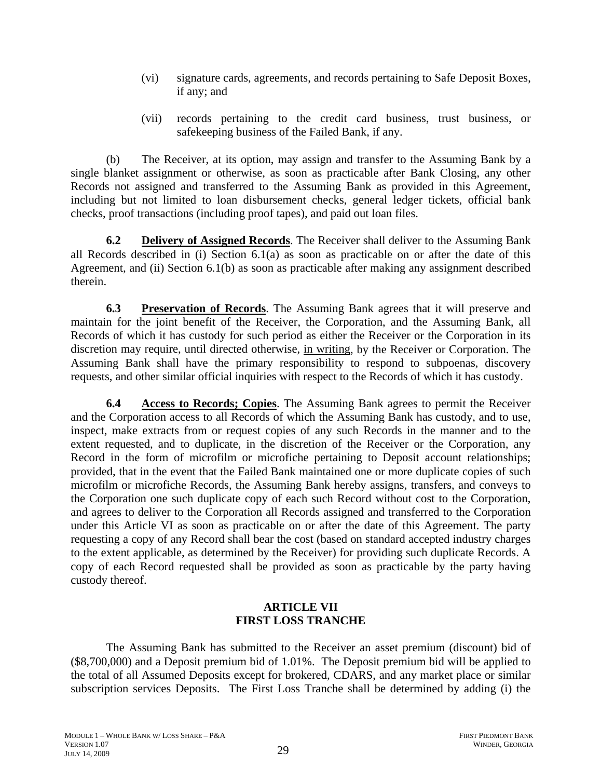- (vi) signature cards, agreements, and records pertaining to Safe Deposit Boxes, if any; and
- (vii) records pertaining to the credit card business, trust business, or safekeeping business of the Failed Bank, if any.

 (b) The Receiver, at its option, may assign and transfer to the Assuming Bank by a single blanket assignment or otherwise, as soon as practicable after Bank Closing, any other Records not assigned and transferred to the Assuming Bank as provided in this Agreement, including but not limited to loan disbursement checks, general ledger tickets, official bank checks, proof transactions (including proof tapes), and paid out loan files.

<span id="page-28-0"></span> **6.2 Delivery of Assigned Records**. The Receiver shall deliver to the Assuming Bank all Records described in (i) Section 6.1(a) as soon as practicable on or after the date of this Agreement, and (ii) Section 6.1(b) as soon as practicable after making any assignment described therein.

<span id="page-28-1"></span> **6.3 Preservation of Records**. The Assuming Bank agrees that it will preserve and maintain for the joint benefit of the Receiver, the Corporation, and the Assuming Bank, all Records of which it has custody for such period as either the Receiver or the Corporation in its discretion may require, until directed otherwise, in writing, by the Receiver or Corporation. The Assuming Bank shall have the primary responsibility to respond to subpoenas, discovery requests, and other similar official inquiries with respect to the Records of which it has custody.

 **6.4 Access to Records; Copies**. The Assuming Bank agrees to permit the Receiver and the Corporation access to all Records of which the Assuming Bank has custody, and to use, inspect, make extracts from or request copies of any such Records in the manner and to the extent requested, and to duplicate, in the discretion of the Receiver or the Corporation, any Record in the form of microfilm or microfiche pertaining to Deposit account relationships; provided, that in the event that the Failed Bank maintained one or more duplicate copies of such microfilm or microfiche Records, the Assuming Bank hereby assigns, transfers, and conveys to the Corporation one such duplicate copy of each such Record without cost to the Corporation, and agrees to deliver to the Corporation all Records assigned and transferred to the Corporation under this Article VI as soon as practicable on or after the date of this Agreement. The party requesting a copy of any Record shall bear the cost (based on standard accepted industry charges to the extent applicable, as determined by the Receiver) for providing such duplicate Records. A copy of each Record requested shall be provided as soon as practicable by the party having custody thereof.

#### **ARTICLE VII FIRST LOSS TRANCHE**

The Assuming Bank has submitted to the Receiver an asset premium (discount) bid of (\$8,700,000) and a Deposit premium bid of 1.01%. The Deposit premium bid will be applied to the total of all Assumed Deposits except for brokered, CDARS, and any market place or similar subscription services Deposits. The First Loss Tranche shall be determined by adding (i) the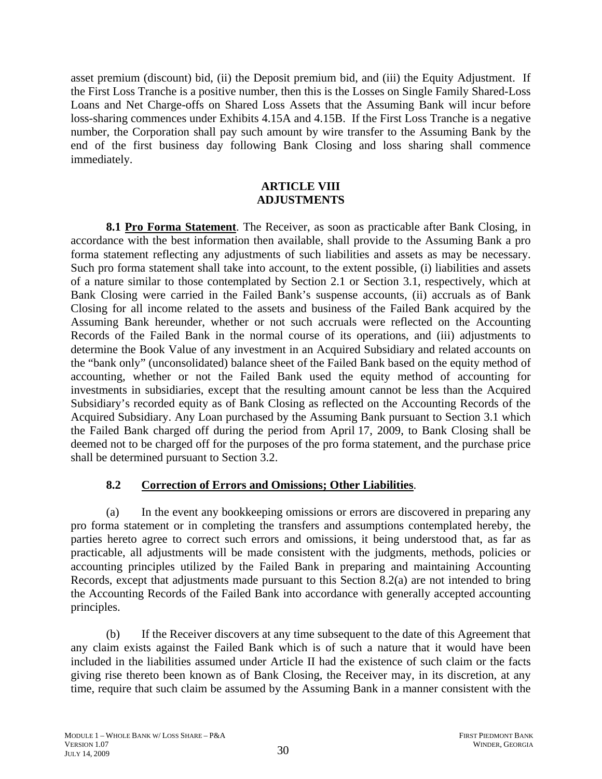asset premium (discount) bid, (ii) the Deposit premium bid, and (iii) the Equity Adjustment. If the First Loss Tranche is a positive number, then this is the Losses on Single Family Shared-Loss Loans and Net Charge-offs on Shared Loss Assets that the Assuming Bank will incur before loss-sharing commences under Exhibits 4.15A and 4.15B. If the First Loss Tranche is a negative number, the Corporation shall pay such amount by wire transfer to the Assuming Bank by the end of the first business day following Bank Closing and loss sharing shall commence immediately.

#### **ARTICLE VIII ADJUSTMENTS**

<span id="page-29-1"></span><span id="page-29-0"></span>**8.1 Pro Forma Statement**. The Receiver, as soon as practicable after Bank Closing, in accordance with the best information then available, shall provide to the Assuming Bank a pro forma statement reflecting any adjustments of such liabilities and assets as may be necessary. Such pro forma statement shall take into account, to the extent possible, (i) liabilities and assets of a nature similar to those contemplated by Section 2.1 or Section 3.1, respectively, which at Bank Closing were carried in the Failed Bank's suspense accounts, (ii) accruals as of Bank Closing for all income related to the assets and business of the Failed Bank acquired by the Assuming Bank hereunder, whether or not such accruals were reflected on the Accounting Records of the Failed Bank in the normal course of its operations, and (iii) adjustments to determine the Book Value of any investment in an Acquired Subsidiary and related accounts on the "bank only" (unconsolidated) balance sheet of the Failed Bank based on the equity method of accounting, whether or not the Failed Bank used the equity method of accounting for investments in subsidiaries, except that the resulting amount cannot be less than the Acquired Subsidiary's recorded equity as of Bank Closing as reflected on the Accounting Records of the Acquired Subsidiary. Any Loan purchased by the Assuming Bank pursuant to Section 3.1 which the Failed Bank charged off during the period from April 17, 2009, to Bank Closing shall be deemed not to be charged off for the purposes of the pro forma statement, and the purchase price shall be determined pursuant to Section 3.2.

# **8.2 Correction of Errors and Omissions; Other Liabilities**.

 (a) In the event any bookkeeping omissions or errors are discovered in preparing any pro forma statement or in completing the transfers and assumptions contemplated hereby, the parties hereto agree to correct such errors and omissions, it being understood that, as far as practicable, all adjustments will be made consistent with the judgments, methods, policies or accounting principles utilized by the Failed Bank in preparing and maintaining Accounting Records, except that adjustments made pursuant to this Section 8.2(a) are not intended to bring the Accounting Records of the Failed Bank into accordance with generally accepted accounting principles.

 (b) If the Receiver discovers at any time subsequent to the date of this Agreement that any claim exists against the Failed Bank which is of such a nature that it would have been included in the liabilities assumed under Article II had the existence of such claim or the facts giving rise thereto been known as of Bank Closing, the Receiver may, in its discretion, at any time, require that such claim be assumed by the Assuming Bank in a manner consistent with the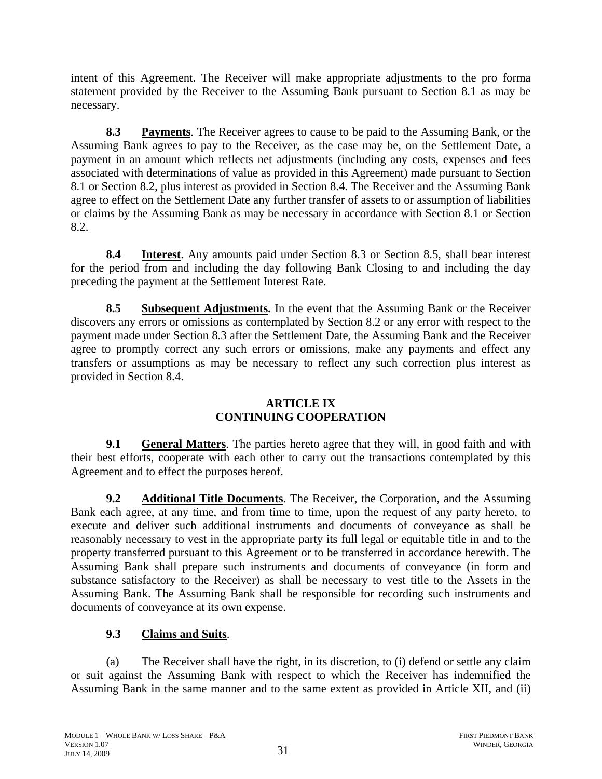intent of this Agreement. The Receiver will make appropriate adjustments to the pro forma statement provided by the Receiver to the Assuming Bank pursuant to Section 8.1 as may be necessary.

<span id="page-30-0"></span>**8.3 Payments**. The Receiver agrees to cause to be paid to the Assuming Bank, or the Assuming Bank agrees to pay to the Receiver, as the case may be, on the Settlement Date, a payment in an amount which reflects net adjustments (including any costs, expenses and fees associated with determinations of value as provided in this Agreement) made pursuant to Section 8.1 or Section 8.2, plus interest as provided in Section 8.4. The Receiver and the Assuming Bank agree to effect on the Settlement Date any further transfer of assets to or assumption of liabilities or claims by the Assuming Bank as may be necessary in accordance with Section 8.1 or Section 8.2.

<span id="page-30-1"></span>**8.4 Interest**. Any amounts paid under Section 8.3 or Section 8.5, shall bear interest for the period from and including the day following Bank Closing to and including the day preceding the payment at the Settlement Interest Rate.

<span id="page-30-2"></span>**8.5 Subsequent Adjustments.** In the event that the Assuming Bank or the Receiver discovers any errors or omissions as contemplated by Section 8.2 or any error with respect to the payment made under Section 8.3 after the Settlement Date, the Assuming Bank and the Receiver agree to promptly correct any such errors or omissions, make any payments and effect any transfers or assumptions as may be necessary to reflect any such correction plus interest as provided in Section 8.4.

# **ARTICLE IX CONTINUING COOPERATION**

<span id="page-30-4"></span><span id="page-30-3"></span>**9.1 General Matters**. The parties hereto agree that they will, in good faith and with their best efforts, cooperate with each other to carry out the transactions contemplated by this Agreement and to effect the purposes hereof.

<span id="page-30-5"></span>**9.2 Additional Title Documents**. The Receiver, the Corporation, and the Assuming Bank each agree, at any time, and from time to time, upon the request of any party hereto, to execute and deliver such additional instruments and documents of conveyance as shall be reasonably necessary to vest in the appropriate party its full legal or equitable title in and to the property transferred pursuant to this Agreement or to be transferred in accordance herewith. The Assuming Bank shall prepare such instruments and documents of conveyance (in form and substance satisfactory to the Receiver) as shall be necessary to vest title to the Assets in the Assuming Bank. The Assuming Bank shall be responsible for recording such instruments and documents of conveyance at its own expense.

# **9.3 Claims and Suits**.

<span id="page-30-6"></span>(a) The Receiver shall have the right, in its discretion, to (i) defend or settle any claim or suit against the Assuming Bank with respect to which the Receiver has indemnified the Assuming Bank in the same manner and to the same extent as provided in Article XII, and (ii)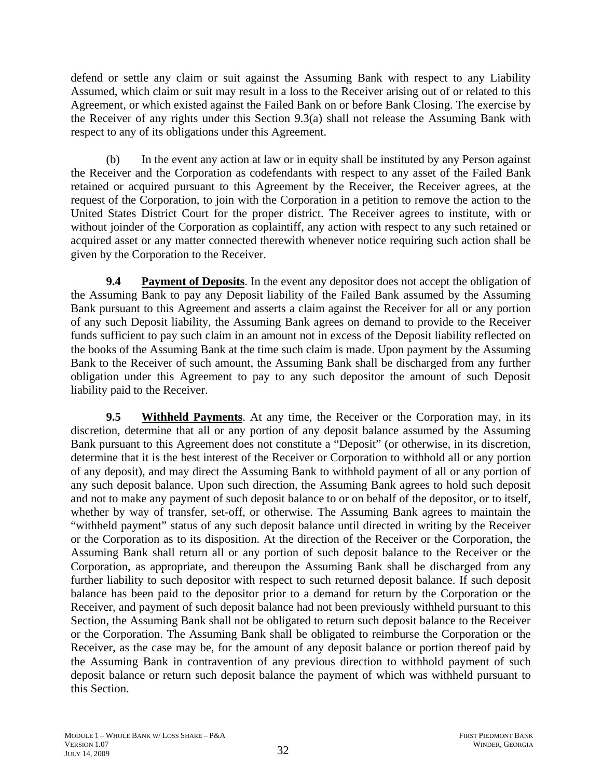defend or settle any claim or suit against the Assuming Bank with respect to any Liability Assumed, which claim or suit may result in a loss to the Receiver arising out of or related to this Agreement, or which existed against the Failed Bank on or before Bank Closing. The exercise by the Receiver of any rights under this Section 9.3(a) shall not release the Assuming Bank with respect to any of its obligations under this Agreement.

(b) In the event any action at law or in equity shall be instituted by any Person against the Receiver and the Corporation as codefendants with respect to any asset of the Failed Bank retained or acquired pursuant to this Agreement by the Receiver, the Receiver agrees, at the request of the Corporation, to join with the Corporation in a petition to remove the action to the United States District Court for the proper district. The Receiver agrees to institute, with or without joinder of the Corporation as coplaintiff, any action with respect to any such retained or acquired asset or any matter connected therewith whenever notice requiring such action shall be given by the Corporation to the Receiver.

<span id="page-31-0"></span>**9.4 Payment of Deposits**. In the event any depositor does not accept the obligation of the Assuming Bank to pay any Deposit liability of the Failed Bank assumed by the Assuming Bank pursuant to this Agreement and asserts a claim against the Receiver for all or any portion of any such Deposit liability, the Assuming Bank agrees on demand to provide to the Receiver funds sufficient to pay such claim in an amount not in excess of the Deposit liability reflected on the books of the Assuming Bank at the time such claim is made. Upon payment by the Assuming Bank to the Receiver of such amount, the Assuming Bank shall be discharged from any further obligation under this Agreement to pay to any such depositor the amount of such Deposit liability paid to the Receiver.

<span id="page-31-1"></span>**9.5 Withheld Payments**. At any time, the Receiver or the Corporation may, in its discretion, determine that all or any portion of any deposit balance assumed by the Assuming Bank pursuant to this Agreement does not constitute a "Deposit" (or otherwise, in its discretion, determine that it is the best interest of the Receiver or Corporation to withhold all or any portion of any deposit), and may direct the Assuming Bank to withhold payment of all or any portion of any such deposit balance. Upon such direction, the Assuming Bank agrees to hold such deposit and not to make any payment of such deposit balance to or on behalf of the depositor, or to itself, whether by way of transfer, set-off, or otherwise. The Assuming Bank agrees to maintain the "withheld payment" status of any such deposit balance until directed in writing by the Receiver or the Corporation as to its disposition. At the direction of the Receiver or the Corporation, the Assuming Bank shall return all or any portion of such deposit balance to the Receiver or the Corporation, as appropriate, and thereupon the Assuming Bank shall be discharged from any further liability to such depositor with respect to such returned deposit balance. If such deposit balance has been paid to the depositor prior to a demand for return by the Corporation or the Receiver, and payment of such deposit balance had not been previously withheld pursuant to this Section, the Assuming Bank shall not be obligated to return such deposit balance to the Receiver or the Corporation. The Assuming Bank shall be obligated to reimburse the Corporation or the Receiver, as the case may be, for the amount of any deposit balance or portion thereof paid by the Assuming Bank in contravention of any previous direction to withhold payment of such deposit balance or return such deposit balance the payment of which was withheld pursuant to this Section.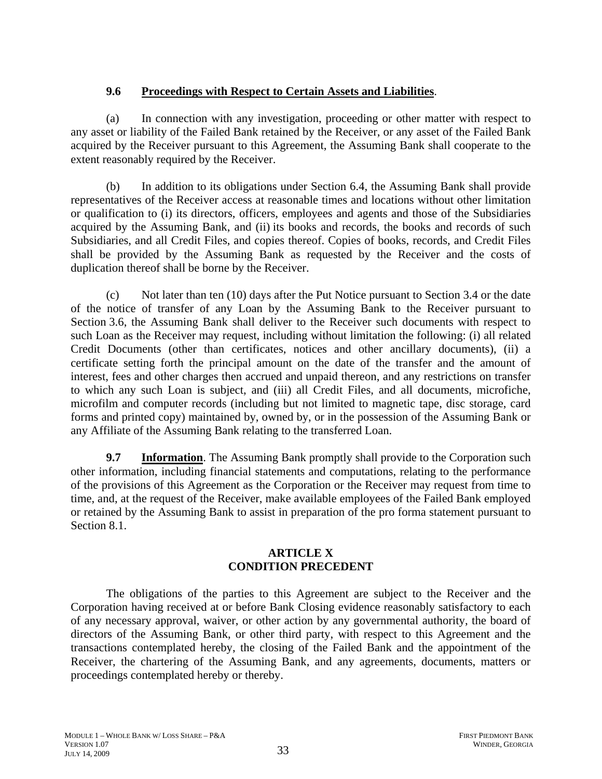## **9.6 Proceedings with Respect to Certain Assets and Liabilities**.

<span id="page-32-0"></span>(a) In connection with any investigation, proceeding or other matter with respect to any asset or liability of the Failed Bank retained by the Receiver, or any asset of the Failed Bank acquired by the Receiver pursuant to this Agreement, the Assuming Bank shall cooperate to the extent reasonably required by the Receiver.

(b) In addition to its obligations under Section 6.4, the Assuming Bank shall provide representatives of the Receiver access at reasonable times and locations without other limitation or qualification to (i) its directors, officers, employees and agents and those of the Subsidiaries acquired by the Assuming Bank, and (ii) its books and records, the books and records of such Subsidiaries, and all Credit Files, and copies thereof. Copies of books, records, and Credit Files shall be provided by the Assuming Bank as requested by the Receiver and the costs of duplication thereof shall be borne by the Receiver.

(c) Not later than ten (10) days after the Put Notice pursuant to Section 3.4 or the date of the notice of transfer of any Loan by the Assuming Bank to the Receiver pursuant to Section 3.6, the Assuming Bank shall deliver to the Receiver such documents with respect to such Loan as the Receiver may request, including without limitation the following: (i) all related Credit Documents (other than certificates, notices and other ancillary documents), (ii) a certificate setting forth the principal amount on the date of the transfer and the amount of interest, fees and other charges then accrued and unpaid thereon, and any restrictions on transfer to which any such Loan is subject, and (iii) all Credit Files, and all documents, microfiche, microfilm and computer records (including but not limited to magnetic tape, disc storage, card forms and printed copy) maintained by, owned by, or in the possession of the Assuming Bank or any Affiliate of the Assuming Bank relating to the transferred Loan.

<span id="page-32-1"></span>**9.7** Information. The Assuming Bank promptly shall provide to the Corporation such other information, including financial statements and computations, relating to the performance of the provisions of this Agreement as the Corporation or the Receiver may request from time to time, and, at the request of the Receiver, make available employees of the Failed Bank employed or retained by the Assuming Bank to assist in preparation of the pro forma statement pursuant to Section 8.1.

#### **ARTICLE X CONDITION PRECEDENT**

<span id="page-32-2"></span>The obligations of the parties to this Agreement are subject to the Receiver and the Corporation having received at or before Bank Closing evidence reasonably satisfactory to each of any necessary approval, waiver, or other action by any governmental authority, the board of directors of the Assuming Bank, or other third party, with respect to this Agreement and the transactions contemplated hereby, the closing of the Failed Bank and the appointment of the Receiver, the chartering of the Assuming Bank, and any agreements, documents, matters or proceedings contemplated hereby or thereby.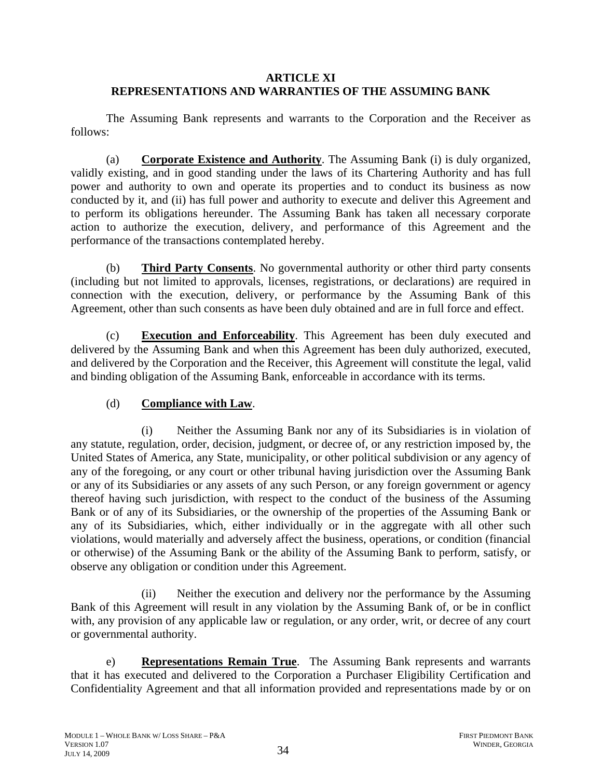#### **ARTICLE XI REPRESENTATIONS AND WARRANTIES OF THE ASSUMING BANK**

<span id="page-33-0"></span> The Assuming Bank represents and warrants to the Corporation and the Receiver as follows:

 (a) **Corporate Existence and Authority**. The Assuming Bank (i) is duly organized, validly existing, and in good standing under the laws of its Chartering Authority and has full power and authority to own and operate its properties and to conduct its business as now conducted by it, and (ii) has full power and authority to execute and deliver this Agreement and to perform its obligations hereunder. The Assuming Bank has taken all necessary corporate action to authorize the execution, delivery, and performance of this Agreement and the performance of the transactions contemplated hereby.

 (b) **Third Party Consents**. No governmental authority or other third party consents (including but not limited to approvals, licenses, registrations, or declarations) are required in connection with the execution, delivery, or performance by the Assuming Bank of this Agreement, other than such consents as have been duly obtained and are in full force and effect.

 (c) **Execution and Enforceability**. This Agreement has been duly executed and delivered by the Assuming Bank and when this Agreement has been duly authorized, executed, and delivered by the Corporation and the Receiver, this Agreement will constitute the legal, valid and binding obligation of the Assuming Bank, enforceable in accordance with its terms.

# (d) **Compliance with Law**.

 (i) Neither the Assuming Bank nor any of its Subsidiaries is in violation of any statute, regulation, order, decision, judgment, or decree of, or any restriction imposed by, the United States of America, any State, municipality, or other political subdivision or any agency of any of the foregoing, or any court or other tribunal having jurisdiction over the Assuming Bank or any of its Subsidiaries or any assets of any such Person, or any foreign government or agency thereof having such jurisdiction, with respect to the conduct of the business of the Assuming Bank or of any of its Subsidiaries, or the ownership of the properties of the Assuming Bank or any of its Subsidiaries, which, either individually or in the aggregate with all other such violations, would materially and adversely affect the business, operations, or condition (financial or otherwise) of the Assuming Bank or the ability of the Assuming Bank to perform, satisfy, or observe any obligation or condition under this Agreement.

 (ii) Neither the execution and delivery nor the performance by the Assuming Bank of this Agreement will result in any violation by the Assuming Bank of, or be in conflict with, any provision of any applicable law or regulation, or any order, writ, or decree of any court or governmental authority.

 e) **Representations Remain True**. The Assuming Bank represents and warrants that it has executed and delivered to the Corporation a Purchaser Eligibility Certification and Confidentiality Agreement and that all information provided and representations made by or on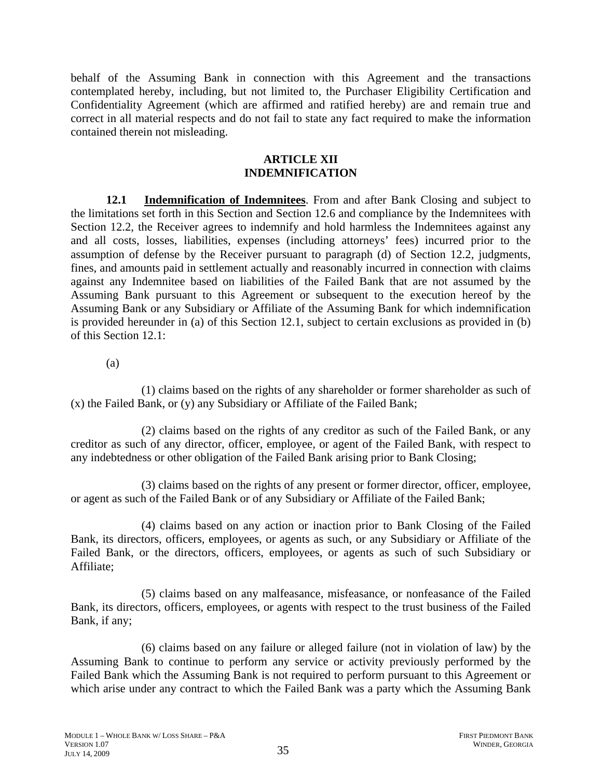behalf of the Assuming Bank in connection with this Agreement and the transactions contemplated hereby, including, but not limited to, the Purchaser Eligibility Certification and Confidentiality Agreement (which are affirmed and ratified hereby) are and remain true and correct in all material respects and do not fail to state any fact required to make the information contained therein not misleading.

#### **ARTICLE XII INDEMNIFICATION**

<span id="page-34-0"></span>**12.1 Indemnification of Indemnitees**. From and after Bank Closing and subject to the limitations set forth in this Section and Section 12.6 and compliance by the Indemnitees with Section 12.2, the Receiver agrees to indemnify and hold harmless the Indemnitees against any and all costs, losses, liabilities, expenses (including attorneys' fees) incurred prior to the assumption of defense by the Receiver pursuant to paragraph (d) of Section 12.2, judgments, fines, and amounts paid in settlement actually and reasonably incurred in connection with claims against any Indemnitee based on liabilities of the Failed Bank that are not assumed by the Assuming Bank pursuant to this Agreement or subsequent to the execution hereof by the Assuming Bank or any Subsidiary or Affiliate of the Assuming Bank for which indemnification is provided hereunder in (a) of this Section 12.1, subject to certain exclusions as provided in (b) of this Section 12.1:

(a)

 (1) claims based on the rights of any shareholder or former shareholder as such of (x) the Failed Bank, or (y) any Subsidiary or Affiliate of the Failed Bank;

(2) claims based on the rights of any creditor as such of the Failed Bank, or any creditor as such of any director, officer, employee, or agent of the Failed Bank, with respect to any indebtedness or other obligation of the Failed Bank arising prior to Bank Closing;

(3) claims based on the rights of any present or former director, officer, employee, or agent as such of the Failed Bank or of any Subsidiary or Affiliate of the Failed Bank;

(4) claims based on any action or inaction prior to Bank Closing of the Failed Bank, its directors, officers, employees, or agents as such, or any Subsidiary or Affiliate of the Failed Bank, or the directors, officers, employees, or agents as such of such Subsidiary or Affiliate;

(5) claims based on any malfeasance, misfeasance, or nonfeasance of the Failed Bank, its directors, officers, employees, or agents with respect to the trust business of the Failed Bank, if any;

(6) claims based on any failure or alleged failure (not in violation of law) by the Assuming Bank to continue to perform any service or activity previously performed by the Failed Bank which the Assuming Bank is not required to perform pursuant to this Agreement or which arise under any contract to which the Failed Bank was a party which the Assuming Bank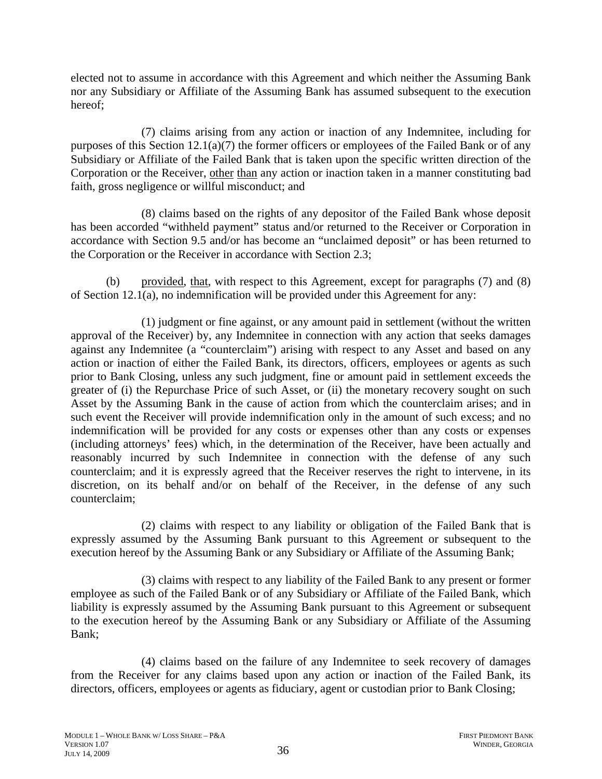elected not to assume in accordance with this Agreement and which neither the Assuming Bank nor any Subsidiary or Affiliate of the Assuming Bank has assumed subsequent to the execution hereof;

 (7) claims arising from any action or inaction of any Indemnitee, including for purposes of this Section 12.1(a)(7) the former officers or employees of the Failed Bank or of any Subsidiary or Affiliate of the Failed Bank that is taken upon the specific written direction of the Corporation or the Receiver, other than any action or inaction taken in a manner constituting bad faith, gross negligence or willful misconduct; and

(8) claims based on the rights of any depositor of the Failed Bank whose deposit has been accorded "withheld payment" status and/or returned to the Receiver or Corporation in accordance with Section 9.5 and/or has become an "unclaimed deposit" or has been returned to the Corporation or the Receiver in accordance with Section 2.3;

 (b) provided, that, with respect to this Agreement, except for paragraphs (7) and (8) of Section 12.1(a), no indemnification will be provided under this Agreement for any:

(1) judgment or fine against, or any amount paid in settlement (without the written approval of the Receiver) by, any Indemnitee in connection with any action that seeks damages against any Indemnitee (a "counterclaim") arising with respect to any Asset and based on any action or inaction of either the Failed Bank, its directors, officers, employees or agents as such prior to Bank Closing, unless any such judgment, fine or amount paid in settlement exceeds the greater of (i) the Repurchase Price of such Asset, or (ii) the monetary recovery sought on such Asset by the Assuming Bank in the cause of action from which the counterclaim arises; and in such event the Receiver will provide indemnification only in the amount of such excess; and no indemnification will be provided for any costs or expenses other than any costs or expenses (including attorneys' fees) which, in the determination of the Receiver, have been actually and reasonably incurred by such Indemnitee in connection with the defense of any such counterclaim; and it is expressly agreed that the Receiver reserves the right to intervene, in its discretion, on its behalf and/or on behalf of the Receiver, in the defense of any such counterclaim;

(2) claims with respect to any liability or obligation of the Failed Bank that is expressly assumed by the Assuming Bank pursuant to this Agreement or subsequent to the execution hereof by the Assuming Bank or any Subsidiary or Affiliate of the Assuming Bank;

(3) claims with respect to any liability of the Failed Bank to any present or former employee as such of the Failed Bank or of any Subsidiary or Affiliate of the Failed Bank, which liability is expressly assumed by the Assuming Bank pursuant to this Agreement or subsequent to the execution hereof by the Assuming Bank or any Subsidiary or Affiliate of the Assuming Bank;

(4) claims based on the failure of any Indemnitee to seek recovery of damages from the Receiver for any claims based upon any action or inaction of the Failed Bank, its directors, officers, employees or agents as fiduciary, agent or custodian prior to Bank Closing;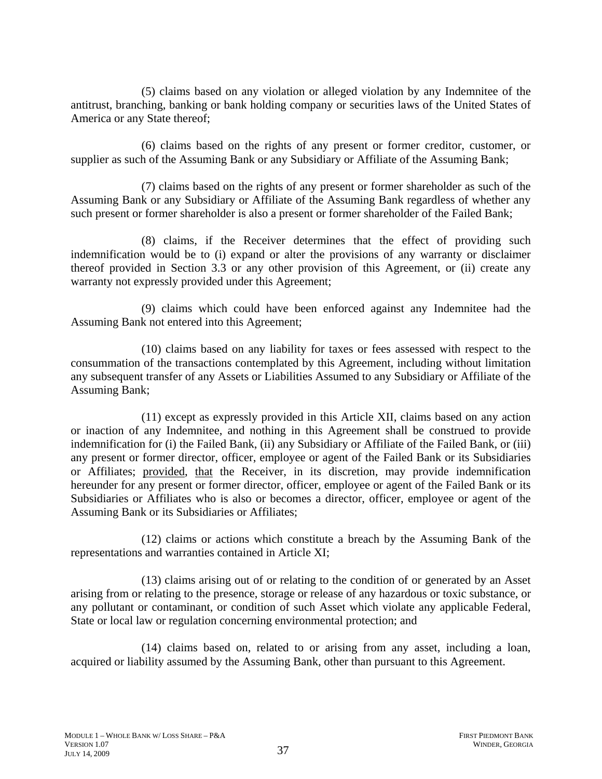(5) claims based on any violation or alleged violation by any Indemnitee of the antitrust, branching, banking or bank holding company or securities laws of the United States of America or any State thereof;

(6) claims based on the rights of any present or former creditor, customer, or supplier as such of the Assuming Bank or any Subsidiary or Affiliate of the Assuming Bank;

(7) claims based on the rights of any present or former shareholder as such of the Assuming Bank or any Subsidiary or Affiliate of the Assuming Bank regardless of whether any such present or former shareholder is also a present or former shareholder of the Failed Bank;

(8) claims, if the Receiver determines that the effect of providing such indemnification would be to (i) expand or alter the provisions of any warranty or disclaimer thereof provided in Section 3.3 or any other provision of this Agreement, or (ii) create any warranty not expressly provided under this Agreement;

(9) claims which could have been enforced against any Indemnitee had the Assuming Bank not entered into this Agreement;

(10) claims based on any liability for taxes or fees assessed with respect to the consummation of the transactions contemplated by this Agreement, including without limitation any subsequent transfer of any Assets or Liabilities Assumed to any Subsidiary or Affiliate of the Assuming Bank;

(11) except as expressly provided in this Article XII, claims based on any action or inaction of any Indemnitee, and nothing in this Agreement shall be construed to provide indemnification for (i) the Failed Bank, (ii) any Subsidiary or Affiliate of the Failed Bank, or (iii) any present or former director, officer, employee or agent of the Failed Bank or its Subsidiaries or Affiliates; provided, that the Receiver, in its discretion, may provide indemnification hereunder for any present or former director, officer, employee or agent of the Failed Bank or its Subsidiaries or Affiliates who is also or becomes a director, officer, employee or agent of the Assuming Bank or its Subsidiaries or Affiliates;

(12) claims or actions which constitute a breach by the Assuming Bank of the representations and warranties contained in Article XI;

(13) claims arising out of or relating to the condition of or generated by an Asset arising from or relating to the presence, storage or release of any hazardous or toxic substance, or any pollutant or contaminant, or condition of such Asset which violate any applicable Federal, State or local law or regulation concerning environmental protection; and

(14) claims based on, related to or arising from any asset, including a loan, acquired or liability assumed by the Assuming Bank, other than pursuant to this Agreement.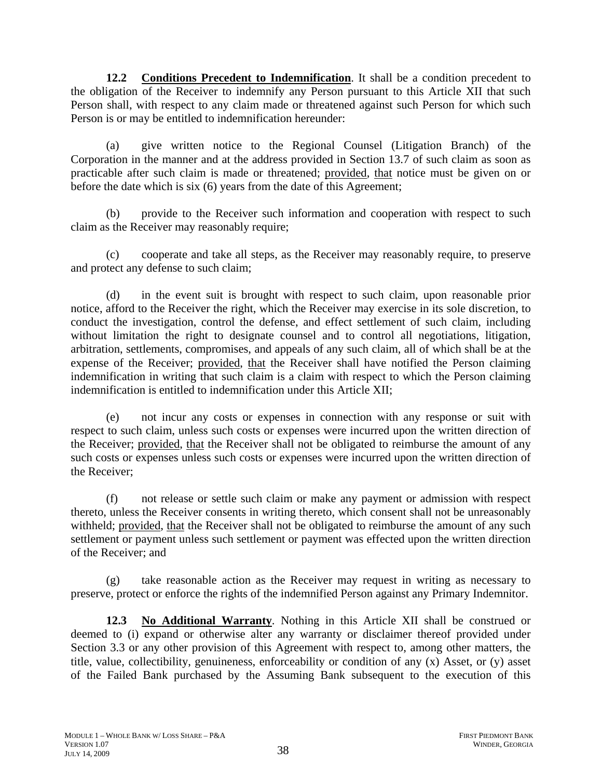**12.2 Conditions Precedent to Indemnification**. It shall be a condition precedent to the obligation of the Receiver to indemnify any Person pursuant to this Article XII that such Person shall, with respect to any claim made or threatened against such Person for which such Person is or may be entitled to indemnification hereunder:

 (a) give written notice to the Regional Counsel (Litigation Branch) of the Corporation in the manner and at the address provided in Section 13.7 of such claim as soon as practicable after such claim is made or threatened; provided, that notice must be given on or before the date which is six (6) years from the date of this Agreement;

 (b) provide to the Receiver such information and cooperation with respect to such claim as the Receiver may reasonably require;

 (c) cooperate and take all steps, as the Receiver may reasonably require, to preserve and protect any defense to such claim;

 (d) in the event suit is brought with respect to such claim, upon reasonable prior notice, afford to the Receiver the right, which the Receiver may exercise in its sole discretion, to conduct the investigation, control the defense, and effect settlement of such claim, including without limitation the right to designate counsel and to control all negotiations, litigation, arbitration, settlements, compromises, and appeals of any such claim, all of which shall be at the expense of the Receiver; provided, that the Receiver shall have notified the Person claiming indemnification in writing that such claim is a claim with respect to which the Person claiming indemnification is entitled to indemnification under this Article XII;

 (e) not incur any costs or expenses in connection with any response or suit with respect to such claim, unless such costs or expenses were incurred upon the written direction of the Receiver; provided, that the Receiver shall not be obligated to reimburse the amount of any such costs or expenses unless such costs or expenses were incurred upon the written direction of the Receiver;

 (f) not release or settle such claim or make any payment or admission with respect thereto, unless the Receiver consents in writing thereto, which consent shall not be unreasonably withheld; provided, that the Receiver shall not be obligated to reimburse the amount of any such settlement or payment unless such settlement or payment was effected upon the written direction of the Receiver; and

 (g) take reasonable action as the Receiver may request in writing as necessary to preserve, protect or enforce the rights of the indemnified Person against any Primary Indemnitor.

**12.3 No Additional Warranty**. Nothing in this Article XII shall be construed or deemed to (i) expand or otherwise alter any warranty or disclaimer thereof provided under Section 3.3 or any other provision of this Agreement with respect to, among other matters, the title, value, collectibility, genuineness, enforceability or condition of any (x) Asset, or (y) asset of the Failed Bank purchased by the Assuming Bank subsequent to the execution of this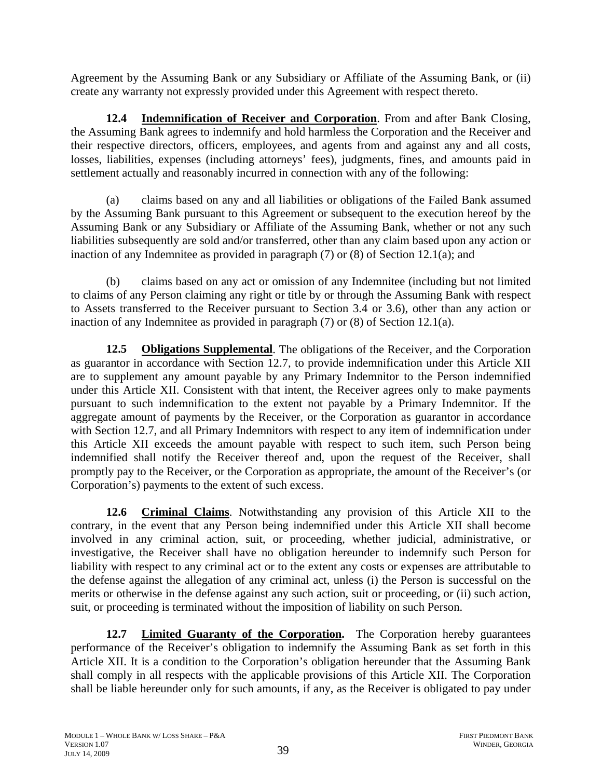Agreement by the Assuming Bank or any Subsidiary or Affiliate of the Assuming Bank, or (ii) create any warranty not expressly provided under this Agreement with respect thereto.

**12.4 Indemnification of Receiver and Corporation**. From and after Bank Closing, the Assuming Bank agrees to indemnify and hold harmless the Corporation and the Receiver and their respective directors, officers, employees, and agents from and against any and all costs, losses, liabilities, expenses (including attorneys' fees), judgments, fines, and amounts paid in settlement actually and reasonably incurred in connection with any of the following:

(a) claims based on any and all liabilities or obligations of the Failed Bank assumed by the Assuming Bank pursuant to this Agreement or subsequent to the execution hereof by the Assuming Bank or any Subsidiary or Affiliate of the Assuming Bank, whether or not any such liabilities subsequently are sold and/or transferred, other than any claim based upon any action or inaction of any Indemnitee as provided in paragraph (7) or (8) of Section 12.1(a); and

(b) claims based on any act or omission of any Indemnitee (including but not limited to claims of any Person claiming any right or title by or through the Assuming Bank with respect to Assets transferred to the Receiver pursuant to Section 3.4 or 3.6), other than any action or inaction of any Indemnitee as provided in paragraph (7) or (8) of Section 12.1(a).

**12.5 Obligations Supplemental**. The obligations of the Receiver, and the Corporation as guarantor in accordance with Section 12.7, to provide indemnification under this Article XII are to supplement any amount payable by any Primary Indemnitor to the Person indemnified under this Article XII. Consistent with that intent, the Receiver agrees only to make payments pursuant to such indemnification to the extent not payable by a Primary Indemnitor. If the aggregate amount of payments by the Receiver, or the Corporation as guarantor in accordance with Section 12.7, and all Primary Indemnitors with respect to any item of indemnification under this Article XII exceeds the amount payable with respect to such item, such Person being indemnified shall notify the Receiver thereof and, upon the request of the Receiver, shall promptly pay to the Receiver, or the Corporation as appropriate, the amount of the Receiver's (or Corporation's) payments to the extent of such excess.

**12.6 Criminal Claims**. Notwithstanding any provision of this Article XII to the contrary, in the event that any Person being indemnified under this Article XII shall become involved in any criminal action, suit, or proceeding, whether judicial, administrative, or investigative, the Receiver shall have no obligation hereunder to indemnify such Person for liability with respect to any criminal act or to the extent any costs or expenses are attributable to the defense against the allegation of any criminal act, unless (i) the Person is successful on the merits or otherwise in the defense against any such action, suit or proceeding, or (ii) such action, suit, or proceeding is terminated without the imposition of liability on such Person.

12.7 **Limited Guaranty of the Corporation.** The Corporation hereby guarantees performance of the Receiver's obligation to indemnify the Assuming Bank as set forth in this Article XII. It is a condition to the Corporation's obligation hereunder that the Assuming Bank shall comply in all respects with the applicable provisions of this Article XII. The Corporation shall be liable hereunder only for such amounts, if any, as the Receiver is obligated to pay under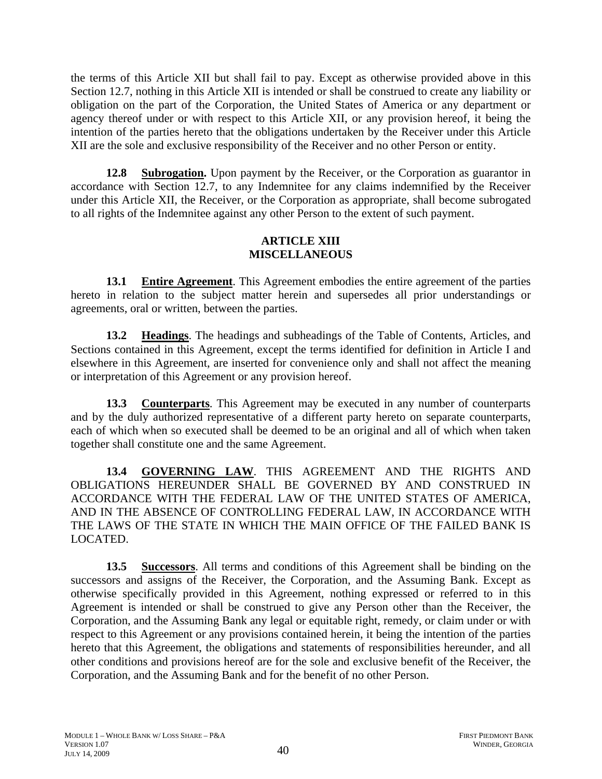the terms of this Article XII but shall fail to pay. Except as otherwise provided above in this Section 12.7, nothing in this Article XII is intended or shall be construed to create any liability or obligation on the part of the Corporation, the United States of America or any department or agency thereof under or with respect to this Article XII, or any provision hereof, it being the intention of the parties hereto that the obligations undertaken by the Receiver under this Article XII are the sole and exclusive responsibility of the Receiver and no other Person or entity.

**12.8 Subrogation.** Upon payment by the Receiver, or the Corporation as guarantor in accordance with Section 12.7, to any Indemnitee for any claims indemnified by the Receiver under this Article XII, the Receiver, or the Corporation as appropriate, shall become subrogated to all rights of the Indemnitee against any other Person to the extent of such payment.

### **ARTICLE XIII MISCELLANEOUS**

 **13.1 Entire Agreement**. This Agreement embodies the entire agreement of the parties hereto in relation to the subject matter herein and supersedes all prior understandings or agreements, oral or written, between the parties.

 **13.2 Headings**. The headings and subheadings of the Table of Contents, Articles, and Sections contained in this Agreement, except the terms identified for definition in Article I and elsewhere in this Agreement, are inserted for convenience only and shall not affect the meaning or interpretation of this Agreement or any provision hereof.

 **13.3 Counterparts**. This Agreement may be executed in any number of counterparts and by the duly authorized representative of a different party hereto on separate counterparts, each of which when so executed shall be deemed to be an original and all of which when taken together shall constitute one and the same Agreement.

 **13.4 GOVERNING LAW**. THIS AGREEMENT AND THE RIGHTS AND OBLIGATIONS HEREUNDER SHALL BE GOVERNED BY AND CONSTRUED IN ACCORDANCE WITH THE FEDERAL LAW OF THE UNITED STATES OF AMERICA, AND IN THE ABSENCE OF CONTROLLING FEDERAL LAW, IN ACCORDANCE WITH THE LAWS OF THE STATE IN WHICH THE MAIN OFFICE OF THE FAILED BANK IS LOCATED.

 **13.5 Successors**. All terms and conditions of this Agreement shall be binding on the successors and assigns of the Receiver, the Corporation, and the Assuming Bank. Except as otherwise specifically provided in this Agreement, nothing expressed or referred to in this Agreement is intended or shall be construed to give any Person other than the Receiver, the Corporation, and the Assuming Bank any legal or equitable right, remedy, or claim under or with respect to this Agreement or any provisions contained herein, it being the intention of the parties hereto that this Agreement, the obligations and statements of responsibilities hereunder, and all other conditions and provisions hereof are for the sole and exclusive benefit of the Receiver, the Corporation, and the Assuming Bank and for the benefit of no other Person.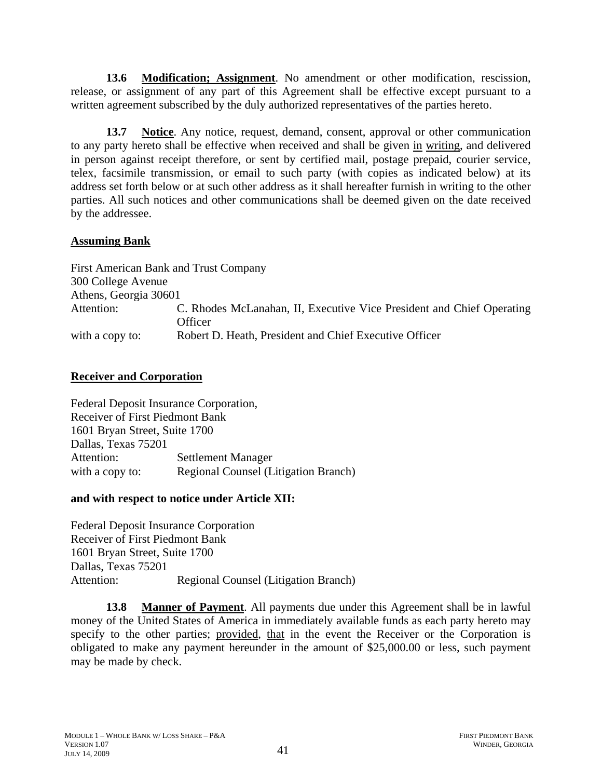13.6 **Modification; Assignment**. No amendment or other modification, rescission, release, or assignment of any part of this Agreement shall be effective except pursuant to a written agreement subscribed by the duly authorized representatives of the parties hereto.

 **13.7 Notice**. Any notice, request, demand, consent, approval or other communication to any party hereto shall be effective when received and shall be given in writing, and delivered in person against receipt therefore, or sent by certified mail, postage prepaid, courier service, telex, facsimile transmission, or email to such party (with copies as indicated below) at its address set forth below or at such other address as it shall hereafter furnish in writing to the other parties. All such notices and other communications shall be deemed given on the date received by the addressee.

### **Assuming Bank**

First American Bank and Trust Company 300 College Avenue Athens, Georgia 30601 Attention: C. Rhodes McLanahan, II, Executive Vice President and Chief Operating **Officer** with a copy to: Robert D. Heath, President and Chief Executive Officer

# **Receiver and Corporation**

Federal Deposit Insurance Corporation, Receiver of First Piedmont Bank 1601 Bryan Street, Suite 1700 Dallas, Texas 75201 Attention: Settlement Manager with a copy to: Regional Counsel (Litigation Branch)

# **and with respect to notice under Article XII:**

Federal Deposit Insurance Corporation Receiver of First Piedmont Bank 1601 Bryan Street, Suite 1700 Dallas, Texas 75201 Attention: Regional Counsel (Litigation Branch)

 **13.8 Manner of Payment**. All payments due under this Agreement shall be in lawful money of the United States of America in immediately available funds as each party hereto may specify to the other parties; provided, that in the event the Receiver or the Corporation is obligated to make any payment hereunder in the amount of \$25,000.00 or less, such payment may be made by check.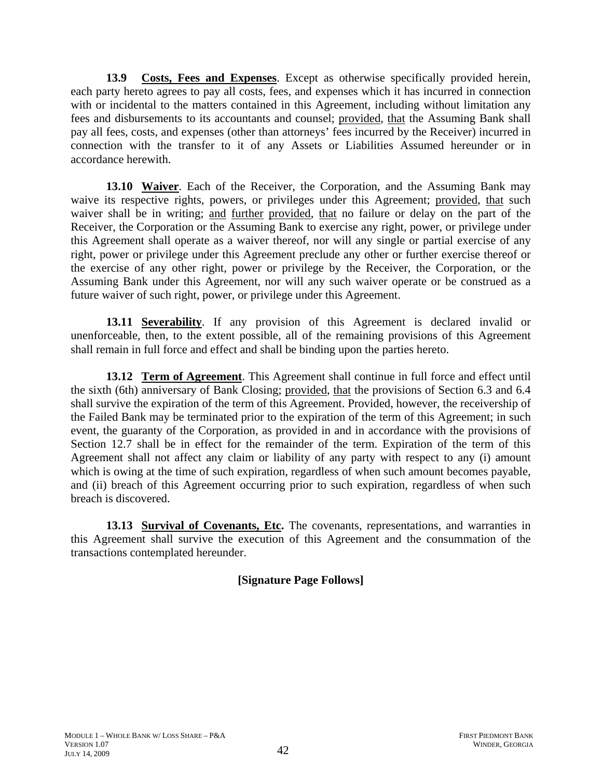**13.9 Costs, Fees and Expenses**. Except as otherwise specifically provided herein, each party hereto agrees to pay all costs, fees, and expenses which it has incurred in connection with or incidental to the matters contained in this Agreement, including without limitation any fees and disbursements to its accountants and counsel; provided, that the Assuming Bank shall pay all fees, costs, and expenses (other than attorneys' fees incurred by the Receiver) incurred in connection with the transfer to it of any Assets or Liabilities Assumed hereunder or in accordance herewith.

 **13.10 Waiver**. Each of the Receiver, the Corporation, and the Assuming Bank may waive its respective rights, powers, or privileges under this Agreement; provided, that such waiver shall be in writing; and further provided, that no failure or delay on the part of the Receiver, the Corporation or the Assuming Bank to exercise any right, power, or privilege under this Agreement shall operate as a waiver thereof, nor will any single or partial exercise of any right, power or privilege under this Agreement preclude any other or further exercise thereof or the exercise of any other right, power or privilege by the Receiver, the Corporation, or the Assuming Bank under this Agreement, nor will any such waiver operate or be construed as a future waiver of such right, power, or privilege under this Agreement.

 **13.11 Severability**. If any provision of this Agreement is declared invalid or unenforceable, then, to the extent possible, all of the remaining provisions of this Agreement shall remain in full force and effect and shall be binding upon the parties hereto.

 **13.12 Term of Agreement**. This Agreement shall continue in full force and effect until the sixth (6th) anniversary of Bank Closing; provided, that the provisions of Section 6.3 and 6.4 shall survive the expiration of the term of this Agreement. Provided, however, the receivership of the Failed Bank may be terminated prior to the expiration of the term of this Agreement; in such event, the guaranty of the Corporation, as provided in and in accordance with the provisions of Section 12.7 shall be in effect for the remainder of the term. Expiration of the term of this Agreement shall not affect any claim or liability of any party with respect to any (i) amount which is owing at the time of such expiration, regardless of when such amount becomes payable, and (ii) breach of this Agreement occurring prior to such expiration, regardless of when such breach is discovered.

 **13.13 Survival of Covenants, Etc.** The covenants, representations, and warranties in this Agreement shall survive the execution of this Agreement and the consummation of the transactions contemplated hereunder.

# **[Signature Page Follows]**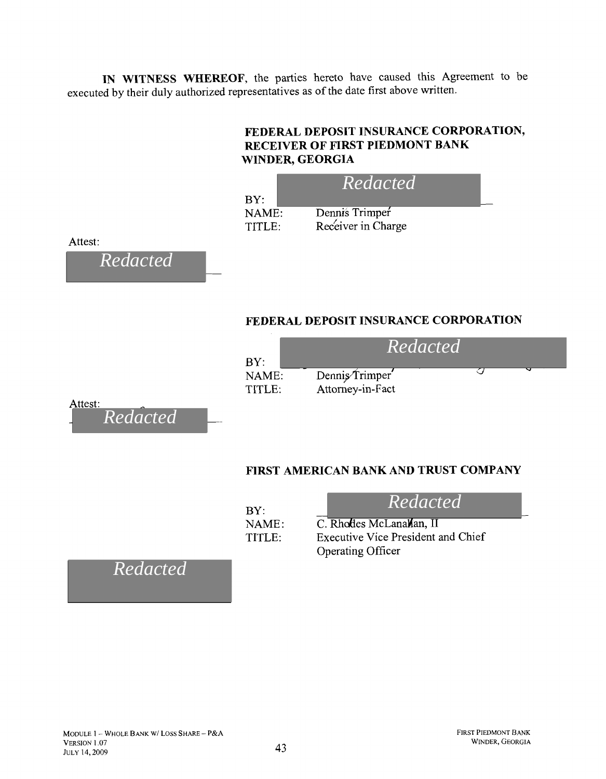**IN WITNESS WHEREOF,** the parties hereto have caused this Agreement to be executed by their duly authorized representatives as of the date first above written.

# **FEDERAL DEPOSIT INSURANCE CORPORATION, RECEIVER OF FIRST PIEDMONT BANK WINDER, GEORGIA**

|        | Redacted           |
|--------|--------------------|
| BY:    |                    |
| NAME:  | Dennis Trimper     |
| TITLE: | Receiver in Charge |

Attest:

*Redacted*

# **FEDERAL DEPOSIT INSURANCE CORPORATION**

| BY:             | Redacted                           |  |  |
|-----------------|------------------------------------|--|--|
| NAME:<br>TITLE: | Dennis/Trimper<br>Attorney-in-Fact |  |  |

Attest: *Redacted*

# **FIRST AMERICAN BANK AND TRUST COMPANY**

| $\mathbf{RY}$ | Redacted                           |
|---------------|------------------------------------|
| NAME:         | C. Rhodes McLanal an, II           |
| TITLE         | Executive Vice President and Chief |
|               | Operating Officer                  |

*Redacted*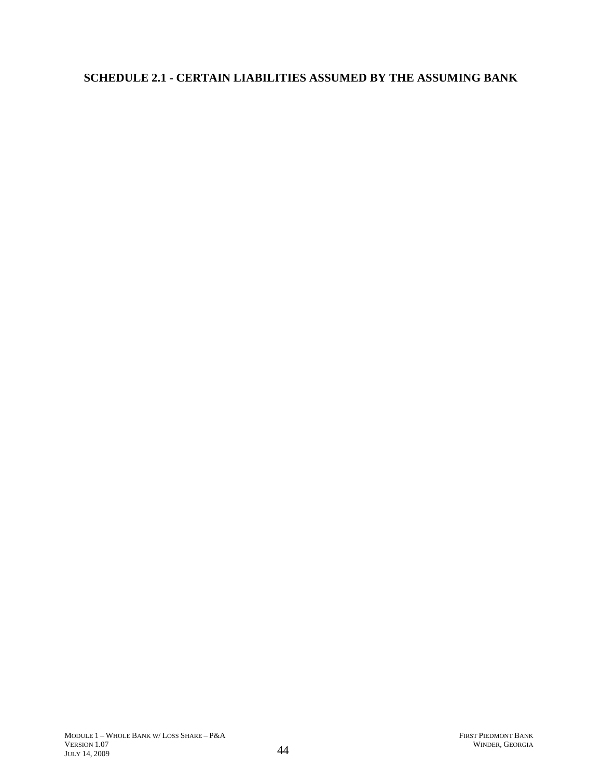# **SCHEDULE 2.1 - CERTAIN LIABILITIES ASSUMED BY THE ASSUMING BANK**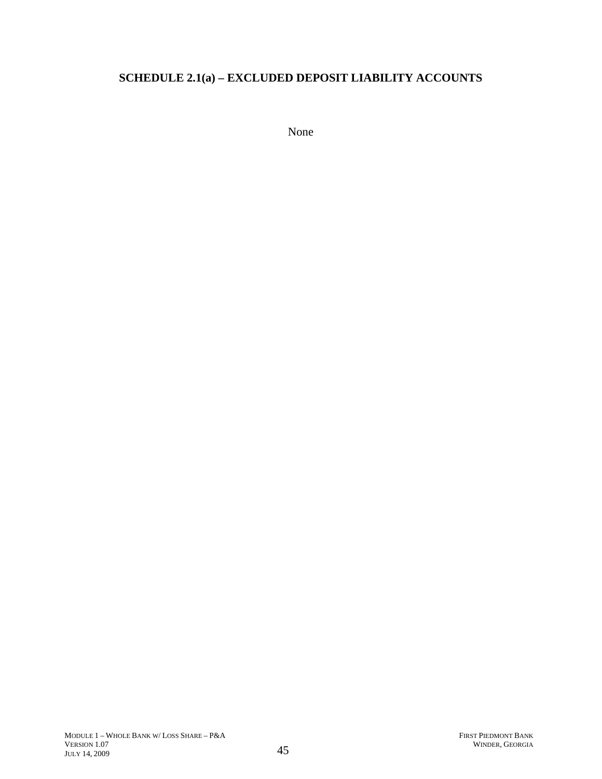# **SCHEDULE 2.1(a) – EXCLUDED DEPOSIT LIABILITY ACCOUNTS**

None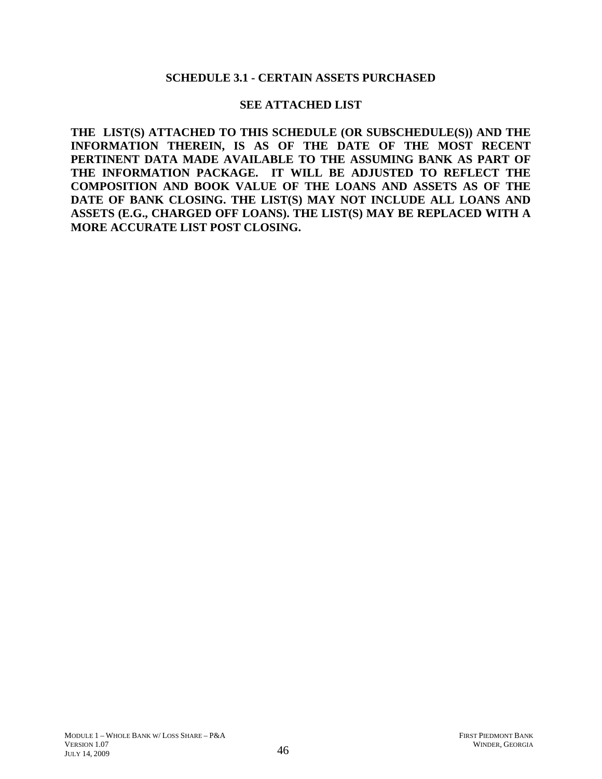#### **SCHEDULE 3.1 - CERTAIN ASSETS PURCHASED**

#### **SEE ATTACHED LIST**

**THE LIST(S) ATTACHED TO THIS SCHEDULE (OR SUBSCHEDULE(S)) AND THE INFORMATION THEREIN, IS AS OF THE DATE OF THE MOST RECENT PERTINENT DATA MADE AVAILABLE TO THE ASSUMING BANK AS PART OF THE INFORMATION PACKAGE. IT WILL BE ADJUSTED TO REFLECT THE COMPOSITION AND BOOK VALUE OF THE LOANS AND ASSETS AS OF THE DATE OF BANK CLOSING. THE LIST(S) MAY NOT INCLUDE ALL LOANS AND ASSETS (E.G., CHARGED OFF LOANS). THE LIST(S) MAY BE REPLACED WITH A MORE ACCURATE LIST POST CLOSING.**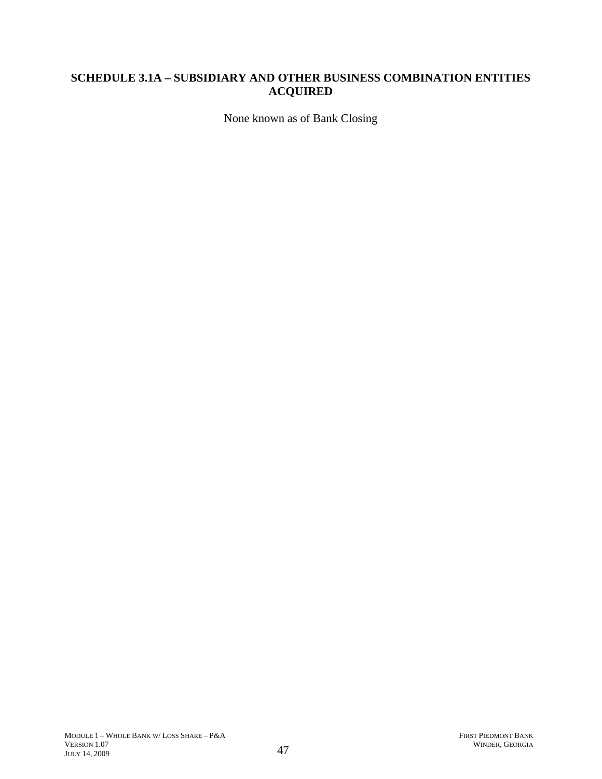# **SCHEDULE 3.1A – SUBSIDIARY AND OTHER BUSINESS COMBINATION ENTITIES ACQUIRED**

None known as of Bank Closing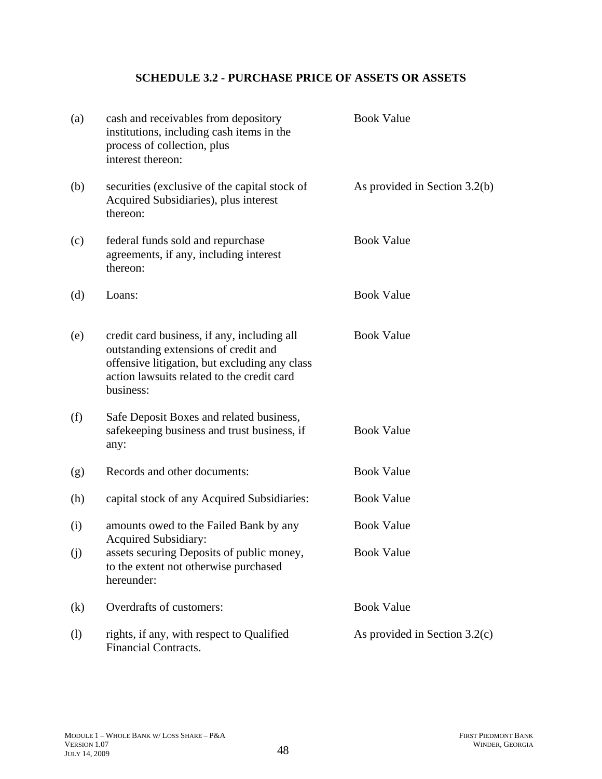# **SCHEDULE 3.2 - PURCHASE PRICE OF ASSETS OR ASSETS**

| (a) | cash and receivables from depository<br>institutions, including cash items in the<br>process of collection, plus<br>interest thereon:                                                           | <b>Book Value</b>               |
|-----|-------------------------------------------------------------------------------------------------------------------------------------------------------------------------------------------------|---------------------------------|
| (b) | securities (exclusive of the capital stock of<br>Acquired Subsidiaries), plus interest<br>thereon:                                                                                              | As provided in Section $3.2(b)$ |
| (c) | federal funds sold and repurchase<br>agreements, if any, including interest<br>thereon:                                                                                                         | <b>Book Value</b>               |
| (d) | Loans:                                                                                                                                                                                          | <b>Book Value</b>               |
| (e) | credit card business, if any, including all<br>outstanding extensions of credit and<br>offensive litigation, but excluding any class<br>action lawsuits related to the credit card<br>business: | <b>Book Value</b>               |
| (f) | Safe Deposit Boxes and related business,<br>safekeeping business and trust business, if<br>any:                                                                                                 | <b>Book Value</b>               |
| (g) | Records and other documents:                                                                                                                                                                    | <b>Book Value</b>               |
| (h) | capital stock of any Acquired Subsidiaries:                                                                                                                                                     | <b>Book Value</b>               |
| (i) | amounts owed to the Failed Bank by any<br><b>Acquired Subsidiary:</b>                                                                                                                           | <b>Book Value</b>               |
| (j) | assets securing Deposits of public money,<br>to the extent not otherwise purchased<br>hereunder:                                                                                                | <b>Book Value</b>               |
| (k) | Overdrafts of customers:                                                                                                                                                                        | <b>Book Value</b>               |
| (1) | rights, if any, with respect to Qualified<br>Financial Contracts.                                                                                                                               | As provided in Section $3.2(c)$ |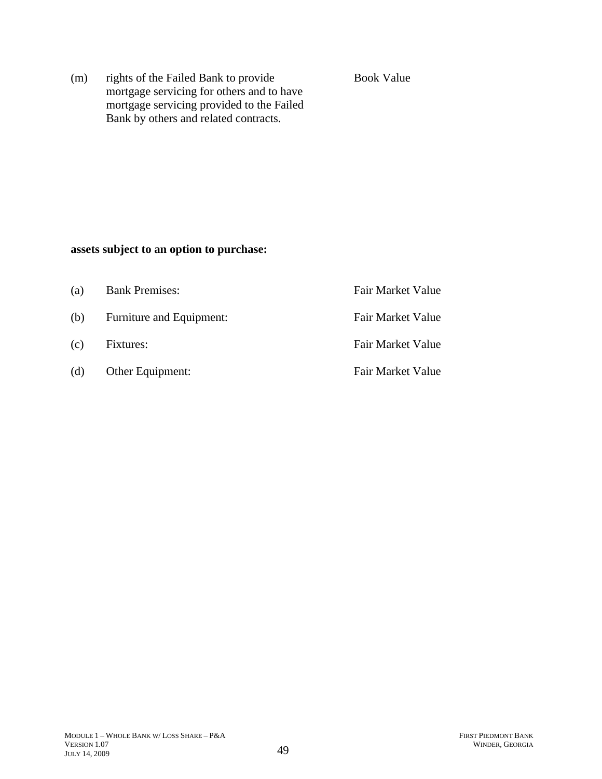(m) rights of the Failed Bank to provide mortgage servicing for others and to have mortgage servicing provided to the Failed Bank by others and related contracts. Book Value

### **assets subject to an option to purchase:**

(a) Bank Premises: Fair Market Value (b) Furniture and Equipment: Fair Market Value (c) Fixtures: Fair Market Value (d) Other Equipment: Fair Market Value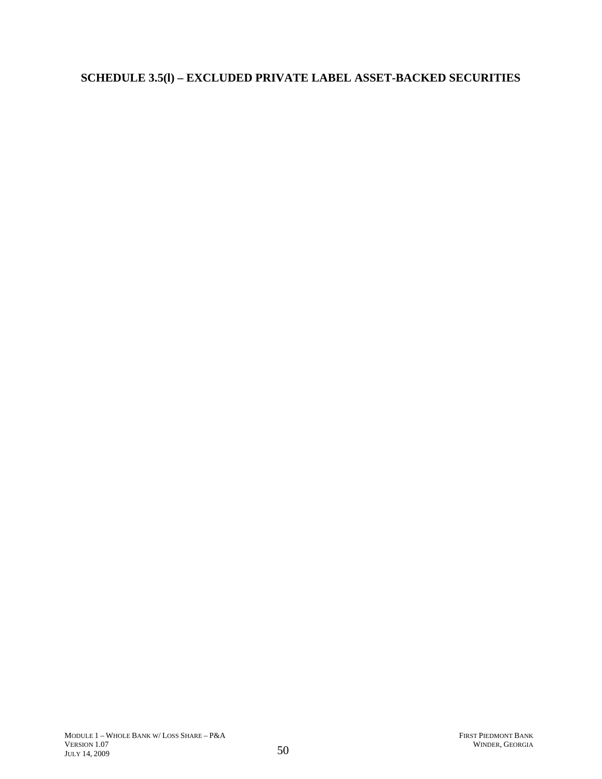# **SCHEDULE 3.5(l) – EXCLUDED PRIVATE LABEL ASSET-BACKED SECURITIES**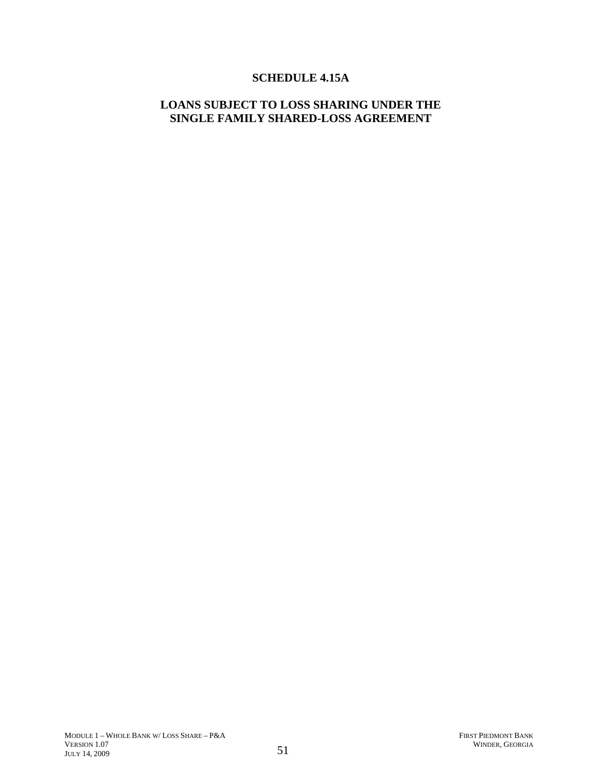### **SCHEDULE 4.15A**

### **LOANS SUBJECT TO LOSS SHARING UNDER THE SINGLE FAMILY SHARED-LOSS AGREEMENT**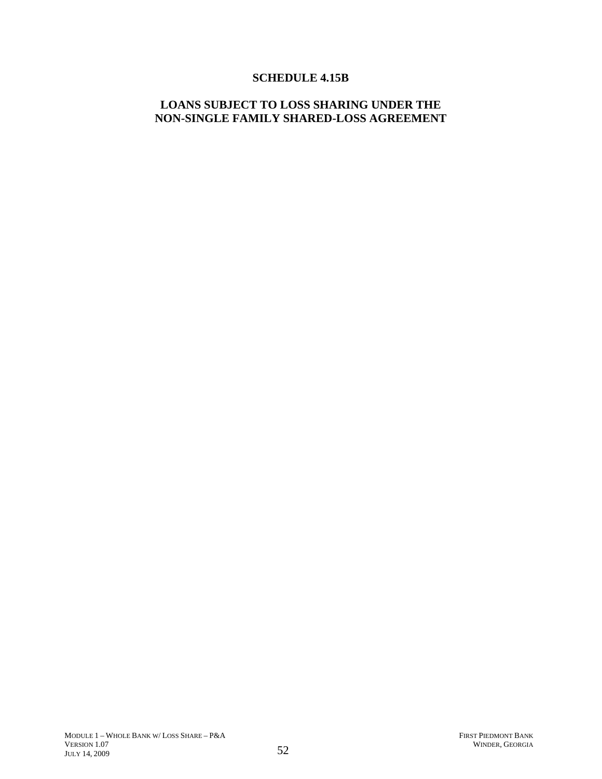### **SCHEDULE 4.15B**

### **LOANS SUBJECT TO LOSS SHARING UNDER THE NON-SINGLE FAMILY SHARED-LOSS AGREEMENT**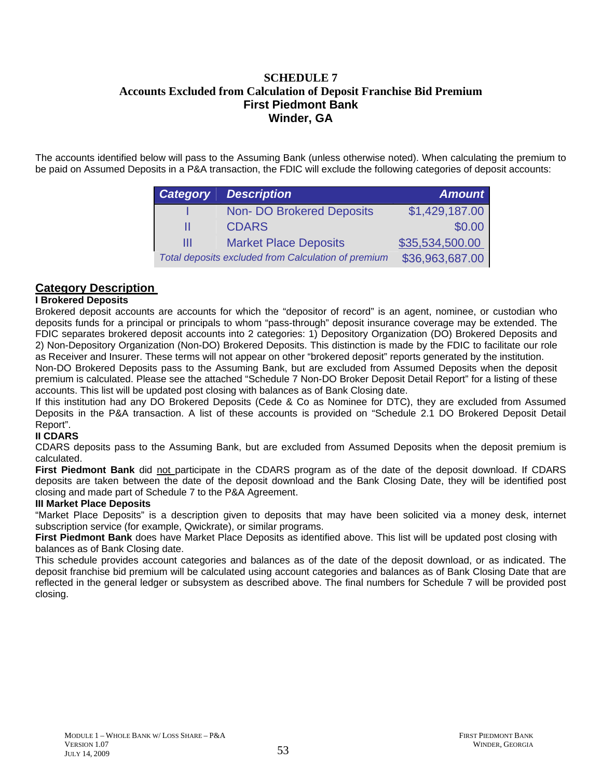#### **SCHEDULE 7 Accounts Excluded from Calculation of Deposit Franchise Bid Premium First Piedmont Bank Winder, GA**

The accounts identified below will pass to the Assuming Bank (unless otherwise noted). When calculating the premium to be paid on Assumed Deposits in a P&A transaction, the FDIC will exclude the following categories of deposit accounts:

| <b>Category</b>                                     | <b>Description</b>              | <b>Amount</b>   |
|-----------------------------------------------------|---------------------------------|-----------------|
|                                                     | <b>Non-DO Brokered Deposits</b> | \$1,429,187.00  |
| ш                                                   | <b>CDARS</b>                    | \$0.00          |
| Ш                                                   | <b>Market Place Deposits</b>    | \$35,534,500.00 |
| Total deposits excluded from Calculation of premium |                                 | \$36,963,687.00 |

### **Category Description**

#### **I Brokered Deposits**

Brokered deposit accounts are accounts for which the "depositor of record" is an agent, nominee, or custodian who deposits funds for a principal or principals to whom "pass-through" deposit insurance coverage may be extended. The FDIC separates brokered deposit accounts into 2 categories: 1) Depository Organization (DO) Brokered Deposits and 2) Non-Depository Organization (Non-DO) Brokered Deposits. This distinction is made by the FDIC to facilitate our role as Receiver and Insurer. These terms will not appear on other "brokered deposit" reports generated by the institution.

Non-DO Brokered Deposits pass to the Assuming Bank, but are excluded from Assumed Deposits when the deposit premium is calculated. Please see the attached "Schedule 7 Non-DO Broker Deposit Detail Report" for a listing of these accounts. This list will be updated post closing with balances as of Bank Closing date.

If this institution had any DO Brokered Deposits (Cede & Co as Nominee for DTC), they are excluded from Assumed Deposits in the P&A transaction. A list of these accounts is provided on "Schedule 2.1 DO Brokered Deposit Detail Report".

#### **II CDARS**

CDARS deposits pass to the Assuming Bank, but are excluded from Assumed Deposits when the deposit premium is calculated.

First Piedmont Bank did not participate in the CDARS program as of the date of the deposit download. If CDARS deposits are taken between the date of the deposit download and the Bank Closing Date, they will be identified post closing and made part of Schedule 7 to the P&A Agreement.

#### **III Market Place Deposits**

"Market Place Deposits" is a description given to deposits that may have been solicited via a money desk, internet subscription service (for example, Qwickrate), or similar programs.

**First Piedmont Bank** does have Market Place Deposits as identified above. This list will be updated post closing with balances as of Bank Closing date.

This schedule provides account categories and balances as of the date of the deposit download, or as indicated. The deposit franchise bid premium will be calculated using account categories and balances as of Bank Closing Date that are reflected in the general ledger or subsystem as described above. The final numbers for Schedule 7 will be provided post closing.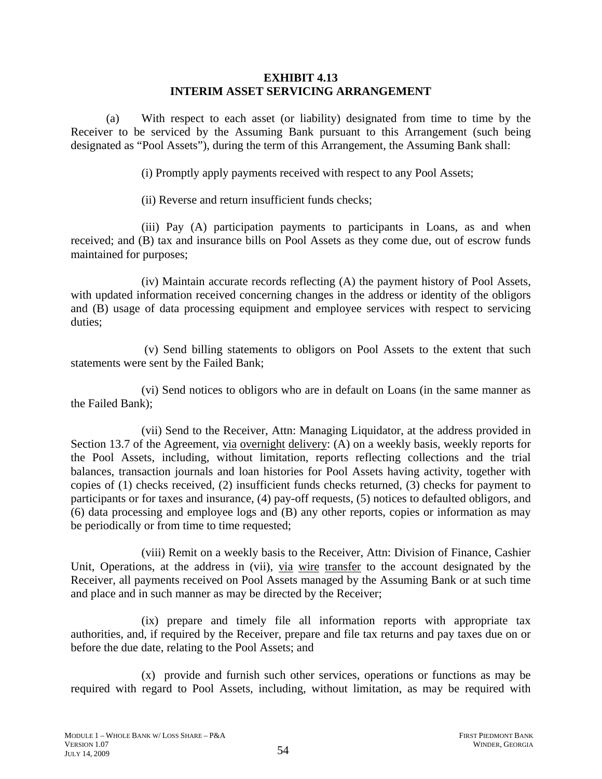#### **EXHIBIT 4.13 INTERIM ASSET SERVICING ARRANGEMENT**

 (a) With respect to each asset (or liability) designated from time to time by the Receiver to be serviced by the Assuming Bank pursuant to this Arrangement (such being designated as "Pool Assets"), during the term of this Arrangement, the Assuming Bank shall:

(i) Promptly apply payments received with respect to any Pool Assets;

(ii) Reverse and return insufficient funds checks;

(iii) Pay (A) participation payments to participants in Loans, as and when received; and (B) tax and insurance bills on Pool Assets as they come due, out of escrow funds maintained for purposes;

(iv) Maintain accurate records reflecting (A) the payment history of Pool Assets, with updated information received concerning changes in the address or identity of the obligors and (B) usage of data processing equipment and employee services with respect to servicing duties;

 (v) Send billing statements to obligors on Pool Assets to the extent that such statements were sent by the Failed Bank;

(vi) Send notices to obligors who are in default on Loans (in the same manner as the Failed Bank);

 (vii) Send to the Receiver, Attn: Managing Liquidator, at the address provided in Section 13.7 of the Agreement, via overnight delivery: (A) on a weekly basis, weekly reports for the Pool Assets, including, without limitation, reports reflecting collections and the trial balances, transaction journals and loan histories for Pool Assets having activity, together with copies of (1) checks received, (2) insufficient funds checks returned, (3) checks for payment to participants or for taxes and insurance, (4) pay-off requests, (5) notices to defaulted obligors, and (6) data processing and employee logs and (B) any other reports, copies or information as may be periodically or from time to time requested;

 (viii) Remit on a weekly basis to the Receiver, Attn: Division of Finance, Cashier Unit, Operations, at the address in (vii), via wire transfer to the account designated by the Receiver, all payments received on Pool Assets managed by the Assuming Bank or at such time and place and in such manner as may be directed by the Receiver;

(ix) prepare and timely file all information reports with appropriate tax authorities, and, if required by the Receiver, prepare and file tax returns and pay taxes due on or before the due date, relating to the Pool Assets; and

(x) provide and furnish such other services, operations or functions as may be required with regard to Pool Assets, including, without limitation, as may be required with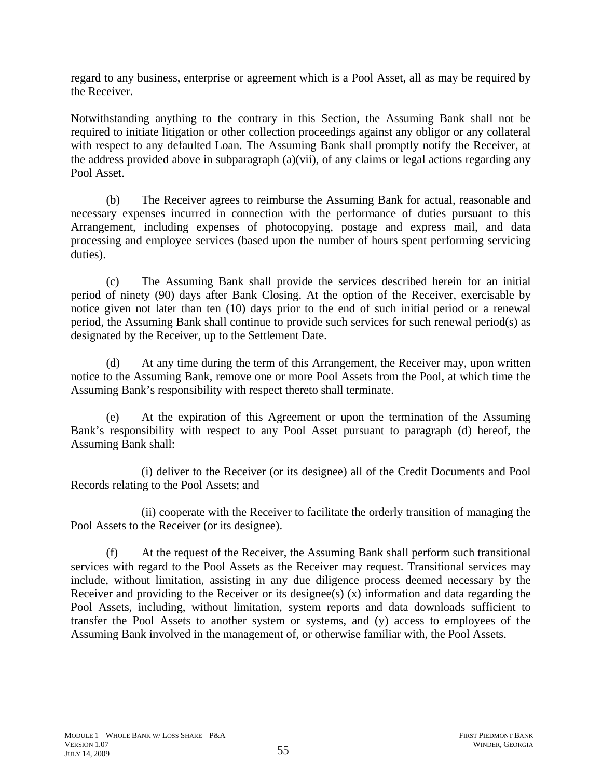regard to any business, enterprise or agreement which is a Pool Asset, all as may be required by the Receiver.

Notwithstanding anything to the contrary in this Section, the Assuming Bank shall not be required to initiate litigation or other collection proceedings against any obligor or any collateral with respect to any defaulted Loan. The Assuming Bank shall promptly notify the Receiver, at the address provided above in subparagraph (a)(vii), of any claims or legal actions regarding any Pool Asset.

 (b) The Receiver agrees to reimburse the Assuming Bank for actual, reasonable and necessary expenses incurred in connection with the performance of duties pursuant to this Arrangement, including expenses of photocopying, postage and express mail, and data processing and employee services (based upon the number of hours spent performing servicing duties).

 (c) The Assuming Bank shall provide the services described herein for an initial period of ninety (90) days after Bank Closing. At the option of the Receiver, exercisable by notice given not later than ten (10) days prior to the end of such initial period or a renewal period, the Assuming Bank shall continue to provide such services for such renewal period(s) as designated by the Receiver, up to the Settlement Date.

 (d) At any time during the term of this Arrangement, the Receiver may, upon written notice to the Assuming Bank, remove one or more Pool Assets from the Pool, at which time the Assuming Bank's responsibility with respect thereto shall terminate.

 (e) At the expiration of this Agreement or upon the termination of the Assuming Bank's responsibility with respect to any Pool Asset pursuant to paragraph (d) hereof, the Assuming Bank shall:

(i) deliver to the Receiver (or its designee) all of the Credit Documents and Pool Records relating to the Pool Assets; and

(ii) cooperate with the Receiver to facilitate the orderly transition of managing the Pool Assets to the Receiver (or its designee).

 (f) At the request of the Receiver, the Assuming Bank shall perform such transitional services with regard to the Pool Assets as the Receiver may request. Transitional services may include, without limitation, assisting in any due diligence process deemed necessary by the Receiver and providing to the Receiver or its designee(s) (x) information and data regarding the Pool Assets, including, without limitation, system reports and data downloads sufficient to transfer the Pool Assets to another system or systems, and (y) access to employees of the Assuming Bank involved in the management of, or otherwise familiar with, the Pool Assets.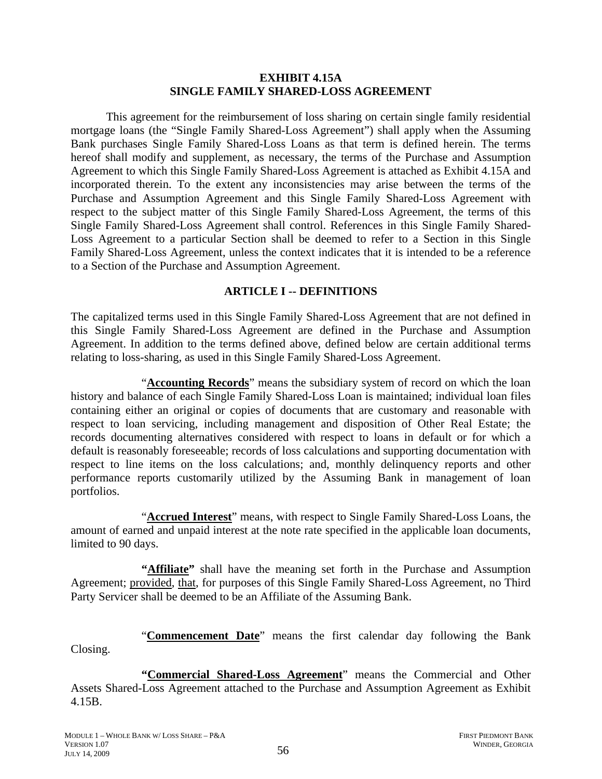#### **EXHIBIT 4.15A SINGLE FAMILY SHARED-LOSS AGREEMENT**

This agreement for the reimbursement of loss sharing on certain single family residential mortgage loans (the "Single Family Shared-Loss Agreement") shall apply when the Assuming Bank purchases Single Family Shared-Loss Loans as that term is defined herein. The terms hereof shall modify and supplement, as necessary, the terms of the Purchase and Assumption Agreement to which this Single Family Shared-Loss Agreement is attached as Exhibit 4.15A and incorporated therein. To the extent any inconsistencies may arise between the terms of the Purchase and Assumption Agreement and this Single Family Shared-Loss Agreement with respect to the subject matter of this Single Family Shared-Loss Agreement, the terms of this Single Family Shared-Loss Agreement shall control. References in this Single Family Shared-Loss Agreement to a particular Section shall be deemed to refer to a Section in this Single Family Shared-Loss Agreement, unless the context indicates that it is intended to be a reference to a Section of the Purchase and Assumption Agreement.

#### **ARTICLE I -- DEFINITIONS**

The capitalized terms used in this Single Family Shared-Loss Agreement that are not defined in this Single Family Shared-Loss Agreement are defined in the Purchase and Assumption Agreement. In addition to the terms defined above, defined below are certain additional terms relating to loss-sharing, as used in this Single Family Shared-Loss Agreement.

"**Accounting Records**" means the subsidiary system of record on which the loan history and balance of each Single Family Shared-Loss Loan is maintained; individual loan files containing either an original or copies of documents that are customary and reasonable with respect to loan servicing, including management and disposition of Other Real Estate; the records documenting alternatives considered with respect to loans in default or for which a default is reasonably foreseeable; records of loss calculations and supporting documentation with respect to line items on the loss calculations; and, monthly delinquency reports and other performance reports customarily utilized by the Assuming Bank in management of loan portfolios.

"**Accrued Interest**" means, with respect to Single Family Shared-Loss Loans, the amount of earned and unpaid interest at the note rate specified in the applicable loan documents, limited to 90 days.

**"Affiliate"** shall have the meaning set forth in the Purchase and Assumption Agreement; provided, that, for purposes of this Single Family Shared-Loss Agreement, no Third Party Servicer shall be deemed to be an Affiliate of the Assuming Bank.

"**Commencement Date**" means the first calendar day following the Bank Closing.

**"Commercial Shared-Loss Agreement**" means the Commercial and Other Assets Shared-Loss Agreement attached to the Purchase and Assumption Agreement as Exhibit 4.15B.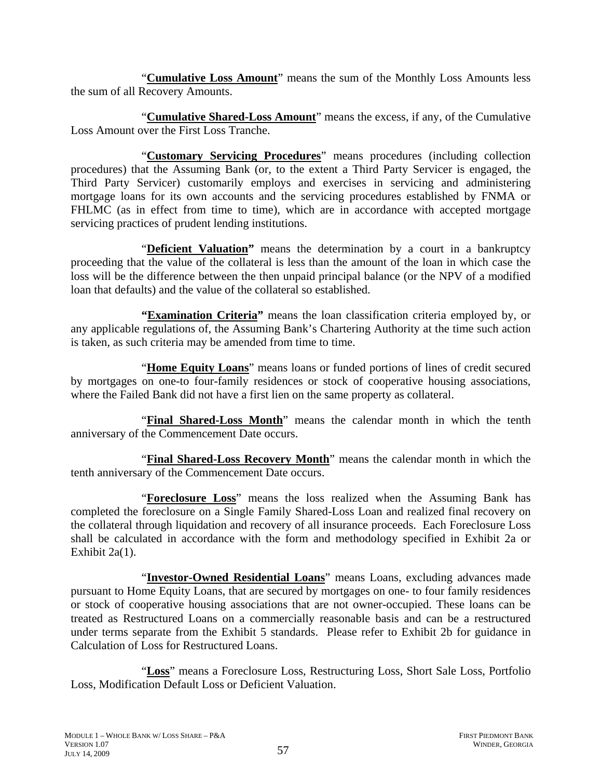"**Cumulative Loss Amount**" means the sum of the Monthly Loss Amounts less the sum of all Recovery Amounts.

"**Cumulative Shared-Loss Amount**" means the excess, if any, of the Cumulative Loss Amount over the First Loss Tranche.

"**Customary Servicing Procedures**" means procedures (including collection procedures) that the Assuming Bank (or, to the extent a Third Party Servicer is engaged, the Third Party Servicer) customarily employs and exercises in servicing and administering mortgage loans for its own accounts and the servicing procedures established by FNMA or FHLMC (as in effect from time to time), which are in accordance with accepted mortgage servicing practices of prudent lending institutions.

"**Deficient Valuation"** means the determination by a court in a bankruptcy proceeding that the value of the collateral is less than the amount of the loan in which case the loss will be the difference between the then unpaid principal balance (or the NPV of a modified loan that defaults) and the value of the collateral so established.

**"Examination Criteria"** means the loan classification criteria employed by, or any applicable regulations of, the Assuming Bank's Chartering Authority at the time such action is taken, as such criteria may be amended from time to time.

"Home Equity Loans" means loans or funded portions of lines of credit secured by mortgages on one-to four-family residences or stock of cooperative housing associations, where the Failed Bank did not have a first lien on the same property as collateral.

"**Final Shared-Loss Month**" means the calendar month in which the tenth anniversary of the Commencement Date occurs.

"**Final Shared-Loss Recovery Month**" means the calendar month in which the tenth anniversary of the Commencement Date occurs.

"**Foreclosure Loss**" means the loss realized when the Assuming Bank has completed the foreclosure on a Single Family Shared-Loss Loan and realized final recovery on the collateral through liquidation and recovery of all insurance proceeds. Each Foreclosure Loss shall be calculated in accordance with the form and methodology specified in Exhibit 2a or Exhibit 2a(1).

"**Investor-Owned Residential Loans**" means Loans, excluding advances made pursuant to Home Equity Loans, that are secured by mortgages on one- to four family residences or stock of cooperative housing associations that are not owner-occupied. These loans can be treated as Restructured Loans on a commercially reasonable basis and can be a restructured under terms separate from the Exhibit 5 standards. Please refer to Exhibit 2b for guidance in Calculation of Loss for Restructured Loans.

"**Loss**" means a Foreclosure Loss, Restructuring Loss, Short Sale Loss, Portfolio Loss, Modification Default Loss or Deficient Valuation.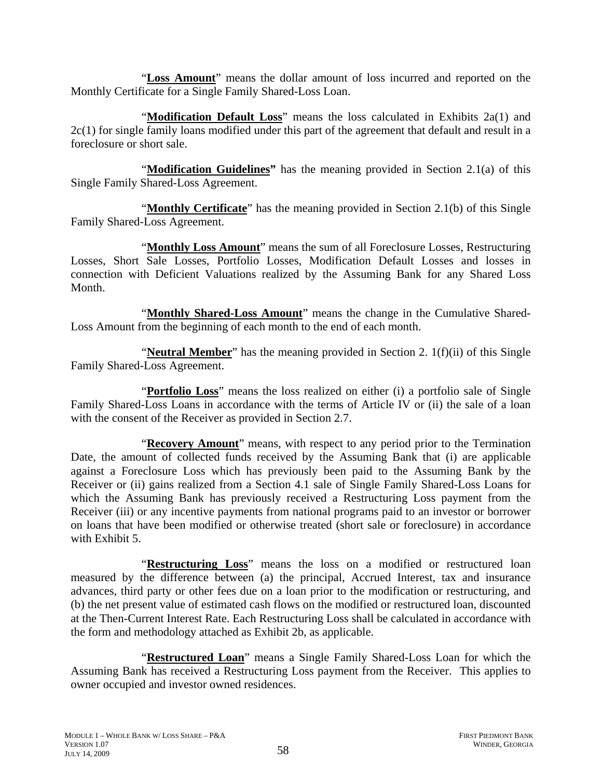"**Loss Amount**" means the dollar amount of loss incurred and reported on the Monthly Certificate for a Single Family Shared-Loss Loan.

"**Modification Default Loss**" means the loss calculated in Exhibits 2a(1) and 2c(1) for single family loans modified under this part of the agreement that default and result in a foreclosure or short sale.

"**Modification Guidelines**" has the meaning provided in Section 2.1(a) of this Single Family Shared-Loss Agreement.

"**Monthly Certificate**" has the meaning provided in Section 2.1(b) of this Single Family Shared-Loss Agreement.

"**Monthly Loss Amount**" means the sum of all Foreclosure Losses, Restructuring Losses, Short Sale Losses, Portfolio Losses, Modification Default Losses and losses in connection with Deficient Valuations realized by the Assuming Bank for any Shared Loss Month.

"**Monthly Shared-Loss Amount**" means the change in the Cumulative Shared-Loss Amount from the beginning of each month to the end of each month.

**"Neutral Member**" has the meaning provided in Section 2. 1(f)(ii) of this Single Family Shared-Loss Agreement.

"**Portfolio Loss**" means the loss realized on either (i) a portfolio sale of Single Family Shared-Loss Loans in accordance with the terms of Article IV or (ii) the sale of a loan with the consent of the Receiver as provided in Section 2.7.

"**Recovery Amount**" means, with respect to any period prior to the Termination Date, the amount of collected funds received by the Assuming Bank that (i) are applicable against a Foreclosure Loss which has previously been paid to the Assuming Bank by the Receiver or (ii) gains realized from a Section 4.1 sale of Single Family Shared-Loss Loans for which the Assuming Bank has previously received a Restructuring Loss payment from the Receiver (iii) or any incentive payments from national programs paid to an investor or borrower on loans that have been modified or otherwise treated (short sale or foreclosure) in accordance with Exhibit 5.

"**Restructuring Loss**" means the loss on a modified or restructured loan measured by the difference between (a) the principal, Accrued Interest, tax and insurance advances, third party or other fees due on a loan prior to the modification or restructuring, and (b) the net present value of estimated cash flows on the modified or restructured loan, discounted at the Then-Current Interest Rate. Each Restructuring Loss shall be calculated in accordance with the form and methodology attached as Exhibit 2b, as applicable.

"**Restructured Loan**" means a Single Family Shared-Loss Loan for which the Assuming Bank has received a Restructuring Loss payment from the Receiver. This applies to owner occupied and investor owned residences.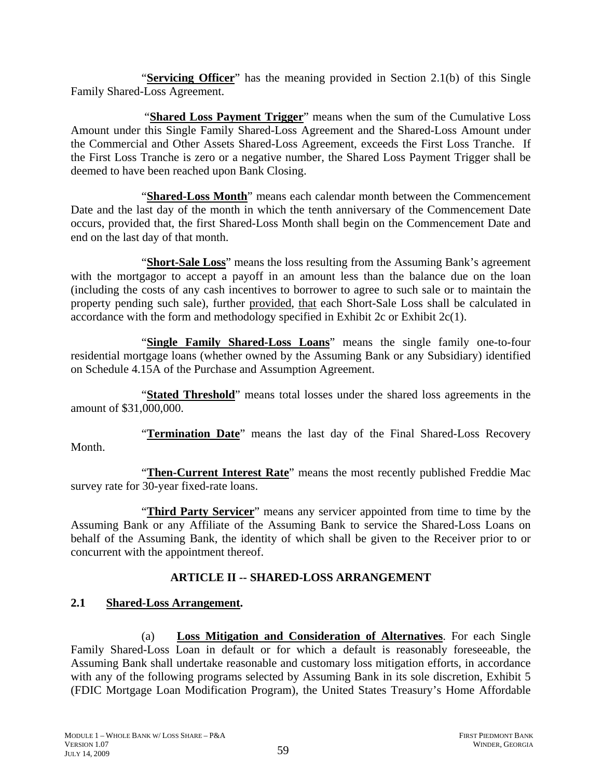"**Servicing Officer**" has the meaning provided in Section 2.1(b) of this Single Family Shared-Loss Agreement.

"Shared Loss Payment Trigger" means when the sum of the Cumulative Loss Amount under this Single Family Shared-Loss Agreement and the Shared-Loss Amount under the Commercial and Other Assets Shared-Loss Agreement, exceeds the First Loss Tranche. If the First Loss Tranche is zero or a negative number, the Shared Loss Payment Trigger shall be deemed to have been reached upon Bank Closing.

"**Shared-Loss Month**" means each calendar month between the Commencement Date and the last day of the month in which the tenth anniversary of the Commencement Date occurs, provided that, the first Shared-Loss Month shall begin on the Commencement Date and end on the last day of that month.

"**Short-Sale Loss**" means the loss resulting from the Assuming Bank's agreement with the mortgagor to accept a payoff in an amount less than the balance due on the loan (including the costs of any cash incentives to borrower to agree to such sale or to maintain the property pending such sale), further provided, that each Short-Sale Loss shall be calculated in accordance with the form and methodology specified in Exhibit  $2c$  or Exhibit  $2c(1)$ .

"**Single Family Shared-Loss Loans**" means the single family one-to-four residential mortgage loans (whether owned by the Assuming Bank or any Subsidiary) identified on Schedule 4.15A of the Purchase and Assumption Agreement.

"**Stated Threshold**" means total losses under the shared loss agreements in the amount of \$31,000,000.

"**Termination Date**" means the last day of the Final Shared-Loss Recovery Month.

"**Then-Current Interest Rate**" means the most recently published Freddie Mac survey rate for 30-year fixed-rate loans.

"**Third Party Servicer**" means any servicer appointed from time to time by the Assuming Bank or any Affiliate of the Assuming Bank to service the Shared-Loss Loans on behalf of the Assuming Bank, the identity of which shall be given to the Receiver prior to or concurrent with the appointment thereof.

# **ARTICLE II -- SHARED-LOSS ARRANGEMENT**

### **2.1 Shared-Loss Arrangement.**

(a) **Loss Mitigation and Consideration of Alternatives**. For each Single Family Shared-Loss Loan in default or for which a default is reasonably foreseeable, the Assuming Bank shall undertake reasonable and customary loss mitigation efforts, in accordance with any of the following programs selected by Assuming Bank in its sole discretion, Exhibit 5 (FDIC Mortgage Loan Modification Program), the United States Treasury's Home Affordable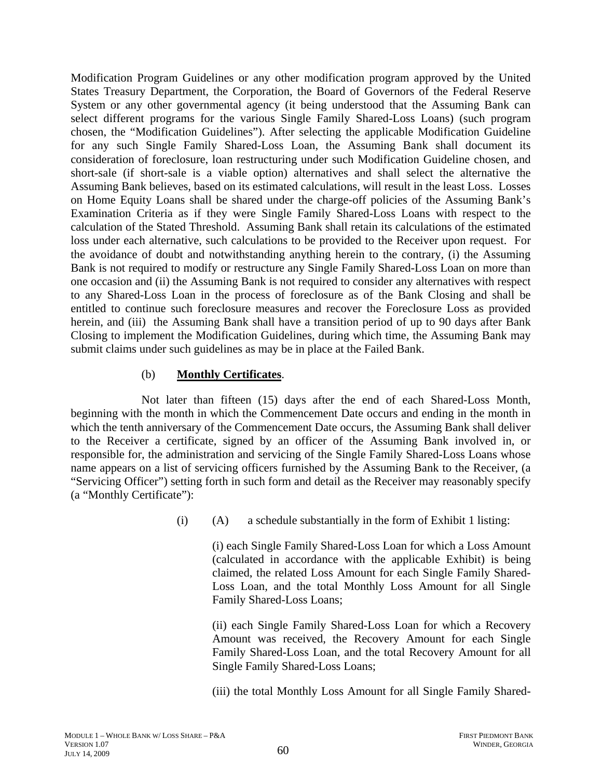Modification Program Guidelines or any other modification program approved by the United States Treasury Department, the Corporation, the Board of Governors of the Federal Reserve System or any other governmental agency (it being understood that the Assuming Bank can select different programs for the various Single Family Shared-Loss Loans) (such program chosen, the "Modification Guidelines"). After selecting the applicable Modification Guideline for any such Single Family Shared-Loss Loan, the Assuming Bank shall document its consideration of foreclosure, loan restructuring under such Modification Guideline chosen, and short-sale (if short-sale is a viable option) alternatives and shall select the alternative the Assuming Bank believes, based on its estimated calculations, will result in the least Loss. Losses on Home Equity Loans shall be shared under the charge-off policies of the Assuming Bank's Examination Criteria as if they were Single Family Shared-Loss Loans with respect to the calculation of the Stated Threshold. Assuming Bank shall retain its calculations of the estimated loss under each alternative, such calculations to be provided to the Receiver upon request. For the avoidance of doubt and notwithstanding anything herein to the contrary, (i) the Assuming Bank is not required to modify or restructure any Single Family Shared-Loss Loan on more than one occasion and (ii) the Assuming Bank is not required to consider any alternatives with respect to any Shared-Loss Loan in the process of foreclosure as of the Bank Closing and shall be entitled to continue such foreclosure measures and recover the Foreclosure Loss as provided herein, and (iii) the Assuming Bank shall have a transition period of up to 90 days after Bank Closing to implement the Modification Guidelines, during which time, the Assuming Bank may submit claims under such guidelines as may be in place at the Failed Bank.

#### (b) **Monthly Certificates**.

Not later than fifteen (15) days after the end of each Shared-Loss Month, beginning with the month in which the Commencement Date occurs and ending in the month in which the tenth anniversary of the Commencement Date occurs, the Assuming Bank shall deliver to the Receiver a certificate, signed by an officer of the Assuming Bank involved in, or responsible for, the administration and servicing of the Single Family Shared-Loss Loans whose name appears on a list of servicing officers furnished by the Assuming Bank to the Receiver, (a "Servicing Officer") setting forth in such form and detail as the Receiver may reasonably specify (a "Monthly Certificate"):

 $(i)$  (A) a schedule substantially in the form of Exhibit 1 listing:

(i) each Single Family Shared-Loss Loan for which a Loss Amount (calculated in accordance with the applicable Exhibit) is being claimed, the related Loss Amount for each Single Family Shared-Loss Loan, and the total Monthly Loss Amount for all Single Family Shared-Loss Loans;

(ii) each Single Family Shared-Loss Loan for which a Recovery Amount was received, the Recovery Amount for each Single Family Shared-Loss Loan, and the total Recovery Amount for all Single Family Shared-Loss Loans;

(iii) the total Monthly Loss Amount for all Single Family Shared-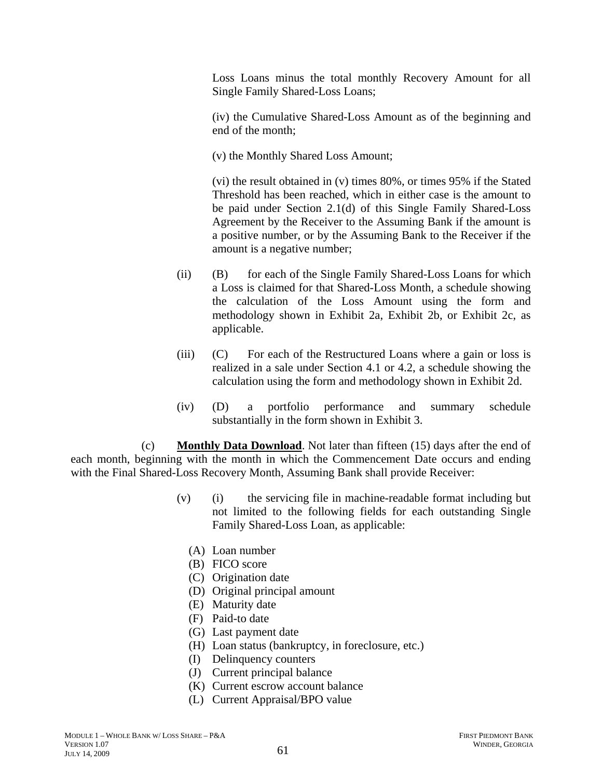Loss Loans minus the total monthly Recovery Amount for all Single Family Shared-Loss Loans;

(iv) the Cumulative Shared-Loss Amount as of the beginning and end of the month;

(v) the Monthly Shared Loss Amount;

(vi) the result obtained in (v) times 80%, or times 95% if the Stated Threshold has been reached, which in either case is the amount to be paid under Section 2.1(d) of this Single Family Shared-Loss Agreement by the Receiver to the Assuming Bank if the amount is a positive number, or by the Assuming Bank to the Receiver if the amount is a negative number;

- (ii) (B) for each of the Single Family Shared-Loss Loans for which a Loss is claimed for that Shared-Loss Month, a schedule showing the calculation of the Loss Amount using the form and methodology shown in Exhibit 2a, Exhibit 2b, or Exhibit 2c, as applicable.
- (iii) (C) For each of the Restructured Loans where a gain or loss is realized in a sale under Section 4.1 or 4.2, a schedule showing the calculation using the form and methodology shown in Exhibit 2d.
- (iv) (D) a portfolio performance and summary schedule substantially in the form shown in Exhibit 3.

(c) **Monthly Data Download**. Not later than fifteen (15) days after the end of each month, beginning with the month in which the Commencement Date occurs and ending with the Final Shared-Loss Recovery Month, Assuming Bank shall provide Receiver:

- (v) (i) the servicing file in machine-readable format including but not limited to the following fields for each outstanding Single Family Shared-Loss Loan, as applicable:
	- (A) Loan number
	- (B) FICO score
	- (C) Origination date
	- (D) Original principal amount
	- (E) Maturity date
	- (F) Paid-to date
	- (G) Last payment date
	- (H) Loan status (bankruptcy, in foreclosure, etc.)
	- (I) Delinquency counters
	- (J) Current principal balance
	- (K) Current escrow account balance
	- (L) Current Appraisal/BPO value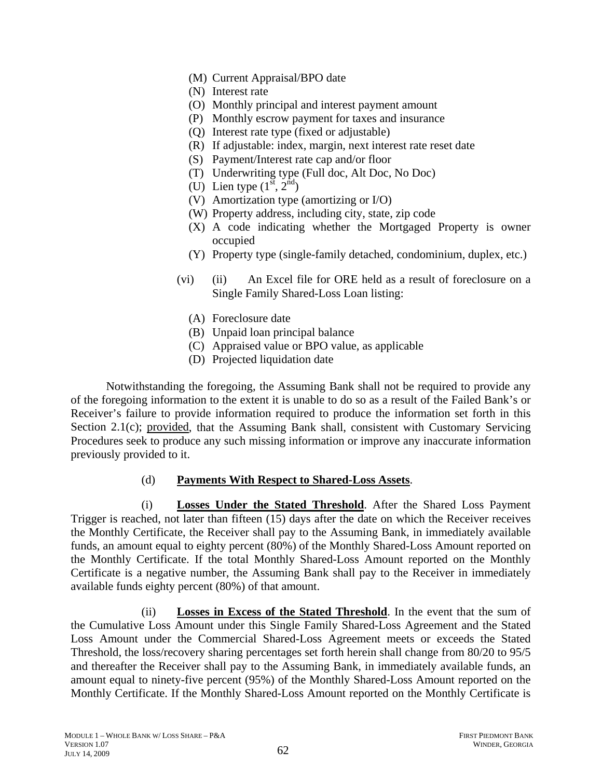- (M) Current Appraisal/BPO date
- (N) Interest rate
- (O) Monthly principal and interest payment amount
- (P) Monthly escrow payment for taxes and insurance
- (Q) Interest rate type (fixed or adjustable)
- (R) If adjustable: index, margin, next interest rate reset date
- (S) Payment/Interest rate cap and/or floor
- (T) Underwriting type (Full doc, Alt Doc, No Doc)
- (U) Lien type  $(1<sup>st</sup>, 2<sup>nd</sup>)$
- (V) Amortization type (amortizing or I/O)
- (W) Property address, including city, state, zip code
- (X) A code indicating whether the Mortgaged Property is owner occupied
- (Y) Property type (single-family detached, condominium, duplex, etc.)
- (vi) (ii) An Excel file for ORE held as a result of foreclosure on a Single Family Shared-Loss Loan listing:
	- (A) Foreclosure date
	- (B) Unpaid loan principal balance
	- (C) Appraised value or BPO value, as applicable
	- (D) Projected liquidation date

 Notwithstanding the foregoing, the Assuming Bank shall not be required to provide any of the foregoing information to the extent it is unable to do so as a result of the Failed Bank's or Receiver's failure to provide information required to produce the information set forth in this Section 2.1(c); provided, that the Assuming Bank shall, consistent with Customary Servicing Procedures seek to produce any such missing information or improve any inaccurate information previously provided to it.

### (d) **Payments With Respect to Shared-Loss Assets**.

(i) **Losses Under the Stated Threshold**. After the Shared Loss Payment Trigger is reached, not later than fifteen (15) days after the date on which the Receiver receives the Monthly Certificate, the Receiver shall pay to the Assuming Bank, in immediately available funds, an amount equal to eighty percent (80%) of the Monthly Shared-Loss Amount reported on the Monthly Certificate. If the total Monthly Shared-Loss Amount reported on the Monthly Certificate is a negative number, the Assuming Bank shall pay to the Receiver in immediately available funds eighty percent (80%) of that amount.

(ii) **Losses in Excess of the Stated Threshold**. In the event that the sum of the Cumulative Loss Amount under this Single Family Shared-Loss Agreement and the Stated Loss Amount under the Commercial Shared-Loss Agreement meets or exceeds the Stated Threshold, the loss/recovery sharing percentages set forth herein shall change from 80/20 to 95/5 and thereafter the Receiver shall pay to the Assuming Bank, in immediately available funds, an amount equal to ninety-five percent (95%) of the Monthly Shared-Loss Amount reported on the Monthly Certificate. If the Monthly Shared-Loss Amount reported on the Monthly Certificate is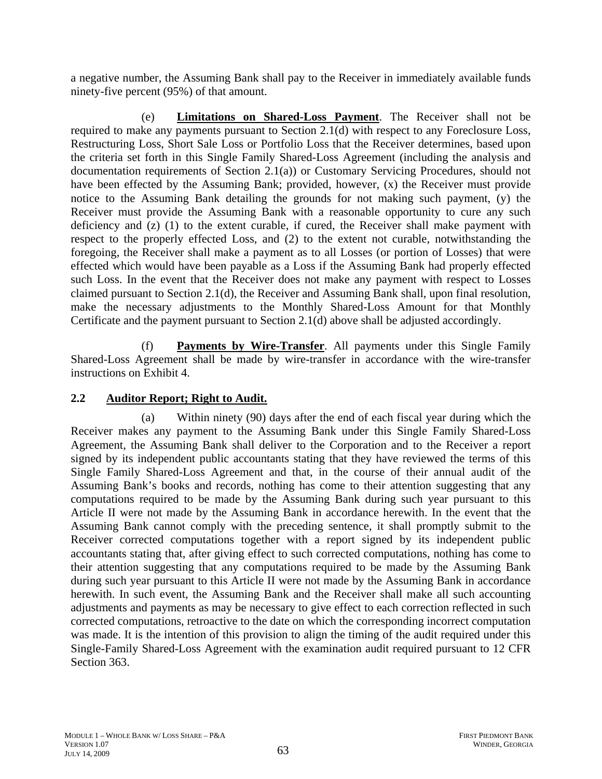a negative number, the Assuming Bank shall pay to the Receiver in immediately available funds ninety-five percent (95%) of that amount.

(e) **Limitations on Shared-Loss Payment**. The Receiver shall not be required to make any payments pursuant to Section 2.1(d) with respect to any Foreclosure Loss, Restructuring Loss, Short Sale Loss or Portfolio Loss that the Receiver determines, based upon the criteria set forth in this Single Family Shared-Loss Agreement (including the analysis and documentation requirements of Section 2.1(a)) or Customary Servicing Procedures, should not have been effected by the Assuming Bank; provided, however, (x) the Receiver must provide notice to the Assuming Bank detailing the grounds for not making such payment, (y) the Receiver must provide the Assuming Bank with a reasonable opportunity to cure any such deficiency and (z) (1) to the extent curable, if cured, the Receiver shall make payment with respect to the properly effected Loss, and (2) to the extent not curable, notwithstanding the foregoing, the Receiver shall make a payment as to all Losses (or portion of Losses) that were effected which would have been payable as a Loss if the Assuming Bank had properly effected such Loss. In the event that the Receiver does not make any payment with respect to Losses claimed pursuant to Section 2.1(d), the Receiver and Assuming Bank shall, upon final resolution, make the necessary adjustments to the Monthly Shared-Loss Amount for that Monthly Certificate and the payment pursuant to Section 2.1(d) above shall be adjusted accordingly.

(f) **Payments by Wire-Transfer**. All payments under this Single Family Shared-Loss Agreement shall be made by wire-transfer in accordance with the wire-transfer instructions on Exhibit 4.

# **2.2 Auditor Report; Right to Audit.**

(a) Within ninety (90) days after the end of each fiscal year during which the Receiver makes any payment to the Assuming Bank under this Single Family Shared-Loss Agreement, the Assuming Bank shall deliver to the Corporation and to the Receiver a report signed by its independent public accountants stating that they have reviewed the terms of this Single Family Shared-Loss Agreement and that, in the course of their annual audit of the Assuming Bank's books and records, nothing has come to their attention suggesting that any computations required to be made by the Assuming Bank during such year pursuant to this Article II were not made by the Assuming Bank in accordance herewith. In the event that the Assuming Bank cannot comply with the preceding sentence, it shall promptly submit to the Receiver corrected computations together with a report signed by its independent public accountants stating that, after giving effect to such corrected computations, nothing has come to their attention suggesting that any computations required to be made by the Assuming Bank during such year pursuant to this Article II were not made by the Assuming Bank in accordance herewith. In such event, the Assuming Bank and the Receiver shall make all such accounting adjustments and payments as may be necessary to give effect to each correction reflected in such corrected computations, retroactive to the date on which the corresponding incorrect computation was made. It is the intention of this provision to align the timing of the audit required under this Single-Family Shared-Loss Agreement with the examination audit required pursuant to 12 CFR Section 363.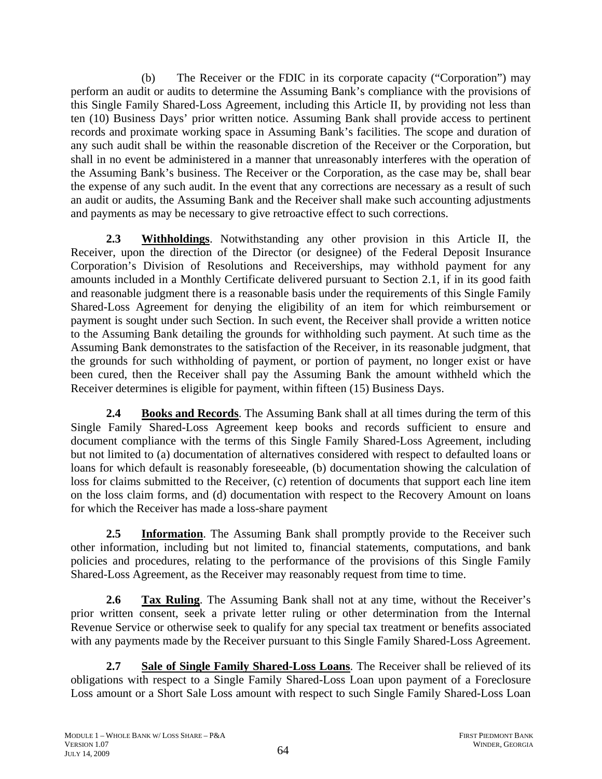(b) The Receiver or the FDIC in its corporate capacity ("Corporation") may perform an audit or audits to determine the Assuming Bank's compliance with the provisions of this Single Family Shared-Loss Agreement, including this Article II, by providing not less than ten (10) Business Days' prior written notice. Assuming Bank shall provide access to pertinent records and proximate working space in Assuming Bank's facilities. The scope and duration of any such audit shall be within the reasonable discretion of the Receiver or the Corporation, but shall in no event be administered in a manner that unreasonably interferes with the operation of the Assuming Bank's business. The Receiver or the Corporation, as the case may be, shall bear the expense of any such audit. In the event that any corrections are necessary as a result of such an audit or audits, the Assuming Bank and the Receiver shall make such accounting adjustments and payments as may be necessary to give retroactive effect to such corrections.

**2.3 Withholdings**. Notwithstanding any other provision in this Article II, the Receiver, upon the direction of the Director (or designee) of the Federal Deposit Insurance Corporation's Division of Resolutions and Receiverships, may withhold payment for any amounts included in a Monthly Certificate delivered pursuant to Section 2.1, if in its good faith and reasonable judgment there is a reasonable basis under the requirements of this Single Family Shared-Loss Agreement for denying the eligibility of an item for which reimbursement or payment is sought under such Section. In such event, the Receiver shall provide a written notice to the Assuming Bank detailing the grounds for withholding such payment. At such time as the Assuming Bank demonstrates to the satisfaction of the Receiver, in its reasonable judgment, that the grounds for such withholding of payment, or portion of payment, no longer exist or have been cured, then the Receiver shall pay the Assuming Bank the amount withheld which the Receiver determines is eligible for payment, within fifteen (15) Business Days.

**2.4 Books and Records**. The Assuming Bank shall at all times during the term of this Single Family Shared-Loss Agreement keep books and records sufficient to ensure and document compliance with the terms of this Single Family Shared-Loss Agreement, including but not limited to (a) documentation of alternatives considered with respect to defaulted loans or loans for which default is reasonably foreseeable, (b) documentation showing the calculation of loss for claims submitted to the Receiver, (c) retention of documents that support each line item on the loss claim forms, and (d) documentation with respect to the Recovery Amount on loans for which the Receiver has made a loss-share payment

2.5 **Information**. The Assuming Bank shall promptly provide to the Receiver such other information, including but not limited to, financial statements, computations, and bank policies and procedures, relating to the performance of the provisions of this Single Family Shared-Loss Agreement, as the Receiver may reasonably request from time to time.

**2.6 Tax Ruling**. The Assuming Bank shall not at any time, without the Receiver's prior written consent, seek a private letter ruling or other determination from the Internal Revenue Service or otherwise seek to qualify for any special tax treatment or benefits associated with any payments made by the Receiver pursuant to this Single Family Shared-Loss Agreement.

**2.7 Sale of Single Family Shared-Loss Loans**. The Receiver shall be relieved of its obligations with respect to a Single Family Shared-Loss Loan upon payment of a Foreclosure Loss amount or a Short Sale Loss amount with respect to such Single Family Shared-Loss Loan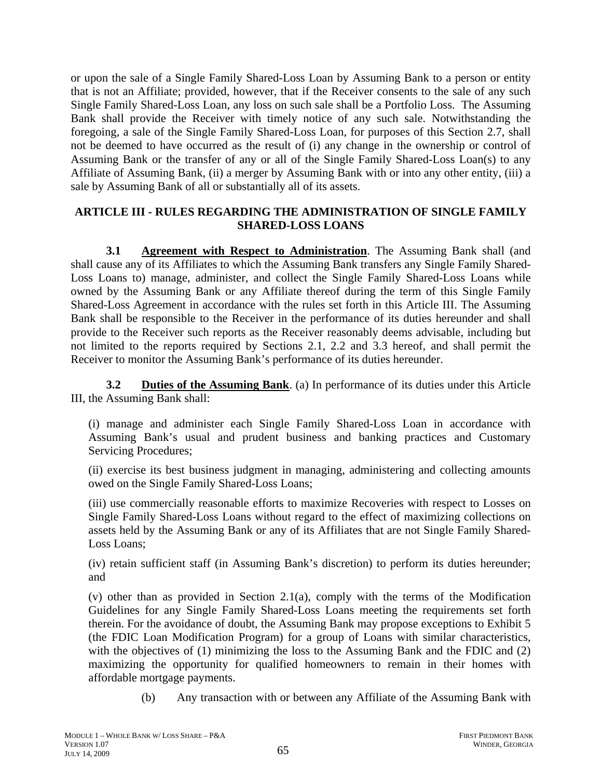or upon the sale of a Single Family Shared-Loss Loan by Assuming Bank to a person or entity that is not an Affiliate; provided, however, that if the Receiver consents to the sale of any such Single Family Shared-Loss Loan, any loss on such sale shall be a Portfolio Loss. The Assuming Bank shall provide the Receiver with timely notice of any such sale. Notwithstanding the foregoing, a sale of the Single Family Shared-Loss Loan, for purposes of this Section 2.7, shall not be deemed to have occurred as the result of (i) any change in the ownership or control of Assuming Bank or the transfer of any or all of the Single Family Shared-Loss Loan(s) to any Affiliate of Assuming Bank, (ii) a merger by Assuming Bank with or into any other entity, (iii) a sale by Assuming Bank of all or substantially all of its assets.

### **ARTICLE III - RULES REGARDING THE ADMINISTRATION OF SINGLE FAMILY SHARED-LOSS LOANS**

**3.1 Agreement with Respect to Administration**. The Assuming Bank shall (and shall cause any of its Affiliates to which the Assuming Bank transfers any Single Family Shared-Loss Loans to) manage, administer, and collect the Single Family Shared-Loss Loans while owned by the Assuming Bank or any Affiliate thereof during the term of this Single Family Shared-Loss Agreement in accordance with the rules set forth in this Article III. The Assuming Bank shall be responsible to the Receiver in the performance of its duties hereunder and shall provide to the Receiver such reports as the Receiver reasonably deems advisable, including but not limited to the reports required by Sections 2.1, 2.2 and 3.3 hereof, and shall permit the Receiver to monitor the Assuming Bank's performance of its duties hereunder.

**3.2 Duties of the Assuming Bank**. (a) In performance of its duties under this Article III, the Assuming Bank shall:

(i) manage and administer each Single Family Shared-Loss Loan in accordance with Assuming Bank's usual and prudent business and banking practices and Customary Servicing Procedures;

(ii) exercise its best business judgment in managing, administering and collecting amounts owed on the Single Family Shared-Loss Loans;

(iii) use commercially reasonable efforts to maximize Recoveries with respect to Losses on Single Family Shared-Loss Loans without regard to the effect of maximizing collections on assets held by the Assuming Bank or any of its Affiliates that are not Single Family Shared-Loss Loans;

(iv) retain sufficient staff (in Assuming Bank's discretion) to perform its duties hereunder; and

(v) other than as provided in Section 2.1(a), comply with the terms of the Modification Guidelines for any Single Family Shared-Loss Loans meeting the requirements set forth therein. For the avoidance of doubt, the Assuming Bank may propose exceptions to Exhibit 5 (the FDIC Loan Modification Program) for a group of Loans with similar characteristics, with the objectives of (1) minimizing the loss to the Assuming Bank and the FDIC and (2) maximizing the opportunity for qualified homeowners to remain in their homes with affordable mortgage payments.

(b) Any transaction with or between any Affiliate of the Assuming Bank with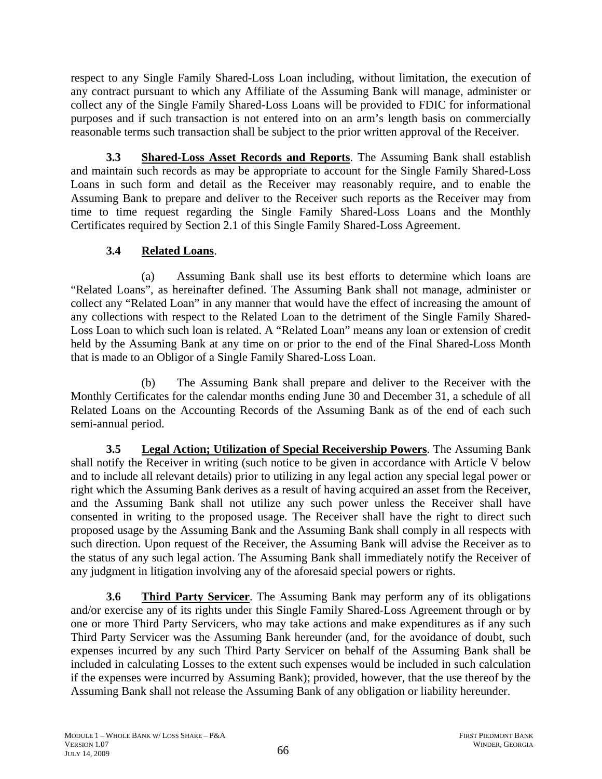respect to any Single Family Shared-Loss Loan including, without limitation, the execution of any contract pursuant to which any Affiliate of the Assuming Bank will manage, administer or collect any of the Single Family Shared-Loss Loans will be provided to FDIC for informational purposes and if such transaction is not entered into on an arm's length basis on commercially reasonable terms such transaction shall be subject to the prior written approval of the Receiver.

**3.3 Shared-Loss Asset Records and Reports**. The Assuming Bank shall establish and maintain such records as may be appropriate to account for the Single Family Shared-Loss Loans in such form and detail as the Receiver may reasonably require, and to enable the Assuming Bank to prepare and deliver to the Receiver such reports as the Receiver may from time to time request regarding the Single Family Shared-Loss Loans and the Monthly Certificates required by Section 2.1 of this Single Family Shared-Loss Agreement.

# **3.4 Related Loans**.

(a) Assuming Bank shall use its best efforts to determine which loans are "Related Loans", as hereinafter defined. The Assuming Bank shall not manage, administer or collect any "Related Loan" in any manner that would have the effect of increasing the amount of any collections with respect to the Related Loan to the detriment of the Single Family Shared-Loss Loan to which such loan is related. A "Related Loan" means any loan or extension of credit held by the Assuming Bank at any time on or prior to the end of the Final Shared-Loss Month that is made to an Obligor of a Single Family Shared-Loss Loan.

(b) The Assuming Bank shall prepare and deliver to the Receiver with the Monthly Certificates for the calendar months ending June 30 and December 31, a schedule of all Related Loans on the Accounting Records of the Assuming Bank as of the end of each such semi-annual period.

**3.5 Legal Action; Utilization of Special Receivership Powers**. The Assuming Bank shall notify the Receiver in writing (such notice to be given in accordance with Article V below and to include all relevant details) prior to utilizing in any legal action any special legal power or right which the Assuming Bank derives as a result of having acquired an asset from the Receiver, and the Assuming Bank shall not utilize any such power unless the Receiver shall have consented in writing to the proposed usage. The Receiver shall have the right to direct such proposed usage by the Assuming Bank and the Assuming Bank shall comply in all respects with such direction. Upon request of the Receiver, the Assuming Bank will advise the Receiver as to the status of any such legal action. The Assuming Bank shall immediately notify the Receiver of any judgment in litigation involving any of the aforesaid special powers or rights.

**3.6 Third Party Servicer**. The Assuming Bank may perform any of its obligations and/or exercise any of its rights under this Single Family Shared-Loss Agreement through or by one or more Third Party Servicers, who may take actions and make expenditures as if any such Third Party Servicer was the Assuming Bank hereunder (and, for the avoidance of doubt, such expenses incurred by any such Third Party Servicer on behalf of the Assuming Bank shall be included in calculating Losses to the extent such expenses would be included in such calculation if the expenses were incurred by Assuming Bank); provided, however, that the use thereof by the Assuming Bank shall not release the Assuming Bank of any obligation or liability hereunder.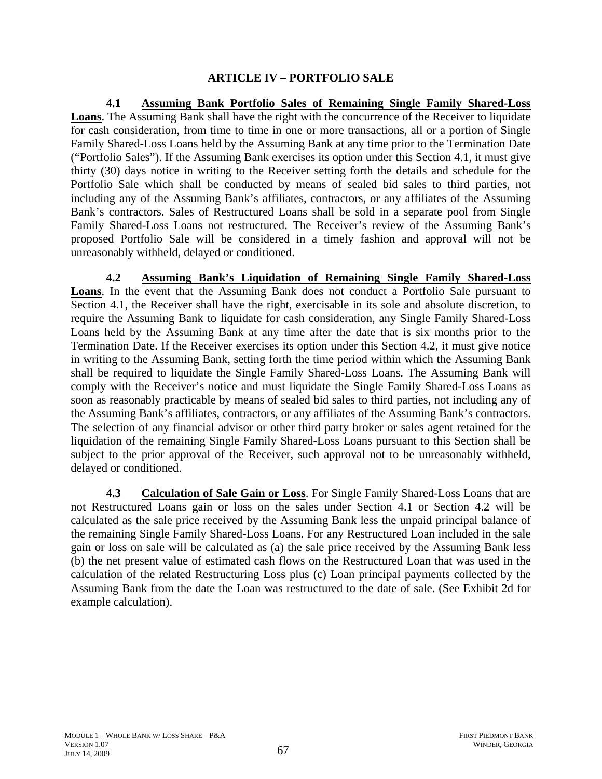### **ARTICLE IV – PORTFOLIO SALE**

**4.1 Assuming Bank Portfolio Sales of Remaining Single Family Shared-Loss Loans**. The Assuming Bank shall have the right with the concurrence of the Receiver to liquidate for cash consideration, from time to time in one or more transactions, all or a portion of Single Family Shared-Loss Loans held by the Assuming Bank at any time prior to the Termination Date ("Portfolio Sales"). If the Assuming Bank exercises its option under this Section 4.1, it must give thirty (30) days notice in writing to the Receiver setting forth the details and schedule for the Portfolio Sale which shall be conducted by means of sealed bid sales to third parties, not including any of the Assuming Bank's affiliates, contractors, or any affiliates of the Assuming Bank's contractors. Sales of Restructured Loans shall be sold in a separate pool from Single Family Shared-Loss Loans not restructured. The Receiver's review of the Assuming Bank's proposed Portfolio Sale will be considered in a timely fashion and approval will not be unreasonably withheld, delayed or conditioned.

**4.2 Assuming Bank's Liquidation of Remaining Single Family Shared-Loss Loans**. In the event that the Assuming Bank does not conduct a Portfolio Sale pursuant to Section 4.1, the Receiver shall have the right, exercisable in its sole and absolute discretion, to require the Assuming Bank to liquidate for cash consideration, any Single Family Shared-Loss Loans held by the Assuming Bank at any time after the date that is six months prior to the Termination Date. If the Receiver exercises its option under this Section 4.2, it must give notice in writing to the Assuming Bank, setting forth the time period within which the Assuming Bank shall be required to liquidate the Single Family Shared-Loss Loans. The Assuming Bank will comply with the Receiver's notice and must liquidate the Single Family Shared-Loss Loans as soon as reasonably practicable by means of sealed bid sales to third parties, not including any of the Assuming Bank's affiliates, contractors, or any affiliates of the Assuming Bank's contractors. The selection of any financial advisor or other third party broker or sales agent retained for the liquidation of the remaining Single Family Shared-Loss Loans pursuant to this Section shall be subject to the prior approval of the Receiver, such approval not to be unreasonably withheld, delayed or conditioned.

**4.3 Calculation of Sale Gain or Loss**. For Single Family Shared-Loss Loans that are not Restructured Loans gain or loss on the sales under Section 4.1 or Section 4.2 will be calculated as the sale price received by the Assuming Bank less the unpaid principal balance of the remaining Single Family Shared-Loss Loans. For any Restructured Loan included in the sale gain or loss on sale will be calculated as (a) the sale price received by the Assuming Bank less (b) the net present value of estimated cash flows on the Restructured Loan that was used in the calculation of the related Restructuring Loss plus (c) Loan principal payments collected by the Assuming Bank from the date the Loan was restructured to the date of sale. (See Exhibit 2d for example calculation).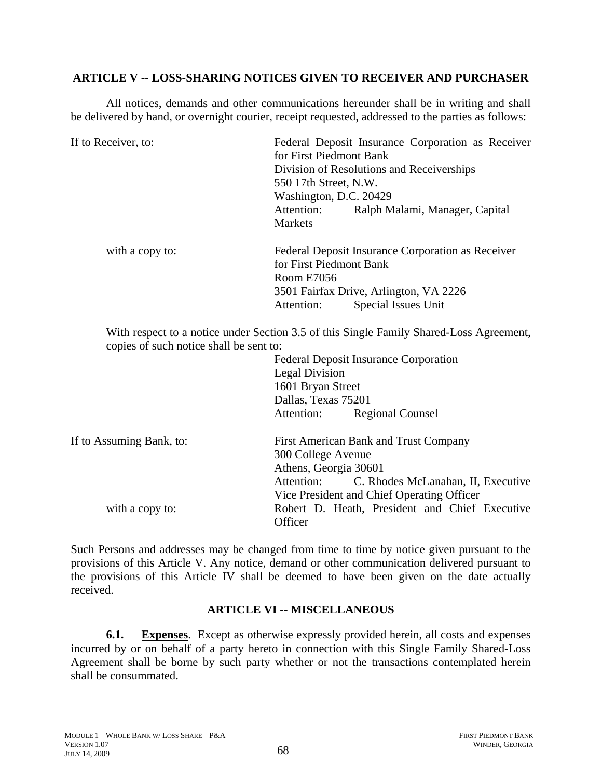#### **ARTICLE V -- LOSS-SHARING NOTICES GIVEN TO RECEIVER AND PURCHASER**

All notices, demands and other communications hereunder shall be in writing and shall be delivered by hand, or overnight courier, receipt requested, addressed to the parties as follows:

| If to Receiver, to:                     | Federal Deposit Insurance Corporation as Receiver<br>for First Piedmont Bank<br>Division of Resolutions and Receiverships<br>550 17th Street, N.W. |
|-----------------------------------------|----------------------------------------------------------------------------------------------------------------------------------------------------|
|                                         | Washington, D.C. 20429                                                                                                                             |
|                                         | Attention:<br>Ralph Malami, Manager, Capital<br><b>Markets</b>                                                                                     |
| with a copy to:                         | Federal Deposit Insurance Corporation as Receiver                                                                                                  |
|                                         | for First Piedmont Bank                                                                                                                            |
|                                         | Room E7056                                                                                                                                         |
|                                         | 3501 Fairfax Drive, Arlington, VA 2226                                                                                                             |
|                                         | Attention:<br>Special Issues Unit                                                                                                                  |
| copies of such notice shall be sent to: | With respect to a notice under Section 3.5 of this Single Family Shared-Loss Agreement,                                                            |
|                                         | <b>Federal Deposit Insurance Corporation</b>                                                                                                       |
|                                         | <b>Legal Division</b>                                                                                                                              |
|                                         | 1601 Bryan Street                                                                                                                                  |
|                                         | Dallas, Texas 75201                                                                                                                                |
|                                         | Attention:<br><b>Regional Counsel</b>                                                                                                              |
| If to Assuming Bank, to:                | First American Bank and Trust Company                                                                                                              |
|                                         | 300 College Avenue                                                                                                                                 |
|                                         | Athens, Georgia 30601                                                                                                                              |
|                                         | Attention:<br>C. Rhodes McLanahan, II, Executive                                                                                                   |
|                                         | Vice President and Chief Operating Officer                                                                                                         |
| with a copy to:                         | Robert D. Heath, President and Chief Executive                                                                                                     |

Such Persons and addresses may be changed from time to time by notice given pursuant to the provisions of this Article V. Any notice, demand or other communication delivered pursuant to the provisions of this Article IV shall be deemed to have been given on the date actually received.

**Officer** 

#### **ARTICLE VI -- MISCELLANEOUS**

**6.1. Expenses**. Except as otherwise expressly provided herein, all costs and expenses incurred by or on behalf of a party hereto in connection with this Single Family Shared-Loss Agreement shall be borne by such party whether or not the transactions contemplated herein shall be consummated.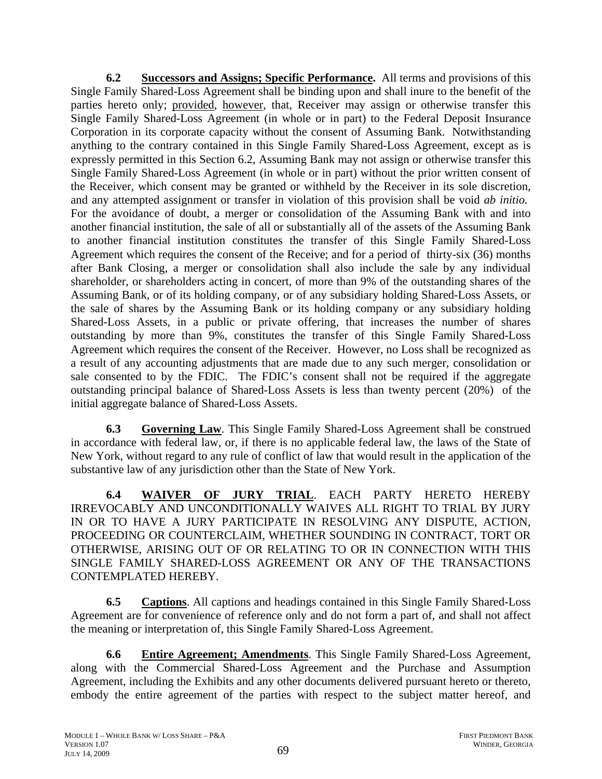**6.2 Successors and Assigns; Specific Performance.** All terms and provisions of this Single Family Shared-Loss Agreement shall be binding upon and shall inure to the benefit of the parties hereto only; provided, however, that, Receiver may assign or otherwise transfer this Single Family Shared-Loss Agreement (in whole or in part) to the Federal Deposit Insurance Corporation in its corporate capacity without the consent of Assuming Bank. Notwithstanding anything to the contrary contained in this Single Family Shared-Loss Agreement, except as is expressly permitted in this Section 6.2, Assuming Bank may not assign or otherwise transfer this Single Family Shared-Loss Agreement (in whole or in part) without the prior written consent of the Receiver, which consent may be granted or withheld by the Receiver in its sole discretion, and any attempted assignment or transfer in violation of this provision shall be void *ab initio.*  For the avoidance of doubt, a merger or consolidation of the Assuming Bank with and into another financial institution, the sale of all or substantially all of the assets of the Assuming Bank to another financial institution constitutes the transfer of this Single Family Shared-Loss Agreement which requires the consent of the Receive; and for a period of thirty-six (36) months after Bank Closing, a merger or consolidation shall also include the sale by any individual shareholder, or shareholders acting in concert, of more than 9% of the outstanding shares of the Assuming Bank, or of its holding company, or of any subsidiary holding Shared-Loss Assets, or the sale of shares by the Assuming Bank or its holding company or any subsidiary holding Shared-Loss Assets, in a public or private offering, that increases the number of shares outstanding by more than 9%, constitutes the transfer of this Single Family Shared-Loss Agreement which requires the consent of the Receiver. However, no Loss shall be recognized as a result of any accounting adjustments that are made due to any such merger, consolidation or sale consented to by the FDIC. The FDIC's consent shall not be required if the aggregate outstanding principal balance of Shared-Loss Assets is less than twenty percent (20%) of the initial aggregate balance of Shared-Loss Assets.

**6.3 Governing Law**. This Single Family Shared-Loss Agreement shall be construed in accordance with federal law, or, if there is no applicable federal law, the laws of the State of New York, without regard to any rule of conflict of law that would result in the application of the substantive law of any jurisdiction other than the State of New York.

**6.4 WAIVER OF JURY TRIAL**. EACH PARTY HERETO HEREBY IRREVOCABLY AND UNCONDITIONALLY WAIVES ALL RIGHT TO TRIAL BY JURY IN OR TO HAVE A JURY PARTICIPATE IN RESOLVING ANY DISPUTE, ACTION, PROCEEDING OR COUNTERCLAIM, WHETHER SOUNDING IN CONTRACT, TORT OR OTHERWISE, ARISING OUT OF OR RELATING TO OR IN CONNECTION WITH THIS SINGLE FAMILY SHARED-LOSS AGREEMENT OR ANY OF THE TRANSACTIONS CONTEMPLATED HEREBY.

**6.5 Captions**. All captions and headings contained in this Single Family Shared-Loss Agreement are for convenience of reference only and do not form a part of, and shall not affect the meaning or interpretation of, this Single Family Shared-Loss Agreement.

**6.6 Entire Agreement; Amendments**. This Single Family Shared-Loss Agreement, along with the Commercial Shared-Loss Agreement and the Purchase and Assumption Agreement, including the Exhibits and any other documents delivered pursuant hereto or thereto, embody the entire agreement of the parties with respect to the subject matter hereof, and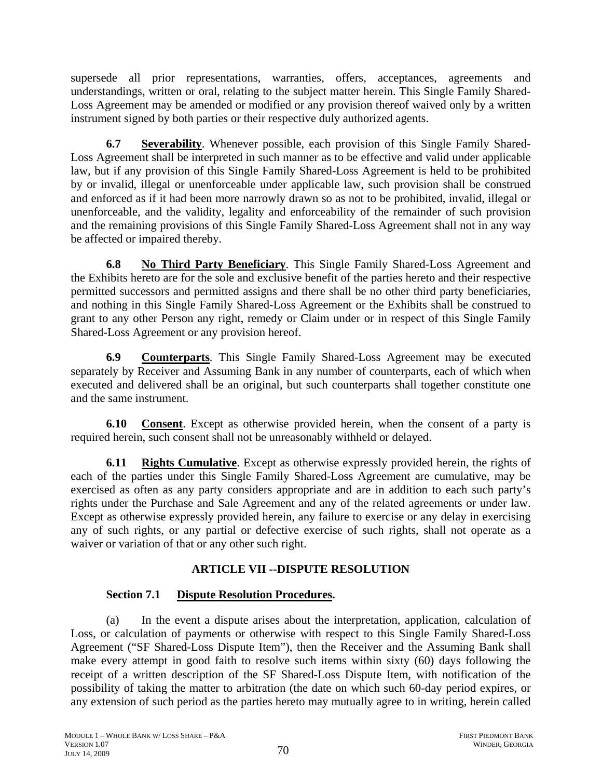supersede all prior representations, warranties, offers, acceptances, agreements and understandings, written or oral, relating to the subject matter herein. This Single Family Shared-Loss Agreement may be amended or modified or any provision thereof waived only by a written instrument signed by both parties or their respective duly authorized agents.

**6.7 Severability**. Whenever possible, each provision of this Single Family Shared-Loss Agreement shall be interpreted in such manner as to be effective and valid under applicable law, but if any provision of this Single Family Shared-Loss Agreement is held to be prohibited by or invalid, illegal or unenforceable under applicable law, such provision shall be construed and enforced as if it had been more narrowly drawn so as not to be prohibited, invalid, illegal or unenforceable, and the validity, legality and enforceability of the remainder of such provision and the remaining provisions of this Single Family Shared-Loss Agreement shall not in any way be affected or impaired thereby.

**6.8 No Third Party Beneficiary.** This Single Family Shared-Loss Agreement and the Exhibits hereto are for the sole and exclusive benefit of the parties hereto and their respective permitted successors and permitted assigns and there shall be no other third party beneficiaries, and nothing in this Single Family Shared-Loss Agreement or the Exhibits shall be construed to grant to any other Person any right, remedy or Claim under or in respect of this Single Family Shared-Loss Agreement or any provision hereof.

**6.9 Counterparts**. This Single Family Shared-Loss Agreement may be executed separately by Receiver and Assuming Bank in any number of counterparts, each of which when executed and delivered shall be an original, but such counterparts shall together constitute one and the same instrument.

**6.10 Consent**. Except as otherwise provided herein, when the consent of a party is required herein, such consent shall not be unreasonably withheld or delayed.

**6.11 Rights Cumulative**. Except as otherwise expressly provided herein, the rights of each of the parties under this Single Family Shared-Loss Agreement are cumulative, may be exercised as often as any party considers appropriate and are in addition to each such party's rights under the Purchase and Sale Agreement and any of the related agreements or under law. Except as otherwise expressly provided herein, any failure to exercise or any delay in exercising any of such rights, or any partial or defective exercise of such rights, shall not operate as a waiver or variation of that or any other such right.

# **ARTICLE VII --DISPUTE RESOLUTION**

# **Section 7.1 Dispute Resolution Procedures.**

(a) In the event a dispute arises about the interpretation, application, calculation of Loss, or calculation of payments or otherwise with respect to this Single Family Shared-Loss Agreement ("SF Shared-Loss Dispute Item"), then the Receiver and the Assuming Bank shall make every attempt in good faith to resolve such items within sixty (60) days following the receipt of a written description of the SF Shared-Loss Dispute Item, with notification of the possibility of taking the matter to arbitration (the date on which such 60-day period expires, or any extension of such period as the parties hereto may mutually agree to in writing, herein called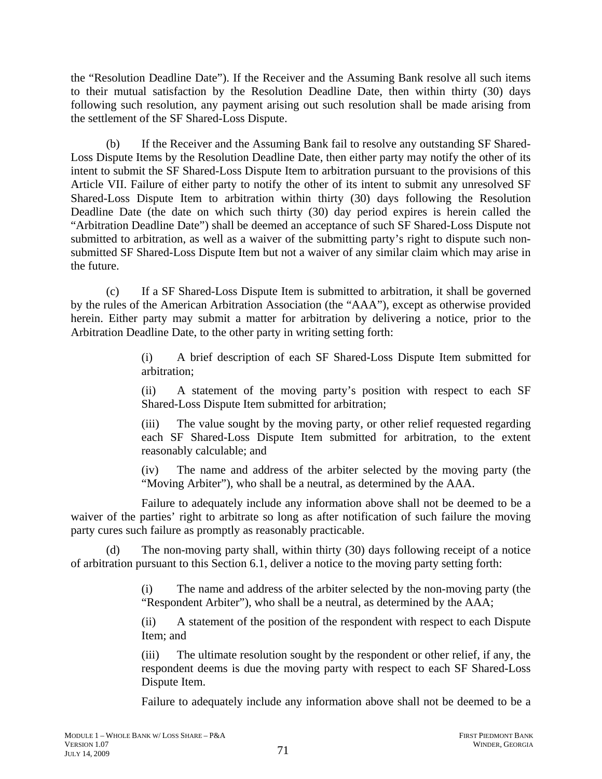the "Resolution Deadline Date"). If the Receiver and the Assuming Bank resolve all such items to their mutual satisfaction by the Resolution Deadline Date, then within thirty (30) days following such resolution, any payment arising out such resolution shall be made arising from the settlement of the SF Shared-Loss Dispute.

(b) If the Receiver and the Assuming Bank fail to resolve any outstanding SF Shared-Loss Dispute Items by the Resolution Deadline Date, then either party may notify the other of its intent to submit the SF Shared-Loss Dispute Item to arbitration pursuant to the provisions of this Article VII. Failure of either party to notify the other of its intent to submit any unresolved SF Shared-Loss Dispute Item to arbitration within thirty (30) days following the Resolution Deadline Date (the date on which such thirty (30) day period expires is herein called the "Arbitration Deadline Date") shall be deemed an acceptance of such SF Shared-Loss Dispute not submitted to arbitration, as well as a waiver of the submitting party's right to dispute such nonsubmitted SF Shared-Loss Dispute Item but not a waiver of any similar claim which may arise in the future.

(c) If a SF Shared-Loss Dispute Item is submitted to arbitration, it shall be governed by the rules of the American Arbitration Association (the "AAA"), except as otherwise provided herein. Either party may submit a matter for arbitration by delivering a notice, prior to the Arbitration Deadline Date, to the other party in writing setting forth:

> (i) A brief description of each SF Shared-Loss Dispute Item submitted for arbitration;

> (ii) A statement of the moving party's position with respect to each SF Shared-Loss Dispute Item submitted for arbitration;

> (iii) The value sought by the moving party, or other relief requested regarding each SF Shared-Loss Dispute Item submitted for arbitration, to the extent reasonably calculable; and

> (iv) The name and address of the arbiter selected by the moving party (the "Moving Arbiter"), who shall be a neutral, as determined by the AAA.

Failure to adequately include any information above shall not be deemed to be a waiver of the parties' right to arbitrate so long as after notification of such failure the moving party cures such failure as promptly as reasonably practicable.

(d) The non-moving party shall, within thirty (30) days following receipt of a notice of arbitration pursuant to this Section 6.1, deliver a notice to the moving party setting forth:

> (i) The name and address of the arbiter selected by the non-moving party (the "Respondent Arbiter"), who shall be a neutral, as determined by the AAA;

> (ii) A statement of the position of the respondent with respect to each Dispute Item; and

> (iii) The ultimate resolution sought by the respondent or other relief, if any, the respondent deems is due the moving party with respect to each SF Shared-Loss Dispute Item.

> Failure to adequately include any information above shall not be deemed to be a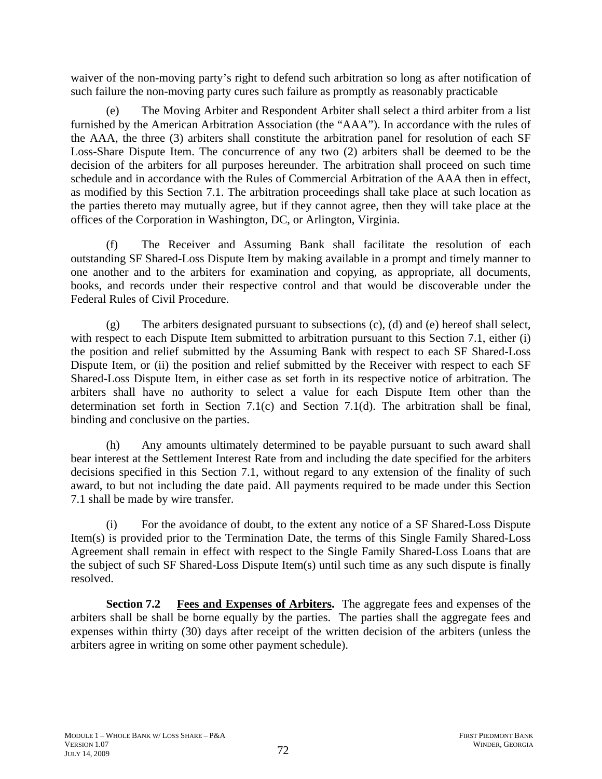waiver of the non-moving party's right to defend such arbitration so long as after notification of such failure the non-moving party cures such failure as promptly as reasonably practicable

(e) The Moving Arbiter and Respondent Arbiter shall select a third arbiter from a list furnished by the American Arbitration Association (the "AAA"). In accordance with the rules of the AAA, the three (3) arbiters shall constitute the arbitration panel for resolution of each SF Loss-Share Dispute Item. The concurrence of any two (2) arbiters shall be deemed to be the decision of the arbiters for all purposes hereunder. The arbitration shall proceed on such time schedule and in accordance with the Rules of Commercial Arbitration of the AAA then in effect, as modified by this Section 7.1. The arbitration proceedings shall take place at such location as the parties thereto may mutually agree, but if they cannot agree, then they will take place at the offices of the Corporation in Washington, DC, or Arlington, Virginia.

(f) The Receiver and Assuming Bank shall facilitate the resolution of each outstanding SF Shared-Loss Dispute Item by making available in a prompt and timely manner to one another and to the arbiters for examination and copying, as appropriate, all documents, books, and records under their respective control and that would be discoverable under the Federal Rules of Civil Procedure.

(g) The arbiters designated pursuant to subsections (c), (d) and (e) hereof shall select, with respect to each Dispute Item submitted to arbitration pursuant to this Section 7.1, either (i) the position and relief submitted by the Assuming Bank with respect to each SF Shared-Loss Dispute Item, or (ii) the position and relief submitted by the Receiver with respect to each SF Shared-Loss Dispute Item, in either case as set forth in its respective notice of arbitration. The arbiters shall have no authority to select a value for each Dispute Item other than the determination set forth in Section 7.1(c) and Section 7.1(d). The arbitration shall be final, binding and conclusive on the parties.

(h) Any amounts ultimately determined to be payable pursuant to such award shall bear interest at the Settlement Interest Rate from and including the date specified for the arbiters decisions specified in this Section 7.1, without regard to any extension of the finality of such award, to but not including the date paid. All payments required to be made under this Section 7.1 shall be made by wire transfer.

(i) For the avoidance of doubt, to the extent any notice of a SF Shared-Loss Dispute Item(s) is provided prior to the Termination Date, the terms of this Single Family Shared-Loss Agreement shall remain in effect with respect to the Single Family Shared-Loss Loans that are the subject of such SF Shared-Loss Dispute Item(s) until such time as any such dispute is finally resolved.

**Section 7.2 Fees and Expenses of Arbiters.** The aggregate fees and expenses of the arbiters shall be shall be borne equally by the parties. The parties shall the aggregate fees and expenses within thirty (30) days after receipt of the written decision of the arbiters (unless the arbiters agree in writing on some other payment schedule).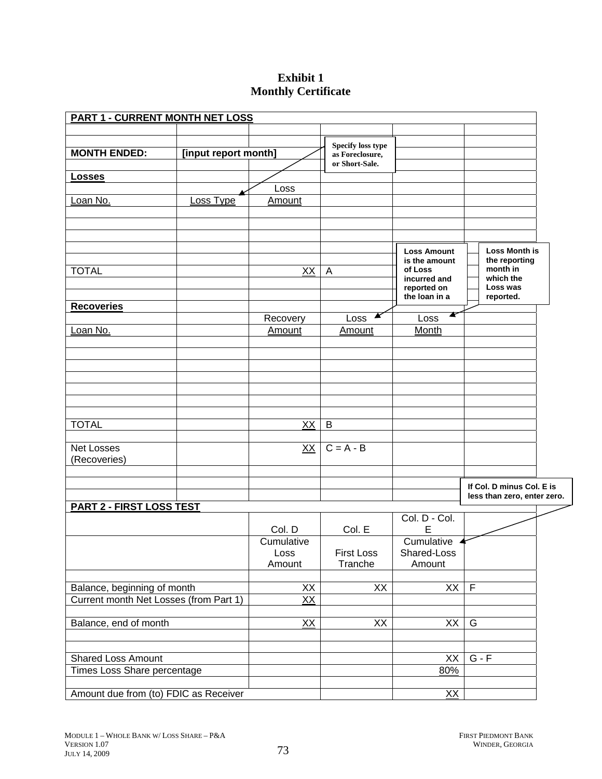# **Exhibit 1 Monthly Certificate**

| <b>PART 1 - CURRENT MONTH NET LOSS</b> |                      |                 |                                   |                                     |                                       |
|----------------------------------------|----------------------|-----------------|-----------------------------------|-------------------------------------|---------------------------------------|
|                                        |                      |                 |                                   |                                     |                                       |
|                                        |                      |                 | Specify loss type                 |                                     |                                       |
| <b>MONTH ENDED:</b>                    | [input report month] |                 | as Foreclosure,<br>or Short-Sale. |                                     |                                       |
|                                        |                      |                 |                                   |                                     |                                       |
| Losses                                 |                      |                 |                                   |                                     |                                       |
| Loan No.                               | Loss Type            | Loss            |                                   |                                     |                                       |
|                                        |                      | Amount          |                                   |                                     |                                       |
|                                        |                      |                 |                                   |                                     |                                       |
|                                        |                      |                 |                                   |                                     |                                       |
|                                        |                      |                 |                                   |                                     |                                       |
|                                        |                      |                 |                                   | <b>Loss Amount</b><br>is the amount | <b>Loss Month is</b><br>the reporting |
| <b>TOTAL</b>                           |                      | XX              | A                                 | of Loss                             | month in                              |
|                                        |                      |                 |                                   | incurred and                        | which the                             |
|                                        |                      |                 |                                   | reported on<br>the loan in a        | Loss was<br>reported.                 |
| <b>Recoveries</b>                      |                      |                 |                                   |                                     |                                       |
|                                        |                      | Recovery        | Loss                              | T<br>Loss                           |                                       |
| Loan No.                               |                      | Amount          | Amount                            | Month                               |                                       |
|                                        |                      |                 |                                   |                                     |                                       |
|                                        |                      |                 |                                   |                                     |                                       |
|                                        |                      |                 |                                   |                                     |                                       |
|                                        |                      |                 |                                   |                                     |                                       |
|                                        |                      |                 |                                   |                                     |                                       |
|                                        |                      |                 |                                   |                                     |                                       |
|                                        |                      |                 |                                   |                                     |                                       |
| <b>TOTAL</b>                           |                      | XX              | B                                 |                                     |                                       |
|                                        |                      |                 |                                   |                                     |                                       |
| Net Losses                             |                      | XX              | $C = A - B$                       |                                     |                                       |
| (Recoveries)                           |                      |                 |                                   |                                     |                                       |
|                                        |                      |                 |                                   |                                     |                                       |
|                                        |                      |                 |                                   |                                     | If Col. D minus Col. E is             |
| <b>PART 2 - FIRST LOSS TEST</b>        |                      |                 |                                   |                                     | less than zero, enter zero.           |
|                                        |                      |                 |                                   | Col. D - Col.                       |                                       |
|                                        |                      | Col. D          | Col. E                            | E                                   |                                       |
|                                        |                      | Cumulative      |                                   | Cumulative                          |                                       |
|                                        |                      | Loss            | <b>First Loss</b>                 | Shared-Loss                         |                                       |
|                                        |                      | Amount          | Tranche                           | Amount                              |                                       |
|                                        |                      |                 |                                   |                                     |                                       |
| Balance, beginning of month            |                      | XX              | $\overline{XX}$                   | $\overline{XX}$                     | $\overline{F}$                        |
| Current month Net Losses (from Part 1) |                      | $\overline{XX}$ |                                   |                                     |                                       |
|                                        |                      |                 |                                   |                                     |                                       |
| Balance, end of month                  |                      | $\overline{XX}$ | $\overline{XX}$                   | $\overline{XX}$                     | G                                     |
|                                        |                      |                 |                                   |                                     |                                       |
|                                        |                      |                 |                                   |                                     |                                       |
| <b>Shared Loss Amount</b>              |                      |                 |                                   | XX                                  | $G - F$                               |
| Times Loss Share percentage            |                      |                 |                                   | 80%                                 |                                       |
|                                        |                      |                 |                                   |                                     |                                       |
| Amount due from (to) FDIC as Receiver  |                      |                 |                                   | $\overline{XX}$                     |                                       |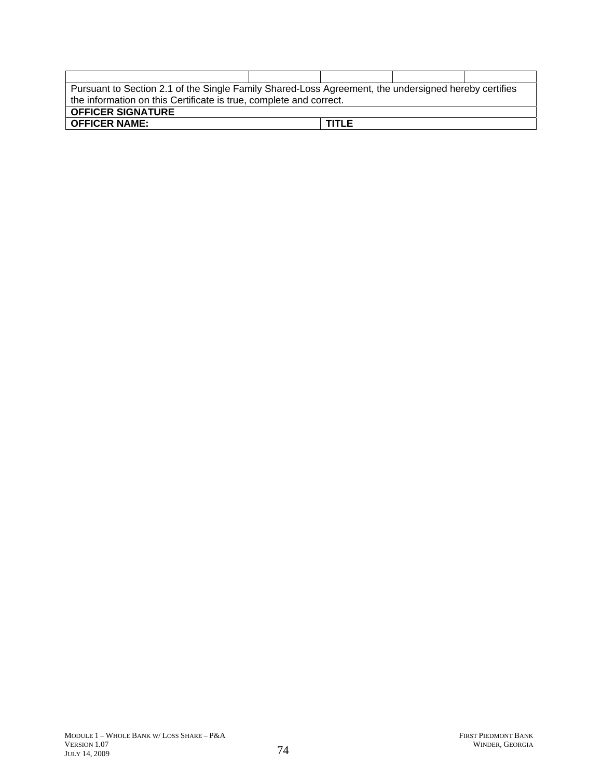| Pursuant to Section 2.1 of the Single Family Shared-Loss Agreement, the undersigned hereby certifies |  |              |  |  |  |
|------------------------------------------------------------------------------------------------------|--|--------------|--|--|--|
| the information on this Certificate is true, complete and correct.                                   |  |              |  |  |  |
| <b>OFFICER SIGNATURE</b>                                                                             |  |              |  |  |  |
| <b>OFFICER NAME:</b>                                                                                 |  | <b>TITLE</b> |  |  |  |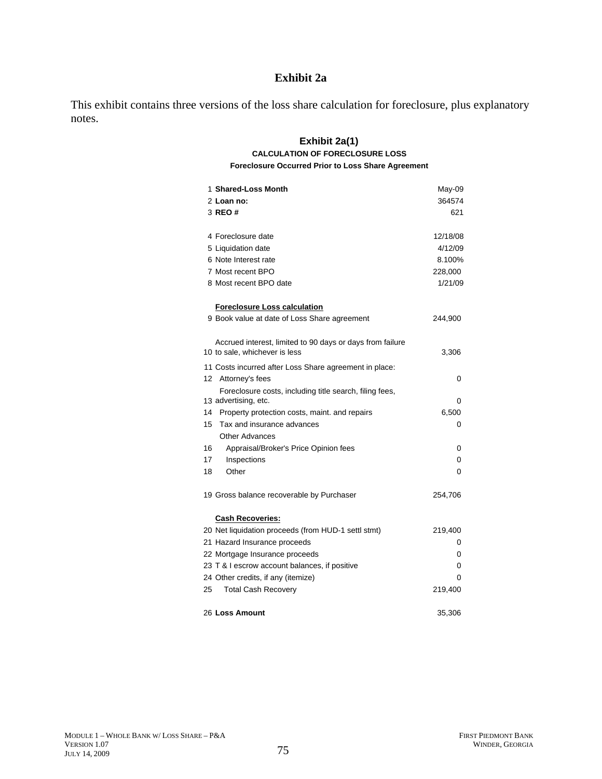## **Exhibit 2a**

This exhibit contains three versions of the loss share calculation for foreclosure, plus explanatory notes.

#### **Foreclosure Occurred Prior to Loss Share Agreement Exhibit 2a(1) CALCULATION OF FORECLOSURE LOSS**

| 1 Shared-Loss Month<br>2 Loan no:<br>3 REO #                                               | May-09<br>364574<br>621 |
|--------------------------------------------------------------------------------------------|-------------------------|
| 4 Foreclosure date                                                                         | 12/18/08                |
| 5 Liquidation date                                                                         | 4/12/09                 |
| 6 Note Interest rate                                                                       | 8.100%                  |
| 7 Most recent BPO                                                                          | 228,000                 |
| 8 Most recent BPO date                                                                     | 1/21/09                 |
| <b>Foreclosure Loss calculation</b>                                                        |                         |
| 9 Book value at date of Loss Share agreement                                               | 244,900                 |
| Accrued interest, limited to 90 days or days from failure<br>10 to sale, whichever is less | 3,306                   |
| 11 Costs incurred after Loss Share agreement in place:                                     |                         |
| 12<br>Attorney's fees                                                                      | 0                       |
| Foreclosure costs, including title search, filing fees,                                    |                         |
| 13 advertising, etc.                                                                       | 0                       |
| 14<br>Property protection costs, maint. and repairs                                        | 6,500                   |
| 15<br>Tax and insurance advances                                                           | 0                       |
| <b>Other Advances</b>                                                                      |                         |
| 16<br>Appraisal/Broker's Price Opinion fees                                                | 0                       |
| 17<br>Inspections                                                                          | 0                       |
| Other<br>18                                                                                | 0                       |
| 19 Gross balance recoverable by Purchaser                                                  | 254,706                 |
| <b>Cash Recoveries:</b>                                                                    |                         |
| 20 Net liquidation proceeds (from HUD-1 settl stmt)                                        | 219,400                 |
| 21 Hazard Insurance proceeds                                                               | 0                       |
| 22 Mortgage Insurance proceeds                                                             | 0                       |
| 23 T & I escrow account balances, if positive                                              | 0                       |
| 24 Other credits, if any (itemize)                                                         | 0                       |
| 25<br><b>Total Cash Recovery</b>                                                           | 219,400                 |
| 26 Loss Amount                                                                             | 35,306                  |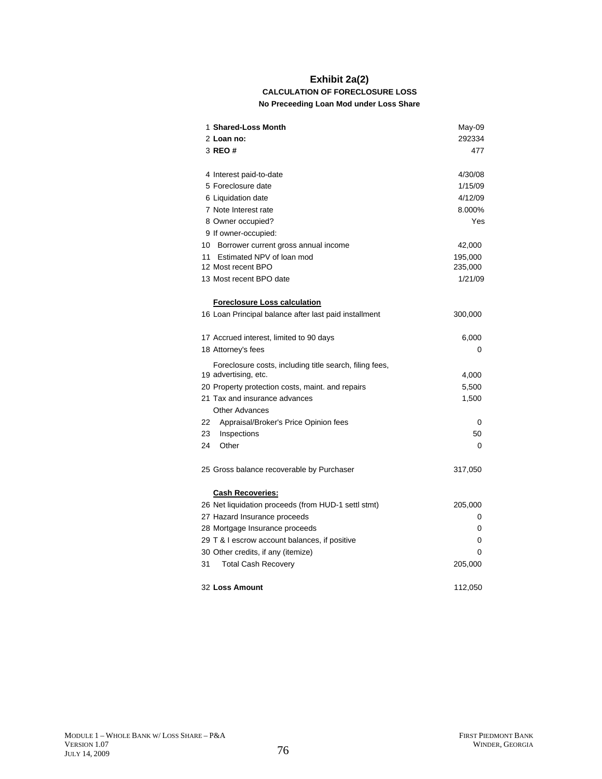### **Exhibit 2a(2)**

### **CALCULATION OF FORECLOSURE LOSS**

#### **No Preceeding Loan Mod under Loss Share**

| 1 Shared-Loss Month                                     | May-09  |
|---------------------------------------------------------|---------|
| 2 Loan no:                                              | 292334  |
| 3 REO #                                                 | 477     |
| 4 Interest paid-to-date                                 | 4/30/08 |
| 5 Foreclosure date                                      | 1/15/09 |
| 6 Liquidation date                                      | 4/12/09 |
| 7 Note Interest rate                                    | 8.000%  |
| 8 Owner occupied?                                       | Yes     |
| 9 If owner-occupied:                                    |         |
| 10<br>Borrower current gross annual income              | 42,000  |
| 11<br>Estimated NPV of loan mod                         | 195,000 |
| 12 Most recent BPO                                      | 235,000 |
| 13 Most recent BPO date                                 | 1/21/09 |
| <b>Foreclosure Loss calculation</b>                     |         |
| 16 Loan Principal balance after last paid installment   | 300,000 |
| 17 Accrued interest, limited to 90 days                 | 6,000   |
| 18 Attorney's fees                                      | 0       |
| Foreclosure costs, including title search, filing fees, |         |
| 19 advertising, etc.                                    | 4,000   |
| 20 Property protection costs, maint. and repairs        | 5,500   |
| 21 Tax and insurance advances                           | 1,500   |
| <b>Other Advances</b>                                   |         |
| 22<br>Appraisal/Broker's Price Opinion fees             | 0       |
| 23<br>Inspections                                       | 50      |
| 24<br>Other                                             | 0       |
| 25 Gross balance recoverable by Purchaser               | 317,050 |
| <b>Cash Recoveries:</b>                                 |         |
| 26 Net liquidation proceeds (from HUD-1 settl stmt)     | 205,000 |
| 27 Hazard Insurance proceeds                            | 0       |
| 28 Mortgage Insurance proceeds                          | 0       |
| 29 T & I escrow account balances, if positive           | 0       |
| 30 Other credits, if any (itemize)                      | 0       |
| 31<br><b>Total Cash Recovery</b>                        | 205,000 |
| 32 Loss Amount                                          | 112,050 |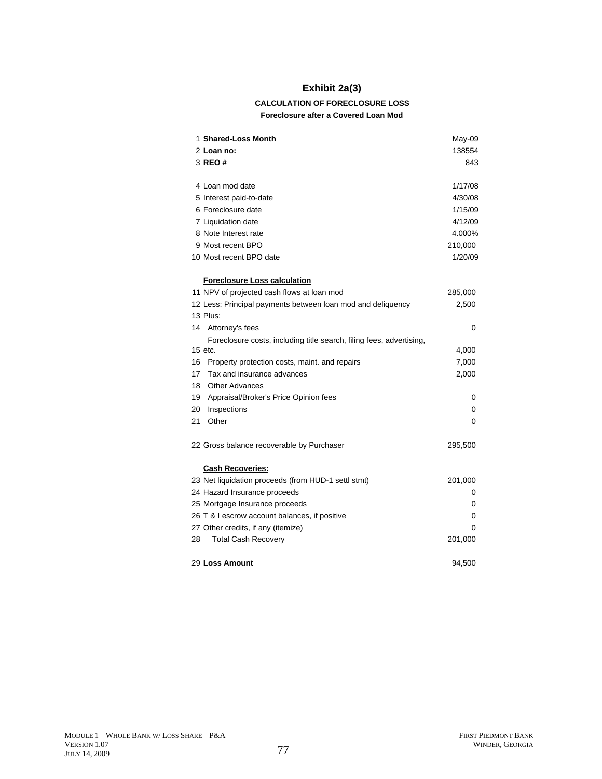# **Exhibit 2a(3)**

#### **CALCULATION OF FORECLOSURE LOSS Foreclosure after a Covered Loan Mod**

| 1 Shared-Loss Month                                                  | May-09  |
|----------------------------------------------------------------------|---------|
| 2 Loan no:                                                           | 138554  |
| 3 REO #                                                              | 843     |
|                                                                      |         |
| 4 Loan mod date                                                      | 1/17/08 |
| 5 Interest paid-to-date                                              | 4/30/08 |
| 6 Foreclosure date                                                   | 1/15/09 |
| 7 Liquidation date                                                   | 4/12/09 |
| 8 Note Interest rate                                                 | 4.000%  |
| 9 Most recent BPO                                                    | 210,000 |
| 10 Most recent BPO date                                              | 1/20/09 |
|                                                                      |         |
| <b>Foreclosure Loss calculation</b>                                  |         |
| 11 NPV of projected cash flows at loan mod                           | 285,000 |
| 12 Less: Principal payments between loan mod and deliquency          | 2,500   |
| 13 Plus:                                                             |         |
| Attorney's fees<br>14                                                | 0       |
| Foreclosure costs, including title search, filing fees, advertising, |         |
| 15 etc.                                                              | 4,000   |
| 16<br>Property protection costs, maint. and repairs                  | 7,000   |
| 17<br>Tax and insurance advances                                     | 2,000   |
| <b>Other Advances</b><br>18                                          |         |
| 19 Appraisal/Broker's Price Opinion fees                             | 0       |
| 20<br>Inspections                                                    | 0       |
| 21<br>Other                                                          | 0       |
|                                                                      |         |
| 22 Gross balance recoverable by Purchaser                            | 295,500 |
| <b>Cash Recoveries:</b>                                              |         |
| 23 Net liquidation proceeds (from HUD-1 settl stmt)                  | 201,000 |
| 24 Hazard Insurance proceeds                                         | 0       |
| 25 Mortgage Insurance proceeds                                       | 0       |
| 26 T & I escrow account balances, if positive                        | 0       |
| 27 Other credits, if any (itemize)                                   | 0       |
| 28<br><b>Total Cash Recovery</b>                                     | 201,000 |
|                                                                      |         |
| 29 Loss Amount                                                       | 94,500  |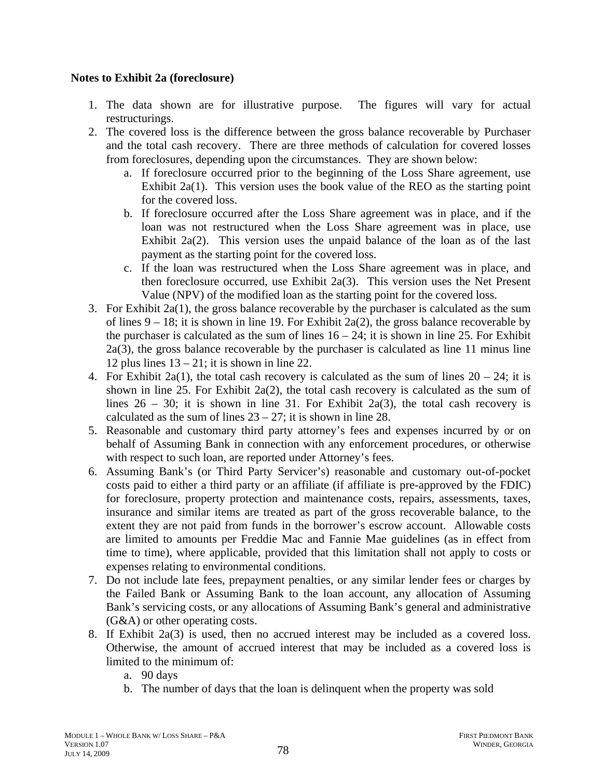## **Notes to Exhibit 2a (foreclosure)**

- 1. The data shown are for illustrative purpose. The figures will vary for actual restructurings.
- 2. The covered loss is the difference between the gross balance recoverable by Purchaser and the total cash recovery. There are three methods of calculation for covered losses from foreclosures, depending upon the circumstances. They are shown below:
	- a. If foreclosure occurred prior to the beginning of the Loss Share agreement, use Exhibit  $2a(1)$ . This version uses the book value of the REO as the starting point for the covered loss.
	- b. If foreclosure occurred after the Loss Share agreement was in place, and if the loan was not restructured when the Loss Share agreement was in place, use Exhibit 2a(2). This version uses the unpaid balance of the loan as of the last payment as the starting point for the covered loss.
	- c. If the loan was restructured when the Loss Share agreement was in place, and then foreclosure occurred, use Exhibit 2a(3). This version uses the Net Present Value (NPV) of the modified loan as the starting point for the covered loss.
- 3. For Exhibit 2a(1), the gross balance recoverable by the purchaser is calculated as the sum of lines  $9 - 18$ ; it is shown in line 19. For Exhibit 2a(2), the gross balance recoverable by the purchaser is calculated as the sum of lines  $16 - 24$ ; it is shown in line 25. For Exhibit 2a(3), the gross balance recoverable by the purchaser is calculated as line 11 minus line 12 plus lines  $13 - 21$ ; it is shown in line 22.
- 4. For Exhibit 2a(1), the total cash recovery is calculated as the sum of lines  $20 24$ ; it is shown in line 25. For Exhibit 2a(2), the total cash recovery is calculated as the sum of lines  $26 - 30$ ; it is shown in line 31. For Exhibit 2a(3), the total cash recovery is calculated as the sum of lines  $23 - 27$ ; it is shown in line 28.
- 5. Reasonable and customary third party attorney's fees and expenses incurred by or on behalf of Assuming Bank in connection with any enforcement procedures, or otherwise with respect to such loan, are reported under Attorney's fees.
- 6. Assuming Bank's (or Third Party Servicer's) reasonable and customary out-of-pocket costs paid to either a third party or an affiliate (if affiliate is pre-approved by the FDIC) for foreclosure, property protection and maintenance costs, repairs, assessments, taxes, insurance and similar items are treated as part of the gross recoverable balance, to the extent they are not paid from funds in the borrower's escrow account. Allowable costs are limited to amounts per Freddie Mac and Fannie Mae guidelines (as in effect from time to time), where applicable, provided that this limitation shall not apply to costs or expenses relating to environmental conditions.
- 7. Do not include late fees, prepayment penalties, or any similar lender fees or charges by the Failed Bank or Assuming Bank to the loan account, any allocation of Assuming Bank's servicing costs, or any allocations of Assuming Bank's general and administrative (G&A) or other operating costs.
- 8. If Exhibit 2a(3) is used, then no accrued interest may be included as a covered loss. Otherwise, the amount of accrued interest that may be included as a covered loss is limited to the minimum of:
	- a. 90 days
	- b. The number of days that the loan is delinquent when the property was sold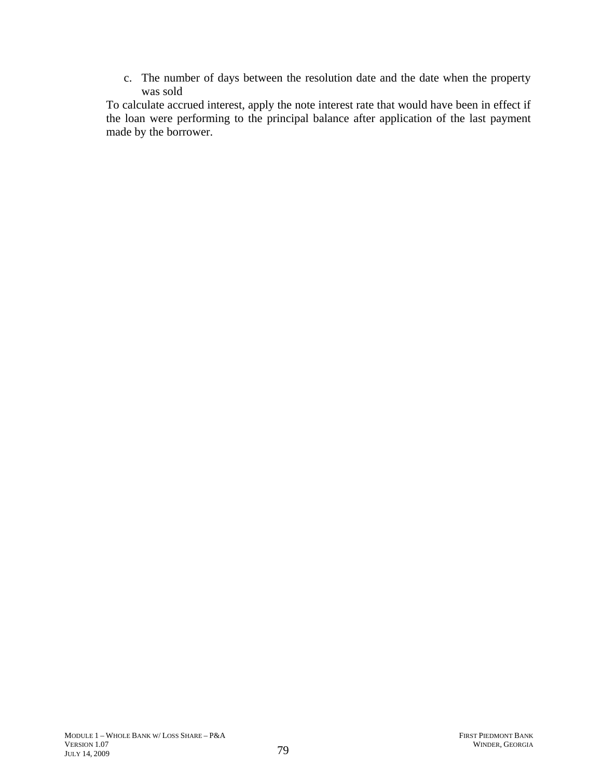c. The number of days between the resolution date and the date when the property was sold

To calculate accrued interest, apply the note interest rate that would have been in effect if the loan were performing to the principal balance after application of the last payment made by the borrower.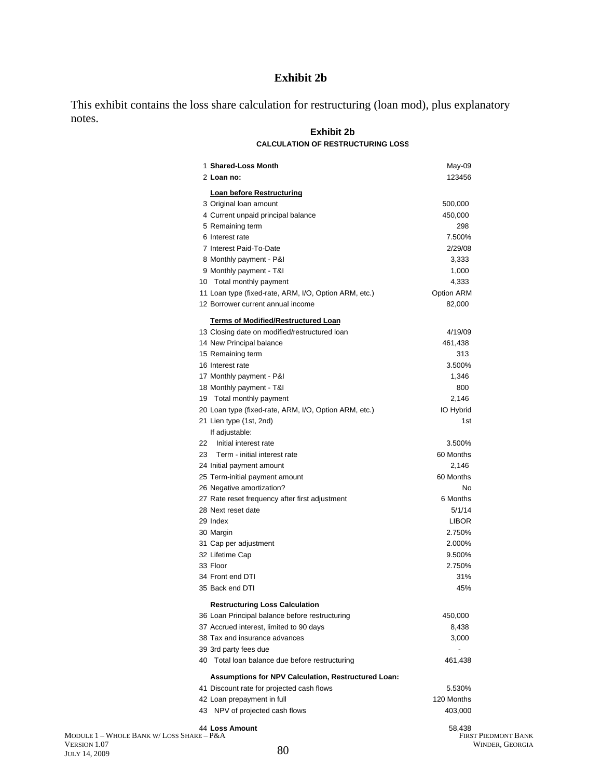# **Exhibit 2b**

This exhibit contains the loss share calculation for restructuring (loan mod), plus explanatory notes.

### **Exhibit 2b CALCULATION OF RESTRUCTURING LOS S**

|                                                                      | 1 Shared-Loss Month                                   | May-09                               |                                  |
|----------------------------------------------------------------------|-------------------------------------------------------|--------------------------------------|----------------------------------|
|                                                                      | 2 Loan no:                                            | 123456                               |                                  |
|                                                                      | <b>Loan before Restructuring</b>                      |                                      |                                  |
|                                                                      | 3 Original loan amount                                | 500,000                              |                                  |
|                                                                      | 4 Current unpaid principal balance                    | 450,000                              |                                  |
|                                                                      | 5 Remaining term                                      | 298                                  |                                  |
|                                                                      | 6 Interest rate                                       | 7.500%                               |                                  |
|                                                                      | 7 Interest Paid-To-Date                               | 2/29/08                              |                                  |
|                                                                      | 8 Monthly payment - P&I                               | 3,333                                |                                  |
|                                                                      | 9 Monthly payment - T&I                               | 1,000                                |                                  |
|                                                                      | 10 Total monthly payment                              | 4,333                                |                                  |
|                                                                      | 11 Loan type (fixed-rate, ARM, I/O, Option ARM, etc.) | <b>Option ARM</b>                    |                                  |
|                                                                      | 12 Borrower current annual income                     | 82,000                               |                                  |
|                                                                      | <b>Terms of Modified/Restructured Loan</b>            |                                      |                                  |
|                                                                      | 13 Closing date on modified/restructured loan         | 4/19/09                              |                                  |
|                                                                      | 14 New Principal balance                              | 461,438                              |                                  |
|                                                                      | 15 Remaining term                                     | 313                                  |                                  |
|                                                                      | 16 Interest rate                                      | 3.500%                               |                                  |
|                                                                      | 17 Monthly payment - P&I                              | 1,346                                |                                  |
|                                                                      | 18 Monthly payment - T&I                              | 800                                  |                                  |
|                                                                      | 19 Total monthly payment                              | 2,146                                |                                  |
|                                                                      | 20 Loan type (fixed-rate, ARM, I/O, Option ARM, etc.) | IO Hybrid                            |                                  |
|                                                                      | 21 Lien type (1st, 2nd)                               | 1st                                  |                                  |
|                                                                      | If adjustable:                                        |                                      |                                  |
|                                                                      | 22 Initial interest rate                              | 3.500%                               |                                  |
| 23                                                                   | Term - initial interest rate                          | 60 Months                            |                                  |
|                                                                      | 24 Initial payment amount                             | 2,146                                |                                  |
|                                                                      | 25 Term-initial payment amount                        | 60 Months                            |                                  |
|                                                                      | 26 Negative amortization?                             | No                                   |                                  |
|                                                                      | 27 Rate reset frequency after first adjustment        | 6 Months                             |                                  |
|                                                                      | 28 Next reset date                                    | 5/1/14                               |                                  |
|                                                                      | 29 Index                                              | <b>LIBOR</b>                         |                                  |
|                                                                      | 30 Margin                                             | 2.750%                               |                                  |
|                                                                      | 31 Cap per adjustment                                 | 2.000%                               |                                  |
|                                                                      | 32 Lifetime Cap                                       | 9.500%                               |                                  |
|                                                                      | 33 Floor                                              | 2.750%                               |                                  |
|                                                                      | 34 Front end DTI                                      | 31%                                  |                                  |
|                                                                      | 35 Back end DTI                                       | 45%                                  |                                  |
|                                                                      | <b>Restructuring Loss Calculation</b>                 |                                      |                                  |
|                                                                      | 36 Loan Principal balance before restructuring        | 450,000                              |                                  |
|                                                                      | 37 Accrued interest, limited to 90 days               | 8,438                                |                                  |
|                                                                      | 38 Tax and insurance advances                         | 3,000                                |                                  |
|                                                                      | 39 3rd party fees due                                 |                                      |                                  |
|                                                                      | 40 Total loan balance due before restructuring        | 461,438                              |                                  |
|                                                                      | Assumptions for NPV Calculation, Restructured Loan:   |                                      |                                  |
|                                                                      | 41 Discount rate for projected cash flows             | 5.530%                               |                                  |
|                                                                      | 42 Loan prepayment in full                            | 120 Months                           |                                  |
|                                                                      | 43 NPV of projected cash flows                        | 403,000                              |                                  |
|                                                                      | 44 Loss Amount                                        |                                      |                                  |
| MODULE 1 – WHOLE BANK W/ LOSS SHARE – P&A<br>$V_{\text{PDCIM}}$ 1.07 |                                                       | 58,438<br><b>FIRST PIEDMONT BANK</b> | $W$ <i>n</i> $n$ rn $C$ ron $C1$ |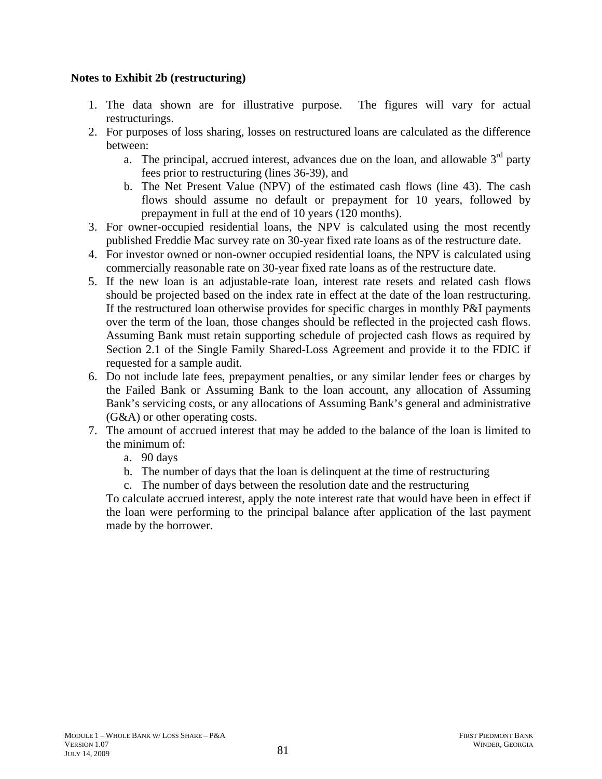## **Notes to Exhibit 2b (restructuring)**

- 1. The data shown are for illustrative purpose. The figures will vary for actual restructurings.
- 2. For purposes of loss sharing, losses on restructured loans are calculated as the difference between:
	- a. The principal, accrued interest, advances due on the loan, and allowable  $3<sup>rd</sup>$  party fees prior to restructuring (lines 36-39), and
	- b. The Net Present Value (NPV) of the estimated cash flows (line 43). The cash flows should assume no default or prepayment for 10 years, followed by prepayment in full at the end of 10 years (120 months).
- 3. For owner-occupied residential loans, the NPV is calculated using the most recently published Freddie Mac survey rate on 30-year fixed rate loans as of the restructure date.
- 4. For investor owned or non-owner occupied residential loans, the NPV is calculated using commercially reasonable rate on 30-year fixed rate loans as of the restructure date.
- 5. If the new loan is an adjustable-rate loan, interest rate resets and related cash flows should be projected based on the index rate in effect at the date of the loan restructuring. If the restructured loan otherwise provides for specific charges in monthly P&I payments over the term of the loan, those changes should be reflected in the projected cash flows. Assuming Bank must retain supporting schedule of projected cash flows as required by Section 2.1 of the Single Family Shared-Loss Agreement and provide it to the FDIC if requested for a sample audit.
- 6. Do not include late fees, prepayment penalties, or any similar lender fees or charges by the Failed Bank or Assuming Bank to the loan account, any allocation of Assuming Bank's servicing costs, or any allocations of Assuming Bank's general and administrative (G&A) or other operating costs.
- 7. The amount of accrued interest that may be added to the balance of the loan is limited to the minimum of:
	- a. 90 days
	- b. The number of days that the loan is delinquent at the time of restructuring
	- c. The number of days between the resolution date and the restructuring

To calculate accrued interest, apply the note interest rate that would have been in effect if the loan were performing to the principal balance after application of the last payment made by the borrower.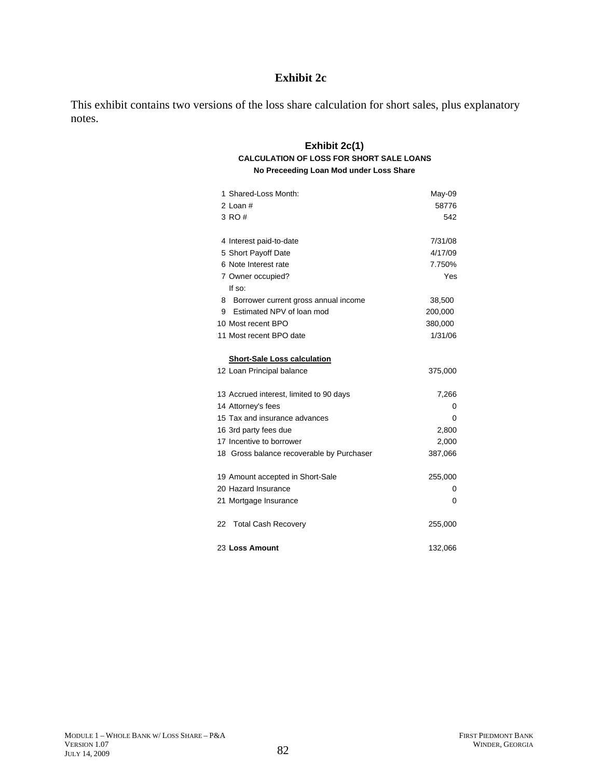## **Exhibit 2c**

This exhibit contains two versions of the loss share calculation for short sales, plus explanatory notes.

#### **Exhibit 2c(1) CALCULATION OF LOSS FOR SHORT SALE LOANS No Preceeding Loan Mod under Loss Share**

| 1 Shared-Loss Month:<br>2 Loan #<br>3 RO #     | May-09<br>58776<br>542 |
|------------------------------------------------|------------------------|
| 4 Interest paid-to-date<br>5 Short Payoff Date | 7/31/08<br>4/17/09     |
| 6 Note Interest rate<br>7 Owner occupied?      | 7.750%<br>Yes          |
| If so:                                         |                        |
| Borrower current gross annual income<br>8      | 38,500                 |
| Estimated NPV of loan mod<br>9                 | 200,000                |
| 10 Most recent BPO                             | 380,000                |
| 11 Most recent BPO date                        | 1/31/06                |
| <b>Short-Sale Loss calculation</b>             |                        |
| 12 Loan Principal balance                      | 375,000                |
| 13 Accrued interest, limited to 90 days        | 7,266                  |
| 14 Attorney's fees                             | 0                      |
| 15 Tax and insurance advances                  | 0                      |
| 16 3rd party fees due                          | 2,800                  |
| 17 Incentive to borrower                       | 2,000                  |
| 18 Gross balance recoverable by Purchaser      | 387,066                |
| 19 Amount accepted in Short-Sale               | 255,000                |
| 20 Hazard Insurance                            | 0                      |
| 21 Mortgage Insurance                          | 0                      |
| 22 Total Cash Recovery                         | 255,000                |
| 23 Loss Amount                                 | 132,066                |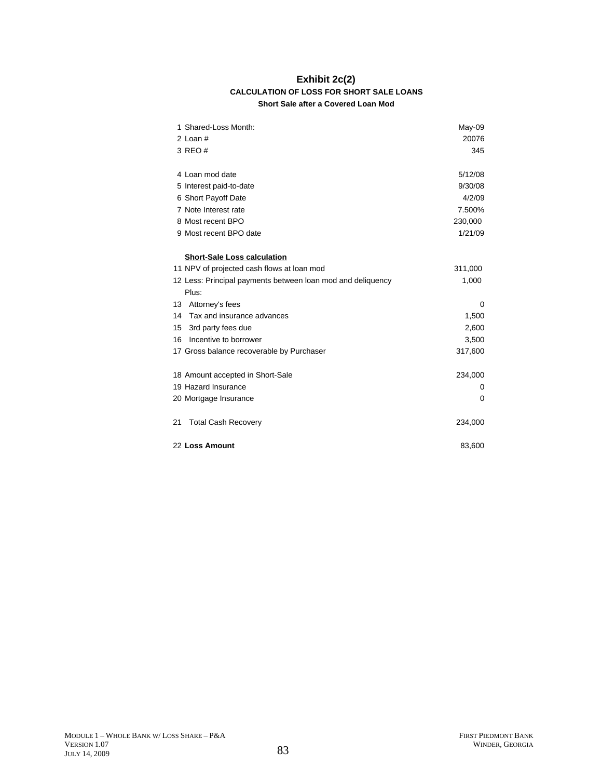### **Short Sale after a Covered Loan Mod Exhibit 2c(2) CALCULATION OF LOSS FOR SHORT SALE LOANS**

| 1 Shared-Loss Month:                                        | May-09  |
|-------------------------------------------------------------|---------|
| 2 Loan $#$                                                  | 20076   |
| 3 REO #                                                     | 345     |
|                                                             |         |
| 4 Loan mod date                                             | 5/12/08 |
| 5 Interest paid-to-date                                     | 9/30/08 |
| 6 Short Payoff Date                                         | 4/2/09  |
| 7 Note Interest rate                                        | 7.500%  |
| 8 Most recent BPO                                           | 230,000 |
| 9 Most recent BPO date                                      | 1/21/09 |
|                                                             |         |
| <b>Short-Sale Loss calculation</b>                          |         |
| 11 NPV of projected cash flows at loan mod                  | 311,000 |
| 12 Less: Principal payments between loan mod and deliquency | 1,000   |
| Plus:                                                       |         |
| Attorney's fees<br>13                                       | 0       |
| Tax and insurance advances<br>14                            | 1,500   |
| 3rd party fees due<br>15                                    | 2,600   |
| Incentive to borrower<br>16                                 | 3,500   |
| 17 Gross balance recoverable by Purchaser                   | 317,600 |
|                                                             |         |
| 18 Amount accepted in Short-Sale                            | 234,000 |
| 19 Hazard Insurance                                         | 0       |
| 20 Mortgage Insurance                                       | 0       |
|                                                             |         |
| <b>Total Cash Recovery</b><br>21                            | 234,000 |
|                                                             |         |
| 22 Loss Amount                                              | 83,600  |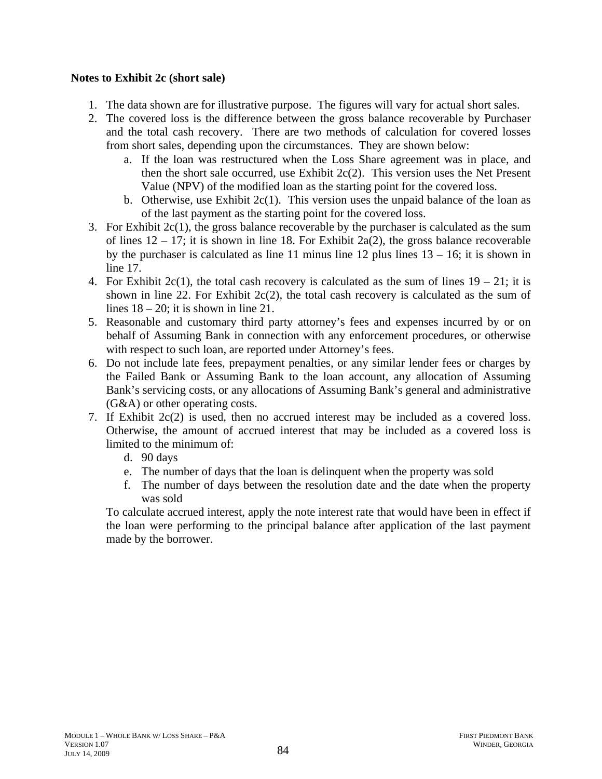## **Notes to Exhibit 2c (short sale)**

- 1. The data shown are for illustrative purpose. The figures will vary for actual short sales.
- 2. The covered loss is the difference between the gross balance recoverable by Purchaser and the total cash recovery. There are two methods of calculation for covered losses from short sales, depending upon the circumstances. They are shown below:
	- a. If the loan was restructured when the Loss Share agreement was in place, and then the short sale occurred, use Exhibit  $2c(2)$ . This version uses the Net Present Value (NPV) of the modified loan as the starting point for the covered loss.
	- b. Otherwise, use Exhibit  $2c(1)$ . This version uses the unpaid balance of the loan as of the last payment as the starting point for the covered loss.
- 3. For Exhibit  $2c(1)$ , the gross balance recoverable by the purchaser is calculated as the sum of lines  $12 - 17$ ; it is shown in line 18. For Exhibit 2a(2), the gross balance recoverable by the purchaser is calculated as line 11 minus line  $12$  plus lines  $13 - 16$ ; it is shown in line 17.
- 4. For Exhibit 2c(1), the total cash recovery is calculated as the sum of lines  $19 21$ ; it is shown in line 22. For Exhibit  $2c(2)$ , the total cash recovery is calculated as the sum of lines  $18 - 20$ ; it is shown in line 21.
- 5. Reasonable and customary third party attorney's fees and expenses incurred by or on behalf of Assuming Bank in connection with any enforcement procedures, or otherwise with respect to such loan, are reported under Attorney's fees.
- 6. Do not include late fees, prepayment penalties, or any similar lender fees or charges by the Failed Bank or Assuming Bank to the loan account, any allocation of Assuming Bank's servicing costs, or any allocations of Assuming Bank's general and administrative (G&A) or other operating costs.
- 7. If Exhibit  $2c(2)$  is used, then no accrued interest may be included as a covered loss. Otherwise, the amount of accrued interest that may be included as a covered loss is limited to the minimum of:
	- d. 90 days
	- e. The number of days that the loan is delinquent when the property was sold
	- f. The number of days between the resolution date and the date when the property was sold

To calculate accrued interest, apply the note interest rate that would have been in effect if the loan were performing to the principal balance after application of the last payment made by the borrower.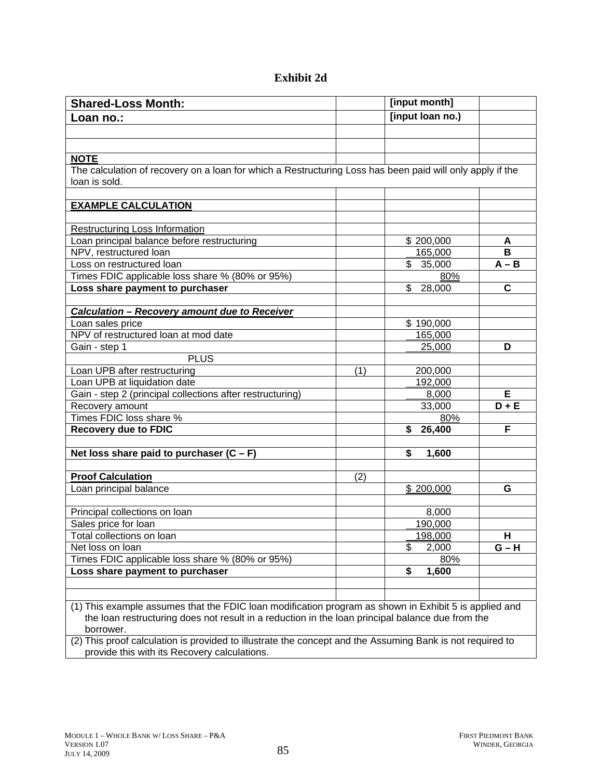# **Exhibit 2d**

| <b>Shared-Loss Month:</b>                                                                                 |     | [input month]    |         |  |
|-----------------------------------------------------------------------------------------------------------|-----|------------------|---------|--|
| Loan no.:                                                                                                 |     | [input loan no.) |         |  |
|                                                                                                           |     |                  |         |  |
|                                                                                                           |     |                  |         |  |
| <b>NOTE</b>                                                                                               |     |                  |         |  |
| The calculation of recovery on a loan for which a Restructuring Loss has been paid will only apply if the |     |                  |         |  |
| loan is sold.                                                                                             |     |                  |         |  |
|                                                                                                           |     |                  |         |  |
| <b>EXAMPLE CALCULATION</b>                                                                                |     |                  |         |  |
|                                                                                                           |     |                  |         |  |
| <b>Restructuring Loss Information</b>                                                                     |     |                  |         |  |
| Loan principal balance before restructuring                                                               |     | \$200,000        | A       |  |
| NPV, restructured loan                                                                                    |     | 165,000          | в       |  |
| Loss on restructured loan                                                                                 |     | \$<br>35,000     | $A - B$ |  |
| Times FDIC applicable loss share % (80% or 95%)                                                           |     | 80%              |         |  |
| Loss share payment to purchaser                                                                           |     | \$28,000         | C       |  |
|                                                                                                           |     |                  |         |  |
| Calculation - Recovery amount due to Receiver                                                             |     |                  |         |  |
| Loan sales price                                                                                          |     | \$190,000        |         |  |
| NPV of restructured loan at mod date                                                                      |     | 165,000          |         |  |
| Gain - step 1                                                                                             |     | 25,000           | D       |  |
| <b>PLUS</b>                                                                                               |     |                  |         |  |
| Loan UPB after restructuring                                                                              | (1) | 200,000          |         |  |
| Loan UPB at liquidation date                                                                              |     | 192,000          |         |  |
| Gain - step 2 (principal collections after restructuring)                                                 |     | 8,000            | Е       |  |
| Recovery amount                                                                                           |     | 33,000           | $D + E$ |  |
| Times FDIC loss share %                                                                                   |     | 80%              |         |  |
| <b>Recovery due to FDIC</b>                                                                               |     | 26,400<br>\$     | F       |  |
| Net loss share paid to purchaser $(C - F)$                                                                |     | 1,600<br>\$      |         |  |
|                                                                                                           |     |                  |         |  |
| <b>Proof Calculation</b>                                                                                  | (2) |                  |         |  |
| Loan principal balance                                                                                    |     | \$200,000        | G       |  |
|                                                                                                           |     |                  |         |  |
| Principal collections on loan                                                                             |     | 8,000            |         |  |
| Sales price for loan                                                                                      |     | 190,000          |         |  |
| Total collections on loan                                                                                 |     | 198,000          | H       |  |
| Net loss on loan                                                                                          |     | \$<br>2,000      | $G - H$ |  |
| Times FDIC applicable loss share % (80% or 95%)                                                           |     | 80%              |         |  |
| Loss share payment to purchaser                                                                           |     | 1,600<br>\$      |         |  |
|                                                                                                           |     |                  |         |  |
|                                                                                                           |     |                  |         |  |
| (1) This example assumes that the FDIC loan modification program as shown in Exhibit 5 is applied and     |     |                  |         |  |
| the loan restructuring does not result in a reduction in the loan principal balance due from the          |     |                  |         |  |
| borrower.                                                                                                 |     |                  |         |  |
| (2) This proof calculation is provided to illustrate the concept and the Assuming Bank is not required to |     |                  |         |  |
| provide this with its Recovery calculations.                                                              |     |                  |         |  |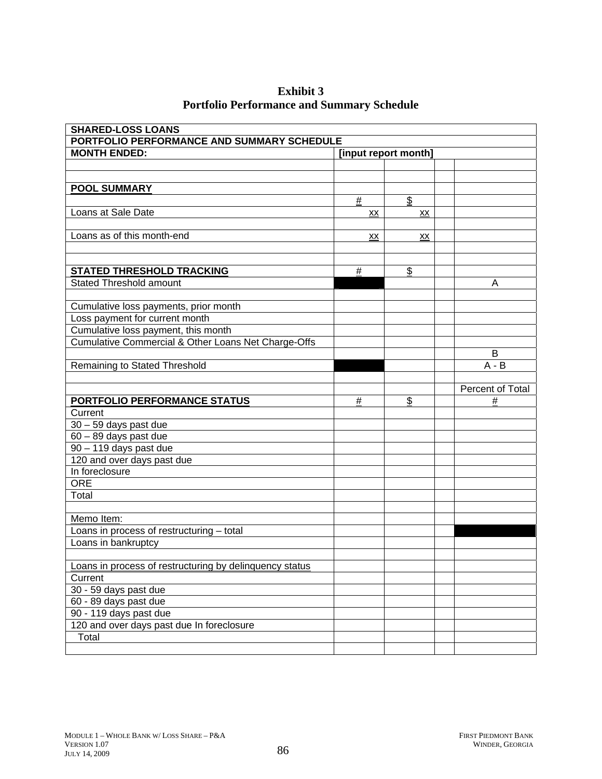| <b>SHARED-LOSS LOANS</b><br>PORTFOLIO PERFORMANCE AND SUMMARY SCHEDULE |                      |    |                  |
|------------------------------------------------------------------------|----------------------|----|------------------|
| <b>MONTH ENDED:</b>                                                    | [input report month] |    |                  |
|                                                                        |                      |    |                  |
|                                                                        |                      |    |                  |
| <b>POOL SUMMARY</b>                                                    |                      |    |                  |
|                                                                        | $\#$                 | \$ |                  |
| Loans at Sale Date                                                     | XX                   | XX |                  |
|                                                                        |                      |    |                  |
| Loans as of this month-end                                             | XX                   | XX |                  |
|                                                                        |                      |    |                  |
| <b>STATED THRESHOLD TRACKING</b>                                       | $\#$                 | \$ |                  |
| <b>Stated Threshold amount</b>                                         |                      |    | A                |
|                                                                        |                      |    |                  |
| Cumulative loss payments, prior month                                  |                      |    |                  |
| Loss payment for current month                                         |                      |    |                  |
| Cumulative loss payment, this month                                    |                      |    |                  |
| Cumulative Commercial & Other Loans Net Charge-Offs                    |                      |    |                  |
|                                                                        |                      |    | B                |
| Remaining to Stated Threshold                                          |                      |    | $A - B$          |
|                                                                        |                      |    |                  |
|                                                                        |                      |    | Percent of Total |
| <b>PORTFOLIO PERFORMANCE STATUS</b>                                    | $\#$                 | \$ | $\#$             |
| Current                                                                |                      |    |                  |
| $30 - 59$ days past due                                                |                      |    |                  |
| $60 - 89$ days past due                                                |                      |    |                  |
| $90 - 119$ days past due                                               |                      |    |                  |
| 120 and over days past due                                             |                      |    |                  |
| In foreclosure                                                         |                      |    |                  |
| <b>ORE</b>                                                             |                      |    |                  |
| Total                                                                  |                      |    |                  |
|                                                                        |                      |    |                  |
| Memo Item:                                                             |                      |    |                  |
| Loans in process of restructuring - total                              |                      |    |                  |
| Loans in bankruptcy                                                    |                      |    |                  |
|                                                                        |                      |    |                  |
| Loans in process of restructuring by delinquency status                |                      |    |                  |
| Current                                                                |                      |    |                  |
| 30 - 59 days past due                                                  |                      |    |                  |
| 60 - 89 days past due                                                  |                      |    |                  |
| 90 - 119 days past due                                                 |                      |    |                  |
| 120 and over days past due In foreclosure                              |                      |    |                  |
| Total                                                                  |                      |    |                  |

# **Exhibit 3 Portfolio Performance and Summary Schedule**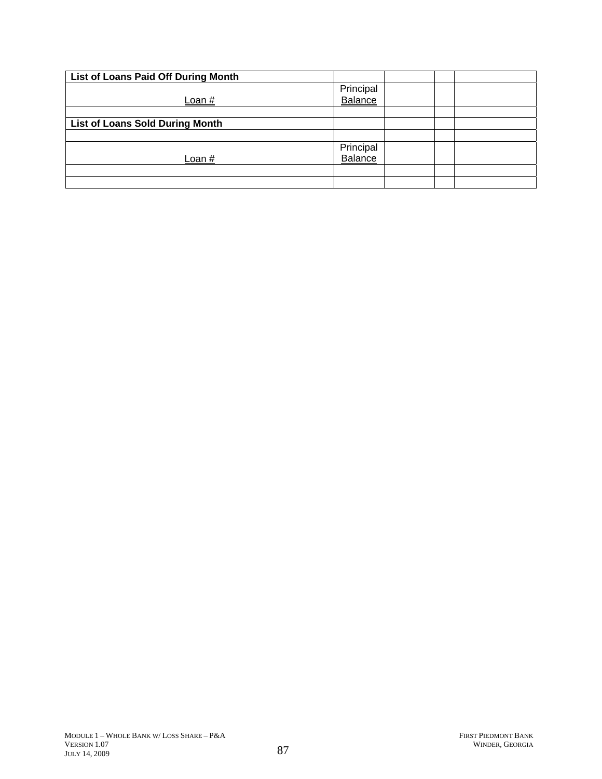| List of Loans Paid Off During Month    |                      |  |  |
|----------------------------------------|----------------------|--|--|
|                                        | Principal            |  |  |
| <u>Loan #</u>                          | Balance              |  |  |
|                                        |                      |  |  |
| <b>List of Loans Sold During Month</b> |                      |  |  |
|                                        |                      |  |  |
|                                        | Principal<br>Balance |  |  |
| Loan #                                 |                      |  |  |
|                                        |                      |  |  |
|                                        |                      |  |  |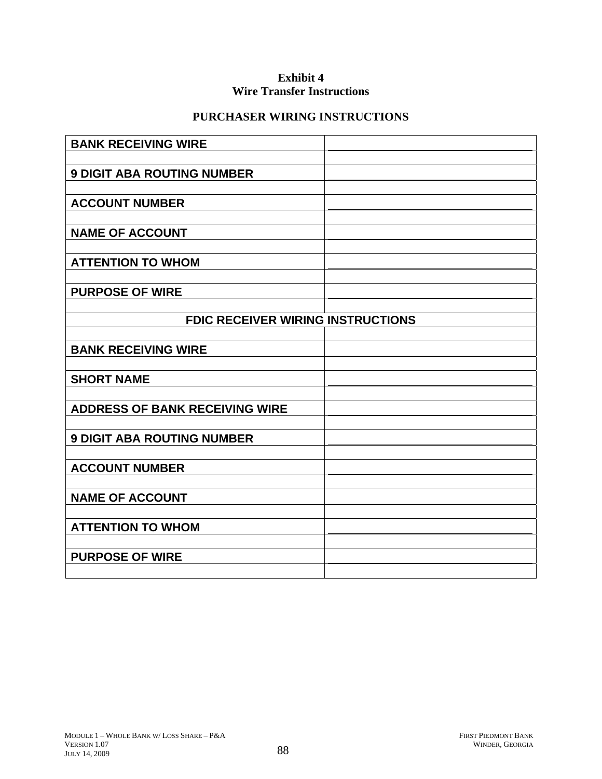## **Exhibit 4 Wire Transfer Instructions**

# **PURCHASER WIRING INSTRUCTIONS**

| <b>BANK RECEIVING WIRE</b>            |  |
|---------------------------------------|--|
|                                       |  |
| <b>9 DIGIT ABA ROUTING NUMBER</b>     |  |
|                                       |  |
| <b>ACCOUNT NUMBER</b>                 |  |
|                                       |  |
| <b>NAME OF ACCOUNT</b>                |  |
|                                       |  |
| <b>ATTENTION TO WHOM</b>              |  |
|                                       |  |
| <b>PURPOSE OF WIRE</b>                |  |
| FDIC RECEIVER WIRING INSTRUCTIONS     |  |
|                                       |  |
| <b>BANK RECEIVING WIRE</b>            |  |
|                                       |  |
| <b>SHORT NAME</b>                     |  |
|                                       |  |
| <b>ADDRESS OF BANK RECEIVING WIRE</b> |  |
|                                       |  |
| <b>9 DIGIT ABA ROUTING NUMBER</b>     |  |
|                                       |  |
| <b>ACCOUNT NUMBER</b>                 |  |
|                                       |  |
| <b>NAME OF ACCOUNT</b>                |  |
|                                       |  |
| <b>ATTENTION TO WHOM</b>              |  |
|                                       |  |
| <b>PURPOSE OF WIRE</b>                |  |
|                                       |  |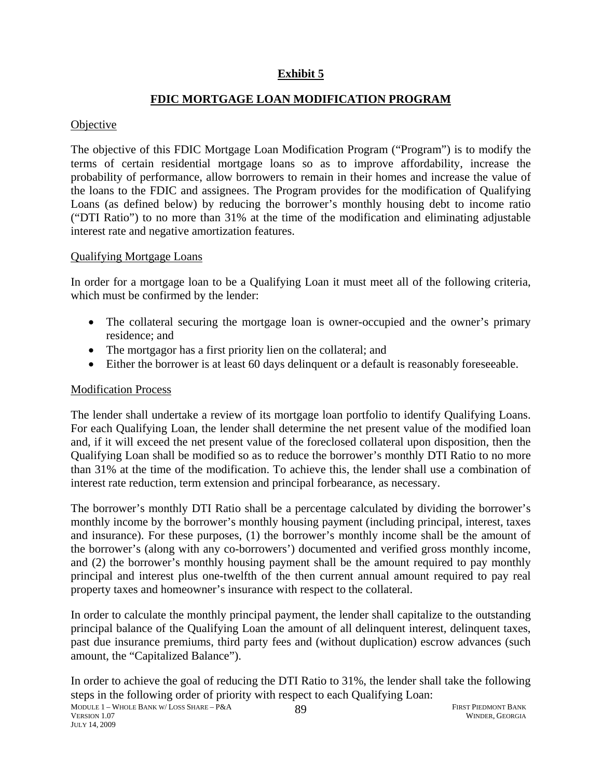# **Exhibit 5**

# **FDIC MORTGAGE LOAN MODIFICATION PROGRAM**

## **Objective**

The objective of this FDIC Mortgage Loan Modification Program ("Program") is to modify the terms of certain residential mortgage loans so as to improve affordability, increase the probability of performance, allow borrowers to remain in their homes and increase the value of the loans to the FDIC and assignees. The Program provides for the modification of Qualifying Loans (as defined below) by reducing the borrower's monthly housing debt to income ratio ("DTI Ratio") to no more than 31% at the time of the modification and eliminating adjustable interest rate and negative amortization features.

## Qualifying Mortgage Loans

In order for a mortgage loan to be a Qualifying Loan it must meet all of the following criteria, which must be confirmed by the lender:

- The collateral securing the mortgage loan is owner-occupied and the owner's primary residence; and
- The mortgagor has a first priority lien on the collateral; and
- Either the borrower is at least 60 days delinquent or a default is reasonably foreseeable.

## Modification Process

The lender shall undertake a review of its mortgage loan portfolio to identify Qualifying Loans. For each Qualifying Loan, the lender shall determine the net present value of the modified loan and, if it will exceed the net present value of the foreclosed collateral upon disposition, then the Qualifying Loan shall be modified so as to reduce the borrower's monthly DTI Ratio to no more than 31% at the time of the modification. To achieve this, the lender shall use a combination of interest rate reduction, term extension and principal forbearance, as necessary.

The borrower's monthly DTI Ratio shall be a percentage calculated by dividing the borrower's monthly income by the borrower's monthly housing payment (including principal, interest, taxes and insurance). For these purposes, (1) the borrower's monthly income shall be the amount of the borrower's (along with any co-borrowers') documented and verified gross monthly income, and (2) the borrower's monthly housing payment shall be the amount required to pay monthly principal and interest plus one-twelfth of the then current annual amount required to pay real property taxes and homeowner's insurance with respect to the collateral.

In order to calculate the monthly principal payment, the lender shall capitalize to the outstanding principal balance of the Qualifying Loan the amount of all delinquent interest, delinquent taxes, past due insurance premiums, third party fees and (without duplication) escrow advances (such amount, the "Capitalized Balance").

In order to achieve the goal of reducing the DTI Ratio to 31%, the lender shall take the following steps in the following order of priority with respect to each Qualifying Loan: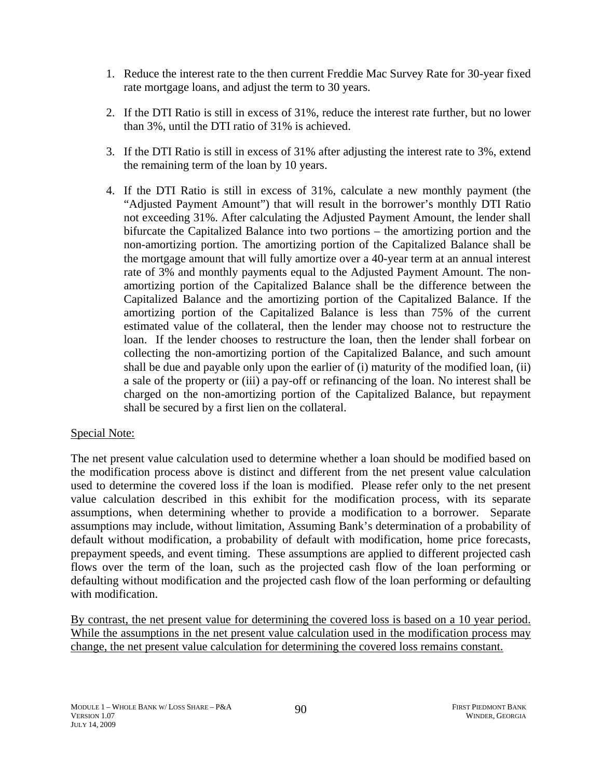- 1. Reduce the interest rate to the then current Freddie Mac Survey Rate for 30-year fixed rate mortgage loans, and adjust the term to 30 years.
- 2. If the DTI Ratio is still in excess of 31%, reduce the interest rate further, but no lower than 3%, until the DTI ratio of 31% is achieved.
- 3. If the DTI Ratio is still in excess of 31% after adjusting the interest rate to 3%, extend the remaining term of the loan by 10 years.
- 4. If the DTI Ratio is still in excess of 31%, calculate a new monthly payment (the "Adjusted Payment Amount") that will result in the borrower's monthly DTI Ratio not exceeding 31%. After calculating the Adjusted Payment Amount, the lender shall bifurcate the Capitalized Balance into two portions – the amortizing portion and the non-amortizing portion. The amortizing portion of the Capitalized Balance shall be the mortgage amount that will fully amortize over a 40-year term at an annual interest rate of 3% and monthly payments equal to the Adjusted Payment Amount. The nonamortizing portion of the Capitalized Balance shall be the difference between the Capitalized Balance and the amortizing portion of the Capitalized Balance. If the amortizing portion of the Capitalized Balance is less than 75% of the current estimated value of the collateral, then the lender may choose not to restructure the loan. If the lender chooses to restructure the loan, then the lender shall forbear on collecting the non-amortizing portion of the Capitalized Balance, and such amount shall be due and payable only upon the earlier of (i) maturity of the modified loan, (ii) a sale of the property or (iii) a pay-off or refinancing of the loan. No interest shall be charged on the non-amortizing portion of the Capitalized Balance, but repayment shall be secured by a first lien on the collateral.

## Special Note:

The net present value calculation used to determine whether a loan should be modified based on the modification process above is distinct and different from the net present value calculation used to determine the covered loss if the loan is modified. Please refer only to the net present value calculation described in this exhibit for the modification process, with its separate assumptions, when determining whether to provide a modification to a borrower. Separate assumptions may include, without limitation, Assuming Bank's determination of a probability of default without modification, a probability of default with modification, home price forecasts, prepayment speeds, and event timing. These assumptions are applied to different projected cash flows over the term of the loan, such as the projected cash flow of the loan performing or defaulting without modification and the projected cash flow of the loan performing or defaulting with modification.

By contrast, the net present value for determining the covered loss is based on a 10 year period. While the assumptions in the net present value calculation used in the modification process may change, the net present value calculation for determining the covered loss remains constant.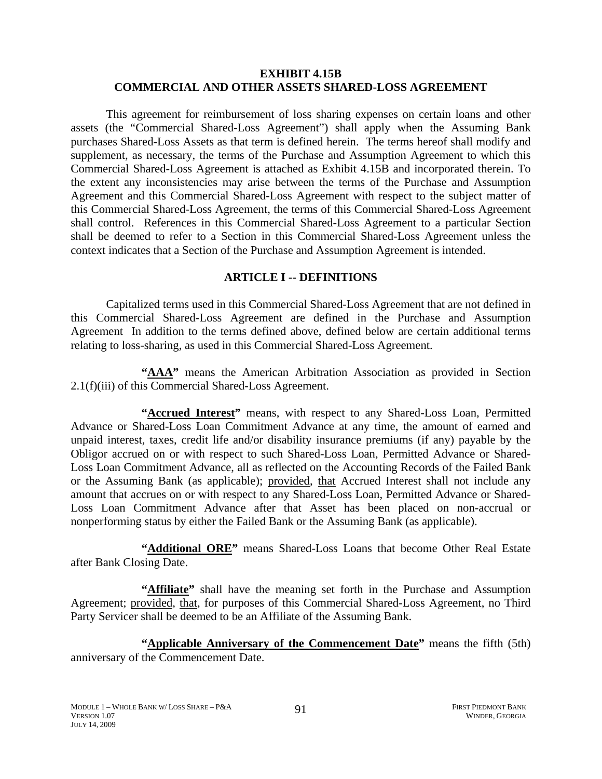### **EXHIBIT 4.15B COMMERCIAL AND OTHER ASSETS SHARED-LOSS AGREEMENT**

This agreement for reimbursement of loss sharing expenses on certain loans and other assets (the "Commercial Shared-Loss Agreement") shall apply when the Assuming Bank purchases Shared-Loss Assets as that term is defined herein. The terms hereof shall modify and supplement, as necessary, the terms of the Purchase and Assumption Agreement to which this Commercial Shared-Loss Agreement is attached as Exhibit 4.15B and incorporated therein. To the extent any inconsistencies may arise between the terms of the Purchase and Assumption Agreement and this Commercial Shared-Loss Agreement with respect to the subject matter of this Commercial Shared-Loss Agreement, the terms of this Commercial Shared-Loss Agreement shall control. References in this Commercial Shared-Loss Agreement to a particular Section shall be deemed to refer to a Section in this Commercial Shared-Loss Agreement unless the context indicates that a Section of the Purchase and Assumption Agreement is intended.

## **ARTICLE I -- DEFINITIONS**

Capitalized terms used in this Commercial Shared-Loss Agreement that are not defined in this Commercial Shared-Loss Agreement are defined in the Purchase and Assumption Agreement In addition to the terms defined above, defined below are certain additional terms relating to loss-sharing, as used in this Commercial Shared-Loss Agreement.

"AAA" means the American Arbitration Association as provided in Section 2.1(f)(iii) of this Commercial Shared-Loss Agreement.

**"Accrued Interest"** means, with respect to any Shared-Loss Loan, Permitted Advance or Shared-Loss Loan Commitment Advance at any time, the amount of earned and unpaid interest, taxes, credit life and/or disability insurance premiums (if any) payable by the Obligor accrued on or with respect to such Shared-Loss Loan, Permitted Advance or Shared-Loss Loan Commitment Advance, all as reflected on the Accounting Records of the Failed Bank or the Assuming Bank (as applicable); provided, that Accrued Interest shall not include any amount that accrues on or with respect to any Shared-Loss Loan, Permitted Advance or Shared-Loss Loan Commitment Advance after that Asset has been placed on non-accrual or nonperforming status by either the Failed Bank or the Assuming Bank (as applicable).

**"Additional ORE"** means Shared-Loss Loans that become Other Real Estate after Bank Closing Date.

**"Affiliate"** shall have the meaning set forth in the Purchase and Assumption Agreement; provided, that, for purposes of this Commercial Shared-Loss Agreement, no Third Party Servicer shall be deemed to be an Affiliate of the Assuming Bank.

**"Applicable Anniversary of the Commencement Date"** means the fifth (5th) anniversary of the Commencement Date.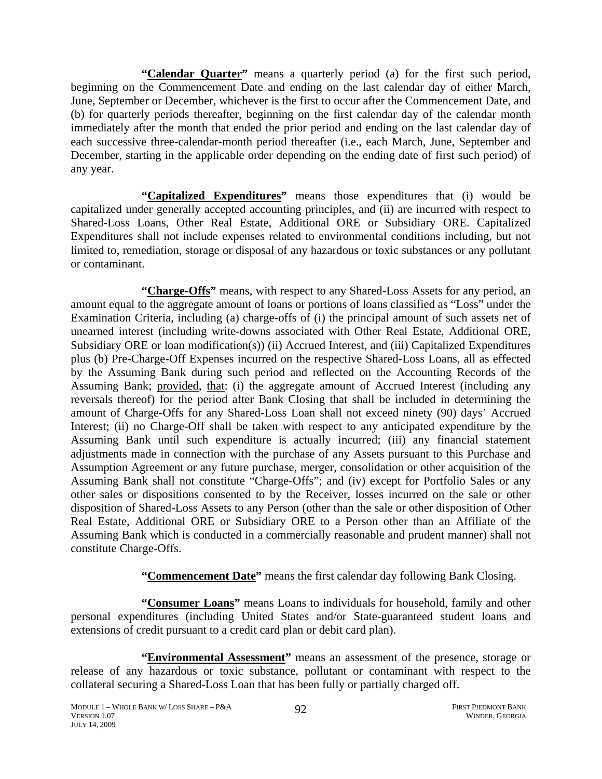**"Calendar Quarter"** means a quarterly period (a) for the first such period, beginning on the Commencement Date and ending on the last calendar day of either March, June, September or December, whichever is the first to occur after the Commencement Date, and (b) for quarterly periods thereafter, beginning on the first calendar day of the calendar month immediately after the month that ended the prior period and ending on the last calendar day of each successive three-calendar-month period thereafter (i.e., each March, June, September and December, starting in the applicable order depending on the ending date of first such period) of any year.

**"Capitalized Expenditures"** means those expenditures that (i) would be capitalized under generally accepted accounting principles, and (ii) are incurred with respect to Shared-Loss Loans, Other Real Estate, Additional ORE or Subsidiary ORE. Capitalized Expenditures shall not include expenses related to environmental conditions including, but not limited to, remediation, storage or disposal of any hazardous or toxic substances or any pollutant or contaminant.

**"Charge-Offs"** means, with respect to any Shared-Loss Assets for any period, an amount equal to the aggregate amount of loans or portions of loans classified as "Loss" under the Examination Criteria, including (a) charge-offs of (i) the principal amount of such assets net of unearned interest (including write-downs associated with Other Real Estate, Additional ORE, Subsidiary ORE or loan modification(s)) (ii) Accrued Interest, and (iii) Capitalized Expenditures plus (b) Pre-Charge-Off Expenses incurred on the respective Shared-Loss Loans, all as effected by the Assuming Bank during such period and reflected on the Accounting Records of the Assuming Bank; provided, that: (i) the aggregate amount of Accrued Interest (including any reversals thereof) for the period after Bank Closing that shall be included in determining the amount of Charge-Offs for any Shared-Loss Loan shall not exceed ninety (90) days' Accrued Interest; (ii) no Charge-Off shall be taken with respect to any anticipated expenditure by the Assuming Bank until such expenditure is actually incurred; (iii) any financial statement adjustments made in connection with the purchase of any Assets pursuant to this Purchase and Assumption Agreement or any future purchase, merger, consolidation or other acquisition of the Assuming Bank shall not constitute "Charge-Offs"; and (iv) except for Portfolio Sales or any other sales or dispositions consented to by the Receiver, losses incurred on the sale or other disposition of Shared-Loss Assets to any Person (other than the sale or other disposition of Other Real Estate, Additional ORE or Subsidiary ORE to a Person other than an Affiliate of the Assuming Bank which is conducted in a commercially reasonable and prudent manner) shall not constitute Charge-Offs.

**"Commencement Date"** means the first calendar day following Bank Closing.

**"Consumer Loans"** means Loans to individuals for household, family and other personal expenditures (including United States and/or State-guaranteed student loans and extensions of credit pursuant to a credit card plan or debit card plan).

 **"Environmental Assessment"** means an assessment of the presence, storage or release of any hazardous or toxic substance, pollutant or contaminant with respect to the collateral securing a Shared-Loss Loan that has been fully or partially charged off.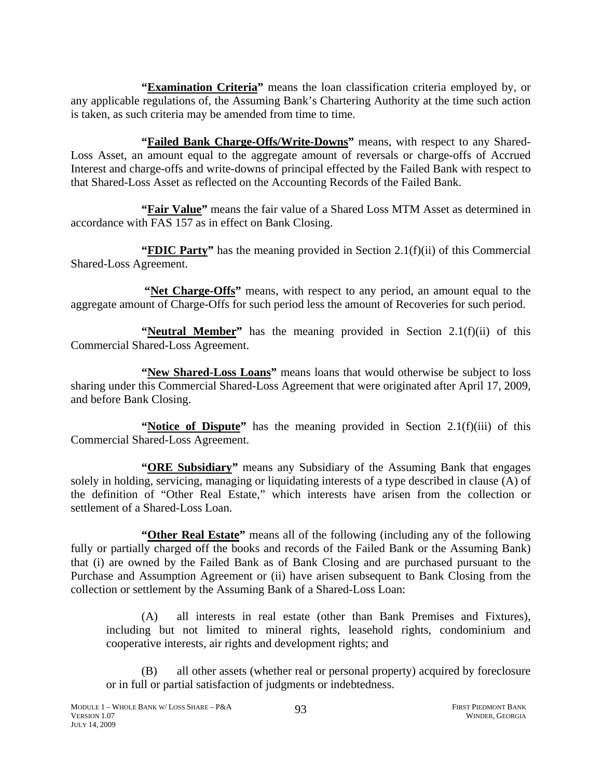**"Examination Criteria"** means the loan classification criteria employed by, or any applicable regulations of, the Assuming Bank's Chartering Authority at the time such action is taken, as such criteria may be amended from time to time.

**"Failed Bank Charge-Offs/Write-Downs"** means, with respect to any Shared-Loss Asset, an amount equal to the aggregate amount of reversals or charge-offs of Accrued Interest and charge-offs and write-downs of principal effected by the Failed Bank with respect to that Shared-Loss Asset as reflected on the Accounting Records of the Failed Bank.

**"Fair Value"** means the fair value of a Shared Loss MTM Asset as determined in accordance with FAS 157 as in effect on Bank Closing.

**"FDIC Party"** has the meaning provided in Section 2.1(f)(ii) of this Commercial Shared-Loss Agreement.

**"Net Charge-Offs"** means, with respect to any period, an amount equal to the aggregate amount of Charge-Offs for such period less the amount of Recoveries for such period.

**"Neutral Member"** has the meaning provided in Section 2.1(f)(ii) of this Commercial Shared-Loss Agreement.

**"New Shared-Loss Loans"** means loans that would otherwise be subject to loss sharing under this Commercial Shared-Loss Agreement that were originated after April 17, 2009, and before Bank Closing.

**"Notice of Dispute"** has the meaning provided in Section 2.1(f)(iii) of this Commercial Shared-Loss Agreement.

**"ORE Subsidiary"** means any Subsidiary of the Assuming Bank that engages solely in holding, servicing, managing or liquidating interests of a type described in clause (A) of the definition of "Other Real Estate," which interests have arisen from the collection or settlement of a Shared-Loss Loan.

**"Other Real Estate"** means all of the following (including any of the following fully or partially charged off the books and records of the Failed Bank or the Assuming Bank) that (i) are owned by the Failed Bank as of Bank Closing and are purchased pursuant to the Purchase and Assumption Agreement or (ii) have arisen subsequent to Bank Closing from the collection or settlement by the Assuming Bank of a Shared-Loss Loan:

(A) all interests in real estate (other than Bank Premises and Fixtures), including but not limited to mineral rights, leasehold rights, condominium and cooperative interests, air rights and development rights; and

(B) all other assets (whether real or personal property) acquired by foreclosure or in full or partial satisfaction of judgments or indebtedness.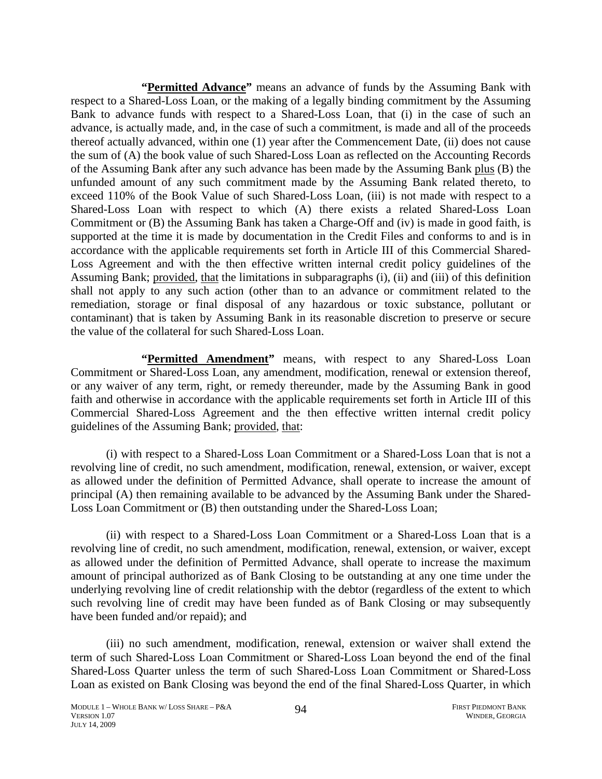"Permitted Advance" means an advance of funds by the Assuming Bank with respect to a Shared-Loss Loan, or the making of a legally binding commitment by the Assuming Bank to advance funds with respect to a Shared-Loss Loan, that (i) in the case of such an advance, is actually made, and, in the case of such a commitment, is made and all of the proceeds thereof actually advanced, within one (1) year after the Commencement Date, (ii) does not cause the sum of (A) the book value of such Shared-Loss Loan as reflected on the Accounting Records of the Assuming Bank after any such advance has been made by the Assuming Bank plus (B) the unfunded amount of any such commitment made by the Assuming Bank related thereto, to exceed 110% of the Book Value of such Shared-Loss Loan, (iii) is not made with respect to a Shared-Loss Loan with respect to which (A) there exists a related Shared-Loss Loan Commitment or (B) the Assuming Bank has taken a Charge-Off and (iv) is made in good faith, is supported at the time it is made by documentation in the Credit Files and conforms to and is in accordance with the applicable requirements set forth in Article III of this Commercial Shared-Loss Agreement and with the then effective written internal credit policy guidelines of the Assuming Bank; provided, that the limitations in subparagraphs (i), (ii) and (iii) of this definition shall not apply to any such action (other than to an advance or commitment related to the remediation, storage or final disposal of any hazardous or toxic substance, pollutant or contaminant) that is taken by Assuming Bank in its reasonable discretion to preserve or secure the value of the collateral for such Shared-Loss Loan.

"Permitted Amendment" means, with respect to any Shared-Loss Loan Commitment or Shared-Loss Loan, any amendment, modification, renewal or extension thereof, or any waiver of any term, right, or remedy thereunder, made by the Assuming Bank in good faith and otherwise in accordance with the applicable requirements set forth in Article III of this Commercial Shared-Loss Agreement and the then effective written internal credit policy guidelines of the Assuming Bank; provided, that:

(i) with respect to a Shared-Loss Loan Commitment or a Shared-Loss Loan that is not a revolving line of credit, no such amendment, modification, renewal, extension, or waiver, except as allowed under the definition of Permitted Advance, shall operate to increase the amount of principal (A) then remaining available to be advanced by the Assuming Bank under the Shared-Loss Loan Commitment or (B) then outstanding under the Shared-Loss Loan;

(ii) with respect to a Shared-Loss Loan Commitment or a Shared-Loss Loan that is a revolving line of credit, no such amendment, modification, renewal, extension, or waiver, except as allowed under the definition of Permitted Advance, shall operate to increase the maximum amount of principal authorized as of Bank Closing to be outstanding at any one time under the underlying revolving line of credit relationship with the debtor (regardless of the extent to which such revolving line of credit may have been funded as of Bank Closing or may subsequently have been funded and/or repaid); and

(iii) no such amendment, modification, renewal, extension or waiver shall extend the term of such Shared-Loss Loan Commitment or Shared-Loss Loan beyond the end of the final Shared-Loss Quarter unless the term of such Shared-Loss Loan Commitment or Shared-Loss Loan as existed on Bank Closing was beyond the end of the final Shared-Loss Quarter, in which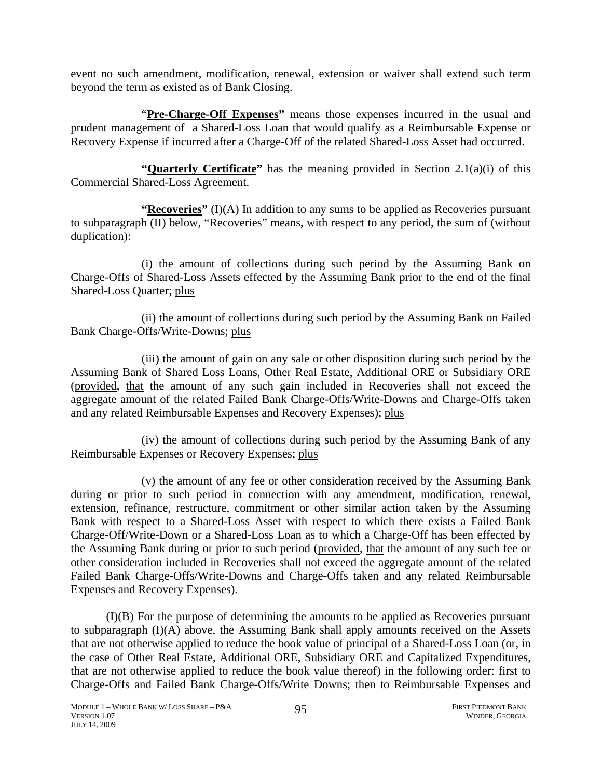event no such amendment, modification, renewal, extension or waiver shall extend such term beyond the term as existed as of Bank Closing.

 "**Pre-Charge-Off Expenses"** means those expenses incurred in the usual and prudent management of a Shared-Loss Loan that would qualify as a Reimbursable Expense or Recovery Expense if incurred after a Charge-Off of the related Shared-Loss Asset had occurred.

**"Quarterly Certificate"** has the meaning provided in Section 2.1(a)(i) of this Commercial Shared-Loss Agreement.

**"Recoveries"** (I)(A) In addition to any sums to be applied as Recoveries pursuant to subparagraph (II) below, "Recoveries" means, with respect to any period, the sum of (without duplication):

(i) the amount of collections during such period by the Assuming Bank on Charge-Offs of Shared-Loss Assets effected by the Assuming Bank prior to the end of the final Shared-Loss Quarter; plus

(ii) the amount of collections during such period by the Assuming Bank on Failed Bank Charge-Offs/Write-Downs; plus

(iii) the amount of gain on any sale or other disposition during such period by the Assuming Bank of Shared Loss Loans, Other Real Estate, Additional ORE or Subsidiary ORE (provided, that the amount of any such gain included in Recoveries shall not exceed the aggregate amount of the related Failed Bank Charge-Offs/Write-Downs and Charge-Offs taken and any related Reimbursable Expenses and Recovery Expenses); plus

(iv) the amount of collections during such period by the Assuming Bank of any Reimbursable Expenses or Recovery Expenses; plus

(v) the amount of any fee or other consideration received by the Assuming Bank during or prior to such period in connection with any amendment, modification, renewal, extension, refinance, restructure, commitment or other similar action taken by the Assuming Bank with respect to a Shared-Loss Asset with respect to which there exists a Failed Bank Charge-Off/Write-Down or a Shared-Loss Loan as to which a Charge-Off has been effected by the Assuming Bank during or prior to such period (provided, that the amount of any such fee or other consideration included in Recoveries shall not exceed the aggregate amount of the related Failed Bank Charge-Offs/Write-Downs and Charge-Offs taken and any related Reimbursable Expenses and Recovery Expenses).

(I)(B) For the purpose of determining the amounts to be applied as Recoveries pursuant to subparagraph (I)(A) above, the Assuming Bank shall apply amounts received on the Assets that are not otherwise applied to reduce the book value of principal of a Shared-Loss Loan (or, in the case of Other Real Estate, Additional ORE, Subsidiary ORE and Capitalized Expenditures, that are not otherwise applied to reduce the book value thereof) in the following order: first to Charge-Offs and Failed Bank Charge-Offs/Write Downs; then to Reimbursable Expenses and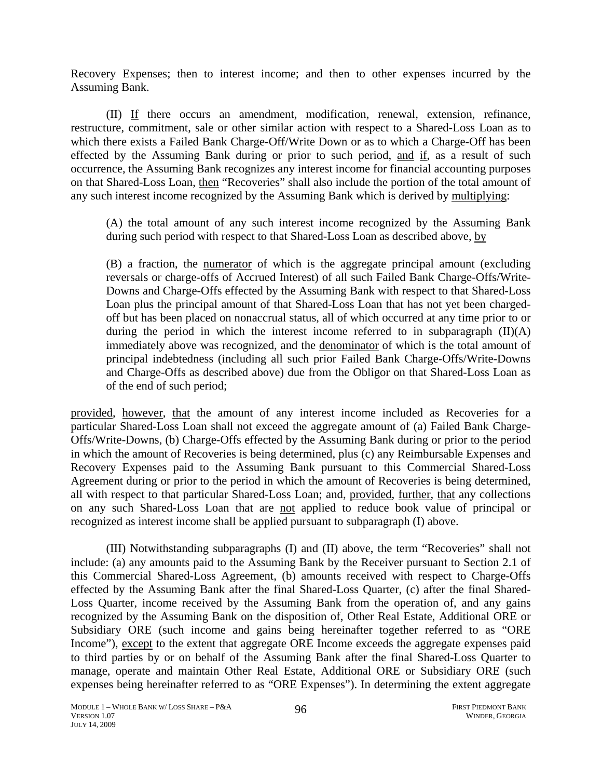Recovery Expenses; then to interest income; and then to other expenses incurred by the Assuming Bank.

(II) If there occurs an amendment, modification, renewal, extension, refinance, restructure, commitment, sale or other similar action with respect to a Shared-Loss Loan as to which there exists a Failed Bank Charge-Off/Write Down or as to which a Charge-Off has been effected by the Assuming Bank during or prior to such period, and if, as a result of such occurrence, the Assuming Bank recognizes any interest income for financial accounting purposes on that Shared-Loss Loan, then "Recoveries" shall also include the portion of the total amount of any such interest income recognized by the Assuming Bank which is derived by multiplying:

(A) the total amount of any such interest income recognized by the Assuming Bank during such period with respect to that Shared-Loss Loan as described above, by

(B) a fraction, the numerator of which is the aggregate principal amount (excluding reversals or charge-offs of Accrued Interest) of all such Failed Bank Charge-Offs/Write-Downs and Charge-Offs effected by the Assuming Bank with respect to that Shared-Loss Loan plus the principal amount of that Shared-Loss Loan that has not yet been chargedoff but has been placed on nonaccrual status, all of which occurred at any time prior to or during the period in which the interest income referred to in subparagraph (II)(A) immediately above was recognized, and the denominator of which is the total amount of principal indebtedness (including all such prior Failed Bank Charge-Offs/Write-Downs and Charge-Offs as described above) due from the Obligor on that Shared-Loss Loan as of the end of such period;

provided, however, that the amount of any interest income included as Recoveries for a particular Shared-Loss Loan shall not exceed the aggregate amount of (a) Failed Bank Charge-Offs/Write-Downs, (b) Charge-Offs effected by the Assuming Bank during or prior to the period in which the amount of Recoveries is being determined, plus (c) any Reimbursable Expenses and Recovery Expenses paid to the Assuming Bank pursuant to this Commercial Shared-Loss Agreement during or prior to the period in which the amount of Recoveries is being determined, all with respect to that particular Shared-Loss Loan; and, provided, further, that any collections on any such Shared-Loss Loan that are not applied to reduce book value of principal or recognized as interest income shall be applied pursuant to subparagraph (I) above.

(III) Notwithstanding subparagraphs (I) and (II) above, the term "Recoveries" shall not include: (a) any amounts paid to the Assuming Bank by the Receiver pursuant to Section 2.1 of this Commercial Shared-Loss Agreement, (b) amounts received with respect to Charge-Offs effected by the Assuming Bank after the final Shared-Loss Quarter, (c) after the final Shared-Loss Quarter, income received by the Assuming Bank from the operation of, and any gains recognized by the Assuming Bank on the disposition of, Other Real Estate, Additional ORE or Subsidiary ORE (such income and gains being hereinafter together referred to as "ORE Income"), except to the extent that aggregate ORE Income exceeds the aggregate expenses paid to third parties by or on behalf of the Assuming Bank after the final Shared-Loss Quarter to manage, operate and maintain Other Real Estate, Additional ORE or Subsidiary ORE (such expenses being hereinafter referred to as "ORE Expenses"). In determining the extent aggregate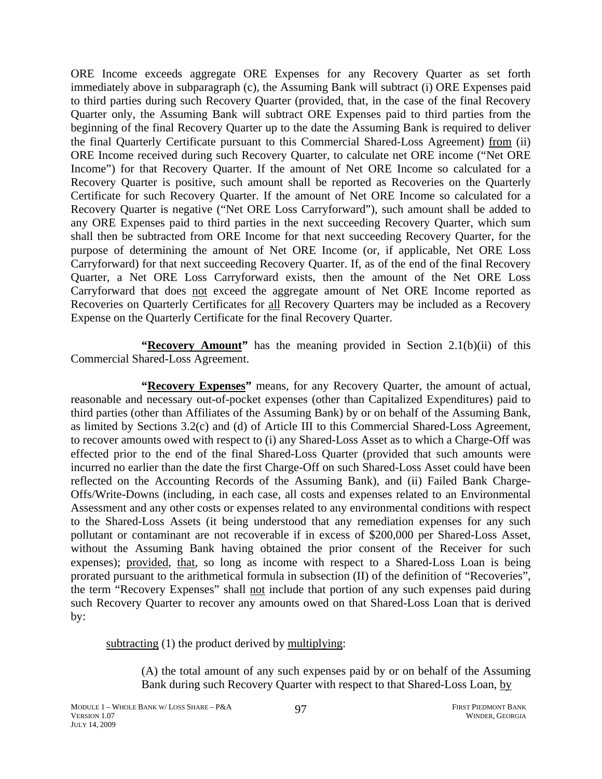ORE Income exceeds aggregate ORE Expenses for any Recovery Quarter as set forth immediately above in subparagraph (c), the Assuming Bank will subtract (i) ORE Expenses paid to third parties during such Recovery Quarter (provided, that, in the case of the final Recovery Quarter only, the Assuming Bank will subtract ORE Expenses paid to third parties from the beginning of the final Recovery Quarter up to the date the Assuming Bank is required to deliver the final Quarterly Certificate pursuant to this Commercial Shared-Loss Agreement) from (ii) ORE Income received during such Recovery Quarter, to calculate net ORE income ("Net ORE Income") for that Recovery Quarter. If the amount of Net ORE Income so calculated for a Recovery Quarter is positive, such amount shall be reported as Recoveries on the Quarterly Certificate for such Recovery Quarter. If the amount of Net ORE Income so calculated for a Recovery Quarter is negative ("Net ORE Loss Carryforward"), such amount shall be added to any ORE Expenses paid to third parties in the next succeeding Recovery Quarter, which sum shall then be subtracted from ORE Income for that next succeeding Recovery Quarter, for the purpose of determining the amount of Net ORE Income (or, if applicable, Net ORE Loss Carryforward) for that next succeeding Recovery Quarter. If, as of the end of the final Recovery Quarter, a Net ORE Loss Carryforward exists, then the amount of the Net ORE Loss Carryforward that does not exceed the aggregate amount of Net ORE Income reported as Recoveries on Quarterly Certificates for all Recovery Quarters may be included as a Recovery Expense on the Quarterly Certificate for the final Recovery Quarter.

**"Recovery Amount"** has the meaning provided in Section 2.1(b)(ii) of this Commercial Shared-Loss Agreement.

**"Recovery Expenses"** means, for any Recovery Quarter, the amount of actual, reasonable and necessary out-of-pocket expenses (other than Capitalized Expenditures) paid to third parties (other than Affiliates of the Assuming Bank) by or on behalf of the Assuming Bank, as limited by Sections 3.2(c) and (d) of Article III to this Commercial Shared-Loss Agreement, to recover amounts owed with respect to (i) any Shared-Loss Asset as to which a Charge-Off was effected prior to the end of the final Shared-Loss Quarter (provided that such amounts were incurred no earlier than the date the first Charge-Off on such Shared-Loss Asset could have been reflected on the Accounting Records of the Assuming Bank), and (ii) Failed Bank Charge-Offs/Write-Downs (including, in each case, all costs and expenses related to an Environmental Assessment and any other costs or expenses related to any environmental conditions with respect to the Shared-Loss Assets (it being understood that any remediation expenses for any such pollutant or contaminant are not recoverable if in excess of \$200,000 per Shared-Loss Asset, without the Assuming Bank having obtained the prior consent of the Receiver for such expenses); provided, that, so long as income with respect to a Shared-Loss Loan is being prorated pursuant to the arithmetical formula in subsection (II) of the definition of "Recoveries", the term "Recovery Expenses" shall not include that portion of any such expenses paid during such Recovery Quarter to recover any amounts owed on that Shared-Loss Loan that is derived by:

subtracting (1) the product derived by multiplying:

(A) the total amount of any such expenses paid by or on behalf of the Assuming Bank during such Recovery Quarter with respect to that Shared-Loss Loan, by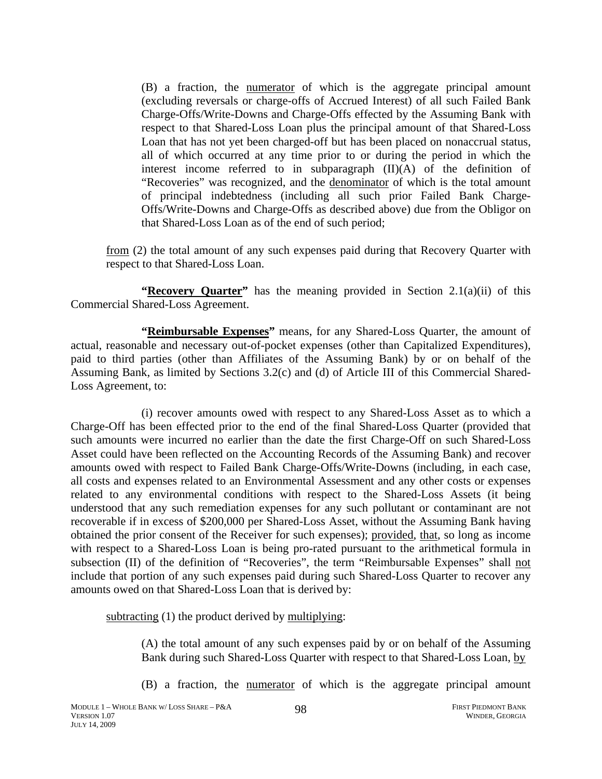(B) a fraction, the numerator of which is the aggregate principal amount (excluding reversals or charge-offs of Accrued Interest) of all such Failed Bank Charge-Offs/Write-Downs and Charge-Offs effected by the Assuming Bank with respect to that Shared-Loss Loan plus the principal amount of that Shared-Loss Loan that has not yet been charged-off but has been placed on nonaccrual status, all of which occurred at any time prior to or during the period in which the interest income referred to in subparagraph (II)(A) of the definition of "Recoveries" was recognized, and the denominator of which is the total amount of principal indebtedness (including all such prior Failed Bank Charge-Offs/Write-Downs and Charge-Offs as described above) due from the Obligor on that Shared-Loss Loan as of the end of such period;

from (2) the total amount of any such expenses paid during that Recovery Quarter with respect to that Shared-Loss Loan.

**"Recovery Quarter"** has the meaning provided in Section 2.1(a)(ii) of this Commercial Shared-Loss Agreement.

**"Reimbursable Expenses"** means, for any Shared-Loss Quarter, the amount of actual, reasonable and necessary out-of-pocket expenses (other than Capitalized Expenditures), paid to third parties (other than Affiliates of the Assuming Bank) by or on behalf of the Assuming Bank, as limited by Sections 3.2(c) and (d) of Article III of this Commercial Shared-Loss Agreement, to:

(i) recover amounts owed with respect to any Shared-Loss Asset as to which a Charge-Off has been effected prior to the end of the final Shared-Loss Quarter (provided that such amounts were incurred no earlier than the date the first Charge-Off on such Shared-Loss Asset could have been reflected on the Accounting Records of the Assuming Bank) and recover amounts owed with respect to Failed Bank Charge-Offs/Write-Downs (including, in each case, all costs and expenses related to an Environmental Assessment and any other costs or expenses related to any environmental conditions with respect to the Shared-Loss Assets (it being understood that any such remediation expenses for any such pollutant or contaminant are not recoverable if in excess of \$200,000 per Shared-Loss Asset, without the Assuming Bank having obtained the prior consent of the Receiver for such expenses); provided, that, so long as income with respect to a Shared-Loss Loan is being pro-rated pursuant to the arithmetical formula in subsection (II) of the definition of "Recoveries", the term "Reimbursable Expenses" shall not include that portion of any such expenses paid during such Shared-Loss Quarter to recover any amounts owed on that Shared-Loss Loan that is derived by:

subtracting (1) the product derived by multiplying:

(A) the total amount of any such expenses paid by or on behalf of the Assuming Bank during such Shared-Loss Quarter with respect to that Shared-Loss Loan, by

(B) a fraction, the numerator of which is the aggregate principal amount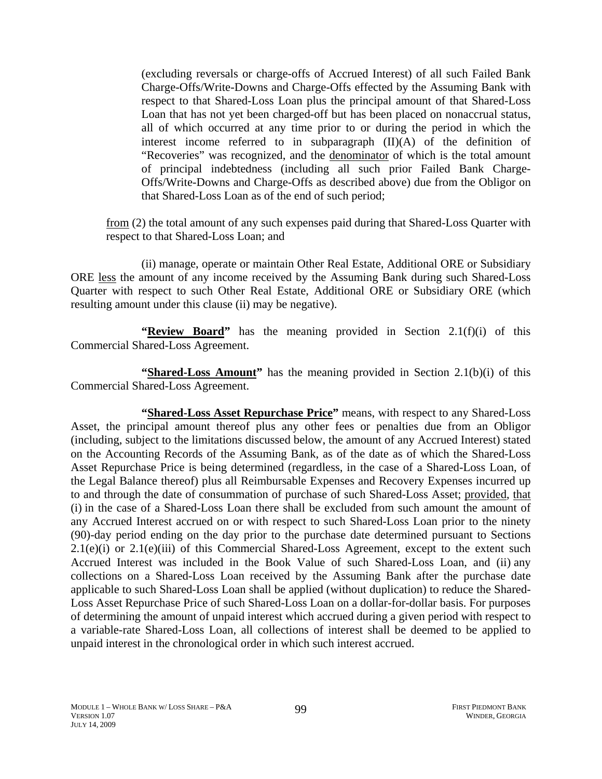(excluding reversals or charge-offs of Accrued Interest) of all such Failed Bank Charge-Offs/Write-Downs and Charge-Offs effected by the Assuming Bank with respect to that Shared-Loss Loan plus the principal amount of that Shared-Loss Loan that has not yet been charged-off but has been placed on nonaccrual status, all of which occurred at any time prior to or during the period in which the interest income referred to in subparagraph (II)(A) of the definition of "Recoveries" was recognized, and the denominator of which is the total amount of principal indebtedness (including all such prior Failed Bank Charge-Offs/Write-Downs and Charge-Offs as described above) due from the Obligor on that Shared-Loss Loan as of the end of such period;

from (2) the total amount of any such expenses paid during that Shared-Loss Quarter with respect to that Shared-Loss Loan; and

 (ii) manage, operate or maintain Other Real Estate, Additional ORE or Subsidiary ORE less the amount of any income received by the Assuming Bank during such Shared-Loss Quarter with respect to such Other Real Estate, Additional ORE or Subsidiary ORE (which resulting amount under this clause (ii) may be negative).

**"Review Board"** has the meaning provided in Section 2.1(f)(i) of this Commercial Shared-Loss Agreement.

**"Shared-Loss Amount"** has the meaning provided in Section 2.1(b)(i) of this Commercial Shared-Loss Agreement.

**"Shared-Loss Asset Repurchase Price"** means, with respect to any Shared-Loss Asset, the principal amount thereof plus any other fees or penalties due from an Obligor (including, subject to the limitations discussed below, the amount of any Accrued Interest) stated on the Accounting Records of the Assuming Bank, as of the date as of which the Shared-Loss Asset Repurchase Price is being determined (regardless, in the case of a Shared-Loss Loan, of the Legal Balance thereof) plus all Reimbursable Expenses and Recovery Expenses incurred up to and through the date of consummation of purchase of such Shared-Loss Asset; provided, that (i) in the case of a Shared-Loss Loan there shall be excluded from such amount the amount of any Accrued Interest accrued on or with respect to such Shared-Loss Loan prior to the ninety (90)-day period ending on the day prior to the purchase date determined pursuant to Sections  $2.1(e)(i)$  or  $2.1(e)(iii)$  of this Commercial Shared-Loss Agreement, except to the extent such Accrued Interest was included in the Book Value of such Shared-Loss Loan, and (ii) any collections on a Shared-Loss Loan received by the Assuming Bank after the purchase date applicable to such Shared-Loss Loan shall be applied (without duplication) to reduce the Shared-Loss Asset Repurchase Price of such Shared-Loss Loan on a dollar-for-dollar basis. For purposes of determining the amount of unpaid interest which accrued during a given period with respect to a variable-rate Shared-Loss Loan, all collections of interest shall be deemed to be applied to unpaid interest in the chronological order in which such interest accrued.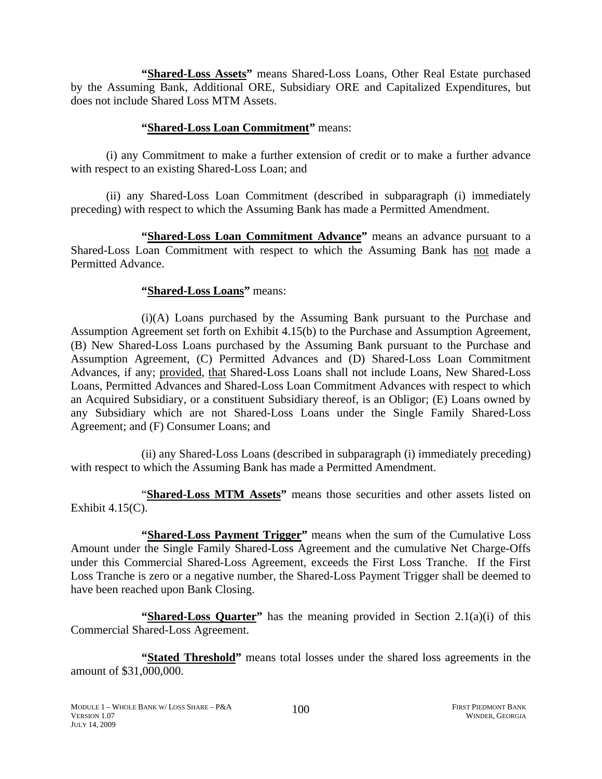**"Shared-Loss Assets"** means Shared-Loss Loans, Other Real Estate purchased by the Assuming Bank, Additional ORE, Subsidiary ORE and Capitalized Expenditures, but does not include Shared Loss MTM Assets.

## **"Shared-Loss Loan Commitment"** means:

(i) any Commitment to make a further extension of credit or to make a further advance with respect to an existing Shared-Loss Loan; and

(ii) any Shared-Loss Loan Commitment (described in subparagraph (i) immediately preceding) with respect to which the Assuming Bank has made a Permitted Amendment.

**"Shared-Loss Loan Commitment Advance"** means an advance pursuant to a Shared-Loss Loan Commitment with respect to which the Assuming Bank has not made a Permitted Advance.

## **"Shared-Loss Loans"** means:

 (i)(A) Loans purchased by the Assuming Bank pursuant to the Purchase and Assumption Agreement set forth on Exhibit 4.15(b) to the Purchase and Assumption Agreement, (B) New Shared-Loss Loans purchased by the Assuming Bank pursuant to the Purchase and Assumption Agreement, (C) Permitted Advances and (D) Shared-Loss Loan Commitment Advances, if any; provided, that Shared-Loss Loans shall not include Loans, New Shared-Loss Loans, Permitted Advances and Shared-Loss Loan Commitment Advances with respect to which an Acquired Subsidiary, or a constituent Subsidiary thereof, is an Obligor; (E) Loans owned by any Subsidiary which are not Shared-Loss Loans under the Single Family Shared-Loss Agreement; and (F) Consumer Loans; and

(ii) any Shared-Loss Loans (described in subparagraph (i) immediately preceding) with respect to which the Assuming Bank has made a Permitted Amendment.

"**Shared-Loss MTM Assets"** means those securities and other assets listed on Exhibit  $4.15(C)$ .

"Shared-Loss Payment Trigger" means when the sum of the Cumulative Loss Amount under the Single Family Shared-Loss Agreement and the cumulative Net Charge-Offs under this Commercial Shared-Loss Agreement, exceeds the First Loss Tranche. If the First Loss Tranche is zero or a negative number, the Shared-Loss Payment Trigger shall be deemed to have been reached upon Bank Closing.

**"Shared-Loss Quarter"** has the meaning provided in Section 2.1(a)(i) of this Commercial Shared-Loss Agreement.

 **"Stated Threshold"** means total losses under the shared loss agreements in the amount of \$31,000,000.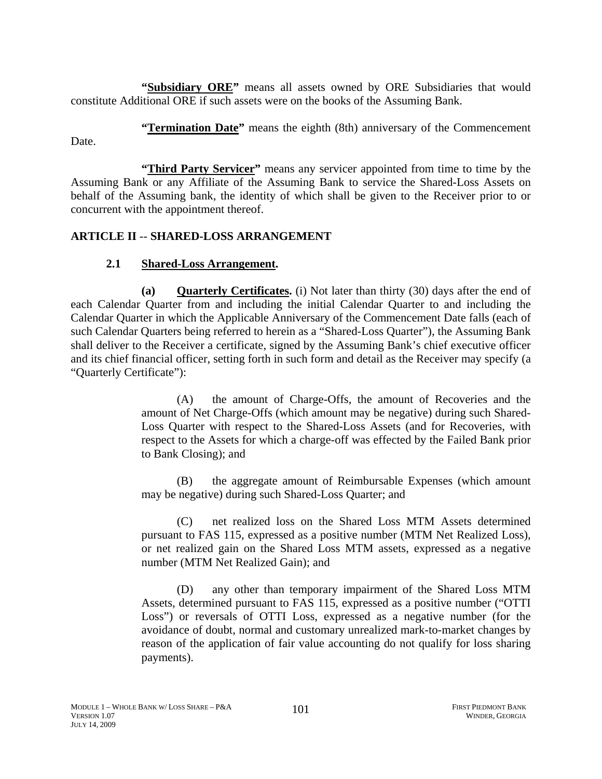"Subsidiary ORE" means all assets owned by ORE Subsidiaries that would constitute Additional ORE if such assets were on the books of the Assuming Bank.

**"Termination Date"** means the eighth (8th) anniversary of the Commencement

Date.

**"Third Party Servicer"** means any servicer appointed from time to time by the Assuming Bank or any Affiliate of the Assuming Bank to service the Shared-Loss Assets on behalf of the Assuming bank, the identity of which shall be given to the Receiver prior to or concurrent with the appointment thereof.

# **ARTICLE II** -- **SHARED-LOSS ARRANGEMENT**

# **2.1 Shared-Loss Arrangement.**

 **(a) Quarterly Certificates.** (i) Not later than thirty (30) days after the end of each Calendar Quarter from and including the initial Calendar Quarter to and including the Calendar Quarter in which the Applicable Anniversary of the Commencement Date falls (each of such Calendar Quarters being referred to herein as a "Shared-Loss Quarter"), the Assuming Bank shall deliver to the Receiver a certificate, signed by the Assuming Bank's chief executive officer and its chief financial officer, setting forth in such form and detail as the Receiver may specify (a "Quarterly Certificate"):

> (A) the amount of Charge-Offs, the amount of Recoveries and the amount of Net Charge-Offs (which amount may be negative) during such Shared-Loss Quarter with respect to the Shared-Loss Assets (and for Recoveries, with respect to the Assets for which a charge-off was effected by the Failed Bank prior to Bank Closing); and

> (B) the aggregate amount of Reimbursable Expenses (which amount may be negative) during such Shared-Loss Quarter; and

> (C) net realized loss on the Shared Loss MTM Assets determined pursuant to FAS 115, expressed as a positive number (MTM Net Realized Loss), or net realized gain on the Shared Loss MTM assets, expressed as a negative number (MTM Net Realized Gain); and

> (D) any other than temporary impairment of the Shared Loss MTM Assets, determined pursuant to FAS 115, expressed as a positive number ("OTTI Loss") or reversals of OTTI Loss, expressed as a negative number (for the avoidance of doubt, normal and customary unrealized mark-to-market changes by reason of the application of fair value accounting do not qualify for loss sharing payments).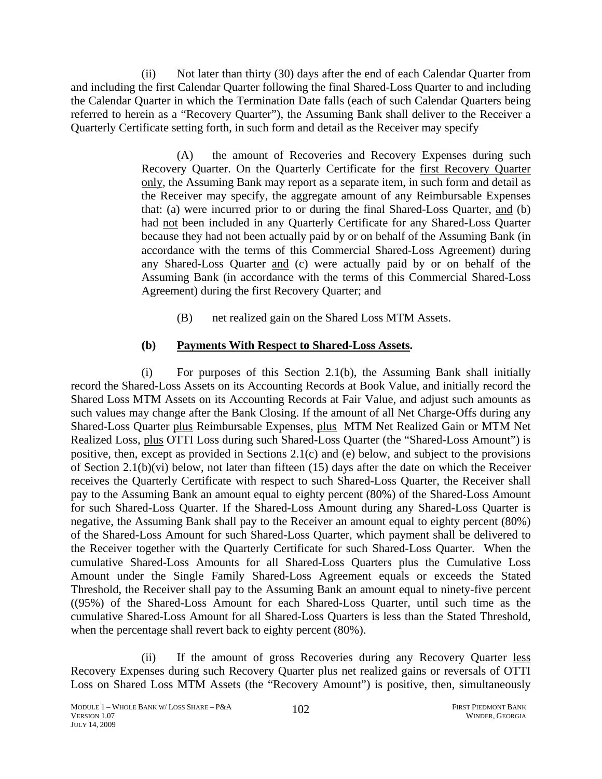(ii) Not later than thirty (30) days after the end of each Calendar Quarter from and including the first Calendar Quarter following the final Shared-Loss Quarter to and including the Calendar Quarter in which the Termination Date falls (each of such Calendar Quarters being referred to herein as a "Recovery Quarter"), the Assuming Bank shall deliver to the Receiver a Quarterly Certificate setting forth, in such form and detail as the Receiver may specify

> (A) the amount of Recoveries and Recovery Expenses during such Recovery Quarter. On the Quarterly Certificate for the first Recovery Quarter only, the Assuming Bank may report as a separate item, in such form and detail as the Receiver may specify, the aggregate amount of any Reimbursable Expenses that: (a) were incurred prior to or during the final Shared-Loss Quarter, and (b) had not been included in any Quarterly Certificate for any Shared-Loss Quarter because they had not been actually paid by or on behalf of the Assuming Bank (in accordance with the terms of this Commercial Shared-Loss Agreement) during any Shared-Loss Quarter and (c) were actually paid by or on behalf of the Assuming Bank (in accordance with the terms of this Commercial Shared-Loss Agreement) during the first Recovery Quarter; and

(B) net realized gain on the Shared Loss MTM Assets.

# **(b) Payments With Respect to Shared-Loss Assets.**

 (i) For purposes of this Section 2.1(b), the Assuming Bank shall initially record the Shared-Loss Assets on its Accounting Records at Book Value, and initially record the Shared Loss MTM Assets on its Accounting Records at Fair Value, and adjust such amounts as such values may change after the Bank Closing. If the amount of all Net Charge-Offs during any Shared-Loss Quarter plus Reimbursable Expenses, plus MTM Net Realized Gain or MTM Net Realized Loss, plus OTTI Loss during such Shared-Loss Quarter (the "Shared-Loss Amount") is positive, then, except as provided in Sections 2.1(c) and (e) below, and subject to the provisions of Section 2.1(b)(vi) below, not later than fifteen (15) days after the date on which the Receiver receives the Quarterly Certificate with respect to such Shared-Loss Quarter, the Receiver shall pay to the Assuming Bank an amount equal to eighty percent (80%) of the Shared-Loss Amount for such Shared-Loss Quarter. If the Shared-Loss Amount during any Shared-Loss Quarter is negative, the Assuming Bank shall pay to the Receiver an amount equal to eighty percent (80%) of the Shared-Loss Amount for such Shared-Loss Quarter, which payment shall be delivered to the Receiver together with the Quarterly Certificate for such Shared-Loss Quarter. When the cumulative Shared-Loss Amounts for all Shared-Loss Quarters plus the Cumulative Loss Amount under the Single Family Shared-Loss Agreement equals or exceeds the Stated Threshold, the Receiver shall pay to the Assuming Bank an amount equal to ninety-five percent ((95%) of the Shared-Loss Amount for each Shared-Loss Quarter, until such time as the cumulative Shared-Loss Amount for all Shared-Loss Quarters is less than the Stated Threshold, when the percentage shall revert back to eighty percent (80%).

(ii) If the amount of gross Recoveries during any Recovery Quarter less Recovery Expenses during such Recovery Quarter plus net realized gains or reversals of OTTI Loss on Shared Loss MTM Assets (the "Recovery Amount") is positive, then, simultaneously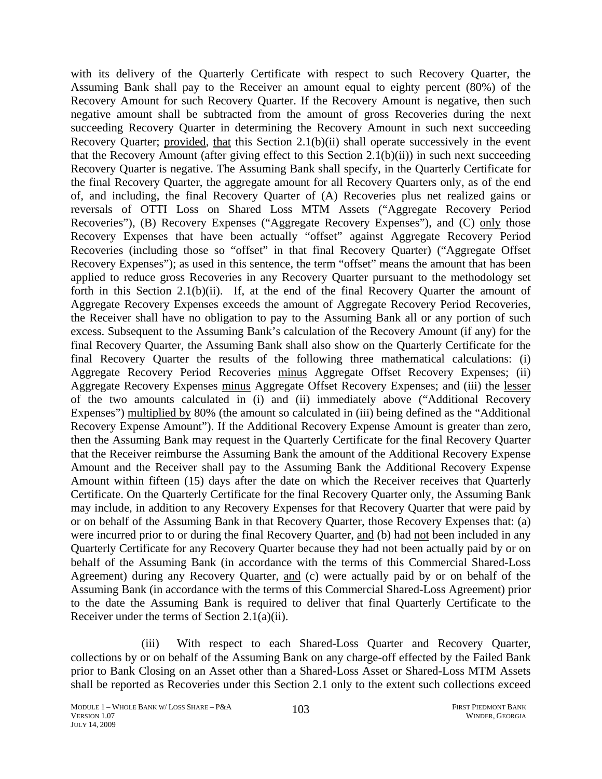with its delivery of the Quarterly Certificate with respect to such Recovery Quarter, the Assuming Bank shall pay to the Receiver an amount equal to eighty percent (80%) of the Recovery Amount for such Recovery Quarter. If the Recovery Amount is negative, then such negative amount shall be subtracted from the amount of gross Recoveries during the next succeeding Recovery Quarter in determining the Recovery Amount in such next succeeding Recovery Quarter; provided, that this Section 2.1(b)(ii) shall operate successively in the event that the Recovery Amount (after giving effect to this Section 2.1(b)(ii)) in such next succeeding Recovery Quarter is negative. The Assuming Bank shall specify, in the Quarterly Certificate for the final Recovery Quarter, the aggregate amount for all Recovery Quarters only, as of the end of, and including, the final Recovery Quarter of (A) Recoveries plus net realized gains or reversals of OTTI Loss on Shared Loss MTM Assets ("Aggregate Recovery Period Recoveries"), (B) Recovery Expenses ("Aggregate Recovery Expenses"), and (C) only those Recovery Expenses that have been actually "offset" against Aggregate Recovery Period Recoveries (including those so "offset" in that final Recovery Quarter) ("Aggregate Offset Recovery Expenses"); as used in this sentence, the term "offset" means the amount that has been applied to reduce gross Recoveries in any Recovery Quarter pursuant to the methodology set forth in this Section 2.1(b)(ii). If, at the end of the final Recovery Quarter the amount of Aggregate Recovery Expenses exceeds the amount of Aggregate Recovery Period Recoveries, the Receiver shall have no obligation to pay to the Assuming Bank all or any portion of such excess. Subsequent to the Assuming Bank's calculation of the Recovery Amount (if any) for the final Recovery Quarter, the Assuming Bank shall also show on the Quarterly Certificate for the final Recovery Quarter the results of the following three mathematical calculations: (i) Aggregate Recovery Period Recoveries minus Aggregate Offset Recovery Expenses; (ii) Aggregate Recovery Expenses minus Aggregate Offset Recovery Expenses; and (iii) the lesser of the two amounts calculated in (i) and (ii) immediately above ("Additional Recovery Expenses") multiplied by 80% (the amount so calculated in (iii) being defined as the "Additional Recovery Expense Amount"). If the Additional Recovery Expense Amount is greater than zero, then the Assuming Bank may request in the Quarterly Certificate for the final Recovery Quarter that the Receiver reimburse the Assuming Bank the amount of the Additional Recovery Expense Amount and the Receiver shall pay to the Assuming Bank the Additional Recovery Expense Amount within fifteen (15) days after the date on which the Receiver receives that Quarterly Certificate. On the Quarterly Certificate for the final Recovery Quarter only, the Assuming Bank may include, in addition to any Recovery Expenses for that Recovery Quarter that were paid by or on behalf of the Assuming Bank in that Recovery Quarter, those Recovery Expenses that: (a) were incurred prior to or during the final Recovery Quarter, and (b) had not been included in any Quarterly Certificate for any Recovery Quarter because they had not been actually paid by or on behalf of the Assuming Bank (in accordance with the terms of this Commercial Shared-Loss Agreement) during any Recovery Quarter, and (c) were actually paid by or on behalf of the Assuming Bank (in accordance with the terms of this Commercial Shared-Loss Agreement) prior to the date the Assuming Bank is required to deliver that final Quarterly Certificate to the Receiver under the terms of Section 2.1(a)(ii).

(iii) With respect to each Shared-Loss Quarter and Recovery Quarter, collections by or on behalf of the Assuming Bank on any charge-off effected by the Failed Bank prior to Bank Closing on an Asset other than a Shared-Loss Asset or Shared-Loss MTM Assets shall be reported as Recoveries under this Section 2.1 only to the extent such collections exceed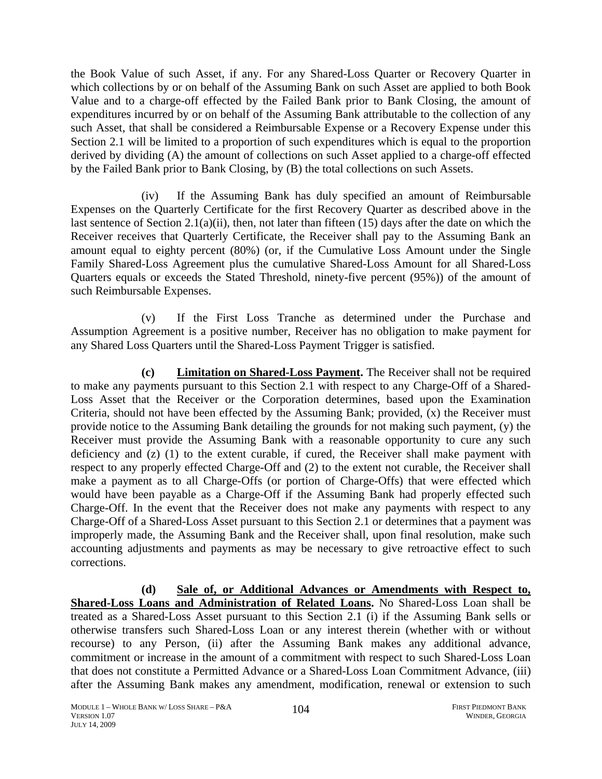the Book Value of such Asset, if any. For any Shared-Loss Quarter or Recovery Quarter in which collections by or on behalf of the Assuming Bank on such Asset are applied to both Book Value and to a charge-off effected by the Failed Bank prior to Bank Closing, the amount of expenditures incurred by or on behalf of the Assuming Bank attributable to the collection of any such Asset, that shall be considered a Reimbursable Expense or a Recovery Expense under this Section 2.1 will be limited to a proportion of such expenditures which is equal to the proportion derived by dividing (A) the amount of collections on such Asset applied to a charge-off effected by the Failed Bank prior to Bank Closing, by (B) the total collections on such Assets.

(iv) If the Assuming Bank has duly specified an amount of Reimbursable Expenses on the Quarterly Certificate for the first Recovery Quarter as described above in the last sentence of Section 2.1(a)(ii), then, not later than fifteen (15) days after the date on which the Receiver receives that Quarterly Certificate, the Receiver shall pay to the Assuming Bank an amount equal to eighty percent (80%) (or, if the Cumulative Loss Amount under the Single Family Shared-Loss Agreement plus the cumulative Shared-Loss Amount for all Shared-Loss Quarters equals or exceeds the Stated Threshold, ninety-five percent (95%)) of the amount of such Reimbursable Expenses.

(v) If the First Loss Tranche as determined under the Purchase and Assumption Agreement is a positive number, Receiver has no obligation to make payment for any Shared Loss Quarters until the Shared-Loss Payment Trigger is satisfied.

**(c) Limitation on Shared-Loss Payment.** The Receiver shall not be required to make any payments pursuant to this Section 2.1 with respect to any Charge-Off of a Shared-Loss Asset that the Receiver or the Corporation determines, based upon the Examination Criteria, should not have been effected by the Assuming Bank; provided, (x) the Receiver must provide notice to the Assuming Bank detailing the grounds for not making such payment, (y) the Receiver must provide the Assuming Bank with a reasonable opportunity to cure any such deficiency and (z) (1) to the extent curable, if cured, the Receiver shall make payment with respect to any properly effected Charge-Off and (2) to the extent not curable, the Receiver shall make a payment as to all Charge-Offs (or portion of Charge-Offs) that were effected which would have been payable as a Charge-Off if the Assuming Bank had properly effected such Charge-Off. In the event that the Receiver does not make any payments with respect to any Charge-Off of a Shared-Loss Asset pursuant to this Section 2.1 or determines that a payment was improperly made, the Assuming Bank and the Receiver shall, upon final resolution, make such accounting adjustments and payments as may be necessary to give retroactive effect to such corrections.

**(d) Sale of, or Additional Advances or Amendments with Respect to, Shared-Loss Loans and Administration of Related Loans.** No Shared-Loss Loan shall be treated as a Shared-Loss Asset pursuant to this Section 2.1 (i) if the Assuming Bank sells or otherwise transfers such Shared-Loss Loan or any interest therein (whether with or without recourse) to any Person, (ii) after the Assuming Bank makes any additional advance, commitment or increase in the amount of a commitment with respect to such Shared-Loss Loan that does not constitute a Permitted Advance or a Shared-Loss Loan Commitment Advance, (iii) after the Assuming Bank makes any amendment, modification, renewal or extension to such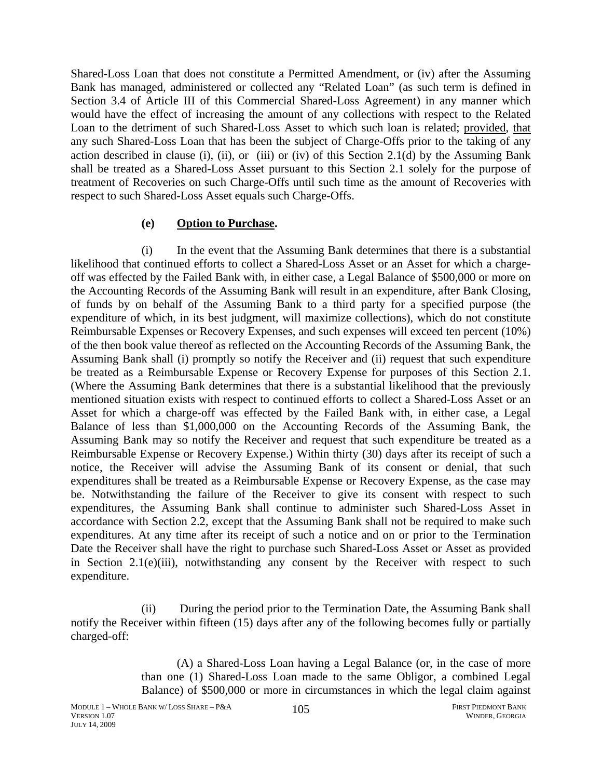Shared-Loss Loan that does not constitute a Permitted Amendment, or (iv) after the Assuming Bank has managed, administered or collected any "Related Loan" (as such term is defined in Section 3.4 of Article III of this Commercial Shared-Loss Agreement) in any manner which would have the effect of increasing the amount of any collections with respect to the Related Loan to the detriment of such Shared-Loss Asset to which such loan is related; provided, that any such Shared-Loss Loan that has been the subject of Charge-Offs prior to the taking of any action described in clause (i), (ii), or (iii) or (iv) of this Section 2.1(d) by the Assuming Bank shall be treated as a Shared-Loss Asset pursuant to this Section 2.1 solely for the purpose of treatment of Recoveries on such Charge-Offs until such time as the amount of Recoveries with respect to such Shared-Loss Asset equals such Charge-Offs.

## **(e) Option to Purchase.**

 (i) In the event that the Assuming Bank determines that there is a substantial likelihood that continued efforts to collect a Shared-Loss Asset or an Asset for which a chargeoff was effected by the Failed Bank with, in either case, a Legal Balance of \$500,000 or more on the Accounting Records of the Assuming Bank will result in an expenditure, after Bank Closing, of funds by on behalf of the Assuming Bank to a third party for a specified purpose (the expenditure of which, in its best judgment, will maximize collections), which do not constitute Reimbursable Expenses or Recovery Expenses, and such expenses will exceed ten percent (10%) of the then book value thereof as reflected on the Accounting Records of the Assuming Bank, the Assuming Bank shall (i) promptly so notify the Receiver and (ii) request that such expenditure be treated as a Reimbursable Expense or Recovery Expense for purposes of this Section 2.1. (Where the Assuming Bank determines that there is a substantial likelihood that the previously mentioned situation exists with respect to continued efforts to collect a Shared-Loss Asset or an Asset for which a charge-off was effected by the Failed Bank with, in either case, a Legal Balance of less than \$1,000,000 on the Accounting Records of the Assuming Bank, the Assuming Bank may so notify the Receiver and request that such expenditure be treated as a Reimbursable Expense or Recovery Expense.) Within thirty (30) days after its receipt of such a notice, the Receiver will advise the Assuming Bank of its consent or denial, that such expenditures shall be treated as a Reimbursable Expense or Recovery Expense, as the case may be. Notwithstanding the failure of the Receiver to give its consent with respect to such expenditures, the Assuming Bank shall continue to administer such Shared-Loss Asset in accordance with Section 2.2, except that the Assuming Bank shall not be required to make such expenditures. At any time after its receipt of such a notice and on or prior to the Termination Date the Receiver shall have the right to purchase such Shared-Loss Asset or Asset as provided in Section 2.1(e)(iii), notwithstanding any consent by the Receiver with respect to such expenditure.

(ii) During the period prior to the Termination Date, the Assuming Bank shall notify the Receiver within fifteen (15) days after any of the following becomes fully or partially charged-off:

> (A) a Shared-Loss Loan having a Legal Balance (or, in the case of more than one (1) Shared-Loss Loan made to the same Obligor, a combined Legal Balance) of \$500,000 or more in circumstances in which the legal claim against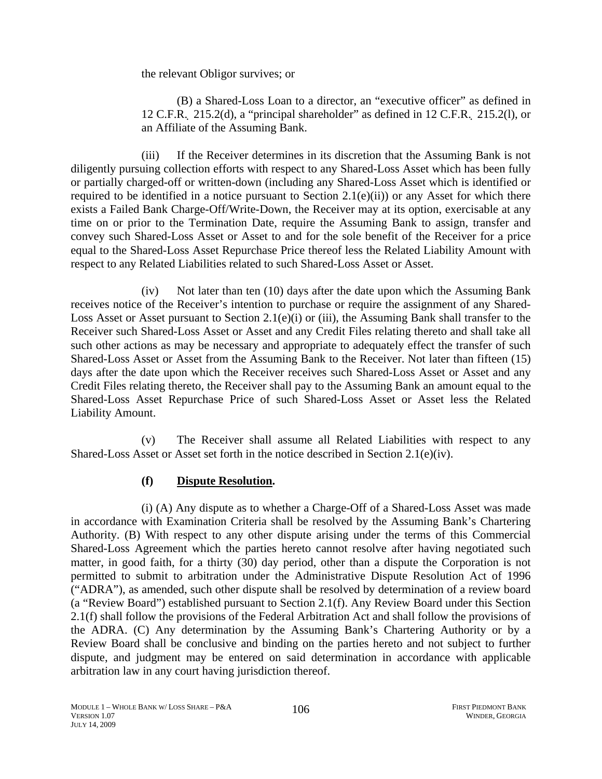the relevant Obligor survives; or

(B) a Shared-Loss Loan to a director, an "executive officer" as defined in 12 C.F.R. 215.2(d), a "principal shareholder" as defined in 12 C.F.R. 215.2(l), or an Affiliate of the Assuming Bank.

(iii) If the Receiver determines in its discretion that the Assuming Bank is not diligently pursuing collection efforts with respect to any Shared-Loss Asset which has been fully or partially charged-off or written-down (including any Shared-Loss Asset which is identified or required to be identified in a notice pursuant to Section  $2.1(e)(ii)$  or any Asset for which there exists a Failed Bank Charge-Off/Write-Down, the Receiver may at its option, exercisable at any time on or prior to the Termination Date, require the Assuming Bank to assign, transfer and convey such Shared-Loss Asset or Asset to and for the sole benefit of the Receiver for a price equal to the Shared-Loss Asset Repurchase Price thereof less the Related Liability Amount with respect to any Related Liabilities related to such Shared-Loss Asset or Asset.

(iv) Not later than ten (10) days after the date upon which the Assuming Bank receives notice of the Receiver's intention to purchase or require the assignment of any Shared-Loss Asset or Asset pursuant to Section 2.1(e)(i) or (iii), the Assuming Bank shall transfer to the Receiver such Shared-Loss Asset or Asset and any Credit Files relating thereto and shall take all such other actions as may be necessary and appropriate to adequately effect the transfer of such Shared-Loss Asset or Asset from the Assuming Bank to the Receiver. Not later than fifteen (15) days after the date upon which the Receiver receives such Shared-Loss Asset or Asset and any Credit Files relating thereto, the Receiver shall pay to the Assuming Bank an amount equal to the Shared-Loss Asset Repurchase Price of such Shared-Loss Asset or Asset less the Related Liability Amount.

(v) The Receiver shall assume all Related Liabilities with respect to any Shared-Loss Asset or Asset set forth in the notice described in Section 2.1(e)(iv).

# **(f) Dispute Resolution.**

(i) (A) Any dispute as to whether a Charge-Off of a Shared-Loss Asset was made in accordance with Examination Criteria shall be resolved by the Assuming Bank's Chartering Authority. (B) With respect to any other dispute arising under the terms of this Commercial Shared-Loss Agreement which the parties hereto cannot resolve after having negotiated such matter, in good faith, for a thirty (30) day period, other than a dispute the Corporation is not permitted to submit to arbitration under the Administrative Dispute Resolution Act of 1996 ("ADRA"), as amended, such other dispute shall be resolved by determination of a review board (a "Review Board") established pursuant to Section 2.1(f). Any Review Board under this Section 2.1(f) shall follow the provisions of the Federal Arbitration Act and shall follow the provisions of the ADRA. (C) Any determination by the Assuming Bank's Chartering Authority or by a Review Board shall be conclusive and binding on the parties hereto and not subject to further dispute, and judgment may be entered on said determination in accordance with applicable arbitration law in any court having jurisdiction thereof.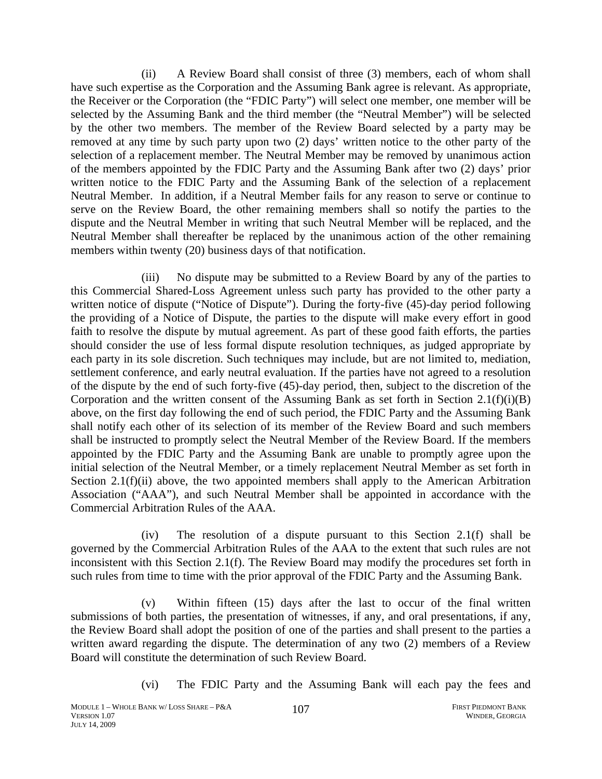(ii) A Review Board shall consist of three (3) members, each of whom shall have such expertise as the Corporation and the Assuming Bank agree is relevant. As appropriate, the Receiver or the Corporation (the "FDIC Party") will select one member, one member will be selected by the Assuming Bank and the third member (the "Neutral Member") will be selected by the other two members. The member of the Review Board selected by a party may be removed at any time by such party upon two (2) days' written notice to the other party of the selection of a replacement member. The Neutral Member may be removed by unanimous action of the members appointed by the FDIC Party and the Assuming Bank after two (2) days' prior written notice to the FDIC Party and the Assuming Bank of the selection of a replacement Neutral Member. In addition, if a Neutral Member fails for any reason to serve or continue to serve on the Review Board, the other remaining members shall so notify the parties to the dispute and the Neutral Member in writing that such Neutral Member will be replaced, and the Neutral Member shall thereafter be replaced by the unanimous action of the other remaining members within twenty (20) business days of that notification.

(iii) No dispute may be submitted to a Review Board by any of the parties to this Commercial Shared-Loss Agreement unless such party has provided to the other party a written notice of dispute ("Notice of Dispute"). During the forty-five (45)-day period following the providing of a Notice of Dispute, the parties to the dispute will make every effort in good faith to resolve the dispute by mutual agreement. As part of these good faith efforts, the parties should consider the use of less formal dispute resolution techniques, as judged appropriate by each party in its sole discretion. Such techniques may include, but are not limited to, mediation, settlement conference, and early neutral evaluation. If the parties have not agreed to a resolution of the dispute by the end of such forty-five (45)-day period, then, subject to the discretion of the Corporation and the written consent of the Assuming Bank as set forth in Section  $2.1(f)(i)(B)$ above, on the first day following the end of such period, the FDIC Party and the Assuming Bank shall notify each other of its selection of its member of the Review Board and such members shall be instructed to promptly select the Neutral Member of the Review Board. If the members appointed by the FDIC Party and the Assuming Bank are unable to promptly agree upon the initial selection of the Neutral Member, or a timely replacement Neutral Member as set forth in Section 2.1(f)(ii) above, the two appointed members shall apply to the American Arbitration Association ("AAA"), and such Neutral Member shall be appointed in accordance with the Commercial Arbitration Rules of the AAA.

 (iv) The resolution of a dispute pursuant to this Section 2.1(f) shall be governed by the Commercial Arbitration Rules of the AAA to the extent that such rules are not inconsistent with this Section 2.1(f). The Review Board may modify the procedures set forth in such rules from time to time with the prior approval of the FDIC Party and the Assuming Bank.

(v) Within fifteen (15) days after the last to occur of the final written submissions of both parties, the presentation of witnesses, if any, and oral presentations, if any, the Review Board shall adopt the position of one of the parties and shall present to the parties a written award regarding the dispute. The determination of any two (2) members of a Review Board will constitute the determination of such Review Board.

(vi) The FDIC Party and the Assuming Bank will each pay the fees and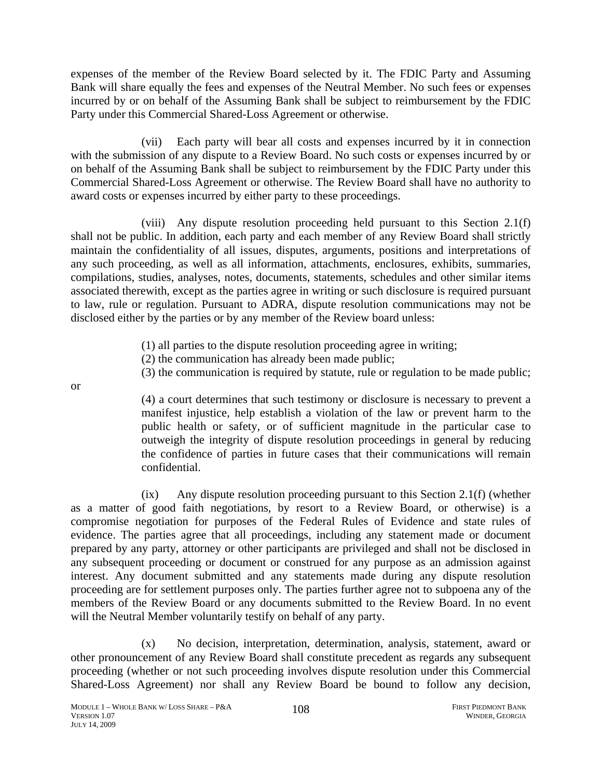expenses of the member of the Review Board selected by it. The FDIC Party and Assuming Bank will share equally the fees and expenses of the Neutral Member. No such fees or expenses incurred by or on behalf of the Assuming Bank shall be subject to reimbursement by the FDIC Party under this Commercial Shared-Loss Agreement or otherwise.

(vii) Each party will bear all costs and expenses incurred by it in connection with the submission of any dispute to a Review Board. No such costs or expenses incurred by or on behalf of the Assuming Bank shall be subject to reimbursement by the FDIC Party under this Commercial Shared-Loss Agreement or otherwise. The Review Board shall have no authority to award costs or expenses incurred by either party to these proceedings.

 (viii) Any dispute resolution proceeding held pursuant to this Section 2.1(f) shall not be public. In addition, each party and each member of any Review Board shall strictly maintain the confidentiality of all issues, disputes, arguments, positions and interpretations of any such proceeding, as well as all information, attachments, enclosures, exhibits, summaries, compilations, studies, analyses, notes, documents, statements, schedules and other similar items associated therewith, except as the parties agree in writing or such disclosure is required pursuant to law, rule or regulation. Pursuant to ADRA, dispute resolution communications may not be disclosed either by the parties or by any member of the Review board unless:

- (1) all parties to the dispute resolution proceeding agree in writing;
- (2) the communication has already been made public;
- (3) the communication is required by statute, rule or regulation to be made public;

or

(4) a court determines that such testimony or disclosure is necessary to prevent a manifest injustice, help establish a violation of the law or prevent harm to the public health or safety, or of sufficient magnitude in the particular case to outweigh the integrity of dispute resolution proceedings in general by reducing the confidence of parties in future cases that their communications will remain confidential.

(ix) Any dispute resolution proceeding pursuant to this Section 2.1(f) (whether as a matter of good faith negotiations, by resort to a Review Board, or otherwise) is a compromise negotiation for purposes of the Federal Rules of Evidence and state rules of evidence. The parties agree that all proceedings, including any statement made or document prepared by any party, attorney or other participants are privileged and shall not be disclosed in any subsequent proceeding or document or construed for any purpose as an admission against interest. Any document submitted and any statements made during any dispute resolution proceeding are for settlement purposes only. The parties further agree not to subpoena any of the members of the Review Board or any documents submitted to the Review Board. In no event will the Neutral Member voluntarily testify on behalf of any party.

(x) No decision, interpretation, determination, analysis, statement, award or other pronouncement of any Review Board shall constitute precedent as regards any subsequent proceeding (whether or not such proceeding involves dispute resolution under this Commercial Shared-Loss Agreement) nor shall any Review Board be bound to follow any decision,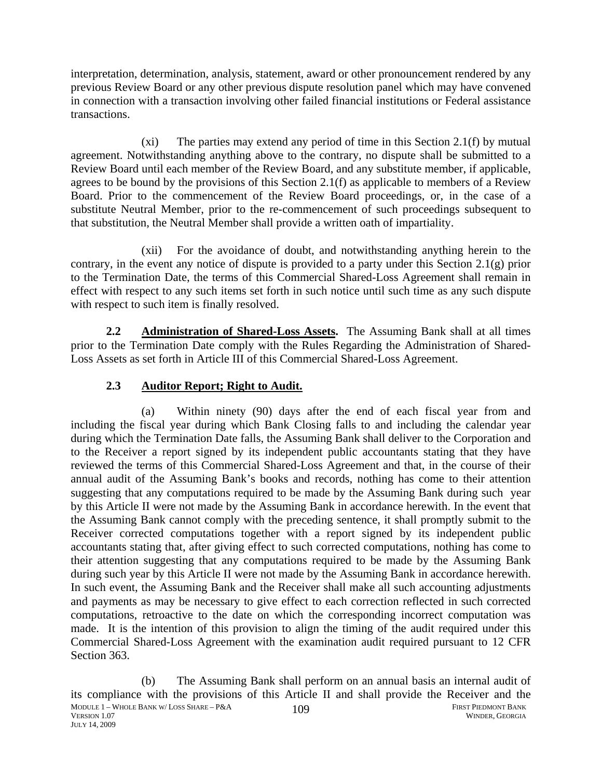interpretation, determination, analysis, statement, award or other pronouncement rendered by any previous Review Board or any other previous dispute resolution panel which may have convened in connection with a transaction involving other failed financial institutions or Federal assistance transactions.

(xi) The parties may extend any period of time in this Section 2.1(f) by mutual agreement. Notwithstanding anything above to the contrary, no dispute shall be submitted to a Review Board until each member of the Review Board, and any substitute member, if applicable, agrees to be bound by the provisions of this Section 2.1(f) as applicable to members of a Review Board. Prior to the commencement of the Review Board proceedings, or, in the case of a substitute Neutral Member, prior to the re-commencement of such proceedings subsequent to that substitution, the Neutral Member shall provide a written oath of impartiality.

(xii) For the avoidance of doubt, and notwithstanding anything herein to the contrary, in the event any notice of dispute is provided to a party under this Section 2.1(g) prior to the Termination Date, the terms of this Commercial Shared-Loss Agreement shall remain in effect with respect to any such items set forth in such notice until such time as any such dispute with respect to such item is finally resolved.

**2.2 Administration of Shared-Loss Assets.** The Assuming Bank shall at all times prior to the Termination Date comply with the Rules Regarding the Administration of Shared-Loss Assets as set forth in Article III of this Commercial Shared-Loss Agreement.

## **2.3 Auditor Report; Right to Audit.**

(a) Within ninety (90) days after the end of each fiscal year from and including the fiscal year during which Bank Closing falls to and including the calendar year during which the Termination Date falls, the Assuming Bank shall deliver to the Corporation and to the Receiver a report signed by its independent public accountants stating that they have reviewed the terms of this Commercial Shared-Loss Agreement and that, in the course of their annual audit of the Assuming Bank's books and records, nothing has come to their attention suggesting that any computations required to be made by the Assuming Bank during such year by this Article II were not made by the Assuming Bank in accordance herewith. In the event that the Assuming Bank cannot comply with the preceding sentence, it shall promptly submit to the Receiver corrected computations together with a report signed by its independent public accountants stating that, after giving effect to such corrected computations, nothing has come to their attention suggesting that any computations required to be made by the Assuming Bank during such year by this Article II were not made by the Assuming Bank in accordance herewith. In such event, the Assuming Bank and the Receiver shall make all such accounting adjustments and payments as may be necessary to give effect to each correction reflected in such corrected computations, retroactive to the date on which the corresponding incorrect computation was made. It is the intention of this provision to align the timing of the audit required under this Commercial Shared-Loss Agreement with the examination audit required pursuant to 12 CFR Section 363.

MODULE 1 – WHOLE BANK W/LOSS SHARE – P&A  $109$  FIRST PIEDMONT BANK WINDER. GEORGIA WINDER, GEORGIA JULY 14, 2009 109 (b) The Assuming Bank shall perform on an annual basis an internal audit of its compliance with the provisions of this Article II and shall provide the Receiver and the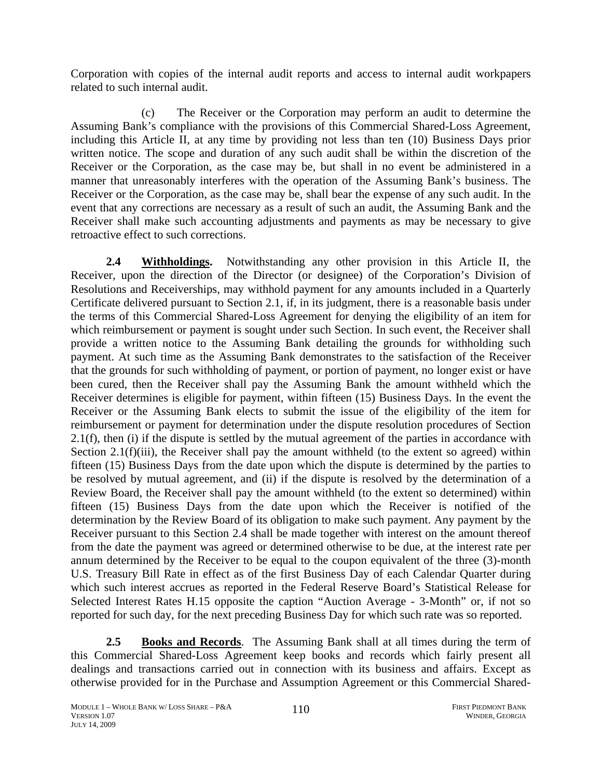Corporation with copies of the internal audit reports and access to internal audit workpapers related to such internal audit.

(c) The Receiver or the Corporation may perform an audit to determine the Assuming Bank's compliance with the provisions of this Commercial Shared-Loss Agreement, including this Article II, at any time by providing not less than ten (10) Business Days prior written notice. The scope and duration of any such audit shall be within the discretion of the Receiver or the Corporation, as the case may be, but shall in no event be administered in a manner that unreasonably interferes with the operation of the Assuming Bank's business. The Receiver or the Corporation, as the case may be, shall bear the expense of any such audit. In the event that any corrections are necessary as a result of such an audit, the Assuming Bank and the Receiver shall make such accounting adjustments and payments as may be necessary to give retroactive effect to such corrections.

**2.4 Withholdings.** Notwithstanding any other provision in this Article II, the Receiver, upon the direction of the Director (or designee) of the Corporation's Division of Resolutions and Receiverships, may withhold payment for any amounts included in a Quarterly Certificate delivered pursuant to Section 2.1, if, in its judgment, there is a reasonable basis under the terms of this Commercial Shared-Loss Agreement for denying the eligibility of an item for which reimbursement or payment is sought under such Section. In such event, the Receiver shall provide a written notice to the Assuming Bank detailing the grounds for withholding such payment. At such time as the Assuming Bank demonstrates to the satisfaction of the Receiver that the grounds for such withholding of payment, or portion of payment, no longer exist or have been cured, then the Receiver shall pay the Assuming Bank the amount withheld which the Receiver determines is eligible for payment, within fifteen (15) Business Days. In the event the Receiver or the Assuming Bank elects to submit the issue of the eligibility of the item for reimbursement or payment for determination under the dispute resolution procedures of Section 2.1(f), then (i) if the dispute is settled by the mutual agreement of the parties in accordance with Section 2.1(f)(iii), the Receiver shall pay the amount withheld (to the extent so agreed) within fifteen (15) Business Days from the date upon which the dispute is determined by the parties to be resolved by mutual agreement, and (ii) if the dispute is resolved by the determination of a Review Board, the Receiver shall pay the amount withheld (to the extent so determined) within fifteen (15) Business Days from the date upon which the Receiver is notified of the determination by the Review Board of its obligation to make such payment. Any payment by the Receiver pursuant to this Section 2.4 shall be made together with interest on the amount thereof from the date the payment was agreed or determined otherwise to be due, at the interest rate per annum determined by the Receiver to be equal to the coupon equivalent of the three (3)-month U.S. Treasury Bill Rate in effect as of the first Business Day of each Calendar Quarter during which such interest accrues as reported in the Federal Reserve Board's Statistical Release for Selected Interest Rates H.15 opposite the caption "Auction Average - 3-Month" or, if not so reported for such day, for the next preceding Business Day for which such rate was so reported.

**2.5 Books and Records**. The Assuming Bank shall at all times during the term of this Commercial Shared-Loss Agreement keep books and records which fairly present all dealings and transactions carried out in connection with its business and affairs. Except as otherwise provided for in the Purchase and Assumption Agreement or this Commercial Shared-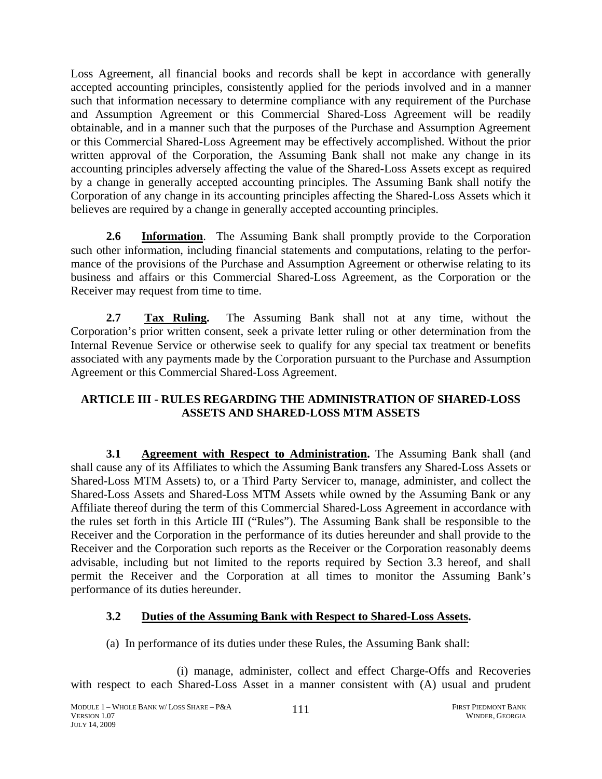Loss Agreement, all financial books and records shall be kept in accordance with generally accepted accounting principles, consistently applied for the periods involved and in a manner such that information necessary to determine compliance with any requirement of the Purchase and Assumption Agreement or this Commercial Shared-Loss Agreement will be readily obtainable, and in a manner such that the purposes of the Purchase and Assumption Agreement or this Commercial Shared-Loss Agreement may be effectively accomplished. Without the prior written approval of the Corporation, the Assuming Bank shall not make any change in its accounting principles adversely affecting the value of the Shared-Loss Assets except as required by a change in generally accepted accounting principles. The Assuming Bank shall notify the Corporation of any change in its accounting principles affecting the Shared-Loss Assets which it believes are required by a change in generally accepted accounting principles.

**2.6 Information**. The Assuming Bank shall promptly provide to the Corporation such other information, including financial statements and computations, relating to the performance of the provisions of the Purchase and Assumption Agreement or otherwise relating to its business and affairs or this Commercial Shared-Loss Agreement, as the Corporation or the Receiver may request from time to time.

**2.7 Tax Ruling.** The Assuming Bank shall not at any time, without the Corporation's prior written consent, seek a private letter ruling or other determination from the Internal Revenue Service or otherwise seek to qualify for any special tax treatment or benefits associated with any payments made by the Corporation pursuant to the Purchase and Assumption Agreement or this Commercial Shared-Loss Agreement.

### **ARTICLE III - RULES REGARDING THE ADMINISTRATION OF SHARED-LOSS ASSETS AND SHARED-LOSS MTM ASSETS**

**3.1 Agreement with Respect to Administration.** The Assuming Bank shall (and shall cause any of its Affiliates to which the Assuming Bank transfers any Shared-Loss Assets or Shared-Loss MTM Assets) to, or a Third Party Servicer to, manage, administer, and collect the Shared-Loss Assets and Shared-Loss MTM Assets while owned by the Assuming Bank or any Affiliate thereof during the term of this Commercial Shared-Loss Agreement in accordance with the rules set forth in this Article III ("Rules"). The Assuming Bank shall be responsible to the Receiver and the Corporation in the performance of its duties hereunder and shall provide to the Receiver and the Corporation such reports as the Receiver or the Corporation reasonably deems advisable, including but not limited to the reports required by Section 3.3 hereof, and shall permit the Receiver and the Corporation at all times to monitor the Assuming Bank's performance of its duties hereunder.

## **3.2 Duties of the Assuming Bank with Respect to Shared-Loss Assets.**

(a) In performance of its duties under these Rules, the Assuming Bank shall:

(i) manage, administer, collect and effect Charge-Offs and Recoveries with respect to each Shared-Loss Asset in a manner consistent with (A) usual and prudent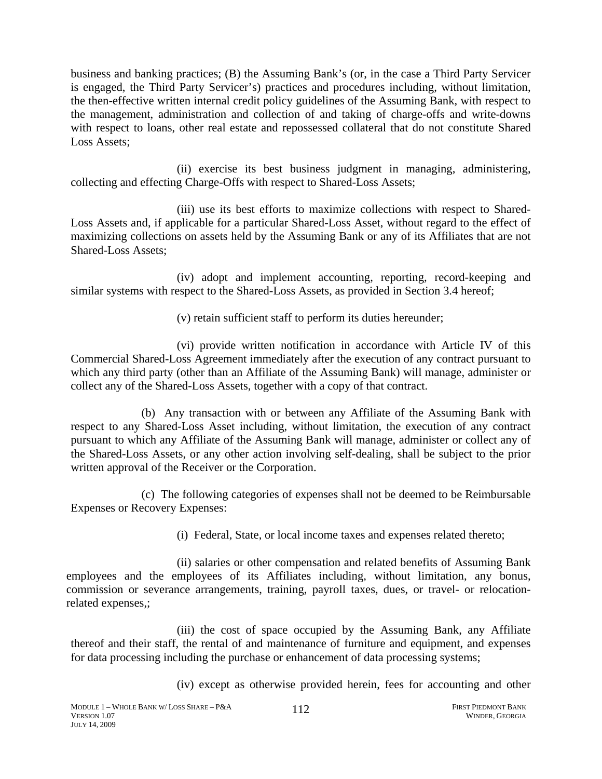business and banking practices; (B) the Assuming Bank's (or, in the case a Third Party Servicer is engaged, the Third Party Servicer's) practices and procedures including, without limitation, the then-effective written internal credit policy guidelines of the Assuming Bank, with respect to the management, administration and collection of and taking of charge-offs and write-downs with respect to loans, other real estate and repossessed collateral that do not constitute Shared Loss Assets;

(ii) exercise its best business judgment in managing, administering, collecting and effecting Charge-Offs with respect to Shared-Loss Assets;

(iii) use its best efforts to maximize collections with respect to Shared-Loss Assets and, if applicable for a particular Shared-Loss Asset, without regard to the effect of maximizing collections on assets held by the Assuming Bank or any of its Affiliates that are not Shared-Loss Assets;

(iv) adopt and implement accounting, reporting, record-keeping and similar systems with respect to the Shared-Loss Assets, as provided in Section 3.4 hereof;

(v) retain sufficient staff to perform its duties hereunder;

(vi) provide written notification in accordance with Article IV of this Commercial Shared-Loss Agreement immediately after the execution of any contract pursuant to which any third party (other than an Affiliate of the Assuming Bank) will manage, administer or collect any of the Shared-Loss Assets, together with a copy of that contract.

(b) Any transaction with or between any Affiliate of the Assuming Bank with respect to any Shared-Loss Asset including, without limitation, the execution of any contract pursuant to which any Affiliate of the Assuming Bank will manage, administer or collect any of the Shared-Loss Assets, or any other action involving self-dealing, shall be subject to the prior written approval of the Receiver or the Corporation.

(c) The following categories of expenses shall not be deemed to be Reimbursable Expenses or Recovery Expenses:

(i) Federal, State, or local income taxes and expenses related thereto;

(ii) salaries or other compensation and related benefits of Assuming Bank employees and the employees of its Affiliates including, without limitation, any bonus, commission or severance arrangements, training, payroll taxes, dues, or travel- or relocationrelated expenses,;

(iii) the cost of space occupied by the Assuming Bank, any Affiliate thereof and their staff, the rental of and maintenance of furniture and equipment, and expenses for data processing including the purchase or enhancement of data processing systems;

(iv) except as otherwise provided herein, fees for accounting and other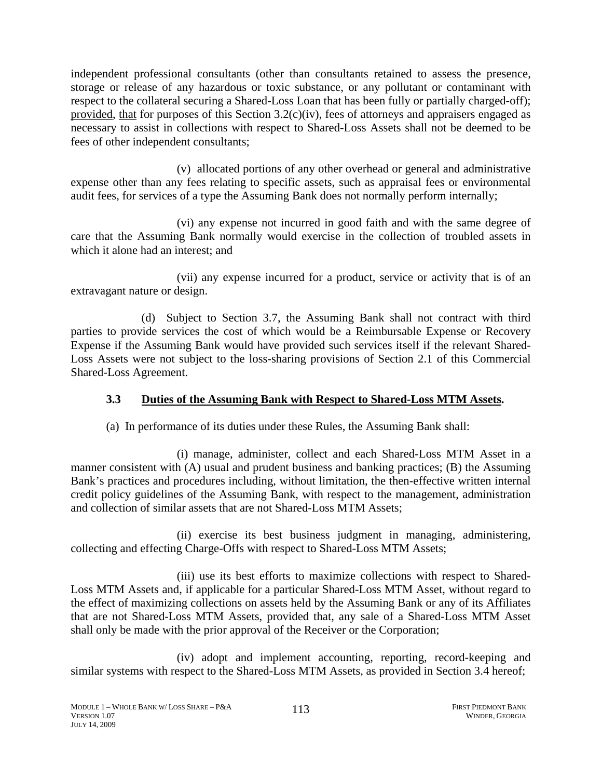independent professional consultants (other than consultants retained to assess the presence, storage or release of any hazardous or toxic substance, or any pollutant or contaminant with respect to the collateral securing a Shared-Loss Loan that has been fully or partially charged-off); provided, that for purposes of this Section 3.2(c)(iv), fees of attorneys and appraisers engaged as necessary to assist in collections with respect to Shared-Loss Assets shall not be deemed to be fees of other independent consultants;

(v) allocated portions of any other overhead or general and administrative expense other than any fees relating to specific assets, such as appraisal fees or environmental audit fees, for services of a type the Assuming Bank does not normally perform internally;

(vi) any expense not incurred in good faith and with the same degree of care that the Assuming Bank normally would exercise in the collection of troubled assets in which it alone had an interest; and

(vii) any expense incurred for a product, service or activity that is of an extravagant nature or design.

(d) Subject to Section 3.7, the Assuming Bank shall not contract with third parties to provide services the cost of which would be a Reimbursable Expense or Recovery Expense if the Assuming Bank would have provided such services itself if the relevant Shared-Loss Assets were not subject to the loss-sharing provisions of Section 2.1 of this Commercial Shared-Loss Agreement.

## **3.3 Duties of the Assuming Bank with Respect to Shared-Loss MTM Assets.**

(a) In performance of its duties under these Rules, the Assuming Bank shall:

(i) manage, administer, collect and each Shared-Loss MTM Asset in a manner consistent with (A) usual and prudent business and banking practices; (B) the Assuming Bank's practices and procedures including, without limitation, the then-effective written internal credit policy guidelines of the Assuming Bank, with respect to the management, administration and collection of similar assets that are not Shared-Loss MTM Assets;

(ii) exercise its best business judgment in managing, administering, collecting and effecting Charge-Offs with respect to Shared-Loss MTM Assets;

(iii) use its best efforts to maximize collections with respect to Shared-Loss MTM Assets and, if applicable for a particular Shared-Loss MTM Asset, without regard to the effect of maximizing collections on assets held by the Assuming Bank or any of its Affiliates that are not Shared-Loss MTM Assets, provided that, any sale of a Shared-Loss MTM Asset shall only be made with the prior approval of the Receiver or the Corporation;

(iv) adopt and implement accounting, reporting, record-keeping and similar systems with respect to the Shared-Loss MTM Assets, as provided in Section 3.4 hereof;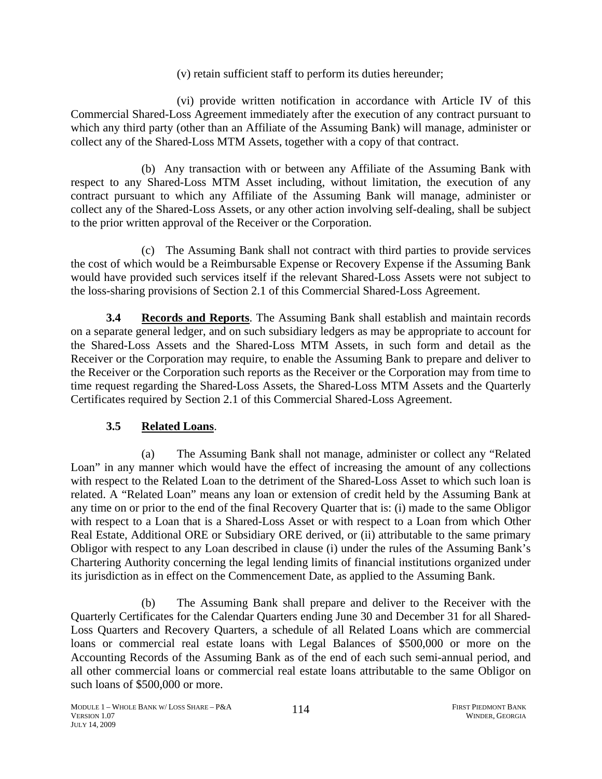(v) retain sufficient staff to perform its duties hereunder;

(vi) provide written notification in accordance with Article IV of this Commercial Shared-Loss Agreement immediately after the execution of any contract pursuant to which any third party (other than an Affiliate of the Assuming Bank) will manage, administer or collect any of the Shared-Loss MTM Assets, together with a copy of that contract.

(b) Any transaction with or between any Affiliate of the Assuming Bank with respect to any Shared-Loss MTM Asset including, without limitation, the execution of any contract pursuant to which any Affiliate of the Assuming Bank will manage, administer or collect any of the Shared-Loss Assets, or any other action involving self-dealing, shall be subject to the prior written approval of the Receiver or the Corporation.

(c) The Assuming Bank shall not contract with third parties to provide services the cost of which would be a Reimbursable Expense or Recovery Expense if the Assuming Bank would have provided such services itself if the relevant Shared-Loss Assets were not subject to the loss-sharing provisions of Section 2.1 of this Commercial Shared-Loss Agreement.

**3.4 Records and Reports**. The Assuming Bank shall establish and maintain records on a separate general ledger, and on such subsidiary ledgers as may be appropriate to account for the Shared-Loss Assets and the Shared-Loss MTM Assets, in such form and detail as the Receiver or the Corporation may require, to enable the Assuming Bank to prepare and deliver to the Receiver or the Corporation such reports as the Receiver or the Corporation may from time to time request regarding the Shared-Loss Assets, the Shared-Loss MTM Assets and the Quarterly Certificates required by Section 2.1 of this Commercial Shared-Loss Agreement.

# **3.5 Related Loans**.

(a) The Assuming Bank shall not manage, administer or collect any "Related Loan" in any manner which would have the effect of increasing the amount of any collections with respect to the Related Loan to the detriment of the Shared-Loss Asset to which such loan is related. A "Related Loan" means any loan or extension of credit held by the Assuming Bank at any time on or prior to the end of the final Recovery Quarter that is: (i) made to the same Obligor with respect to a Loan that is a Shared-Loss Asset or with respect to a Loan from which Other Real Estate, Additional ORE or Subsidiary ORE derived, or (ii) attributable to the same primary Obligor with respect to any Loan described in clause (i) under the rules of the Assuming Bank's Chartering Authority concerning the legal lending limits of financial institutions organized under its jurisdiction as in effect on the Commencement Date, as applied to the Assuming Bank.

(b) The Assuming Bank shall prepare and deliver to the Receiver with the Quarterly Certificates for the Calendar Quarters ending June 30 and December 31 for all Shared-Loss Quarters and Recovery Quarters, a schedule of all Related Loans which are commercial loans or commercial real estate loans with Legal Balances of \$500,000 or more on the Accounting Records of the Assuming Bank as of the end of each such semi-annual period, and all other commercial loans or commercial real estate loans attributable to the same Obligor on such loans of \$500,000 or more.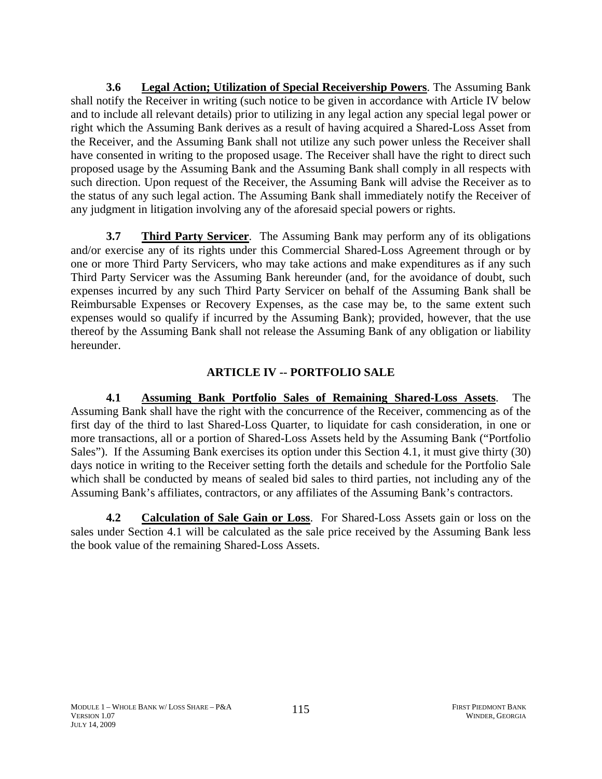**3.6 Legal Action; Utilization of Special Receivership Powers**. The Assuming Bank shall notify the Receiver in writing (such notice to be given in accordance with Article IV below and to include all relevant details) prior to utilizing in any legal action any special legal power or right which the Assuming Bank derives as a result of having acquired a Shared-Loss Asset from the Receiver, and the Assuming Bank shall not utilize any such power unless the Receiver shall have consented in writing to the proposed usage. The Receiver shall have the right to direct such proposed usage by the Assuming Bank and the Assuming Bank shall comply in all respects with such direction. Upon request of the Receiver, the Assuming Bank will advise the Receiver as to the status of any such legal action. The Assuming Bank shall immediately notify the Receiver of any judgment in litigation involving any of the aforesaid special powers or rights.

**3.7 Third Party Servicer**. The Assuming Bank may perform any of its obligations and/or exercise any of its rights under this Commercial Shared-Loss Agreement through or by one or more Third Party Servicers, who may take actions and make expenditures as if any such Third Party Servicer was the Assuming Bank hereunder (and, for the avoidance of doubt, such expenses incurred by any such Third Party Servicer on behalf of the Assuming Bank shall be Reimbursable Expenses or Recovery Expenses, as the case may be, to the same extent such expenses would so qualify if incurred by the Assuming Bank); provided, however, that the use thereof by the Assuming Bank shall not release the Assuming Bank of any obligation or liability hereunder.

## **ARTICLE IV -- PORTFOLIO SALE**

 **4.1 Assuming Bank Portfolio Sales of Remaining Shared-Loss Assets**. The Assuming Bank shall have the right with the concurrence of the Receiver, commencing as of the first day of the third to last Shared-Loss Quarter, to liquidate for cash consideration, in one or more transactions, all or a portion of Shared-Loss Assets held by the Assuming Bank ("Portfolio Sales"). If the Assuming Bank exercises its option under this Section 4.1, it must give thirty (30) days notice in writing to the Receiver setting forth the details and schedule for the Portfolio Sale which shall be conducted by means of sealed bid sales to third parties, not including any of the Assuming Bank's affiliates, contractors, or any affiliates of the Assuming Bank's contractors.

**4.2 Calculation of Sale Gain or Loss**. For Shared-Loss Assets gain or loss on the sales under Section 4.1 will be calculated as the sale price received by the Assuming Bank less the book value of the remaining Shared-Loss Assets.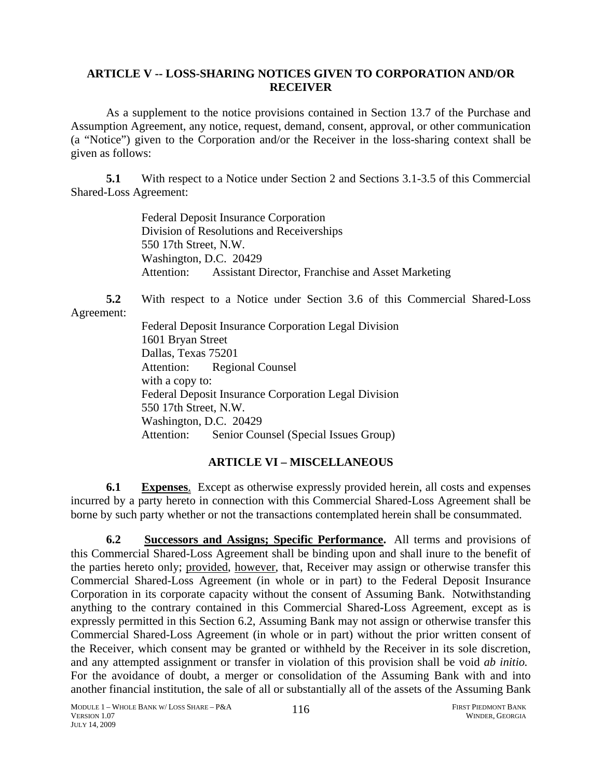#### **ARTICLE V -- LOSS-SHARING NOTICES GIVEN TO CORPORATION AND/OR RECEIVER**

As a supplement to the notice provisions contained in Section 13.7 of the Purchase and Assumption Agreement, any notice, request, demand, consent, approval, or other communication (a "Notice") given to the Corporation and/or the Receiver in the loss-sharing context shall be given as follows:

**5.1** With respect to a Notice under Section 2 and Sections 3.1-3.5 of this Commercial Shared-Loss Agreement:

> Federal Deposit Insurance Corporation Division of Resolutions and Receiverships 550 17th Street, N.W. Washington, D.C. 20429 Attention: Assistant Director, Franchise and Asset Marketing

**5.2** With respect to a Notice under Section 3.6 of this Commercial Shared-Loss Agreement:

> Federal Deposit Insurance Corporation Legal Division 1601 Bryan Street Dallas, Texas 75201 Attention: Regional Counsel with a copy to: Federal Deposit Insurance Corporation Legal Division 550 17th Street, N.W. Washington, D.C. 20429 Attention: Senior Counsel (Special Issues Group)

## **ARTICLE VI – MISCELLANEOUS**

 **6.1 Expenses**. Except as otherwise expressly provided herein, all costs and expenses incurred by a party hereto in connection with this Commercial Shared-Loss Agreement shall be borne by such party whether or not the transactions contemplated herein shall be consummated.

**6.2 Successors and Assigns; Specific Performance.** All terms and provisions of this Commercial Shared-Loss Agreement shall be binding upon and shall inure to the benefit of the parties hereto only; provided, however, that, Receiver may assign or otherwise transfer this Commercial Shared-Loss Agreement (in whole or in part) to the Federal Deposit Insurance Corporation in its corporate capacity without the consent of Assuming Bank. Notwithstanding anything to the contrary contained in this Commercial Shared-Loss Agreement, except as is expressly permitted in this Section 6.2, Assuming Bank may not assign or otherwise transfer this Commercial Shared-Loss Agreement (in whole or in part) without the prior written consent of the Receiver, which consent may be granted or withheld by the Receiver in its sole discretion, and any attempted assignment or transfer in violation of this provision shall be void *ab initio.*  For the avoidance of doubt, a merger or consolidation of the Assuming Bank with and into another financial institution, the sale of all or substantially all of the assets of the Assuming Bank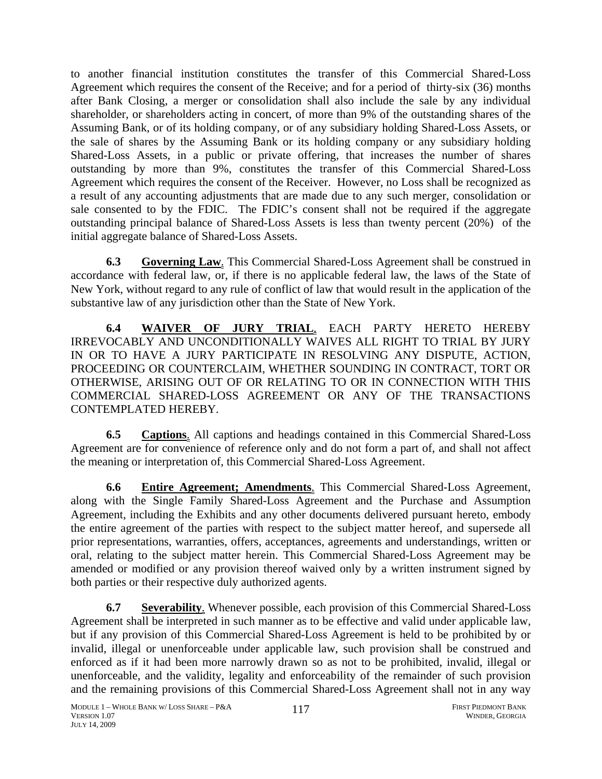to another financial institution constitutes the transfer of this Commercial Shared-Loss Agreement which requires the consent of the Receive; and for a period of thirty-six (36) months after Bank Closing, a merger or consolidation shall also include the sale by any individual shareholder, or shareholders acting in concert, of more than 9% of the outstanding shares of the Assuming Bank, or of its holding company, or of any subsidiary holding Shared-Loss Assets, or the sale of shares by the Assuming Bank or its holding company or any subsidiary holding Shared-Loss Assets, in a public or private offering, that increases the number of shares outstanding by more than 9%, constitutes the transfer of this Commercial Shared-Loss Agreement which requires the consent of the Receiver. However, no Loss shall be recognized as a result of any accounting adjustments that are made due to any such merger, consolidation or sale consented to by the FDIC. The FDIC's consent shall not be required if the aggregate outstanding principal balance of Shared-Loss Assets is less than twenty percent (20%) of the initial aggregate balance of Shared-Loss Assets.

**6.3 Governing Law**. This Commercial Shared-Loss Agreement shall be construed in accordance with federal law, or, if there is no applicable federal law, the laws of the State of New York, without regard to any rule of conflict of law that would result in the application of the substantive law of any jurisdiction other than the State of New York.

**6.4 WAIVER OF JURY TRIAL**. EACH PARTY HERETO HEREBY IRREVOCABLY AND UNCONDITIONALLY WAIVES ALL RIGHT TO TRIAL BY JURY IN OR TO HAVE A JURY PARTICIPATE IN RESOLVING ANY DISPUTE, ACTION, PROCEEDING OR COUNTERCLAIM, WHETHER SOUNDING IN CONTRACT, TORT OR OTHERWISE, ARISING OUT OF OR RELATING TO OR IN CONNECTION WITH THIS COMMERCIAL SHARED-LOSS AGREEMENT OR ANY OF THE TRANSACTIONS CONTEMPLATED HEREBY.

**6.5 Captions**. All captions and headings contained in this Commercial Shared-Loss Agreement are for convenience of reference only and do not form a part of, and shall not affect the meaning or interpretation of, this Commercial Shared-Loss Agreement.

**6.6 Entire Agreement; Amendments**. This Commercial Shared-Loss Agreement, along with the Single Family Shared-Loss Agreement and the Purchase and Assumption Agreement, including the Exhibits and any other documents delivered pursuant hereto, embody the entire agreement of the parties with respect to the subject matter hereof, and supersede all prior representations, warranties, offers, acceptances, agreements and understandings, written or oral, relating to the subject matter herein. This Commercial Shared-Loss Agreement may be amended or modified or any provision thereof waived only by a written instrument signed by both parties or their respective duly authorized agents.

**6.7 Severability**. Whenever possible, each provision of this Commercial Shared-Loss Agreement shall be interpreted in such manner as to be effective and valid under applicable law, but if any provision of this Commercial Shared-Loss Agreement is held to be prohibited by or invalid, illegal or unenforceable under applicable law, such provision shall be construed and enforced as if it had been more narrowly drawn so as not to be prohibited, invalid, illegal or unenforceable, and the validity, legality and enforceability of the remainder of such provision and the remaining provisions of this Commercial Shared-Loss Agreement shall not in any way